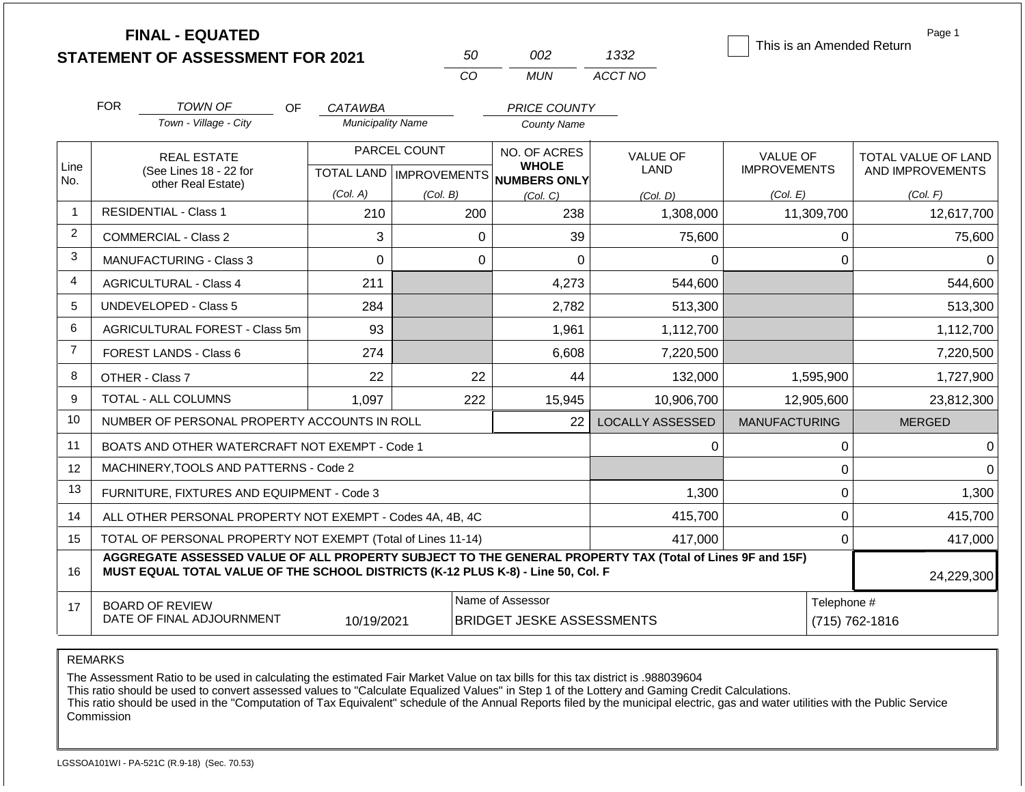|                |            | <b>FINAL - EQUATED</b><br><b>STATEMENT OF ASSESSMENT FOR 2021</b>                                                                                                                            |                          | 50                                               | 002                                                  | 1332                    | This is an Amended Return              | Page 1                                  |  |  |
|----------------|------------|----------------------------------------------------------------------------------------------------------------------------------------------------------------------------------------------|--------------------------|--------------------------------------------------|------------------------------------------------------|-------------------------|----------------------------------------|-----------------------------------------|--|--|
|                |            |                                                                                                                                                                                              |                          | CO                                               | <b>MUN</b>                                           | ACCT NO                 |                                        |                                         |  |  |
|                | <b>FOR</b> | <b>TOWN OF</b><br><b>OF</b>                                                                                                                                                                  | CATAWBA                  |                                                  | PRICE COUNTY                                         |                         |                                        |                                         |  |  |
|                |            | Town - Village - City                                                                                                                                                                        | <b>Municipality Name</b> |                                                  | <b>County Name</b>                                   |                         |                                        |                                         |  |  |
| Line<br>No.    |            | <b>REAL ESTATE</b><br>(See Lines 18 - 22 for<br>other Real Estate)                                                                                                                           |                          | PARCEL COUNT<br><b>TOTAL LAND   IMPROVEMENTS</b> | NO. OF ACRES<br><b>WHOLE</b><br>NUMBERS ONLY         | <b>VALUE OF</b><br>LAND | <b>VALUE OF</b><br><b>IMPROVEMENTS</b> | TOTAL VALUE OF LAND<br>AND IMPROVEMENTS |  |  |
|                |            |                                                                                                                                                                                              | (Col. A)                 | (Col. B)                                         | (Col, C)                                             | (Col, D)                | (Col. E)                               | (Col. F)                                |  |  |
| $\mathbf{1}$   |            | <b>RESIDENTIAL - Class 1</b>                                                                                                                                                                 | 210                      | 200                                              | 238                                                  | 1,308,000               | 11,309,700                             | 12,617,700                              |  |  |
| $\overline{c}$ |            | <b>COMMERCIAL - Class 2</b>                                                                                                                                                                  | 3                        |                                                  | 39<br>$\Omega$                                       | 75,600                  | 0                                      | 75,600                                  |  |  |
| 3              |            | <b>MANUFACTURING - Class 3</b>                                                                                                                                                               | $\mathbf 0$              |                                                  | $\Omega$<br>0                                        | $\Omega$                | $\mathbf 0$                            | 0                                       |  |  |
| 4              |            | <b>AGRICULTURAL - Class 4</b>                                                                                                                                                                | 211                      |                                                  | 4,273                                                | 544,600                 |                                        | 544,600                                 |  |  |
| 5              |            | <b>UNDEVELOPED - Class 5</b>                                                                                                                                                                 | 284                      |                                                  | 2,782                                                | 513,300                 |                                        | 513,300                                 |  |  |
| 6              |            | AGRICULTURAL FOREST - Class 5m                                                                                                                                                               | 93                       |                                                  | 1,961                                                | 1,112,700               |                                        | 1,112,700                               |  |  |
| $\overline{7}$ |            | FOREST LANDS - Class 6                                                                                                                                                                       | 274                      |                                                  | 6,608                                                | 7,220,500               |                                        | 7,220,500                               |  |  |
| 8              |            | OTHER - Class 7                                                                                                                                                                              | 22                       |                                                  | 22<br>44                                             | 132,000                 | 1,595,900                              | 1,727,900                               |  |  |
| 9              |            | TOTAL - ALL COLUMNS                                                                                                                                                                          | 1,097                    | 222                                              | 15,945                                               | 10,906,700              | 12,905,600                             | 23,812,300                              |  |  |
| 10             |            | NUMBER OF PERSONAL PROPERTY ACCOUNTS IN ROLL                                                                                                                                                 |                          |                                                  | 22                                                   | <b>LOCALLY ASSESSED</b> | <b>MANUFACTURING</b>                   | <b>MERGED</b>                           |  |  |
| 11             |            | BOATS AND OTHER WATERCRAFT NOT EXEMPT - Code 1                                                                                                                                               |                          |                                                  |                                                      | $\Omega$                | 0                                      | 0                                       |  |  |
| 12             |            | MACHINERY, TOOLS AND PATTERNS - Code 2                                                                                                                                                       |                          |                                                  |                                                      |                         | 0                                      | ∩                                       |  |  |
| 13             |            | FURNITURE, FIXTURES AND EQUIPMENT - Code 3                                                                                                                                                   |                          |                                                  |                                                      | 1,300                   | $\pmb{0}$                              | 1,300                                   |  |  |
| 14             |            | ALL OTHER PERSONAL PROPERTY NOT EXEMPT - Codes 4A, 4B, 4C                                                                                                                                    |                          |                                                  |                                                      | 415,700                 | $\Omega$                               | 415,700                                 |  |  |
| 15             |            | TOTAL OF PERSONAL PROPERTY NOT EXEMPT (Total of Lines 11-14)                                                                                                                                 |                          |                                                  |                                                      | 417,000                 | $\mathbf 0$                            | 417,000                                 |  |  |
| 16             |            | AGGREGATE ASSESSED VALUE OF ALL PROPERTY SUBJECT TO THE GENERAL PROPERTY TAX (Total of Lines 9F and 15F)<br>MUST EQUAL TOTAL VALUE OF THE SCHOOL DISTRICTS (K-12 PLUS K-8) - Line 50, Col. F |                          |                                                  |                                                      |                         |                                        | 24,229,300                              |  |  |
| 17             |            | <b>BOARD OF REVIEW</b><br>DATE OF FINAL ADJOURNMENT                                                                                                                                          | 10/19/2021               |                                                  | Name of Assessor<br><b>BRIDGET JESKE ASSESSMENTS</b> |                         |                                        | Telephone #<br>(715) 762-1816           |  |  |

The Assessment Ratio to be used in calculating the estimated Fair Market Value on tax bills for this tax district is .988039604

This ratio should be used to convert assessed values to "Calculate Equalized Values" in Step 1 of the Lottery and Gaming Credit Calculations.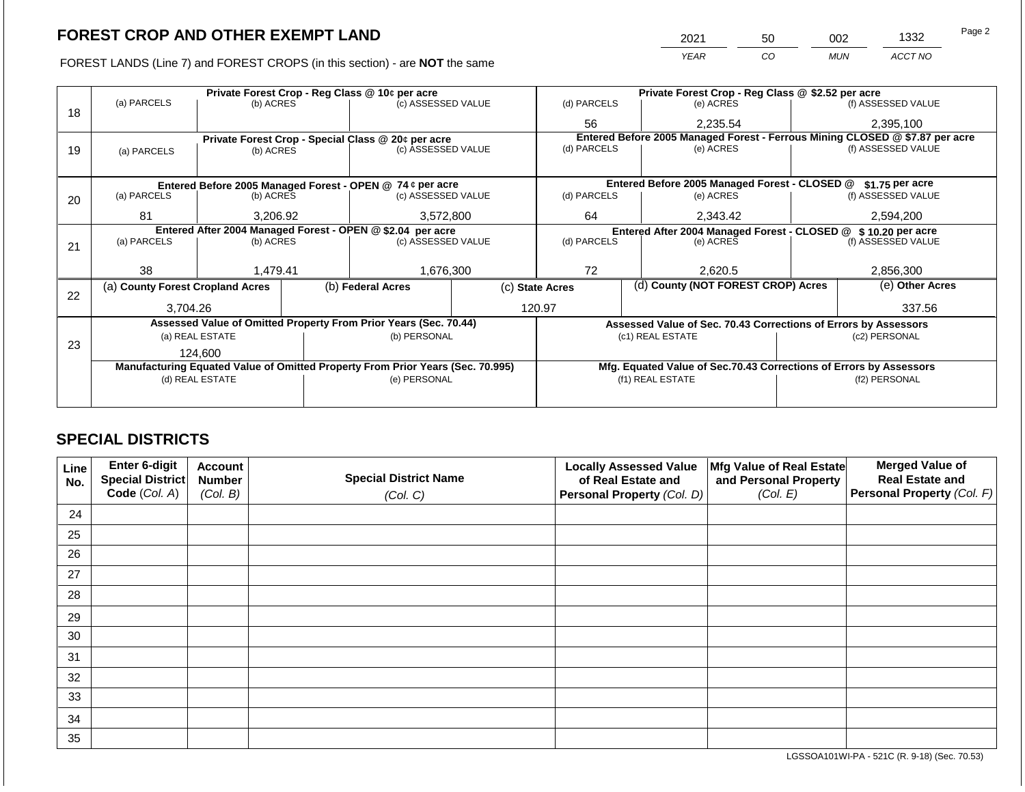FOREST LANDS (Line 7) and FOREST CROPS (in this section) - are **NOT** the same

| 2021 | 50 | 002 | 1332    | Page 2 |
|------|----|-----|---------|--------|
| YFAR | CO | MUN | ACCT NO |        |

|    |                                                            |                 | Private Forest Crop - Reg Class @ 10¢ per acre                                 |  | Private Forest Crop - Reg Class @ \$2.52 per acre     |                                                                              |                                                                    |                    |  |  |
|----|------------------------------------------------------------|-----------------|--------------------------------------------------------------------------------|--|-------------------------------------------------------|------------------------------------------------------------------------------|--------------------------------------------------------------------|--------------------|--|--|
| 18 | (a) PARCELS                                                | (b) ACRES       | (c) ASSESSED VALUE                                                             |  | (d) PARCELS                                           | (e) ACRES                                                                    |                                                                    | (f) ASSESSED VALUE |  |  |
|    |                                                            |                 |                                                                                |  | 56                                                    | 2,235.54                                                                     |                                                                    | 2,395,100          |  |  |
|    |                                                            |                 | Private Forest Crop - Special Class @ 20¢ per acre                             |  |                                                       | Entered Before 2005 Managed Forest - Ferrous Mining CLOSED @ \$7.87 per acre |                                                                    |                    |  |  |
| 19 | (a) PARCELS                                                | (b) ACRES       | (c) ASSESSED VALUE                                                             |  | (d) PARCELS                                           | (e) ACRES                                                                    |                                                                    | (f) ASSESSED VALUE |  |  |
|    |                                                            |                 |                                                                                |  |                                                       |                                                                              |                                                                    |                    |  |  |
|    |                                                            |                 | Entered Before 2005 Managed Forest - OPEN @ 74 ¢ per acre                      |  |                                                       | Entered Before 2005 Managed Forest - CLOSED @                                |                                                                    | \$1.75 per acre    |  |  |
| 20 | (a) PARCELS                                                | (b) ACRES       | (c) ASSESSED VALUE                                                             |  | (d) PARCELS                                           | (e) ACRES                                                                    |                                                                    | (f) ASSESSED VALUE |  |  |
|    |                                                            |                 |                                                                                |  |                                                       |                                                                              |                                                                    |                    |  |  |
|    | 81<br>3,206.92                                             |                 | 3,572,800                                                                      |  | 64<br>2,343.42                                        |                                                                              |                                                                    | 2,594,200          |  |  |
|    | Entered After 2004 Managed Forest - OPEN @ \$2.04 per acre |                 |                                                                                |  |                                                       | Entered After 2004 Managed Forest - CLOSED @ \$10.20 per acre                |                                                                    |                    |  |  |
| 21 | (a) PARCELS                                                | (b) ACRES       | (c) ASSESSED VALUE                                                             |  | (d) PARCELS                                           | (e) ACRES                                                                    |                                                                    | (f) ASSESSED VALUE |  |  |
|    |                                                            |                 |                                                                                |  |                                                       |                                                                              |                                                                    |                    |  |  |
|    | 38                                                         | 1,479.41        | 1,676,300                                                                      |  | 72                                                    | 2,620.5                                                                      |                                                                    | 2,856,300          |  |  |
| 22 | (a) County Forest Cropland Acres                           |                 | (b) Federal Acres                                                              |  | (d) County (NOT FOREST CROP) Acres<br>(c) State Acres |                                                                              |                                                                    | (e) Other Acres    |  |  |
|    | 3,704.26                                                   |                 |                                                                                |  |                                                       |                                                                              |                                                                    | 337.56             |  |  |
|    |                                                            |                 |                                                                                |  | 120.97                                                |                                                                              |                                                                    |                    |  |  |
|    |                                                            |                 | Assessed Value of Omitted Property From Prior Years (Sec. 70.44)               |  |                                                       |                                                                              | Assessed Value of Sec. 70.43 Corrections of Errors by Assessors    |                    |  |  |
| 23 |                                                            | (a) REAL ESTATE | (b) PERSONAL                                                                   |  |                                                       | (c1) REAL ESTATE                                                             | (c2) PERSONAL                                                      |                    |  |  |
|    |                                                            | 124,600         |                                                                                |  |                                                       |                                                                              |                                                                    |                    |  |  |
|    |                                                            |                 | Manufacturing Equated Value of Omitted Property From Prior Years (Sec. 70.995) |  |                                                       |                                                                              | Mfg. Equated Value of Sec.70.43 Corrections of Errors by Assessors |                    |  |  |
|    |                                                            | (d) REAL ESTATE | (e) PERSONAL                                                                   |  |                                                       | (f1) REAL ESTATE                                                             |                                                                    | (f2) PERSONAL      |  |  |
|    |                                                            |                 |                                                                                |  |                                                       |                                                                              |                                                                    |                    |  |  |
|    |                                                            |                 |                                                                                |  |                                                       |                                                                              |                                                                    |                    |  |  |

## **SPECIAL DISTRICTS**

| Line<br>No. | Enter 6-digit<br>Special District | <b>Account</b><br><b>Number</b> | <b>Special District Name</b> | <b>Locally Assessed Value</b><br>of Real Estate and | Mfg Value of Real Estate<br>and Personal Property | <b>Merged Value of</b><br><b>Real Estate and</b> |
|-------------|-----------------------------------|---------------------------------|------------------------------|-----------------------------------------------------|---------------------------------------------------|--------------------------------------------------|
|             | Code (Col. A)                     | (Col. B)                        | (Col. C)                     | Personal Property (Col. D)                          | (Col. E)                                          | Personal Property (Col. F)                       |
| 24          |                                   |                                 |                              |                                                     |                                                   |                                                  |
| 25          |                                   |                                 |                              |                                                     |                                                   |                                                  |
| 26          |                                   |                                 |                              |                                                     |                                                   |                                                  |
| 27          |                                   |                                 |                              |                                                     |                                                   |                                                  |
| 28          |                                   |                                 |                              |                                                     |                                                   |                                                  |
| 29          |                                   |                                 |                              |                                                     |                                                   |                                                  |
| 30          |                                   |                                 |                              |                                                     |                                                   |                                                  |
| 31          |                                   |                                 |                              |                                                     |                                                   |                                                  |
| 32          |                                   |                                 |                              |                                                     |                                                   |                                                  |
| 33          |                                   |                                 |                              |                                                     |                                                   |                                                  |
| 34          |                                   |                                 |                              |                                                     |                                                   |                                                  |
| 35          |                                   |                                 |                              |                                                     |                                                   |                                                  |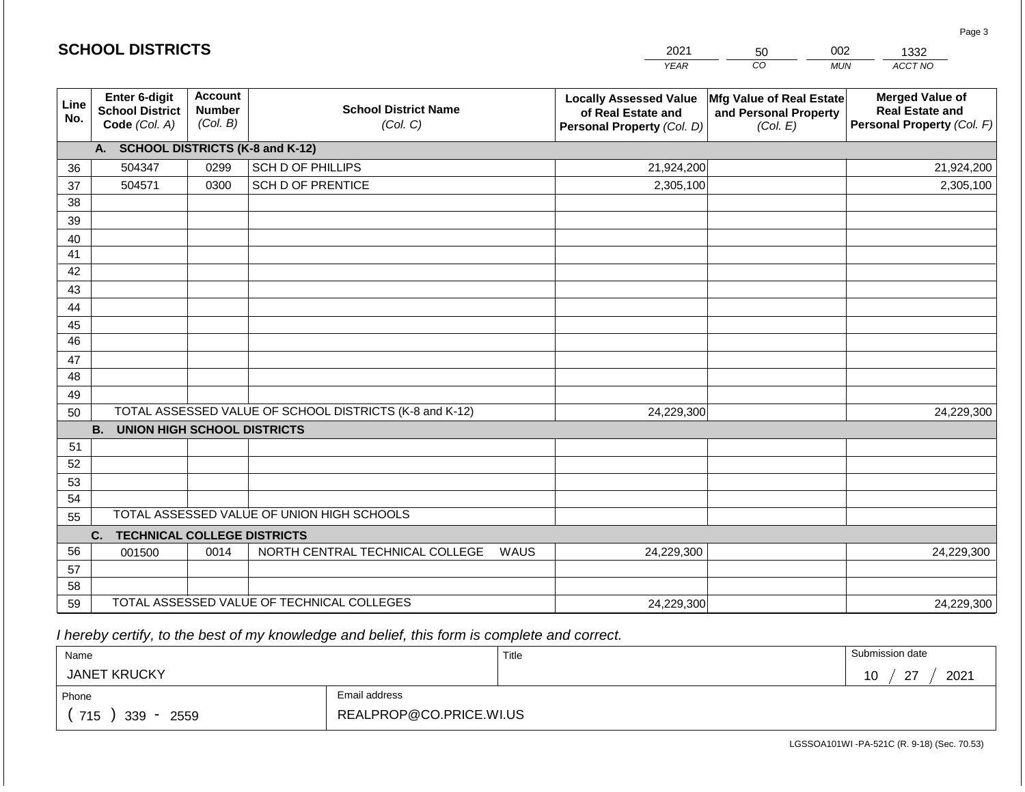|                 | <b>SCHOOL DISTRICTS</b>                                         |                                             |                                                         | 2021                                                                              | 50                                                                   | 002<br>1332                                                                    |
|-----------------|-----------------------------------------------------------------|---------------------------------------------|---------------------------------------------------------|-----------------------------------------------------------------------------------|----------------------------------------------------------------------|--------------------------------------------------------------------------------|
|                 |                                                                 |                                             |                                                         | <b>YEAR</b>                                                                       | $\overline{co}$                                                      | <b>MUN</b><br>ACCT NO                                                          |
| Line<br>No.     | <b>Enter 6-digit</b><br><b>School District</b><br>Code (Col. A) | <b>Account</b><br><b>Number</b><br>(Col. B) | <b>School District Name</b><br>(Col. C)                 | <b>Locally Assessed Value</b><br>of Real Estate and<br>Personal Property (Col. D) | <b>Mfg Value of Real Estate</b><br>and Personal Property<br>(Col. E) | <b>Merged Value of</b><br><b>Real Estate and</b><br>Personal Property (Col. F) |
|                 | A. SCHOOL DISTRICTS (K-8 and K-12)                              |                                             |                                                         |                                                                                   |                                                                      |                                                                                |
| 36              | 504347                                                          | 0299                                        | SCH D OF PHILLIPS                                       | 21,924,200                                                                        |                                                                      | 21,924,200                                                                     |
| 37              | 504571                                                          | 0300                                        | <b>SCH D OF PRENTICE</b>                                | 2,305,100                                                                         |                                                                      | 2,305,100                                                                      |
| 38              |                                                                 |                                             |                                                         |                                                                                   |                                                                      |                                                                                |
| 39              |                                                                 |                                             |                                                         |                                                                                   |                                                                      |                                                                                |
| 40              |                                                                 |                                             |                                                         |                                                                                   |                                                                      |                                                                                |
| 41              |                                                                 |                                             |                                                         |                                                                                   |                                                                      |                                                                                |
| 42              |                                                                 |                                             |                                                         |                                                                                   |                                                                      |                                                                                |
| 43              |                                                                 |                                             |                                                         |                                                                                   |                                                                      |                                                                                |
| 44              |                                                                 |                                             |                                                         |                                                                                   |                                                                      |                                                                                |
| 45              |                                                                 |                                             |                                                         |                                                                                   |                                                                      |                                                                                |
| $\overline{46}$ |                                                                 |                                             |                                                         |                                                                                   |                                                                      |                                                                                |
| 47              |                                                                 |                                             |                                                         |                                                                                   |                                                                      |                                                                                |
| 48              |                                                                 |                                             |                                                         |                                                                                   |                                                                      |                                                                                |
| 49<br>50        |                                                                 |                                             | TOTAL ASSESSED VALUE OF SCHOOL DISTRICTS (K-8 and K-12) | 24,229,300                                                                        |                                                                      | 24,229,300                                                                     |
|                 | <b>B.</b><br><b>UNION HIGH SCHOOL DISTRICTS</b>                 |                                             |                                                         |                                                                                   |                                                                      |                                                                                |
| 51              |                                                                 |                                             |                                                         |                                                                                   |                                                                      |                                                                                |
| 52              |                                                                 |                                             |                                                         |                                                                                   |                                                                      |                                                                                |
| 53              |                                                                 |                                             |                                                         |                                                                                   |                                                                      |                                                                                |
| 54              |                                                                 |                                             |                                                         |                                                                                   |                                                                      |                                                                                |
| 55              |                                                                 |                                             | TOTAL ASSESSED VALUE OF UNION HIGH SCHOOLS              |                                                                                   |                                                                      |                                                                                |
|                 | <b>TECHNICAL COLLEGE DISTRICTS</b><br>C.                        |                                             |                                                         |                                                                                   |                                                                      |                                                                                |
| 56              | 001500                                                          | 0014                                        | NORTH CENTRAL TECHNICAL COLLEGE                         | WAUS<br>24,229,300                                                                |                                                                      | 24,229,300                                                                     |
| 57              |                                                                 |                                             |                                                         |                                                                                   |                                                                      |                                                                                |
| 58              |                                                                 |                                             |                                                         |                                                                                   |                                                                      |                                                                                |
| 59              |                                                                 |                                             | TOTAL ASSESSED VALUE OF TECHNICAL COLLEGES              | 24,229,300                                                                        |                                                                      | 24,229,300                                                                     |

2021

 *I hereby certify, to the best of my knowledge and belief, this form is complete and correct.*

**SCHOOL DISTRICTS**

| Name                |                         | Title | Submission date              |
|---------------------|-------------------------|-------|------------------------------|
| <b>JANET KRUCKY</b> |                         |       | $\sim$<br>2021<br>1 N<br>ט ו |
| Phone               | Email address           |       |                              |
| 715<br>339<br>2559  | REALPROP@CO.PRICE.WI.US |       |                              |

Page 3

002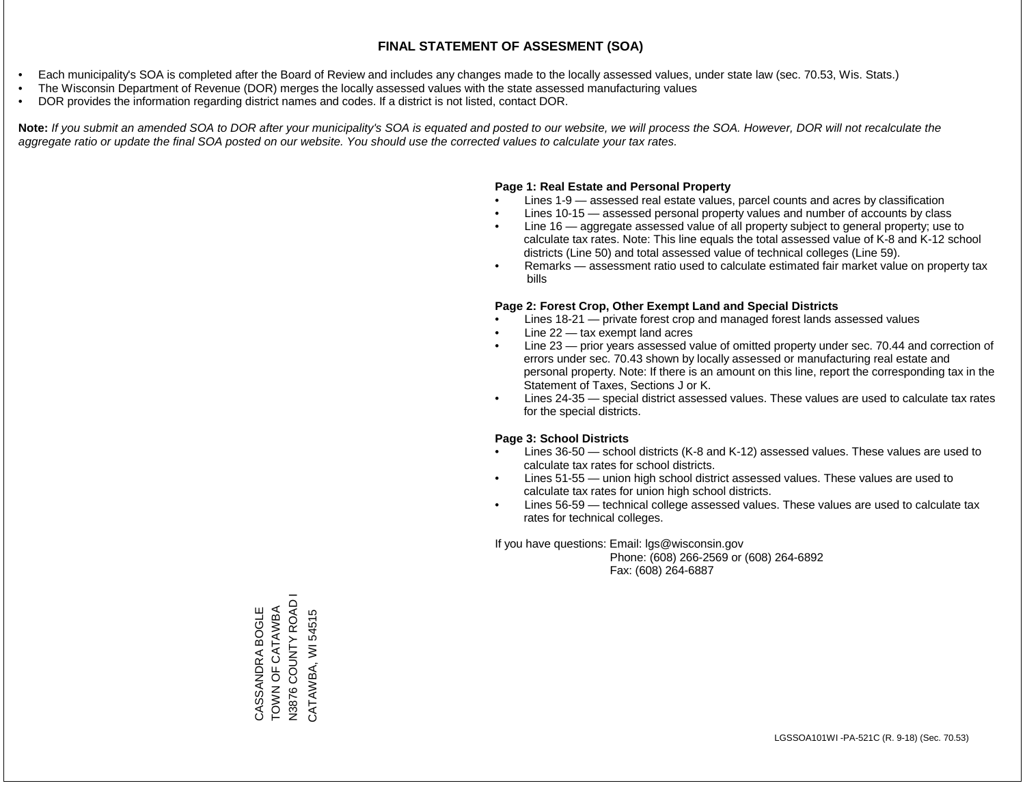- Each municipality's SOA is completed after the Board of Review and includes any changes made to the locally assessed values, under state law (sec. 70.53, Wis. Stats.)
- The Wisconsin Department of Revenue (DOR) merges the locally assessed values with the state assessed manufacturing values
- DOR provides the information regarding district names and codes. If a district is not listed, contact DOR.

Note: If you submit an amended SOA to DOR after your municipality's SOA is equated and posted to our website, we will process the SOA. However, DOR will not recalculate the *aggregate ratio or update the final SOA posted on our website. You should use the corrected values to calculate your tax rates.*

### **Page 1: Real Estate and Personal Property**

- Lines 1-9 assessed real estate values, parcel counts and acres by classification
- Lines 10-15 assessed personal property values and number of accounts by class
- Line 16 aggregate assessed value of all property subject to general property; use to calculate tax rates. Note: This line equals the total assessed value of K-8 and K-12 school districts (Line 50) and total assessed value of technical colleges (Line 59).
- Remarks assessment ratio used to calculate estimated fair market value on property tax bills

### **Page 2: Forest Crop, Other Exempt Land and Special Districts**

- Lines 18-21 private forest crop and managed forest lands assessed values
- Line  $22 -$  tax exempt land acres
- Line 23 prior years assessed value of omitted property under sec. 70.44 and correction of errors under sec. 70.43 shown by locally assessed or manufacturing real estate and personal property. Note: If there is an amount on this line, report the corresponding tax in the Statement of Taxes, Sections J or K.
- Lines 24-35 special district assessed values. These values are used to calculate tax rates for the special districts.

### **Page 3: School Districts**

- Lines 36-50 school districts (K-8 and K-12) assessed values. These values are used to calculate tax rates for school districts.
- Lines 51-55 union high school district assessed values. These values are used to calculate tax rates for union high school districts.
- Lines 56-59 technical college assessed values. These values are used to calculate tax rates for technical colleges.

If you have questions: Email: lgs@wisconsin.gov

 Phone: (608) 266-2569 or (608) 264-6892 Fax: (608) 264-6887

N3876 COUNTY ROAD I N3876 COUNTY ROAD CASSANDRA BOGLE<br>TOWN OF CATAWBA TOWN OF CATAWBA CASSANDRA BOGLE CATAWBA, WI 54515 CATAWBA, WI 54515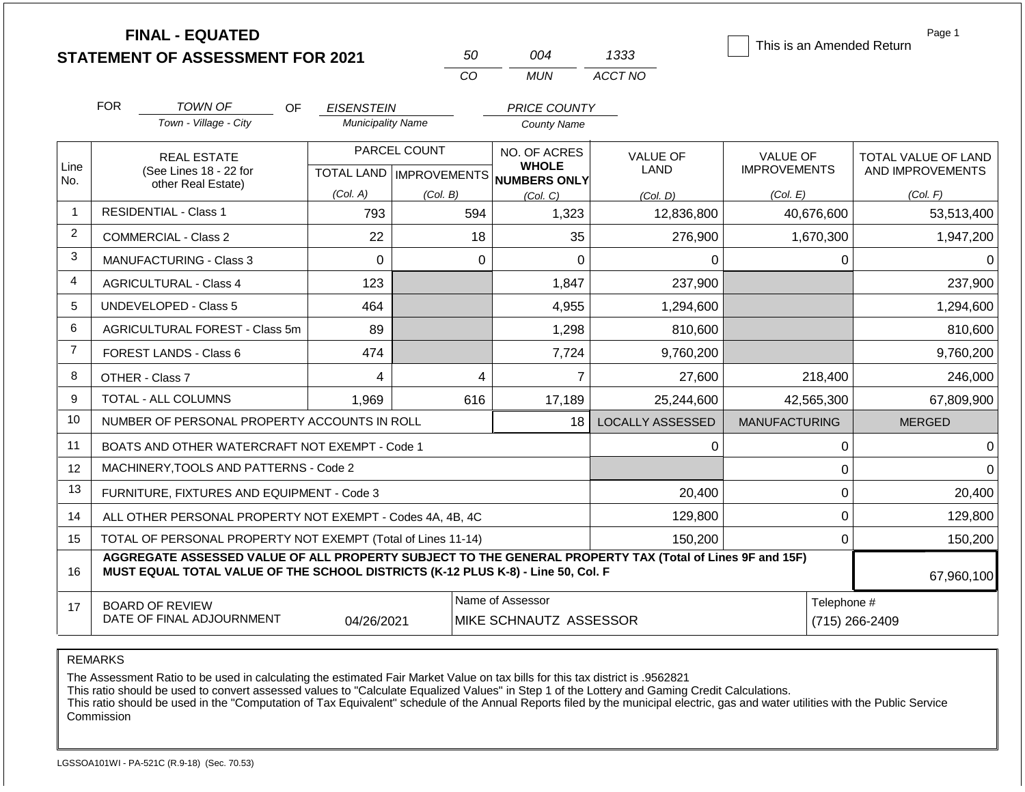|                |                    | <b>FINAL - EQUATED</b><br><b>STATEMENT OF ASSESSMENT FOR 2021</b>                                                                                                                            |                          | 50           | 004                                                 | 1333                    | Page 1<br>This is an Amended Return |                     |  |
|----------------|--------------------|----------------------------------------------------------------------------------------------------------------------------------------------------------------------------------------------|--------------------------|--------------|-----------------------------------------------------|-------------------------|-------------------------------------|---------------------|--|
|                |                    |                                                                                                                                                                                              |                          | CO           | <b>MUN</b>                                          | ACCT NO                 |                                     |                     |  |
|                | <b>FOR</b>         | <b>TOWN OF</b><br>OF.                                                                                                                                                                        | <b>EISENSTEIN</b>        |              | <b>PRICE COUNTY</b>                                 |                         |                                     |                     |  |
|                |                    | Town - Village - City                                                                                                                                                                        | <b>Municipality Name</b> |              | <b>County Name</b>                                  |                         |                                     |                     |  |
|                |                    | <b>REAL ESTATE</b>                                                                                                                                                                           |                          | PARCEL COUNT | NO. OF ACRES                                        | <b>VALUE OF</b>         | <b>VALUE OF</b>                     | TOTAL VALUE OF LAND |  |
| Line<br>No.    |                    | (See Lines 18 - 22 for                                                                                                                                                                       |                          |              | <b>WHOLE</b><br>TOTAL LAND MPROVEMENTS NUMBERS ONLY | <b>LAND</b>             | <b>IMPROVEMENTS</b>                 | AND IMPROVEMENTS    |  |
|                | other Real Estate) |                                                                                                                                                                                              | (Col. A)                 | (Col. B)     | (Col. C)                                            | (Col. D)                | (Col. E)                            | (Col. F)            |  |
| $\mathbf{1}$   |                    | <b>RESIDENTIAL - Class 1</b>                                                                                                                                                                 | 793                      | 594          | 1,323                                               | 12,836,800              | 40,676,600                          | 53,513,400          |  |
| $\overline{c}$ |                    | <b>COMMERCIAL - Class 2</b>                                                                                                                                                                  | 22                       |              | 18<br>35                                            | 276,900                 | 1,670,300                           | 1,947,200           |  |
| 3              |                    | <b>MANUFACTURING - Class 3</b>                                                                                                                                                               | $\Omega$                 |              | $\overline{0}$<br>$\Omega$                          | 0                       | 0                                   | 0                   |  |
| $\overline{4}$ |                    | <b>AGRICULTURAL - Class 4</b>                                                                                                                                                                | 123                      |              | 1,847                                               | 237,900                 |                                     | 237,900             |  |
| 5              |                    | <b>UNDEVELOPED - Class 5</b>                                                                                                                                                                 | 464                      |              | 4,955                                               | 1,294,600               |                                     | 1,294,600           |  |
| 6              |                    | <b>AGRICULTURAL FOREST - Class 5m</b>                                                                                                                                                        | 89                       |              | 1,298                                               | 810,600                 |                                     | 810,600             |  |
| $\overline{7}$ |                    | FOREST LANDS - Class 6                                                                                                                                                                       | 474                      |              | 7,724                                               | 9,760,200               |                                     | 9,760,200           |  |
| 8              |                    | OTHER - Class 7                                                                                                                                                                              | 4                        |              | $\overline{7}$<br>4                                 | 27,600                  | 218,400                             | 246,000             |  |
| 9              |                    | <b>TOTAL - ALL COLUMNS</b>                                                                                                                                                                   | 1,969                    | 616          | 17,189                                              | 25,244,600              | 42,565,300                          | 67,809,900          |  |
| 10             |                    | NUMBER OF PERSONAL PROPERTY ACCOUNTS IN ROLL                                                                                                                                                 |                          |              | 18 <sup>1</sup>                                     | <b>LOCALLY ASSESSED</b> | <b>MANUFACTURING</b>                | <b>MERGED</b>       |  |
| 11             |                    | BOATS AND OTHER WATERCRAFT NOT EXEMPT - Code 1                                                                                                                                               |                          |              |                                                     | 0                       | 0                                   | 0                   |  |
| 12             |                    | MACHINERY, TOOLS AND PATTERNS - Code 2                                                                                                                                                       |                          |              |                                                     |                         | $\pmb{0}$                           | $\Omega$            |  |
| 13             |                    | FURNITURE, FIXTURES AND EQUIPMENT - Code 3                                                                                                                                                   |                          |              |                                                     | 20,400                  | $\pmb{0}$                           | 20,400              |  |
| 14             |                    | ALL OTHER PERSONAL PROPERTY NOT EXEMPT - Codes 4A, 4B, 4C                                                                                                                                    |                          |              |                                                     | 129,800                 | $\mathbf 0$                         | 129,800             |  |
| 15             |                    | TOTAL OF PERSONAL PROPERTY NOT EXEMPT (Total of Lines 11-14)                                                                                                                                 |                          |              |                                                     | 150,200                 | $\mathbf 0$                         | 150,200             |  |
| 16             |                    | AGGREGATE ASSESSED VALUE OF ALL PROPERTY SUBJECT TO THE GENERAL PROPERTY TAX (Total of Lines 9F and 15F)<br>MUST EQUAL TOTAL VALUE OF THE SCHOOL DISTRICTS (K-12 PLUS K-8) - Line 50, Col. F |                          |              |                                                     |                         |                                     | 67,960,100          |  |
| 17             |                    | <b>BOARD OF REVIEW</b><br>DATE OF FINAL ADJOURNMENT                                                                                                                                          | 04/26/2021               |              | Name of Assessor<br>MIKE SCHNAUTZ ASSESSOR          |                         | Telephone #<br>(715) 266-2409       |                     |  |

The Assessment Ratio to be used in calculating the estimated Fair Market Value on tax bills for this tax district is .9562821

This ratio should be used to convert assessed values to "Calculate Equalized Values" in Step 1 of the Lottery and Gaming Credit Calculations.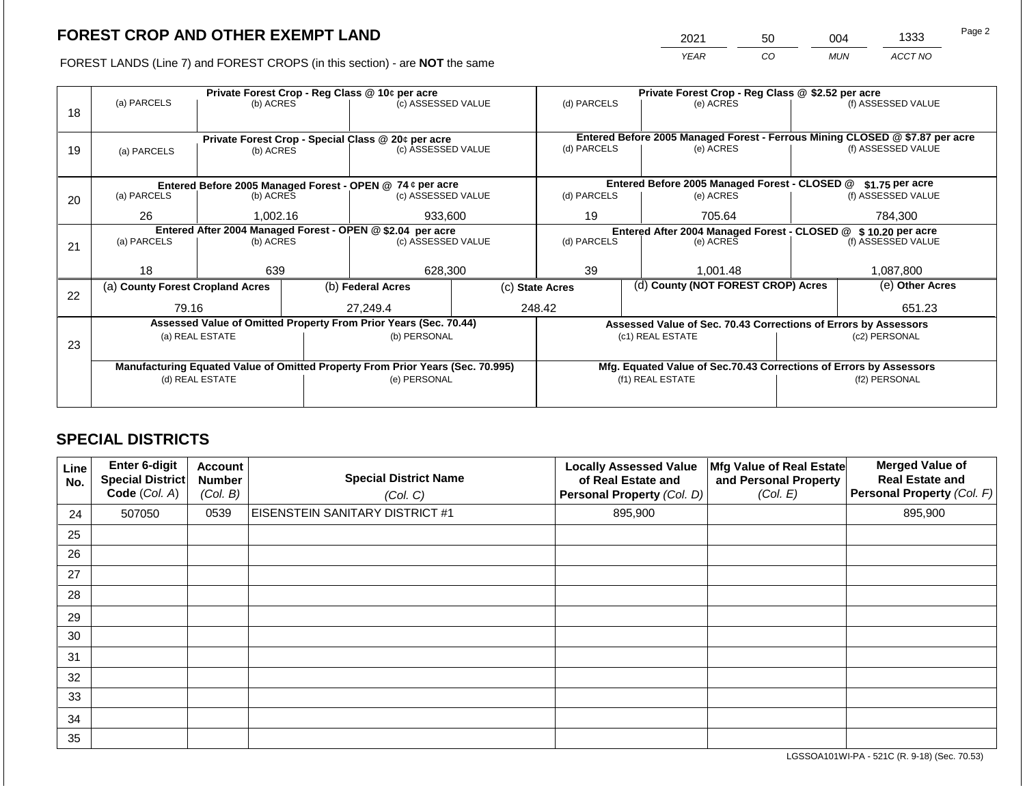2021 50 004 1333

FOREST LANDS (Line 7) and FOREST CROPS (in this section) - are **NOT** the same *YEAR CO MUN ACCT NO*

|    |                                                                                | Private Forest Crop - Reg Class @ 10¢ per acre |  |                                                                          |  | Private Forest Crop - Reg Class @ \$2.52 per acre     |  |                                                                    |                                                                 |                                                                              |
|----|--------------------------------------------------------------------------------|------------------------------------------------|--|--------------------------------------------------------------------------|--|-------------------------------------------------------|--|--------------------------------------------------------------------|-----------------------------------------------------------------|------------------------------------------------------------------------------|
| 18 | (a) PARCELS                                                                    | (b) ACRES                                      |  | (c) ASSESSED VALUE                                                       |  | (d) PARCELS                                           |  | (e) ACRES                                                          |                                                                 | (f) ASSESSED VALUE                                                           |
|    |                                                                                |                                                |  |                                                                          |  |                                                       |  |                                                                    |                                                                 |                                                                              |
|    |                                                                                |                                                |  |                                                                          |  |                                                       |  |                                                                    |                                                                 | Entered Before 2005 Managed Forest - Ferrous Mining CLOSED @ \$7.87 per acre |
| 19 | (a) PARCELS                                                                    | (b) ACRES                                      |  | Private Forest Crop - Special Class @ 20¢ per acre<br>(c) ASSESSED VALUE |  | (d) PARCELS                                           |  | (e) ACRES                                                          |                                                                 | (f) ASSESSED VALUE                                                           |
|    |                                                                                |                                                |  |                                                                          |  |                                                       |  |                                                                    |                                                                 |                                                                              |
|    |                                                                                |                                                |  |                                                                          |  |                                                       |  |                                                                    |                                                                 |                                                                              |
|    |                                                                                |                                                |  | Entered Before 2005 Managed Forest - OPEN @ 74 ¢ per acre                |  |                                                       |  | Entered Before 2005 Managed Forest - CLOSED @                      |                                                                 | \$1.75 per acre                                                              |
| 20 | (a) PARCELS<br>(b) ACRES                                                       |                                                |  | (c) ASSESSED VALUE                                                       |  | (d) PARCELS                                           |  | (e) ACRES                                                          |                                                                 | (f) ASSESSED VALUE                                                           |
|    | 26<br>1,002.16                                                                 |                                                |  | 933,600                                                                  |  | 19                                                    |  | 705.64                                                             |                                                                 | 784.300                                                                      |
|    | Entered After 2004 Managed Forest - OPEN @ \$2.04 per acre                     |                                                |  |                                                                          |  |                                                       |  |                                                                    | Entered After 2004 Managed Forest - CLOSED @ \$ 10.20 per acre  |                                                                              |
| 21 | (a) PARCELS                                                                    | (b) ACRES                                      |  | (c) ASSESSED VALUE                                                       |  | (d) PARCELS<br>(e) ACRES                              |  |                                                                    |                                                                 | (f) ASSESSED VALUE                                                           |
|    |                                                                                |                                                |  |                                                                          |  |                                                       |  |                                                                    |                                                                 |                                                                              |
|    | 18                                                                             | 639                                            |  | 628,300                                                                  |  | 39                                                    |  | 1.001.48                                                           |                                                                 | 1,087,800                                                                    |
|    | (a) County Forest Cropland Acres                                               |                                                |  | (b) Federal Acres                                                        |  | (d) County (NOT FOREST CROP) Acres<br>(c) State Acres |  |                                                                    | (e) Other Acres                                                 |                                                                              |
| 22 |                                                                                |                                                |  |                                                                          |  |                                                       |  |                                                                    |                                                                 |                                                                              |
|    | 79.16                                                                          |                                                |  | 27.249.4                                                                 |  | 248.42                                                |  |                                                                    | 651.23                                                          |                                                                              |
|    |                                                                                |                                                |  | Assessed Value of Omitted Property From Prior Years (Sec. 70.44)         |  |                                                       |  |                                                                    | Assessed Value of Sec. 70.43 Corrections of Errors by Assessors |                                                                              |
|    |                                                                                | (a) REAL ESTATE                                |  | (b) PERSONAL                                                             |  |                                                       |  | (c1) REAL ESTATE                                                   |                                                                 | (c2) PERSONAL                                                                |
| 23 |                                                                                |                                                |  |                                                                          |  |                                                       |  |                                                                    |                                                                 |                                                                              |
|    | Manufacturing Equated Value of Omitted Property From Prior Years (Sec. 70.995) |                                                |  |                                                                          |  |                                                       |  | Mfg. Equated Value of Sec.70.43 Corrections of Errors by Assessors |                                                                 |                                                                              |
|    |                                                                                | (d) REAL ESTATE                                |  | (e) PERSONAL                                                             |  |                                                       |  | (f1) REAL ESTATE                                                   | (f2) PERSONAL                                                   |                                                                              |
|    |                                                                                |                                                |  |                                                                          |  |                                                       |  |                                                                    |                                                                 |                                                                              |
|    |                                                                                |                                                |  |                                                                          |  |                                                       |  |                                                                    |                                                                 |                                                                              |

## **SPECIAL DISTRICTS**

| Line<br>No. | <b>Enter 6-digit</b><br>Special District<br>Code (Col. A) | <b>Account</b><br><b>Number</b><br>(Col. B) | <b>Special District Name</b><br>(Col. C) | <b>Locally Assessed Value</b><br>of Real Estate and<br>Personal Property (Col. D) | Mfg Value of Real Estate<br>and Personal Property<br>(Col. E) | <b>Merged Value of</b><br><b>Real Estate and</b><br>Personal Property (Col. F) |
|-------------|-----------------------------------------------------------|---------------------------------------------|------------------------------------------|-----------------------------------------------------------------------------------|---------------------------------------------------------------|--------------------------------------------------------------------------------|
| 24          | 507050                                                    | 0539                                        | <b>EISENSTEIN SANITARY DISTRICT #1</b>   | 895,900                                                                           |                                                               | 895,900                                                                        |
| 25          |                                                           |                                             |                                          |                                                                                   |                                                               |                                                                                |
| 26          |                                                           |                                             |                                          |                                                                                   |                                                               |                                                                                |
| 27          |                                                           |                                             |                                          |                                                                                   |                                                               |                                                                                |
| 28          |                                                           |                                             |                                          |                                                                                   |                                                               |                                                                                |
| 29          |                                                           |                                             |                                          |                                                                                   |                                                               |                                                                                |
| 30          |                                                           |                                             |                                          |                                                                                   |                                                               |                                                                                |
| 31          |                                                           |                                             |                                          |                                                                                   |                                                               |                                                                                |
| 32          |                                                           |                                             |                                          |                                                                                   |                                                               |                                                                                |
| 33          |                                                           |                                             |                                          |                                                                                   |                                                               |                                                                                |
| 34          |                                                           |                                             |                                          |                                                                                   |                                                               |                                                                                |
| 35          |                                                           |                                             |                                          |                                                                                   |                                                               |                                                                                |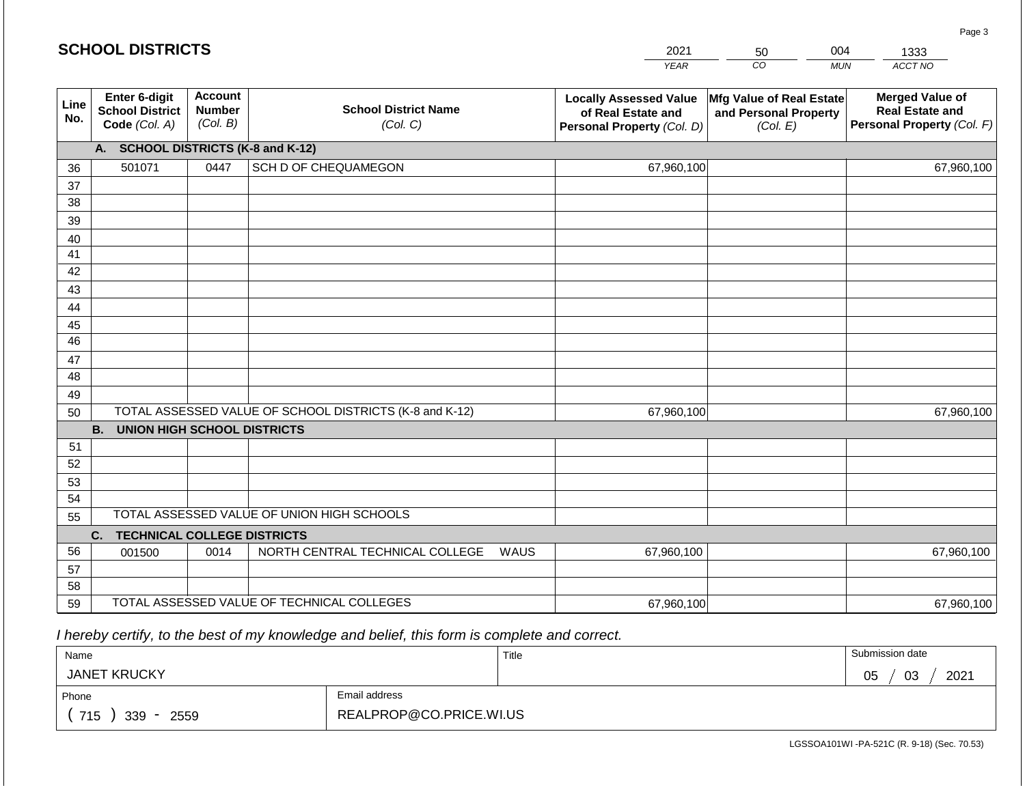#### *YEAR*  2021  $\overline{co}$ 50 *MUN*  004 *ACCT NO*  1333 **SCHOOL DISTRICTS Line No. Enter 6-digit School District Code** *(Col. A)* **Account Number** *(Col. B)* **School District Name** *(Col. C)* **Locally Assessed Value of Real Estate and Personal Property** *(Col. D)* **Mfg Value of Real Estate and Personal Property** *(Col. E)* **Merged Value of Real Estate and Personal Property** *(Col. F)* **A. SCHOOL DISTRICTS (K-8 and K-12)** 36 37 38 39 40 41 42 43 44 45 46 47 48 49 50 TOTAL ASSESSED VALUE OF SCHOOL DISTRICTS (K-8 and K-12) **B. UNION HIGH SCHOOL DISTRICTS** 51 52 53 54 55 **C. TECHNICAL COLLEGE DISTRICTS** 56 57 58 59 TOTAL ASSESSED VALUE OF TECHNICAL COLLEGES TOTAL ASSESSED VALUE OF UNION HIGH SCHOOLS 501071 0447 SCH D OF CHEQUAMEGON 67,960,100 67,960,100 001500 | 0014 | NORTH CENTRAL TECHNICAL COLLEGE WAUS 67,960,100 67,960,100 67,960,100 67,960,100 67,960,100 67,960,100

 *I hereby certify, to the best of my knowledge and belief, this form is complete and correct.*

| Name                                           |                         | Title | Submission date  |
|------------------------------------------------|-------------------------|-------|------------------|
| <b>JANET KRUCKY</b>                            |                         |       | 03<br>2021<br>05 |
| Phone                                          | Email address           |       |                  |
| 715<br>339<br>2559<br>$\overline{\phantom{a}}$ | REALPROP@CO.PRICE.WI.US |       |                  |

LGSSOA101WI -PA-521C (R. 9-18) (Sec. 70.53)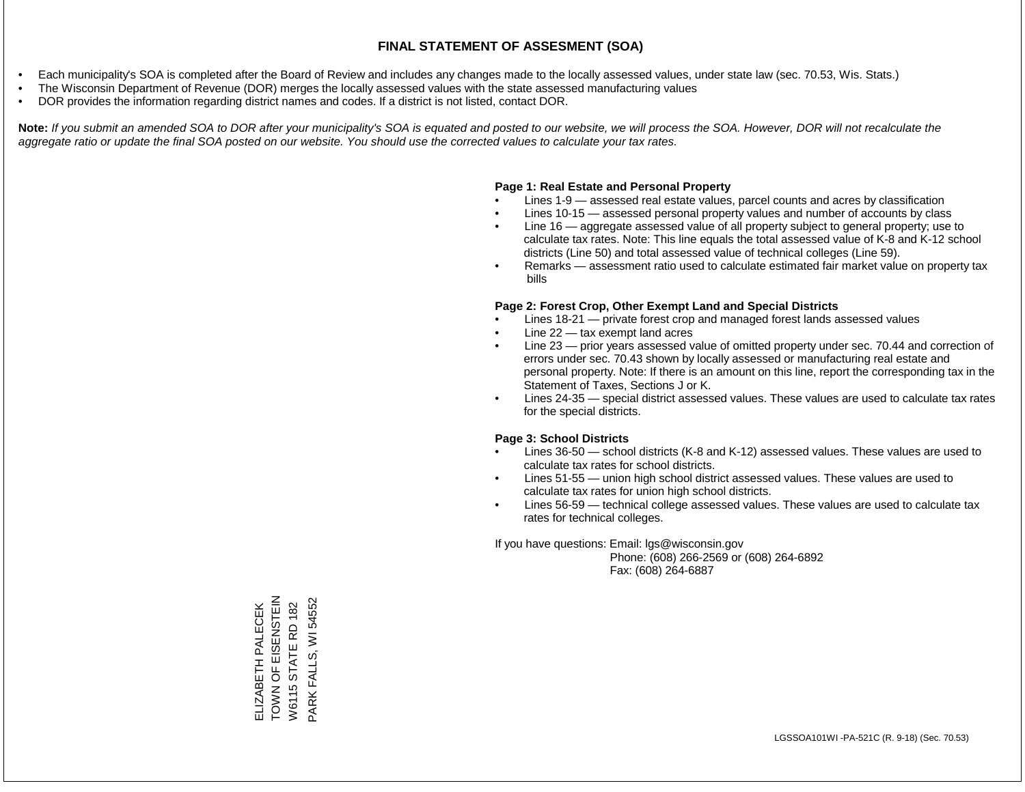- Each municipality's SOA is completed after the Board of Review and includes any changes made to the locally assessed values, under state law (sec. 70.53, Wis. Stats.)
- The Wisconsin Department of Revenue (DOR) merges the locally assessed values with the state assessed manufacturing values
- DOR provides the information regarding district names and codes. If a district is not listed, contact DOR.

Note: If you submit an amended SOA to DOR after your municipality's SOA is equated and posted to our website, we will process the SOA. However, DOR will not recalculate the *aggregate ratio or update the final SOA posted on our website. You should use the corrected values to calculate your tax rates.*

### **Page 1: Real Estate and Personal Property**

- Lines 1-9 assessed real estate values, parcel counts and acres by classification
- Lines 10-15 assessed personal property values and number of accounts by class
- Line 16 aggregate assessed value of all property subject to general property; use to calculate tax rates. Note: This line equals the total assessed value of K-8 and K-12 school districts (Line 50) and total assessed value of technical colleges (Line 59).
- Remarks assessment ratio used to calculate estimated fair market value on property tax bills

### **Page 2: Forest Crop, Other Exempt Land and Special Districts**

- Lines 18-21 private forest crop and managed forest lands assessed values
- Line  $22 -$  tax exempt land acres
- Line 23 prior years assessed value of omitted property under sec. 70.44 and correction of errors under sec. 70.43 shown by locally assessed or manufacturing real estate and personal property. Note: If there is an amount on this line, report the corresponding tax in the Statement of Taxes, Sections J or K.
- Lines 24-35 special district assessed values. These values are used to calculate tax rates for the special districts.

### **Page 3: School Districts**

- Lines 36-50 school districts (K-8 and K-12) assessed values. These values are used to calculate tax rates for school districts.
- Lines 51-55 union high school district assessed values. These values are used to calculate tax rates for union high school districts.
- Lines 56-59 technical college assessed values. These values are used to calculate tax rates for technical colleges.

If you have questions: Email: lgs@wisconsin.gov

 Phone: (608) 266-2569 or (608) 264-6892 Fax: (608) 264-6887

NHISZHOI LO<br>
ZNOL TOWN OF EISENSTEIN<br>W6115 STATE RD 182 PARK FALLS, WI 54552 PARK FALLS, WI 54552**ELIZABETH PALECEK** ELIZABETH PALECEK W6115 STATE RD 182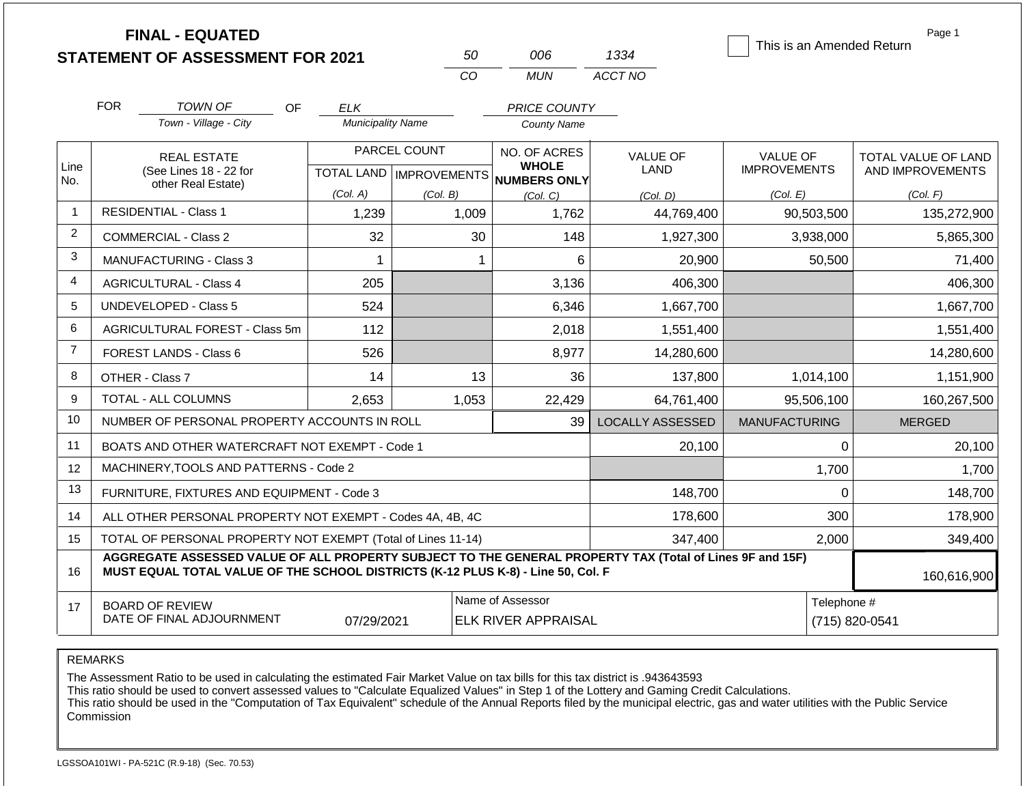|                |                                | <b>FINAL - EQUATED</b><br><b>STATEMENT OF ASSESSMENT FOR 2021</b>                                                                                                                            |                          | 50           | 006                                                 | 1334                    | This is an Amended Return | Page 1                        |  |
|----------------|--------------------------------|----------------------------------------------------------------------------------------------------------------------------------------------------------------------------------------------|--------------------------|--------------|-----------------------------------------------------|-------------------------|---------------------------|-------------------------------|--|
|                |                                |                                                                                                                                                                                              |                          | CO           | <b>MUN</b>                                          | ACCT NO                 |                           |                               |  |
|                | <b>FOR</b>                     | <b>TOWN OF</b><br>OF.                                                                                                                                                                        | <b>ELK</b>               |              | PRICE COUNTY                                        |                         |                           |                               |  |
|                |                                | Town - Village - City                                                                                                                                                                        | <b>Municipality Name</b> |              | County Name                                         |                         |                           |                               |  |
|                |                                | <b>REAL ESTATE</b>                                                                                                                                                                           |                          | PARCEL COUNT | NO. OF ACRES                                        | <b>VALUE OF</b>         | <b>VALUE OF</b>           | TOTAL VALUE OF LAND           |  |
| Line<br>No.    |                                | (See Lines 18 - 22 for<br>other Real Estate)                                                                                                                                                 |                          |              | <b>WHOLE</b><br>TOTAL LAND MPROVEMENTS NUMBERS ONLY | LAND                    | <b>IMPROVEMENTS</b>       | AND IMPROVEMENTS              |  |
|                |                                |                                                                                                                                                                                              | (Col. A)                 | (Col. B)     | (Col, C)                                            | (Col, D)                | (Col. E)                  | (Col. F)                      |  |
| $\mathbf{1}$   |                                | <b>RESIDENTIAL - Class 1</b>                                                                                                                                                                 | 1,239                    | 1,009        | 1,762                                               | 44,769,400              | 90,503,500                | 135,272,900                   |  |
| $\overline{2}$ |                                | <b>COMMERCIAL - Class 2</b>                                                                                                                                                                  | 32                       | 30           | 148                                                 | 1,927,300               | 3,938,000                 | 5,865,300                     |  |
| 3              | <b>MANUFACTURING - Class 3</b> |                                                                                                                                                                                              |                          | 1            | 6                                                   | 20,900                  | 50,500                    | 71,400                        |  |
| $\overline{4}$ |                                | <b>AGRICULTURAL - Class 4</b>                                                                                                                                                                | 205                      |              | 3,136                                               | 406,300                 |                           | 406,300                       |  |
| 5              |                                | UNDEVELOPED - Class 5                                                                                                                                                                        | 524                      |              | 6,346                                               | 1,667,700               |                           | 1,667,700                     |  |
| 6              |                                | AGRICULTURAL FOREST - Class 5m                                                                                                                                                               | 112                      |              | 2,018                                               | 1,551,400               |                           | 1,551,400                     |  |
| $\overline{7}$ |                                | <b>FOREST LANDS - Class 6</b>                                                                                                                                                                | 526                      |              | 8,977                                               | 14,280,600              |                           | 14,280,600                    |  |
| 8              |                                | OTHER - Class 7                                                                                                                                                                              | 14                       | 13           | 36                                                  | 137,800                 | 1,014,100                 | 1,151,900                     |  |
| 9              |                                | <b>TOTAL - ALL COLUMNS</b>                                                                                                                                                                   | 2.653                    | 1,053        | 22,429                                              | 64,761,400              | 95,506,100                | 160,267,500                   |  |
| 10             |                                | NUMBER OF PERSONAL PROPERTY ACCOUNTS IN ROLL                                                                                                                                                 |                          |              | 39                                                  | <b>LOCALLY ASSESSED</b> | <b>MANUFACTURING</b>      | <b>MERGED</b>                 |  |
| 11             |                                | BOATS AND OTHER WATERCRAFT NOT EXEMPT - Code 1                                                                                                                                               |                          |              |                                                     | 20,100                  | $\Omega$                  | 20,100                        |  |
| 12             |                                | MACHINERY, TOOLS AND PATTERNS - Code 2                                                                                                                                                       |                          |              |                                                     |                         | 1,700                     | 1,700                         |  |
| 13             |                                | FURNITURE, FIXTURES AND EQUIPMENT - Code 3                                                                                                                                                   |                          |              |                                                     | 148,700                 | $\Omega$                  | 148,700                       |  |
| 14             |                                | ALL OTHER PERSONAL PROPERTY NOT EXEMPT - Codes 4A, 4B, 4C                                                                                                                                    |                          |              |                                                     | 178,600                 | 300                       | 178,900                       |  |
| 15             |                                | TOTAL OF PERSONAL PROPERTY NOT EXEMPT (Total of Lines 11-14)                                                                                                                                 |                          |              |                                                     | 347,400                 | 2,000                     | 349,400                       |  |
| 16             |                                | AGGREGATE ASSESSED VALUE OF ALL PROPERTY SUBJECT TO THE GENERAL PROPERTY TAX (Total of Lines 9F and 15F)<br>MUST EQUAL TOTAL VALUE OF THE SCHOOL DISTRICTS (K-12 PLUS K-8) - Line 50, Col. F |                          |              |                                                     |                         |                           | 160,616,900                   |  |
| 17             |                                | <b>BOARD OF REVIEW</b><br>DATE OF FINAL ADJOURNMENT                                                                                                                                          | 07/29/2021               |              | Name of Assessor<br><b>ELK RIVER APPRAISAL</b>      |                         |                           | Telephone #<br>(715) 820-0541 |  |

The Assessment Ratio to be used in calculating the estimated Fair Market Value on tax bills for this tax district is .943643593

This ratio should be used to convert assessed values to "Calculate Equalized Values" in Step 1 of the Lottery and Gaming Credit Calculations.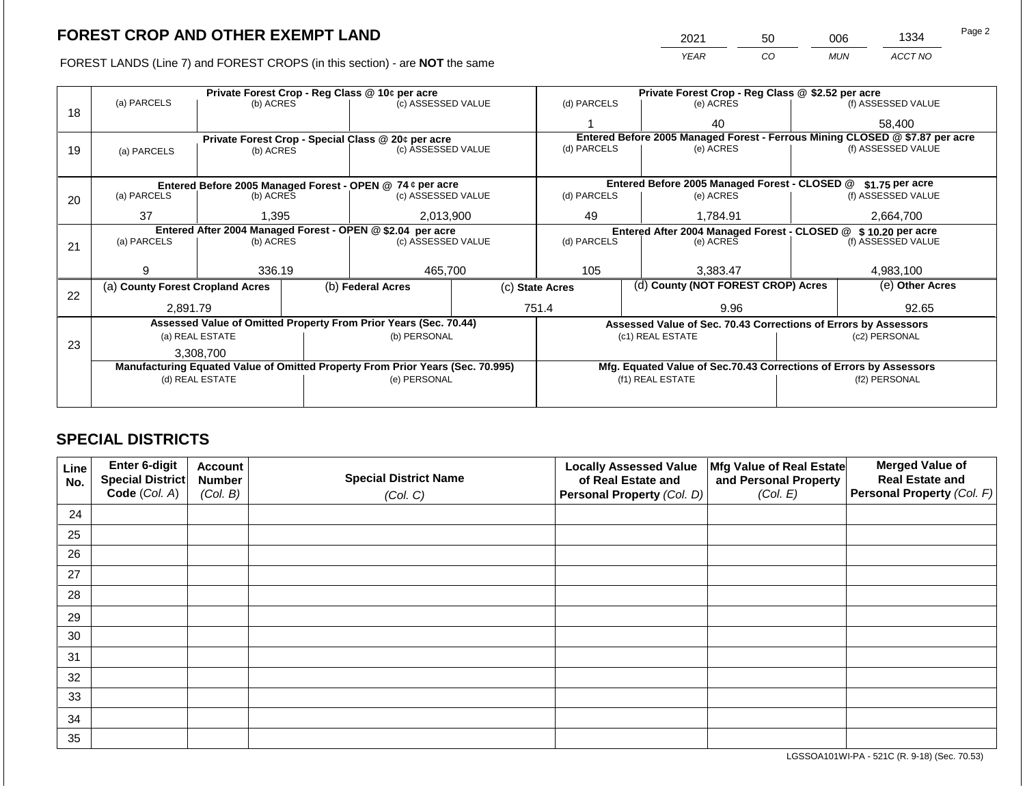2021 50 006 1334

FOREST LANDS (Line 7) and FOREST CROPS (in this section) - are **NOT** the same *YEAR CO MUN ACCT NO*

|    |                                                                                |                 |  | Private Forest Crop - Reg Class @ 10¢ per acre                   |                                                               | Private Forest Crop - Reg Class @ \$2.52 per acre                            |  |                                                                    |                 |                    |
|----|--------------------------------------------------------------------------------|-----------------|--|------------------------------------------------------------------|---------------------------------------------------------------|------------------------------------------------------------------------------|--|--------------------------------------------------------------------|-----------------|--------------------|
|    | (a) PARCELS                                                                    | (b) ACRES       |  | (c) ASSESSED VALUE                                               |                                                               | (d) PARCELS                                                                  |  | (e) ACRES                                                          |                 | (f) ASSESSED VALUE |
| 18 |                                                                                |                 |  |                                                                  |                                                               |                                                                              |  | 40                                                                 |                 | 58,400             |
|    |                                                                                |                 |  | Private Forest Crop - Special Class @ 20¢ per acre               |                                                               | Entered Before 2005 Managed Forest - Ferrous Mining CLOSED @ \$7.87 per acre |  |                                                                    |                 |                    |
| 19 | (a) PARCELS                                                                    | (b) ACRES       |  | (c) ASSESSED VALUE                                               |                                                               | (d) PARCELS                                                                  |  | (e) ACRES                                                          |                 | (f) ASSESSED VALUE |
|    |                                                                                |                 |  |                                                                  |                                                               |                                                                              |  |                                                                    |                 |                    |
|    |                                                                                |                 |  | Entered Before 2005 Managed Forest - OPEN @ 74 ¢ per acre        |                                                               |                                                                              |  | Entered Before 2005 Managed Forest - CLOSED @                      |                 | \$1.75 per acre    |
| 20 | (a) PARCELS<br>(b) ACRES                                                       |                 |  | (c) ASSESSED VALUE                                               |                                                               | (d) PARCELS                                                                  |  | (e) ACRES                                                          |                 | (f) ASSESSED VALUE |
|    |                                                                                |                 |  |                                                                  |                                                               |                                                                              |  |                                                                    |                 |                    |
|    | 37<br>1,395                                                                    |                 |  | 2,013,900                                                        |                                                               | 49<br>1,784.91                                                               |  |                                                                    | 2,664,700       |                    |
|    | Entered After 2004 Managed Forest - OPEN @ \$2.04 per acre                     |                 |  |                                                                  | Entered After 2004 Managed Forest - CLOSED @ \$10.20 per acre |                                                                              |  |                                                                    |                 |                    |
| 21 | (a) PARCELS                                                                    | (b) ACRES       |  | (c) ASSESSED VALUE                                               |                                                               | (d) PARCELS                                                                  |  | (e) ACRES                                                          |                 | (f) ASSESSED VALUE |
|    |                                                                                |                 |  |                                                                  |                                                               |                                                                              |  |                                                                    |                 |                    |
|    | я                                                                              | 336.19          |  | 465,700                                                          |                                                               | 105                                                                          |  | 3,383.47                                                           |                 | 4,983,100          |
| 22 | (a) County Forest Cropland Acres                                               |                 |  | (b) Federal Acres                                                |                                                               | (c) State Acres                                                              |  | (d) County (NOT FOREST CROP) Acres                                 | (e) Other Acres |                    |
|    | 2,891.79                                                                       |                 |  |                                                                  |                                                               | 751.4<br>9.96                                                                |  |                                                                    | 92.65           |                    |
|    |                                                                                |                 |  | Assessed Value of Omitted Property From Prior Years (Sec. 70.44) |                                                               |                                                                              |  | Assessed Value of Sec. 70.43 Corrections of Errors by Assessors    |                 |                    |
|    | (a) REAL ESTATE                                                                |                 |  | (b) PERSONAL                                                     |                                                               |                                                                              |  | (c1) REAL ESTATE                                                   |                 | (c2) PERSONAL      |
| 23 | 3,308,700                                                                      |                 |  |                                                                  |                                                               |                                                                              |  |                                                                    |                 |                    |
|    | Manufacturing Equated Value of Omitted Property From Prior Years (Sec. 70.995) |                 |  |                                                                  |                                                               |                                                                              |  | Mfg. Equated Value of Sec.70.43 Corrections of Errors by Assessors |                 |                    |
|    |                                                                                | (d) REAL ESTATE |  | (e) PERSONAL                                                     |                                                               |                                                                              |  | (f1) REAL ESTATE                                                   |                 | (f2) PERSONAL      |
|    |                                                                                |                 |  |                                                                  |                                                               |                                                                              |  |                                                                    |                 |                    |
|    |                                                                                |                 |  |                                                                  |                                                               |                                                                              |  |                                                                    |                 |                    |

## **SPECIAL DISTRICTS**

| Line<br>No. | Enter 6-digit<br>Special District<br>Code (Col. A) | <b>Account</b><br><b>Number</b><br>(Col. B) | <b>Special District Name</b><br>(Col. C) | <b>Locally Assessed Value</b><br>of Real Estate and<br><b>Personal Property (Col. D)</b> | Mfg Value of Real Estate<br>and Personal Property<br>(Col. E) | <b>Merged Value of</b><br><b>Real Estate and</b><br>Personal Property (Col. F) |
|-------------|----------------------------------------------------|---------------------------------------------|------------------------------------------|------------------------------------------------------------------------------------------|---------------------------------------------------------------|--------------------------------------------------------------------------------|
| 24          |                                                    |                                             |                                          |                                                                                          |                                                               |                                                                                |
| 25          |                                                    |                                             |                                          |                                                                                          |                                                               |                                                                                |
| 26          |                                                    |                                             |                                          |                                                                                          |                                                               |                                                                                |
| 27          |                                                    |                                             |                                          |                                                                                          |                                                               |                                                                                |
| 28          |                                                    |                                             |                                          |                                                                                          |                                                               |                                                                                |
| 29          |                                                    |                                             |                                          |                                                                                          |                                                               |                                                                                |
| 30          |                                                    |                                             |                                          |                                                                                          |                                                               |                                                                                |
| 31          |                                                    |                                             |                                          |                                                                                          |                                                               |                                                                                |
| 32          |                                                    |                                             |                                          |                                                                                          |                                                               |                                                                                |
| 33          |                                                    |                                             |                                          |                                                                                          |                                                               |                                                                                |
| 34          |                                                    |                                             |                                          |                                                                                          |                                                               |                                                                                |
| 35          |                                                    |                                             |                                          |                                                                                          |                                                               |                                                                                |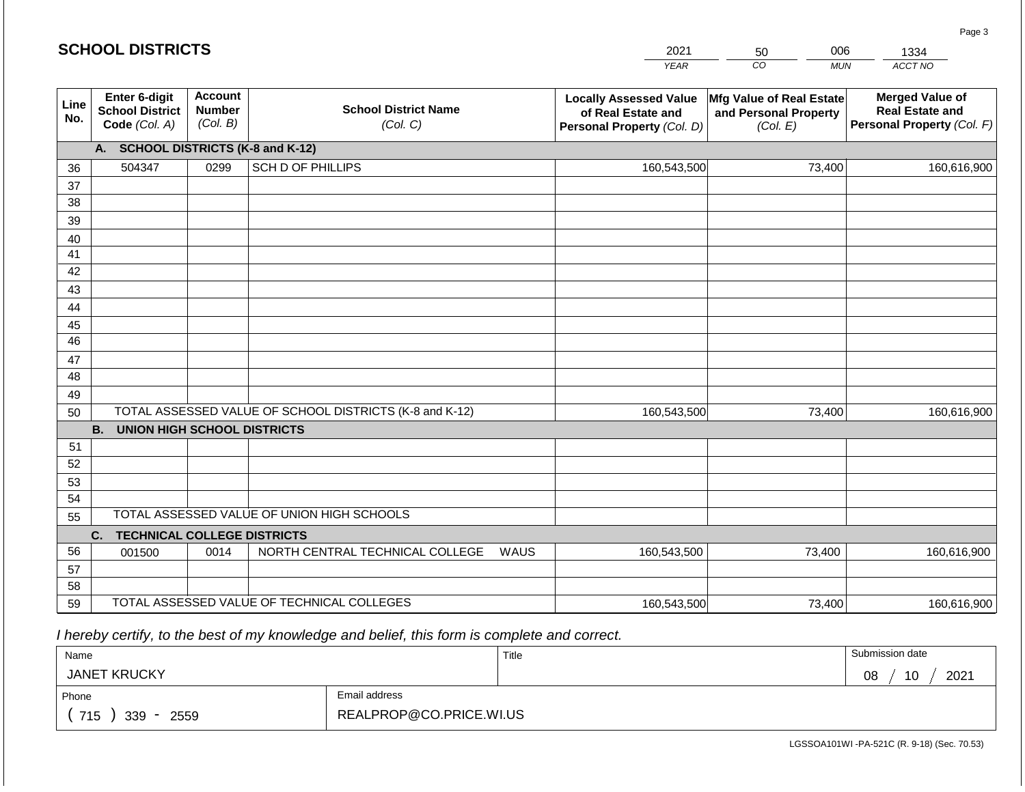|                 | <b>SCHOOL DISTRICTS</b>                                  |                                             |                                                         |      | 2021                                                                              | 006<br>50                                                     | 1334                                                                           |
|-----------------|----------------------------------------------------------|---------------------------------------------|---------------------------------------------------------|------|-----------------------------------------------------------------------------------|---------------------------------------------------------------|--------------------------------------------------------------------------------|
|                 |                                                          |                                             |                                                         |      | <b>YEAR</b>                                                                       | CO<br><b>MUN</b>                                              | ACCT NO                                                                        |
| Line<br>No.     | Enter 6-digit<br><b>School District</b><br>Code (Col. A) | <b>Account</b><br><b>Number</b><br>(Col. B) | <b>School District Name</b><br>(Col. C)                 |      | <b>Locally Assessed Value</b><br>of Real Estate and<br>Personal Property (Col. D) | Mfg Value of Real Estate<br>and Personal Property<br>(Col. E) | <b>Merged Value of</b><br><b>Real Estate and</b><br>Personal Property (Col. F) |
|                 | A. SCHOOL DISTRICTS (K-8 and K-12)                       |                                             |                                                         |      |                                                                                   |                                                               |                                                                                |
| 36              | 504347                                                   | 0299                                        | <b>SCH D OF PHILLIPS</b>                                |      | 160,543,500                                                                       | 73,400                                                        | 160,616,900                                                                    |
| 37              |                                                          |                                             |                                                         |      |                                                                                   |                                                               |                                                                                |
| 38              |                                                          |                                             |                                                         |      |                                                                                   |                                                               |                                                                                |
| 39              |                                                          |                                             |                                                         |      |                                                                                   |                                                               |                                                                                |
| 40<br>41        |                                                          |                                             |                                                         |      |                                                                                   |                                                               |                                                                                |
| 42              |                                                          |                                             |                                                         |      |                                                                                   |                                                               |                                                                                |
| 43              |                                                          |                                             |                                                         |      |                                                                                   |                                                               |                                                                                |
| 44              |                                                          |                                             |                                                         |      |                                                                                   |                                                               |                                                                                |
| 45              |                                                          |                                             |                                                         |      |                                                                                   |                                                               |                                                                                |
| $\overline{46}$ |                                                          |                                             |                                                         |      |                                                                                   |                                                               |                                                                                |
| 47              |                                                          |                                             |                                                         |      |                                                                                   |                                                               |                                                                                |
| 48              |                                                          |                                             |                                                         |      |                                                                                   |                                                               |                                                                                |
| 49              |                                                          |                                             |                                                         |      |                                                                                   |                                                               |                                                                                |
| 50              |                                                          |                                             | TOTAL ASSESSED VALUE OF SCHOOL DISTRICTS (K-8 and K-12) |      | 160,543,500                                                                       | 73,400                                                        | 160,616,900                                                                    |
|                 | <b>B.</b><br><b>UNION HIGH SCHOOL DISTRICTS</b>          |                                             |                                                         |      |                                                                                   |                                                               |                                                                                |
| 51<br>52        |                                                          |                                             |                                                         |      |                                                                                   |                                                               |                                                                                |
| 53              |                                                          |                                             |                                                         |      |                                                                                   |                                                               |                                                                                |
| 54              |                                                          |                                             |                                                         |      |                                                                                   |                                                               |                                                                                |
| 55              |                                                          |                                             | TOTAL ASSESSED VALUE OF UNION HIGH SCHOOLS              |      |                                                                                   |                                                               |                                                                                |
|                 | C.<br><b>TECHNICAL COLLEGE DISTRICTS</b>                 |                                             |                                                         |      |                                                                                   |                                                               |                                                                                |
| 56              | 001500                                                   | 0014                                        | NORTH CENTRAL TECHNICAL COLLEGE                         | WAUS | 160,543,500                                                                       | 73,400                                                        | 160,616,900                                                                    |
| 57              |                                                          |                                             |                                                         |      |                                                                                   |                                                               |                                                                                |
| 58              |                                                          |                                             |                                                         |      |                                                                                   |                                                               |                                                                                |
| 59              |                                                          |                                             | TOTAL ASSESSED VALUE OF TECHNICAL COLLEGES              |      | 160,543,500                                                                       | 73,400                                                        | 160,616,900                                                                    |

 *I hereby certify, to the best of my knowledge and belief, this form is complete and correct.*

| Name                |                         | Title | Submission date  |
|---------------------|-------------------------|-------|------------------|
| <b>JANET KRUCKY</b> |                         |       | 10<br>2021<br>08 |
| Phone               | Email address           |       |                  |
| 715<br>339<br>2559  | REALPROP@CO.PRICE.WI.US |       |                  |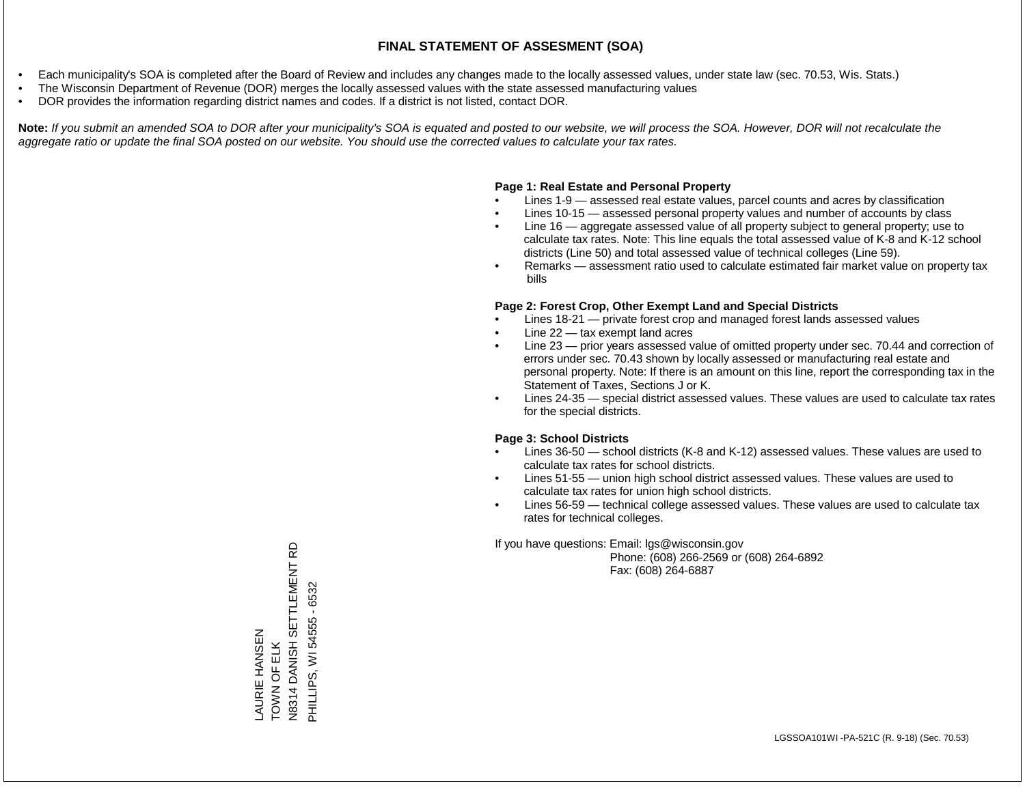- Each municipality's SOA is completed after the Board of Review and includes any changes made to the locally assessed values, under state law (sec. 70.53, Wis. Stats.)
- The Wisconsin Department of Revenue (DOR) merges the locally assessed values with the state assessed manufacturing values
- DOR provides the information regarding district names and codes. If a district is not listed, contact DOR.

Note: If you submit an amended SOA to DOR after your municipality's SOA is equated and posted to our website, we will process the SOA. However, DOR will not recalculate the *aggregate ratio or update the final SOA posted on our website. You should use the corrected values to calculate your tax rates.*

#### **Page 1: Real Estate and Personal Property**

- Lines 1-9 assessed real estate values, parcel counts and acres by classification
- Lines 10-15 assessed personal property values and number of accounts by class
- Line 16 aggregate assessed value of all property subject to general property; use to calculate tax rates. Note: This line equals the total assessed value of K-8 and K-12 school districts (Line 50) and total assessed value of technical colleges (Line 59).
- Remarks assessment ratio used to calculate estimated fair market value on property tax bills

#### **Page 2: Forest Crop, Other Exempt Land and Special Districts**

- Lines 18-21 private forest crop and managed forest lands assessed values
- Line  $22 -$  tax exempt land acres
- Line 23 prior years assessed value of omitted property under sec. 70.44 and correction of errors under sec. 70.43 shown by locally assessed or manufacturing real estate and personal property. Note: If there is an amount on this line, report the corresponding tax in the Statement of Taxes, Sections J or K.
- Lines 24-35 special district assessed values. These values are used to calculate tax rates for the special districts.

#### **Page 3: School Districts**

- Lines 36-50 school districts (K-8 and K-12) assessed values. These values are used to calculate tax rates for school districts.
- Lines 51-55 union high school district assessed values. These values are used to calculate tax rates for union high school districts.
- Lines 56-59 technical college assessed values. These values are used to calculate tax rates for technical colleges.

If you have questions: Email: lgs@wisconsin.gov

 Phone: (608) 266-2569 or (608) 264-6892 Fax: (608) 264-6887

6 N8314 DANISH SETTLEMENT RD DANISH SETTLEMENT PHILLIPS, WI 54555 - 6532 PHILLIPS, WI 54555 - 6532AURIE HANSEN LAURIE HANSEN TOWN OF ELK TOWN OF ELK N8314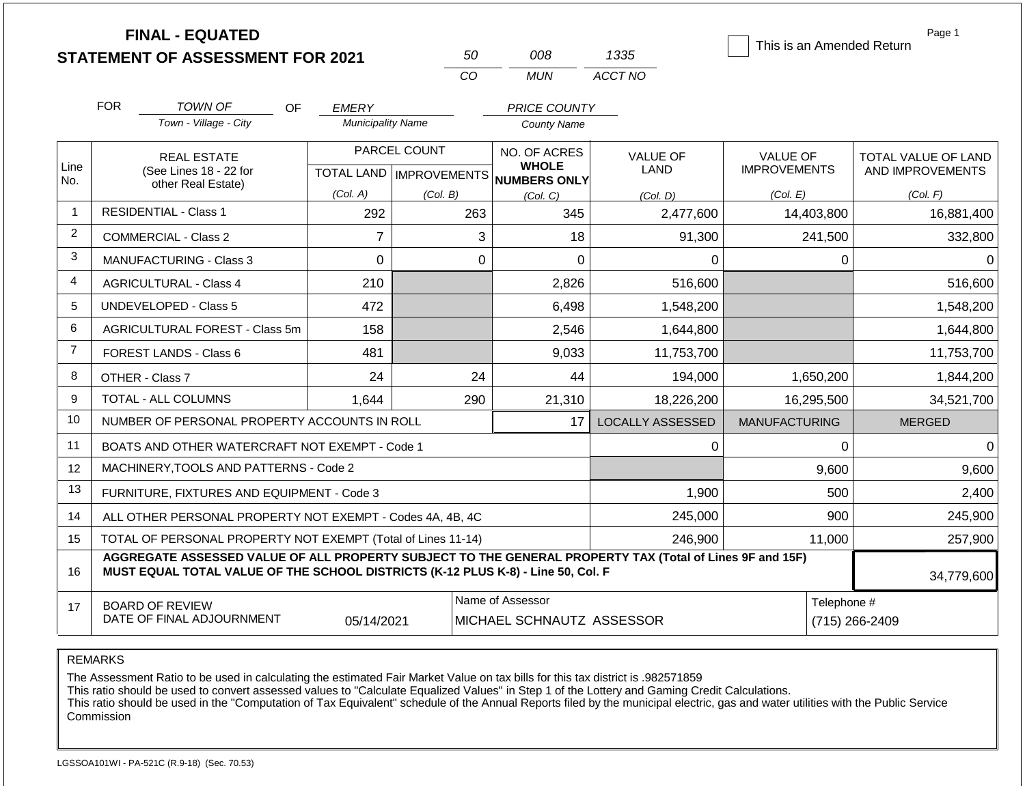|                |            | <b>FINAL - EQUATED</b><br><b>STATEMENT OF ASSESSMENT FOR 2021</b>                                                                                                                            |                          | 50           | 008                                                                 | 1335                    | This is an Amended Return              | Page 1                                  |  |
|----------------|------------|----------------------------------------------------------------------------------------------------------------------------------------------------------------------------------------------|--------------------------|--------------|---------------------------------------------------------------------|-------------------------|----------------------------------------|-----------------------------------------|--|
|                |            |                                                                                                                                                                                              |                          | CO           | <b>MUN</b>                                                          | ACCT NO                 |                                        |                                         |  |
|                | <b>FOR</b> | <b>TOWN OF</b><br>OF                                                                                                                                                                         | <b>EMERY</b>             |              | PRICE COUNTY                                                        |                         |                                        |                                         |  |
|                |            | Town - Village - City                                                                                                                                                                        | <b>Municipality Name</b> |              | <b>County Name</b>                                                  |                         |                                        |                                         |  |
| Line<br>No.    |            | <b>REAL ESTATE</b><br>(See Lines 18 - 22 for<br>other Real Estate)                                                                                                                           |                          | PARCEL COUNT | NO. OF ACRES<br><b>WHOLE</b><br>TOTAL LAND MPROVEMENTS NUMBERS ONLY | <b>VALUE OF</b><br>LAND | <b>VALUE OF</b><br><b>IMPROVEMENTS</b> | TOTAL VALUE OF LAND<br>AND IMPROVEMENTS |  |
|                |            |                                                                                                                                                                                              | (Col. A)                 | (Col. B)     | (Col, C)                                                            | (Col, D)                | (Col. E)                               | (Col. F)                                |  |
| $\overline{1}$ |            | <b>RESIDENTIAL - Class 1</b>                                                                                                                                                                 | 292                      | 263          | 345                                                                 | 2,477,600               | 14,403,800                             | 16,881,400                              |  |
| $\overline{2}$ |            | <b>COMMERCIAL - Class 2</b>                                                                                                                                                                  | $\overline{7}$           |              | 3<br>18                                                             | 91,300                  | 241,500                                | 332,800                                 |  |
| 3              |            | <b>MANUFACTURING - Class 3</b>                                                                                                                                                               | 0                        |              | $\overline{0}$<br>0                                                 | $\Omega$                | 0                                      | $\Omega$                                |  |
| $\overline{4}$ |            | <b>AGRICULTURAL - Class 4</b>                                                                                                                                                                | 210                      |              | 2,826                                                               | 516,600                 |                                        | 516,600                                 |  |
| 5              |            | <b>UNDEVELOPED - Class 5</b>                                                                                                                                                                 | 472                      |              | 6,498                                                               | 1,548,200               |                                        | 1,548,200                               |  |
| 6              |            | AGRICULTURAL FOREST - Class 5m                                                                                                                                                               | 158                      |              | 2,546                                                               | 1,644,800               |                                        | 1,644,800                               |  |
| $\overline{7}$ |            | FOREST LANDS - Class 6                                                                                                                                                                       | 481                      |              | 9,033                                                               | 11,753,700              |                                        | 11,753,700                              |  |
| 8              |            | OTHER - Class 7                                                                                                                                                                              | 24                       | 24           | 44                                                                  | 194,000                 | 1,650,200                              | 1,844,200                               |  |
| 9              |            | TOTAL - ALL COLUMNS                                                                                                                                                                          | 1,644                    | 290          | 21,310                                                              | 18,226,200              | 16,295,500                             | 34,521,700                              |  |
| 10             |            | NUMBER OF PERSONAL PROPERTY ACCOUNTS IN ROLL                                                                                                                                                 |                          |              | 17                                                                  | <b>LOCALLY ASSESSED</b> | <b>MANUFACTURING</b>                   | <b>MERGED</b>                           |  |
| 11             |            | BOATS AND OTHER WATERCRAFT NOT EXEMPT - Code 1                                                                                                                                               |                          |              |                                                                     | $\Omega$                | 0                                      | $\Omega$                                |  |
| 12             |            | MACHINERY, TOOLS AND PATTERNS - Code 2                                                                                                                                                       |                          |              |                                                                     |                         | 9,600                                  | 9,600                                   |  |
| 13             |            | FURNITURE, FIXTURES AND EQUIPMENT - Code 3                                                                                                                                                   |                          |              |                                                                     | 1,900                   | 500                                    | 2,400                                   |  |
| 14             |            | ALL OTHER PERSONAL PROPERTY NOT EXEMPT - Codes 4A, 4B, 4C                                                                                                                                    |                          |              |                                                                     | 245,000                 | 900                                    | 245,900                                 |  |
| 15             |            | TOTAL OF PERSONAL PROPERTY NOT EXEMPT (Total of Lines 11-14)                                                                                                                                 |                          |              |                                                                     | 246,900                 | 11,000                                 | 257,900                                 |  |
| 16             |            | AGGREGATE ASSESSED VALUE OF ALL PROPERTY SUBJECT TO THE GENERAL PROPERTY TAX (Total of Lines 9F and 15F)<br>MUST EQUAL TOTAL VALUE OF THE SCHOOL DISTRICTS (K-12 PLUS K-8) - Line 50, Col. F |                          |              |                                                                     |                         |                                        | 34,779,600                              |  |
| 17             |            | <b>BOARD OF REVIEW</b><br>DATE OF FINAL ADJOURNMENT                                                                                                                                          | 05/14/2021               |              | Name of Assessor<br>MICHAEL SCHNAUTZ ASSESSOR                       |                         | Telephone #<br>(715) 266-2409          |                                         |  |

The Assessment Ratio to be used in calculating the estimated Fair Market Value on tax bills for this tax district is .982571859

This ratio should be used to convert assessed values to "Calculate Equalized Values" in Step 1 of the Lottery and Gaming Credit Calculations.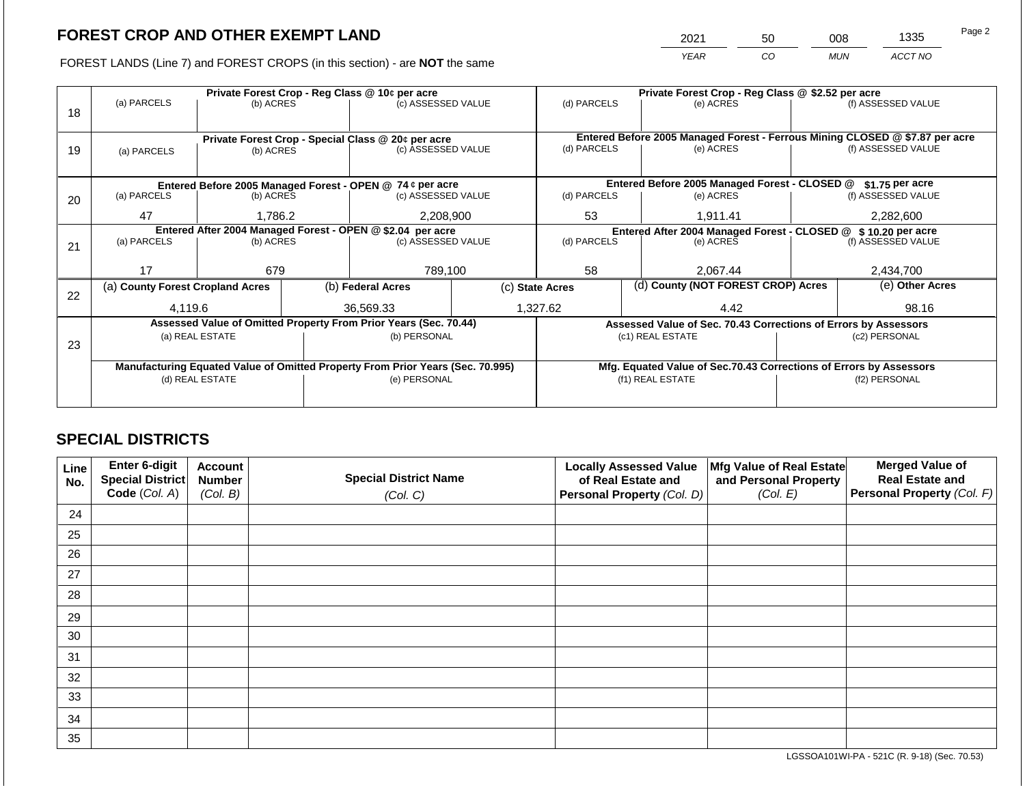2021 50 008 1335

FOREST LANDS (Line 7) and FOREST CROPS (in this section) - are **NOT** the same *YEAR CO MUN ACCT NO*

|    |                                  |                          | Private Forest Crop - Reg Class @ 10¢ per acre |                                                                                | Private Forest Crop - Reg Class @ \$2.52 per acre |                                                                              |  |                                                                    |               |                    |
|----|----------------------------------|--------------------------|------------------------------------------------|--------------------------------------------------------------------------------|---------------------------------------------------|------------------------------------------------------------------------------|--|--------------------------------------------------------------------|---------------|--------------------|
| 18 | (a) PARCELS                      | (b) ACRES                |                                                | (c) ASSESSED VALUE                                                             |                                                   | (d) PARCELS                                                                  |  | (e) ACRES                                                          |               | (f) ASSESSED VALUE |
|    |                                  |                          |                                                |                                                                                |                                                   |                                                                              |  |                                                                    |               |                    |
|    |                                  |                          |                                                | Private Forest Crop - Special Class @ 20¢ per acre                             |                                                   | Entered Before 2005 Managed Forest - Ferrous Mining CLOSED @ \$7.87 per acre |  |                                                                    |               |                    |
| 19 | (a) PARCELS                      | (b) ACRES                |                                                | (c) ASSESSED VALUE                                                             |                                                   | (d) PARCELS                                                                  |  | (e) ACRES                                                          |               | (f) ASSESSED VALUE |
|    |                                  |                          |                                                |                                                                                |                                                   |                                                                              |  |                                                                    |               |                    |
|    |                                  |                          |                                                |                                                                                |                                                   |                                                                              |  |                                                                    |               |                    |
|    |                                  |                          |                                                | Entered Before 2005 Managed Forest - OPEN @ 74 ¢ per acre                      |                                                   |                                                                              |  | Entered Before 2005 Managed Forest - CLOSED @                      |               | \$1.75 per acre    |
| 20 |                                  | (a) PARCELS<br>(b) ACRES |                                                | (c) ASSESSED VALUE                                                             |                                                   | (d) PARCELS                                                                  |  | (e) ACRES                                                          |               | (f) ASSESSED VALUE |
|    | 47                               | 1,786.2                  |                                                | 2,208,900                                                                      |                                                   | 53                                                                           |  | 1,911.41                                                           |               | 2,282,600          |
|    |                                  |                          |                                                | Entered After 2004 Managed Forest - OPEN @ \$2.04 per acre                     |                                                   | Entered After 2004 Managed Forest - CLOSED @ \$10.20 per acre                |  |                                                                    |               |                    |
| 21 | (a) PARCELS                      | (b) ACRES                |                                                | (c) ASSESSED VALUE                                                             |                                                   | (d) PARCELS                                                                  |  | (e) ACRES                                                          |               | (f) ASSESSED VALUE |
|    |                                  |                          |                                                |                                                                                |                                                   |                                                                              |  |                                                                    |               |                    |
|    | 17                               | 679                      |                                                | 789,100                                                                        |                                                   | 58                                                                           |  | 2,067.44                                                           |               | 2,434,700          |
|    | (a) County Forest Cropland Acres |                          |                                                | (b) Federal Acres                                                              |                                                   | (d) County (NOT FOREST CROP) Acres<br>(c) State Acres                        |  |                                                                    |               | (e) Other Acres    |
| 22 |                                  |                          |                                                |                                                                                |                                                   |                                                                              |  |                                                                    |               |                    |
|    | 4,119.6                          |                          |                                                | 36.569.33                                                                      |                                                   | 1,327.62                                                                     |  | 4.42                                                               | 98.16         |                    |
|    |                                  |                          |                                                | Assessed Value of Omitted Property From Prior Years (Sec. 70.44)               |                                                   |                                                                              |  | Assessed Value of Sec. 70.43 Corrections of Errors by Assessors    |               |                    |
|    |                                  | (a) REAL ESTATE          |                                                | (b) PERSONAL                                                                   |                                                   |                                                                              |  | (c1) REAL ESTATE                                                   |               | (c2) PERSONAL      |
| 23 |                                  |                          |                                                |                                                                                |                                                   |                                                                              |  |                                                                    |               |                    |
|    |                                  |                          |                                                | Manufacturing Equated Value of Omitted Property From Prior Years (Sec. 70.995) |                                                   |                                                                              |  | Mfg. Equated Value of Sec.70.43 Corrections of Errors by Assessors |               |                    |
|    |                                  | (d) REAL ESTATE          |                                                | (e) PERSONAL                                                                   |                                                   |                                                                              |  | (f1) REAL ESTATE                                                   | (f2) PERSONAL |                    |
|    |                                  |                          |                                                |                                                                                |                                                   |                                                                              |  |                                                                    |               |                    |
|    |                                  |                          |                                                |                                                                                |                                                   |                                                                              |  |                                                                    |               |                    |

## **SPECIAL DISTRICTS**

| Line<br>No. | Enter 6-digit<br>Special District<br>Code (Col. A) | <b>Account</b><br><b>Number</b><br>(Col. B) | <b>Special District Name</b><br>(Col. C) | <b>Locally Assessed Value</b><br>of Real Estate and<br><b>Personal Property (Col. D)</b> | Mfg Value of Real Estate<br>and Personal Property<br>(Col. E) | <b>Merged Value of</b><br><b>Real Estate and</b><br>Personal Property (Col. F) |
|-------------|----------------------------------------------------|---------------------------------------------|------------------------------------------|------------------------------------------------------------------------------------------|---------------------------------------------------------------|--------------------------------------------------------------------------------|
| 24          |                                                    |                                             |                                          |                                                                                          |                                                               |                                                                                |
| 25          |                                                    |                                             |                                          |                                                                                          |                                                               |                                                                                |
| 26          |                                                    |                                             |                                          |                                                                                          |                                                               |                                                                                |
| 27          |                                                    |                                             |                                          |                                                                                          |                                                               |                                                                                |
| 28          |                                                    |                                             |                                          |                                                                                          |                                                               |                                                                                |
| 29          |                                                    |                                             |                                          |                                                                                          |                                                               |                                                                                |
| 30          |                                                    |                                             |                                          |                                                                                          |                                                               |                                                                                |
| 31          |                                                    |                                             |                                          |                                                                                          |                                                               |                                                                                |
| 32          |                                                    |                                             |                                          |                                                                                          |                                                               |                                                                                |
| 33          |                                                    |                                             |                                          |                                                                                          |                                                               |                                                                                |
| 34          |                                                    |                                             |                                          |                                                                                          |                                                               |                                                                                |
| 35          |                                                    |                                             |                                          |                                                                                          |                                                               |                                                                                |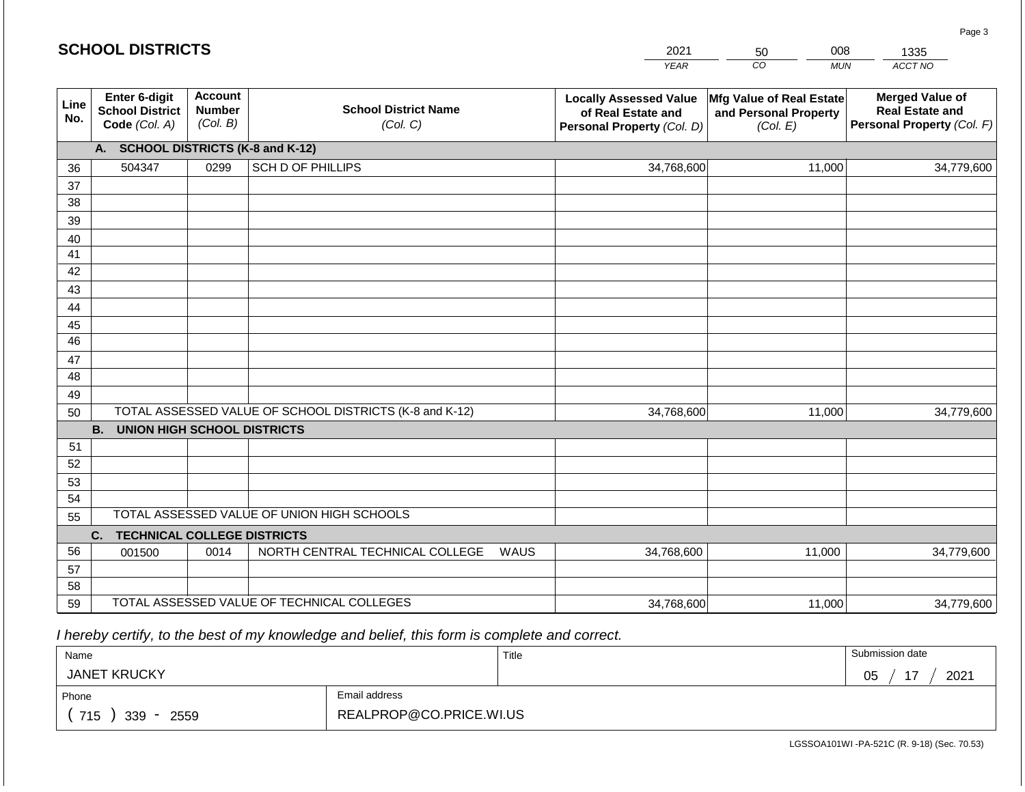|             | <b>SCHOOL DISTRICTS</b>                                  |                                             |                                                         |      | 2021                                                                              | 008<br>50                                                     | 1335                                                                           |
|-------------|----------------------------------------------------------|---------------------------------------------|---------------------------------------------------------|------|-----------------------------------------------------------------------------------|---------------------------------------------------------------|--------------------------------------------------------------------------------|
|             |                                                          |                                             |                                                         |      | <b>YEAR</b>                                                                       | CO<br><b>MUN</b>                                              | ACCT NO                                                                        |
| Line<br>No. | Enter 6-digit<br><b>School District</b><br>Code (Col. A) | <b>Account</b><br><b>Number</b><br>(Col. B) | <b>School District Name</b><br>(Col. C)                 |      | <b>Locally Assessed Value</b><br>of Real Estate and<br>Personal Property (Col. D) | Mfg Value of Real Estate<br>and Personal Property<br>(Col. E) | <b>Merged Value of</b><br><b>Real Estate and</b><br>Personal Property (Col. F) |
|             | A. SCHOOL DISTRICTS (K-8 and K-12)                       |                                             |                                                         |      |                                                                                   |                                                               |                                                                                |
| 36          | 504347                                                   | 0299                                        | SCH D OF PHILLIPS                                       |      | 34,768,600                                                                        | 11,000                                                        | 34,779,600                                                                     |
| 37          |                                                          |                                             |                                                         |      |                                                                                   |                                                               |                                                                                |
| 38          |                                                          |                                             |                                                         |      |                                                                                   |                                                               |                                                                                |
| 39          |                                                          |                                             |                                                         |      |                                                                                   |                                                               |                                                                                |
| 40          |                                                          |                                             |                                                         |      |                                                                                   |                                                               |                                                                                |
| 41          |                                                          |                                             |                                                         |      |                                                                                   |                                                               |                                                                                |
| 42          |                                                          |                                             |                                                         |      |                                                                                   |                                                               |                                                                                |
| 43<br>44    |                                                          |                                             |                                                         |      |                                                                                   |                                                               |                                                                                |
| 45          |                                                          |                                             |                                                         |      |                                                                                   |                                                               |                                                                                |
| 46          |                                                          |                                             |                                                         |      |                                                                                   |                                                               |                                                                                |
| 47          |                                                          |                                             |                                                         |      |                                                                                   |                                                               |                                                                                |
| 48          |                                                          |                                             |                                                         |      |                                                                                   |                                                               |                                                                                |
| 49          |                                                          |                                             |                                                         |      |                                                                                   |                                                               |                                                                                |
| 50          |                                                          |                                             | TOTAL ASSESSED VALUE OF SCHOOL DISTRICTS (K-8 and K-12) |      | 34,768,600                                                                        | 11,000                                                        | 34,779,600                                                                     |
|             | <b>B.</b><br><b>UNION HIGH SCHOOL DISTRICTS</b>          |                                             |                                                         |      |                                                                                   |                                                               |                                                                                |
| 51          |                                                          |                                             |                                                         |      |                                                                                   |                                                               |                                                                                |
| 52          |                                                          |                                             |                                                         |      |                                                                                   |                                                               |                                                                                |
| 53          |                                                          |                                             |                                                         |      |                                                                                   |                                                               |                                                                                |
| 54          |                                                          |                                             | TOTAL ASSESSED VALUE OF UNION HIGH SCHOOLS              |      |                                                                                   |                                                               |                                                                                |
| 55          |                                                          |                                             |                                                         |      |                                                                                   |                                                               |                                                                                |
| 56          | <b>TECHNICAL COLLEGE DISTRICTS</b><br>C.                 |                                             |                                                         |      |                                                                                   |                                                               |                                                                                |
| 57          | 001500                                                   | 0014                                        | NORTH CENTRAL TECHNICAL COLLEGE                         | WAUS | 34,768,600                                                                        | 11,000                                                        | 34,779,600                                                                     |
| 58          |                                                          |                                             |                                                         |      |                                                                                   |                                                               |                                                                                |
| 59          |                                                          |                                             | TOTAL ASSESSED VALUE OF TECHNICAL COLLEGES              |      | 34,768,600                                                                        | 11,000                                                        | 34,779,600                                                                     |

 *I hereby certify, to the best of my knowledge and belief, this form is complete and correct.*

**SCHOOL DISTRICTS**

| Name                                           |                         | Title | Submission date         |
|------------------------------------------------|-------------------------|-------|-------------------------|
| <b>JANET KRUCKY</b>                            |                         |       | 2021<br>$-$<br>∩г<br>◡◡ |
| Phone                                          | Email address           |       |                         |
| 715<br>339<br>2559<br>$\overline{\phantom{a}}$ | REALPROP@CO.PRICE.WI.US |       |                         |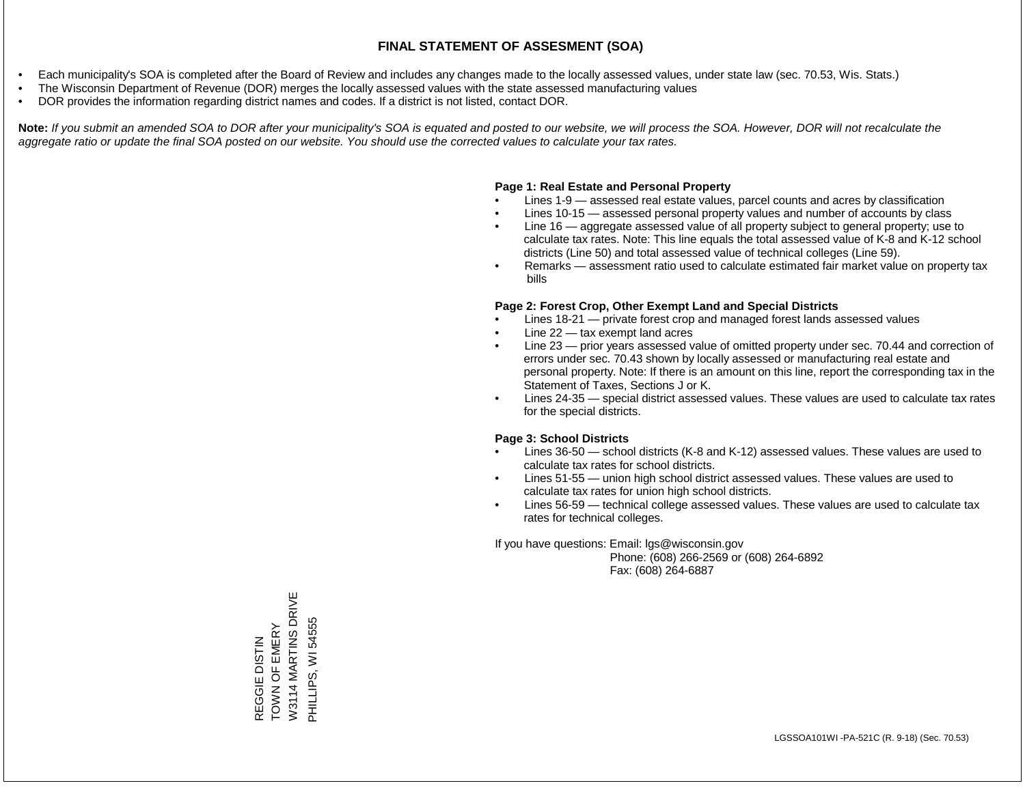- Each municipality's SOA is completed after the Board of Review and includes any changes made to the locally assessed values, under state law (sec. 70.53, Wis. Stats.)
- The Wisconsin Department of Revenue (DOR) merges the locally assessed values with the state assessed manufacturing values
- DOR provides the information regarding district names and codes. If a district is not listed, contact DOR.

Note: If you submit an amended SOA to DOR after your municipality's SOA is equated and posted to our website, we will process the SOA. However, DOR will not recalculate the *aggregate ratio or update the final SOA posted on our website. You should use the corrected values to calculate your tax rates.*

### **Page 1: Real Estate and Personal Property**

- Lines 1-9 assessed real estate values, parcel counts and acres by classification
- Lines 10-15 assessed personal property values and number of accounts by class
- Line 16 aggregate assessed value of all property subject to general property; use to calculate tax rates. Note: This line equals the total assessed value of K-8 and K-12 school districts (Line 50) and total assessed value of technical colleges (Line 59).
- Remarks assessment ratio used to calculate estimated fair market value on property tax bills

### **Page 2: Forest Crop, Other Exempt Land and Special Districts**

- Lines 18-21 private forest crop and managed forest lands assessed values
- Line  $22 -$  tax exempt land acres
- Line 23 prior years assessed value of omitted property under sec. 70.44 and correction of errors under sec. 70.43 shown by locally assessed or manufacturing real estate and personal property. Note: If there is an amount on this line, report the corresponding tax in the Statement of Taxes, Sections J or K.
- Lines 24-35 special district assessed values. These values are used to calculate tax rates for the special districts.

### **Page 3: School Districts**

- Lines 36-50 school districts (K-8 and K-12) assessed values. These values are used to calculate tax rates for school districts.
- Lines 51-55 union high school district assessed values. These values are used to calculate tax rates for union high school districts.
- Lines 56-59 technical college assessed values. These values are used to calculate tax rates for technical colleges.

If you have questions: Email: lgs@wisconsin.gov

 Phone: (608) 266-2569 or (608) 264-6892 Fax: (608) 264-6887

W3114 MARTINS DRIVE W3114 MARTINS DRIVE REGGIE DISTIN<br>TOWN OF EMERY PHILLIPS, WI 54555 PHILLIPS, WI 54555TOWN OF EMERY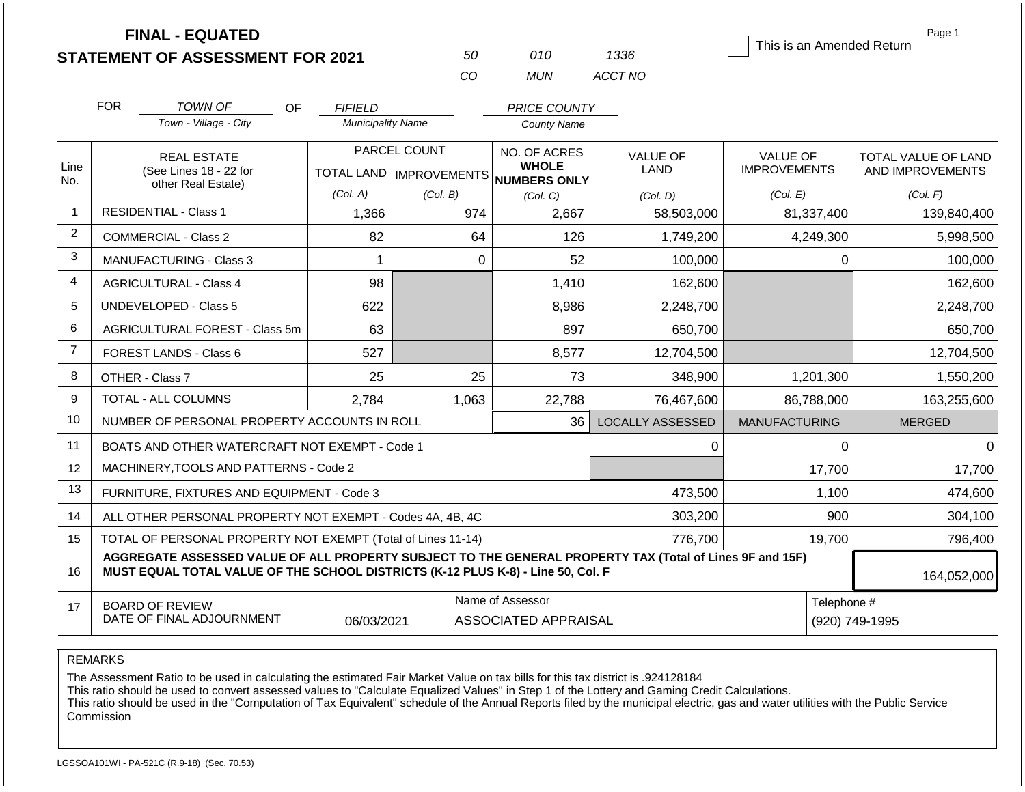|                |                    | <b>FINAL - EQUATED</b><br><b>STATEMENT OF ASSESSMENT FOR 2021</b>                                                                                                                            |                          | 50           | 010                                                 | 1336                    | This is an Amended Return | Page 1                        |  |
|----------------|--------------------|----------------------------------------------------------------------------------------------------------------------------------------------------------------------------------------------|--------------------------|--------------|-----------------------------------------------------|-------------------------|---------------------------|-------------------------------|--|
|                |                    |                                                                                                                                                                                              |                          | CO           | <b>MUN</b>                                          | ACCT NO                 |                           |                               |  |
|                | <b>FOR</b>         | TOWN OF<br>OF.                                                                                                                                                                               | <b>FIFIELD</b>           |              | <b>PRICE COUNTY</b>                                 |                         |                           |                               |  |
|                |                    | Town - Village - City                                                                                                                                                                        | <b>Municipality Name</b> |              | County Name                                         |                         |                           |                               |  |
|                | <b>REAL ESTATE</b> |                                                                                                                                                                                              |                          | PARCEL COUNT | NO. OF ACRES                                        | <b>VALUE OF</b>         | <b>VALUE OF</b>           | TOTAL VALUE OF LAND           |  |
| Line<br>No.    |                    | (See Lines 18 - 22 for<br>other Real Estate)                                                                                                                                                 |                          |              | <b>WHOLE</b><br>TOTAL LAND MPROVEMENTS NUMBERS ONLY | LAND                    | <b>IMPROVEMENTS</b>       | AND IMPROVEMENTS              |  |
|                |                    |                                                                                                                                                                                              | (Col. A)                 | (Col. B)     | (Col, C)                                            | (Col, D)                | (Col. E)                  | (Col. F)                      |  |
| $\mathbf{1}$   |                    | <b>RESIDENTIAL - Class 1</b>                                                                                                                                                                 | 1,366                    | 974          | 2,667                                               | 58,503,000              | 81,337,400                | 139,840,400                   |  |
| $\overline{2}$ |                    | <b>COMMERCIAL - Class 2</b>                                                                                                                                                                  | 82                       |              | 64<br>126                                           | 1,749,200               | 4,249,300                 | 5,998,500                     |  |
| 3              |                    | <b>MANUFACTURING - Class 3</b>                                                                                                                                                               | 1                        |              | $\mathbf 0$<br>52                                   | 100,000                 | 0                         | 100,000                       |  |
| 4              |                    | <b>AGRICULTURAL - Class 4</b>                                                                                                                                                                | 98                       |              | 1,410                                               | 162,600                 |                           | 162,600                       |  |
| 5              |                    | <b>UNDEVELOPED - Class 5</b>                                                                                                                                                                 | 622                      |              | 8,986                                               | 2,248,700               |                           | 2,248,700                     |  |
| 6              |                    | <b>AGRICULTURAL FOREST - Class 5m</b>                                                                                                                                                        | 63                       |              | 897                                                 | 650,700                 |                           | 650,700                       |  |
| $\overline{7}$ |                    | <b>FOREST LANDS - Class 6</b>                                                                                                                                                                | 527                      |              | 8,577                                               | 12,704,500              |                           | 12,704,500                    |  |
| 8              |                    | OTHER - Class 7                                                                                                                                                                              | 25                       |              | 25<br>73                                            | 348,900                 | 1,201,300                 | 1,550,200                     |  |
| 9              |                    | <b>TOTAL - ALL COLUMNS</b>                                                                                                                                                                   | 2,784                    | 1,063        | 22,788                                              | 76,467,600              | 86,788,000                | 163,255,600                   |  |
| 10             |                    | NUMBER OF PERSONAL PROPERTY ACCOUNTS IN ROLL                                                                                                                                                 |                          |              | 36                                                  | <b>LOCALLY ASSESSED</b> | <b>MANUFACTURING</b>      | <b>MERGED</b>                 |  |
| 11             |                    | BOATS AND OTHER WATERCRAFT NOT EXEMPT - Code 1                                                                                                                                               |                          |              |                                                     | 0                       | 0                         | 0                             |  |
| 12             |                    | MACHINERY, TOOLS AND PATTERNS - Code 2                                                                                                                                                       |                          |              |                                                     |                         | 17,700                    | 17,700                        |  |
| 13             |                    | FURNITURE, FIXTURES AND EQUIPMENT - Code 3                                                                                                                                                   |                          |              |                                                     | 473,500                 | 1,100                     | 474,600                       |  |
| 14             |                    | ALL OTHER PERSONAL PROPERTY NOT EXEMPT - Codes 4A, 4B, 4C                                                                                                                                    |                          |              |                                                     | 303,200                 | 900                       | 304,100                       |  |
| 15             |                    | TOTAL OF PERSONAL PROPERTY NOT EXEMPT (Total of Lines 11-14)                                                                                                                                 |                          |              |                                                     | 776,700                 | 19,700                    | 796,400                       |  |
| 16             |                    | AGGREGATE ASSESSED VALUE OF ALL PROPERTY SUBJECT TO THE GENERAL PROPERTY TAX (Total of Lines 9F and 15F)<br>MUST EQUAL TOTAL VALUE OF THE SCHOOL DISTRICTS (K-12 PLUS K-8) - Line 50, Col. F |                          |              |                                                     |                         |                           | 164,052,000                   |  |
| 17             |                    | <b>BOARD OF REVIEW</b><br>DATE OF FINAL ADJOURNMENT                                                                                                                                          | 06/03/2021               |              | Name of Assessor<br><b>ASSOCIATED APPRAISAL</b>     |                         |                           | Telephone #<br>(920) 749-1995 |  |

The Assessment Ratio to be used in calculating the estimated Fair Market Value on tax bills for this tax district is .924128184

This ratio should be used to convert assessed values to "Calculate Equalized Values" in Step 1 of the Lottery and Gaming Credit Calculations.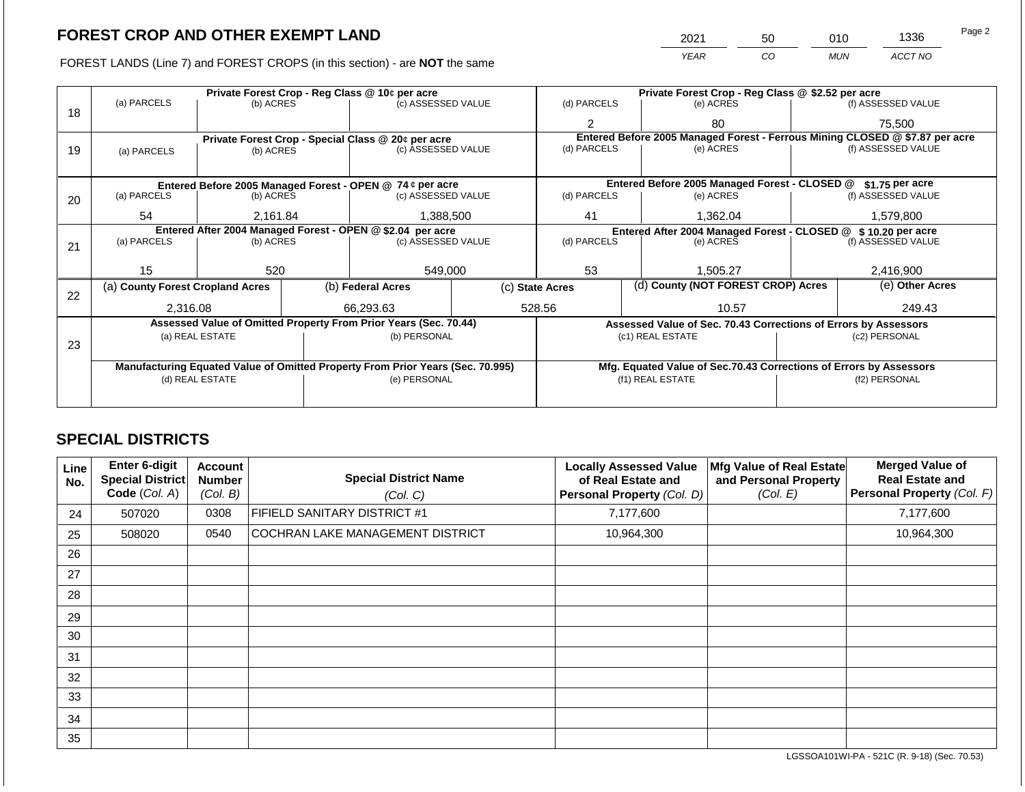FOREST LANDS (Line 7) and FOREST CROPS (in this section) - are

|             | <b>CROP AND OTHER EXEMPT LAND</b>                                          |                                                                                                     |             | 2021                                                                                      | 50 | 010        | 1336               | i ay∈ ∠ |
|-------------|----------------------------------------------------------------------------|-----------------------------------------------------------------------------------------------------|-------------|-------------------------------------------------------------------------------------------|----|------------|--------------------|---------|
|             | ANDS (Line 7) and FOREST CROPS (in this section) - are <b>NOT</b> the same |                                                                                                     |             | <b>YEAR</b>                                                                               | CO | <b>MUN</b> | ACCT NO            |         |
| (a) PARCELS | Private Forest Crop - Reg Class @ 10¢ per acre<br>(b) ACRES                | Private Forest Crop - Reg Class @ \$2.52 per acre<br>(f) ASSESSED VALUE<br>(d) PARCELS<br>(e) ACRES |             |                                                                                           |    |            |                    |         |
|             |                                                                            |                                                                                                     |             | 80                                                                                        |    |            | 75.500             |         |
| (a) PARCELS | Private Forest Crop - Special Class @ 20¢ per acre<br>(b) ACRES            | (c) ASSESSED VALUE                                                                                  | (d) PARCELS | Entered Before 2005 Managed Forest - Ferrous Mining CLOSED @ \$7.87 per acre<br>(e) ACRES |    |            | (f) ASSESSED VALUE |         |

|    | (a) PARCELS<br>(b) ACRES<br>18                            |                 |  | (c) ASSESSED VALUE                                                             |  | (d) PARCELS                                                                  | (e) ACRES                                                       |                                                                    | (f) ASSESSED VALUE |  |
|----|-----------------------------------------------------------|-----------------|--|--------------------------------------------------------------------------------|--|------------------------------------------------------------------------------|-----------------------------------------------------------------|--------------------------------------------------------------------|--------------------|--|
|    |                                                           |                 |  |                                                                                |  |                                                                              | 80                                                              |                                                                    | 75,500             |  |
|    |                                                           |                 |  | Private Forest Crop - Special Class @ 20¢ per acre                             |  | Entered Before 2005 Managed Forest - Ferrous Mining CLOSED @ \$7.87 per acre |                                                                 |                                                                    |                    |  |
| 19 | (a) PARCELS                                               | (b) ACRES       |  | (c) ASSESSED VALUE                                                             |  | (d) PARCELS                                                                  | (e) ACRES                                                       |                                                                    | (f) ASSESSED VALUE |  |
|    |                                                           |                 |  |                                                                                |  |                                                                              |                                                                 |                                                                    |                    |  |
|    | Entered Before 2005 Managed Forest - OPEN @ 74 ¢ per acre |                 |  |                                                                                |  |                                                                              | Entered Before 2005 Managed Forest - CLOSED @ \$1,75 per acre   |                                                                    |                    |  |
| 20 | (a) PARCELS<br>(b) ACRES                                  |                 |  | (c) ASSESSED VALUE                                                             |  | (d) PARCELS                                                                  | (e) ACRES                                                       |                                                                    | (f) ASSESSED VALUE |  |
|    | 54                                                        | 2,161.84        |  | 1,388,500                                                                      |  | 41                                                                           | 1,362.04                                                        |                                                                    | 1,579,800          |  |
|    |                                                           |                 |  | Entered After 2004 Managed Forest - OPEN @ \$2.04 per acre                     |  |                                                                              | Entered After 2004 Managed Forest - CLOSED @ \$10.20 per acre   |                                                                    |                    |  |
| 21 | (a) PARCELS                                               | (b) ACRES       |  | (c) ASSESSED VALUE                                                             |  | (d) PARCELS                                                                  | (e) ACRES                                                       |                                                                    | (f) ASSESSED VALUE |  |
|    |                                                           |                 |  |                                                                                |  |                                                                              |                                                                 |                                                                    |                    |  |
|    | 15                                                        | 520             |  | 549,000                                                                        |  | 53                                                                           | 1,505.27                                                        |                                                                    | 2,416,900          |  |
| 22 | (a) County Forest Cropland Acres                          |                 |  | (b) Federal Acres                                                              |  | (c) State Acres                                                              | (d) County (NOT FOREST CROP) Acres                              |                                                                    | (e) Other Acres    |  |
|    | 2,316.08                                                  |                 |  | 66,293.63                                                                      |  | 528.56<br>10.57                                                              |                                                                 |                                                                    | 249.43             |  |
|    |                                                           |                 |  | Assessed Value of Omitted Property From Prior Years (Sec. 70.44)               |  |                                                                              | Assessed Value of Sec. 70.43 Corrections of Errors by Assessors |                                                                    |                    |  |
|    |                                                           | (a) REAL ESTATE |  | (b) PERSONAL                                                                   |  |                                                                              | (c1) REAL ESTATE                                                |                                                                    | (c2) PERSONAL      |  |
| 23 |                                                           |                 |  |                                                                                |  |                                                                              |                                                                 |                                                                    |                    |  |
|    |                                                           |                 |  |                                                                                |  |                                                                              |                                                                 |                                                                    |                    |  |
|    |                                                           |                 |  | Manufacturing Equated Value of Omitted Property From Prior Years (Sec. 70.995) |  |                                                                              |                                                                 | Mfg. Equated Value of Sec.70.43 Corrections of Errors by Assessors |                    |  |
|    | (d) REAL ESTATE                                           |                 |  | (e) PERSONAL                                                                   |  | (f1) REAL ESTATE                                                             |                                                                 | (f2) PERSONAL                                                      |                    |  |
|    |                                                           |                 |  |                                                                                |  |                                                                              |                                                                 |                                                                    |                    |  |
|    |                                                           |                 |  |                                                                                |  |                                                                              |                                                                 |                                                                    |                    |  |

## **SPECIAL DISTRICTS**

| Line<br>No. | <b>Enter 6-digit</b><br>Special District<br>Code (Col. A) | <b>Account</b><br><b>Number</b><br>(Col. B) | <b>Special District Name</b><br>(Col. C) | <b>Locally Assessed Value</b><br>of Real Estate and<br>Personal Property (Col. D) | Mfg Value of Real Estate<br>and Personal Property<br>(Col. E) | <b>Merged Value of</b><br><b>Real Estate and</b><br>Personal Property (Col. F) |
|-------------|-----------------------------------------------------------|---------------------------------------------|------------------------------------------|-----------------------------------------------------------------------------------|---------------------------------------------------------------|--------------------------------------------------------------------------------|
| 24          | 507020                                                    | 0308                                        | <b>FIFIELD SANITARY DISTRICT #1</b>      | 7,177,600                                                                         |                                                               | 7,177,600                                                                      |
| 25          | 508020                                                    | 0540                                        | <b>COCHRAN LAKE MANAGEMENT DISTRICT</b>  | 10,964,300                                                                        |                                                               | 10,964,300                                                                     |
| 26          |                                                           |                                             |                                          |                                                                                   |                                                               |                                                                                |
| 27          |                                                           |                                             |                                          |                                                                                   |                                                               |                                                                                |
| 28          |                                                           |                                             |                                          |                                                                                   |                                                               |                                                                                |
| 29          |                                                           |                                             |                                          |                                                                                   |                                                               |                                                                                |
| 30          |                                                           |                                             |                                          |                                                                                   |                                                               |                                                                                |
| 31          |                                                           |                                             |                                          |                                                                                   |                                                               |                                                                                |
| 32          |                                                           |                                             |                                          |                                                                                   |                                                               |                                                                                |
| 33          |                                                           |                                             |                                          |                                                                                   |                                                               |                                                                                |
| 34          |                                                           |                                             |                                          |                                                                                   |                                                               |                                                                                |
| 35          |                                                           |                                             |                                          |                                                                                   |                                                               |                                                                                |

LGSSOA101WI-PA - 521C (R. 9-18) (Sec. 70.53)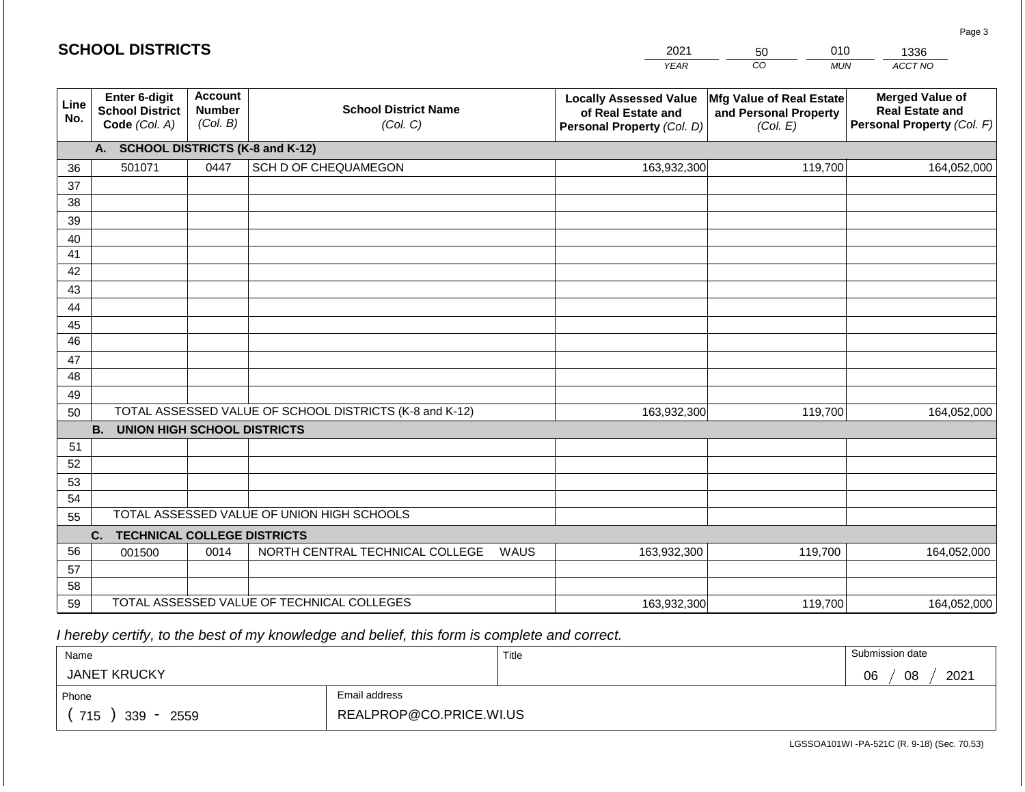#### *YEAR CO MUN ACCT NO*  **Line No. Enter 6-digit School District Code** *(Col. A)* **Account Number** *(Col. B)* **School District Name** *(Col. C)* **Locally Assessed Value of Real Estate and Personal Property** *(Col. D)* **Mfg Value of Real Estate and Personal Property** *(Col. E)* **Merged Value of Real Estate and Personal Property** *(Col. F)* **A. SCHOOL DISTRICTS (K-8 and K-12)** 36 37 38 39 40 41 42 43 44 45 46 47 48 49 50 TOTAL ASSESSED VALUE OF SCHOOL DISTRICTS (K-8 and K-12) **B. UNION HIGH SCHOOL DISTRICTS** 51 52 53 54 55 **C. TECHNICAL COLLEGE DISTRICTS** 56 57 58 59 TOTAL ASSESSED VALUE OF TECHNICAL COLLEGES TOTAL ASSESSED VALUE OF UNION HIGH SCHOOLS 501071 0447 SCH D OF CHEQUAMEGON 163,932,300 163,932,300 001500 | 0014 | NORTH CENTRAL TECHNICAL COLLEGE WAUS 163,932,300 119,700 164,052,000 119,700 164,052,000 119,700 164,052,000 163,932,300 119,700 119,700 164,052,000

 *I hereby certify, to the best of my knowledge and belief, this form is complete and correct.*

| Name                                           |                         | Title | Submission date  |
|------------------------------------------------|-------------------------|-------|------------------|
| <b>JANET KRUCKY</b>                            |                         |       | 08<br>2021<br>06 |
| Phone                                          | Email address           |       |                  |
| 715<br>339<br>2559<br>$\overline{\phantom{a}}$ | REALPROP@CO.PRICE.WI.US |       |                  |

LGSSOA101WI -PA-521C (R. 9-18) (Sec. 70.53)

| 2021        | 50 |     | 1336              |
|-------------|----|-----|-------------------|
| <b>VEAR</b> | CO | MUN | ACCT <sub>N</sub> |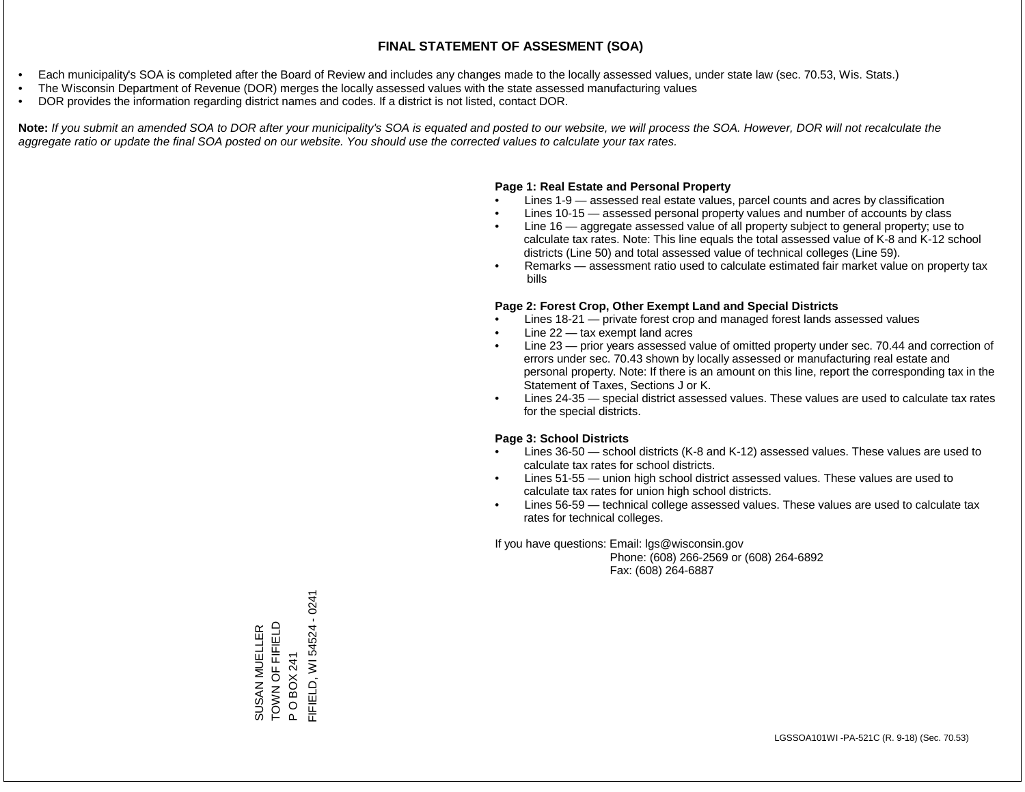- Each municipality's SOA is completed after the Board of Review and includes any changes made to the locally assessed values, under state law (sec. 70.53, Wis. Stats.)
- The Wisconsin Department of Revenue (DOR) merges the locally assessed values with the state assessed manufacturing values
- DOR provides the information regarding district names and codes. If a district is not listed, contact DOR.

Note: If you submit an amended SOA to DOR after your municipality's SOA is equated and posted to our website, we will process the SOA. However, DOR will not recalculate the *aggregate ratio or update the final SOA posted on our website. You should use the corrected values to calculate your tax rates.*

### **Page 1: Real Estate and Personal Property**

- Lines 1-9 assessed real estate values, parcel counts and acres by classification
- Lines 10-15 assessed personal property values and number of accounts by class
- Line 16 aggregate assessed value of all property subject to general property; use to calculate tax rates. Note: This line equals the total assessed value of K-8 and K-12 school districts (Line 50) and total assessed value of technical colleges (Line 59).
- Remarks assessment ratio used to calculate estimated fair market value on property tax bills

### **Page 2: Forest Crop, Other Exempt Land and Special Districts**

- Lines 18-21 private forest crop and managed forest lands assessed values
- Line  $22 -$  tax exempt land acres
- Line 23 prior years assessed value of omitted property under sec. 70.44 and correction of errors under sec. 70.43 shown by locally assessed or manufacturing real estate and personal property. Note: If there is an amount on this line, report the corresponding tax in the Statement of Taxes, Sections J or K.
- Lines 24-35 special district assessed values. These values are used to calculate tax rates for the special districts.

### **Page 3: School Districts**

- Lines 36-50 school districts (K-8 and K-12) assessed values. These values are used to calculate tax rates for school districts.
- Lines 51-55 union high school district assessed values. These values are used to calculate tax rates for union high school districts.
- Lines 56-59 technical college assessed values. These values are used to calculate tax rates for technical colleges.

If you have questions: Email: lgs@wisconsin.gov

 Phone: (608) 266-2569 or (608) 264-6892 Fax: (608) 264-6887

P O BOX 241<br>FIFIELD, WI 54524 - 0241 FIFIELD, WI 54524 - 0241SUSAN MUELLER<br>TOWN OF FIFIELD TOWN OF FIFIELD SUSAN MUELLER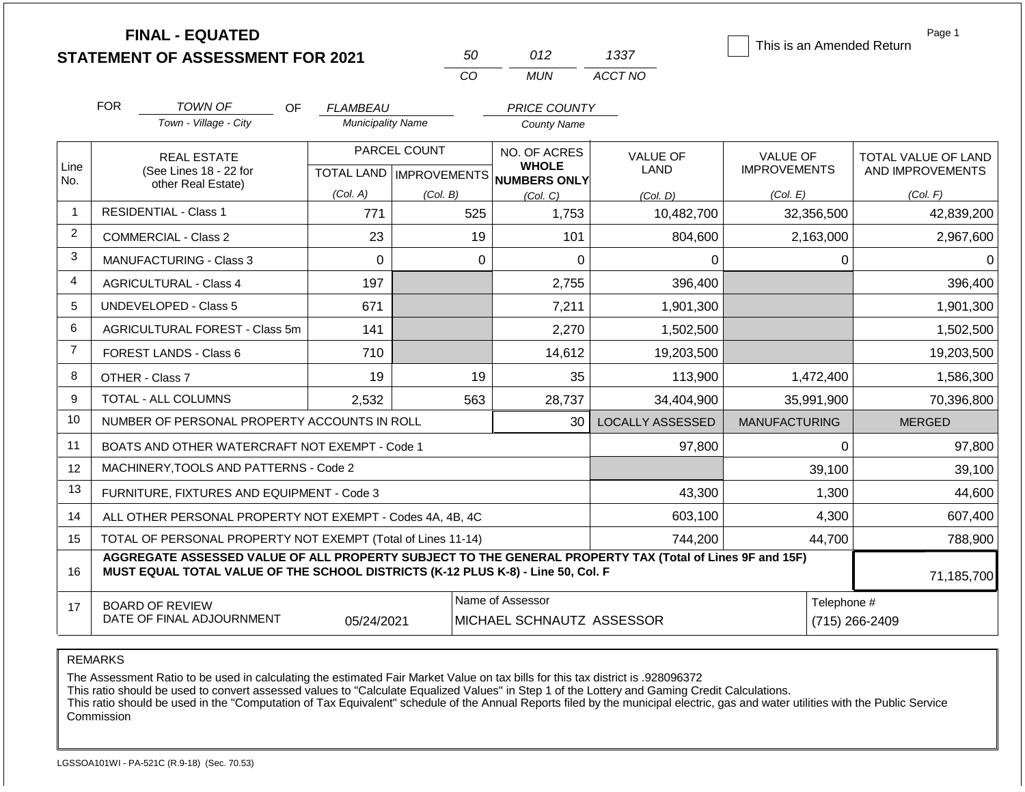|                |                                                                   | <b>FINAL - EQUATED</b><br><b>STATEMENT OF ASSESSMENT FOR 2021</b>                                                                                                                            |                          |              | 50          | 012                                                 | 1337                    |                      |            | Page 1<br>This is an Amended Return |  |
|----------------|-------------------------------------------------------------------|----------------------------------------------------------------------------------------------------------------------------------------------------------------------------------------------|--------------------------|--------------|-------------|-----------------------------------------------------|-------------------------|----------------------|------------|-------------------------------------|--|
|                |                                                                   |                                                                                                                                                                                              |                          | CO           |             | <b>MUN</b>                                          | ACCT NO                 |                      |            |                                     |  |
|                | <b>FOR</b>                                                        | <b>TOWN OF</b><br>OF.                                                                                                                                                                        | <b>FLAMBEAU</b>          |              |             | PRICE COUNTY                                        |                         |                      |            |                                     |  |
|                |                                                                   | Town - Village - City                                                                                                                                                                        | <b>Municipality Name</b> |              |             | <b>County Name</b>                                  |                         |                      |            |                                     |  |
|                |                                                                   | <b>REAL ESTATE</b>                                                                                                                                                                           |                          | PARCEL COUNT |             | NO. OF ACRES                                        | <b>VALUE OF</b>         | <b>VALUE OF</b>      |            | <b>TOTAL VALUE OF LAND</b>          |  |
| Line<br>No.    |                                                                   | (See Lines 18 - 22 for<br>other Real Estate)                                                                                                                                                 |                          |              |             | <b>WHOLE</b><br>TOTAL LAND MPROVEMENTS NUMBERS ONLY | LAND                    | <b>IMPROVEMENTS</b>  |            | AND IMPROVEMENTS                    |  |
|                |                                                                   |                                                                                                                                                                                              | (Col. A)                 | (Col. B)     |             | (Col. C)                                            | (Col, D)                | (Col. E)             |            | (Col. F)                            |  |
| -1             |                                                                   | <b>RESIDENTIAL - Class 1</b>                                                                                                                                                                 | 771                      |              | 525         | 1,753                                               | 10,482,700              |                      | 32,356,500 | 42,839,200                          |  |
| $\overline{2}$ |                                                                   | <b>COMMERCIAL - Class 2</b>                                                                                                                                                                  | 23                       |              | 19          | 101                                                 | 804,600                 |                      | 2,163,000  | 2,967,600                           |  |
| 3              |                                                                   | <b>MANUFACTURING - Class 3</b>                                                                                                                                                               | $\mathbf 0$              |              | $\mathbf 0$ | $\mathbf 0$                                         | 0                       |                      | 0          | 0                                   |  |
| 4              |                                                                   | <b>AGRICULTURAL - Class 4</b>                                                                                                                                                                | 197                      |              |             | 2,755                                               | 396,400                 |                      |            | 396,400                             |  |
| 5              |                                                                   | <b>UNDEVELOPED - Class 5</b>                                                                                                                                                                 | 671                      |              |             | 7,211                                               | 1,901,300               |                      |            | 1,901,300                           |  |
| 6              |                                                                   | AGRICULTURAL FOREST - Class 5m                                                                                                                                                               | 141                      |              |             | 2,270                                               | 1,502,500               |                      |            | 1,502,500                           |  |
| $\overline{7}$ |                                                                   | <b>FOREST LANDS - Class 6</b>                                                                                                                                                                | 710                      |              |             | 14,612                                              | 19,203,500              |                      |            | 19,203,500                          |  |
| 8              |                                                                   | OTHER - Class 7                                                                                                                                                                              | 19                       |              | 19          | 35                                                  | 113,900                 |                      | 1,472,400  | 1,586,300                           |  |
| 9              |                                                                   | <b>TOTAL - ALL COLUMNS</b>                                                                                                                                                                   | 2,532                    |              | 563         | 28,737                                              | 34,404,900              |                      | 35,991,900 | 70,396,800                          |  |
| 10             |                                                                   | NUMBER OF PERSONAL PROPERTY ACCOUNTS IN ROLL                                                                                                                                                 |                          |              |             | 30                                                  | <b>LOCALLY ASSESSED</b> | <b>MANUFACTURING</b> |            | <b>MERGED</b>                       |  |
| 11             |                                                                   | BOATS AND OTHER WATERCRAFT NOT EXEMPT - Code 1                                                                                                                                               |                          |              |             |                                                     | 97,800                  |                      | $\Omega$   | 97,800                              |  |
| 12             |                                                                   | MACHINERY, TOOLS AND PATTERNS - Code 2                                                                                                                                                       |                          |              |             |                                                     |                         |                      | 39,100     | 39,100                              |  |
| 13             |                                                                   | FURNITURE, FIXTURES AND EQUIPMENT - Code 3                                                                                                                                                   |                          |              |             |                                                     | 43,300                  |                      | 1,300      | 44,600                              |  |
| 14             |                                                                   | ALL OTHER PERSONAL PROPERTY NOT EXEMPT - Codes 4A, 4B, 4C                                                                                                                                    |                          |              |             |                                                     | 603,100                 |                      | 4,300      | 607,400                             |  |
| 15             |                                                                   | TOTAL OF PERSONAL PROPERTY NOT EXEMPT (Total of Lines 11-14)                                                                                                                                 |                          |              |             |                                                     | 744,200                 | 44,700               |            | 788,900                             |  |
| 16             |                                                                   | AGGREGATE ASSESSED VALUE OF ALL PROPERTY SUBJECT TO THE GENERAL PROPERTY TAX (Total of Lines 9F and 15F)<br>MUST EQUAL TOTAL VALUE OF THE SCHOOL DISTRICTS (K-12 PLUS K-8) - Line 50, Col. F |                          |              |             |                                                     |                         |                      |            | 71,185,700                          |  |
| 17             | <b>BOARD OF REVIEW</b><br>DATE OF FINAL ADJOURNMENT<br>05/24/2021 |                                                                                                                                                                                              |                          |              |             | Name of Assessor<br>MICHAEL SCHNAUTZ ASSESSOR       |                         |                      |            | Telephone #<br>(715) 266-2409       |  |

The Assessment Ratio to be used in calculating the estimated Fair Market Value on tax bills for this tax district is .928096372

This ratio should be used to convert assessed values to "Calculate Equalized Values" in Step 1 of the Lottery and Gaming Credit Calculations.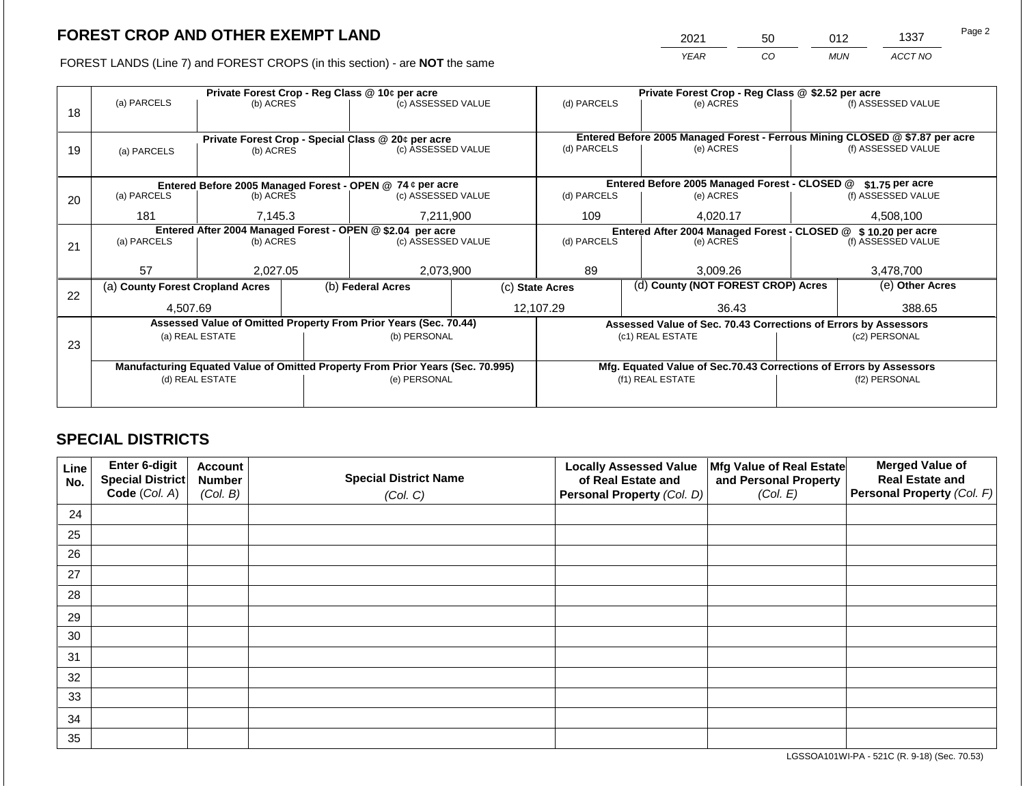2021 50 012 1337

FOREST LANDS (Line 7) and FOREST CROPS (in this section) - are **NOT** the same *YEAR CO MUN ACCT NO*

|    |                                                            |                 | Private Forest Crop - Reg Class @ \$2.52 per acre |                                                                                |                                                                |                 |                                    |                                                                              |  |                    |
|----|------------------------------------------------------------|-----------------|---------------------------------------------------|--------------------------------------------------------------------------------|----------------------------------------------------------------|-----------------|------------------------------------|------------------------------------------------------------------------------|--|--------------------|
|    | (a) PARCELS                                                | (b) ACRES       |                                                   | (c) ASSESSED VALUE                                                             |                                                                | (d) PARCELS     |                                    | (e) ACRES                                                                    |  | (f) ASSESSED VALUE |
| 18 |                                                            |                 |                                                   |                                                                                |                                                                |                 |                                    |                                                                              |  |                    |
|    |                                                            |                 |                                                   |                                                                                |                                                                |                 |                                    | Entered Before 2005 Managed Forest - Ferrous Mining CLOSED @ \$7.87 per acre |  |                    |
|    |                                                            |                 |                                                   | Private Forest Crop - Special Class @ 20¢ per acre                             |                                                                | (d) PARCELS     |                                    | (e) ACRES                                                                    |  | (f) ASSESSED VALUE |
| 19 | (a) PARCELS                                                | (b) ACRES       |                                                   | (c) ASSESSED VALUE                                                             |                                                                |                 |                                    |                                                                              |  |                    |
|    |                                                            |                 |                                                   |                                                                                |                                                                |                 |                                    |                                                                              |  |                    |
|    | Entered Before 2005 Managed Forest - OPEN @ 74 ¢ per acre  |                 |                                                   |                                                                                | Entered Before 2005 Managed Forest - CLOSED @                  |                 | $$1.75$ per acre                   |                                                                              |  |                    |
| 20 | (a) PARCELS                                                | (b) ACRES       |                                                   | (c) ASSESSED VALUE                                                             |                                                                | (d) PARCELS     |                                    | (e) ACRES                                                                    |  | (f) ASSESSED VALUE |
|    |                                                            |                 |                                                   |                                                                                |                                                                |                 |                                    |                                                                              |  |                    |
|    | 181                                                        | 7,145.3         |                                                   | 7,211,900                                                                      |                                                                | 109<br>4,020.17 |                                    | 4,508,100                                                                    |  |                    |
|    | Entered After 2004 Managed Forest - OPEN @ \$2.04 per acre |                 |                                                   |                                                                                | Entered After 2004 Managed Forest - CLOSED @ \$ 10.20 per acre |                 |                                    |                                                                              |  |                    |
| 21 | (a) PARCELS                                                | (b) ACRES       |                                                   | (c) ASSESSED VALUE                                                             |                                                                | (d) PARCELS     |                                    | (e) ACRES                                                                    |  | (f) ASSESSED VALUE |
|    |                                                            |                 |                                                   |                                                                                |                                                                |                 |                                    |                                                                              |  |                    |
|    | 57                                                         | 2,027.05        |                                                   | 2,073,900                                                                      |                                                                | 89              |                                    | 3,009.26                                                                     |  | 3,478,700          |
|    | (a) County Forest Cropland Acres                           |                 |                                                   | (b) Federal Acres                                                              | (c) State Acres                                                |                 | (d) County (NOT FOREST CROP) Acres |                                                                              |  | (e) Other Acres    |
| 22 |                                                            |                 |                                                   |                                                                                |                                                                |                 |                                    |                                                                              |  |                    |
|    | 4,507.69                                                   |                 |                                                   |                                                                                |                                                                | 12,107.29       |                                    | 36.43                                                                        |  | 388.65             |
|    |                                                            |                 |                                                   | Assessed Value of Omitted Property From Prior Years (Sec. 70.44)               |                                                                |                 |                                    | Assessed Value of Sec. 70.43 Corrections of Errors by Assessors              |  |                    |
|    |                                                            | (a) REAL ESTATE |                                                   | (b) PERSONAL                                                                   |                                                                |                 |                                    | (c1) REAL ESTATE                                                             |  | (c2) PERSONAL      |
| 23 |                                                            |                 |                                                   |                                                                                |                                                                |                 |                                    |                                                                              |  |                    |
|    |                                                            |                 |                                                   | Manufacturing Equated Value of Omitted Property From Prior Years (Sec. 70.995) |                                                                |                 |                                    | Mfg. Equated Value of Sec.70.43 Corrections of Errors by Assessors           |  |                    |
|    | (d) REAL ESTATE                                            |                 | (e) PERSONAL                                      |                                                                                | (f1) REAL ESTATE                                               |                 |                                    | (f2) PERSONAL                                                                |  |                    |
|    |                                                            |                 |                                                   |                                                                                |                                                                |                 |                                    |                                                                              |  |                    |
|    |                                                            |                 |                                                   |                                                                                |                                                                |                 |                                    |                                                                              |  |                    |

## **SPECIAL DISTRICTS**

| Line<br>No. | Enter 6-digit<br>Special District<br>Code (Col. A) | <b>Account</b><br><b>Number</b><br>(Col. B) | <b>Special District Name</b><br>(Col. C) | <b>Locally Assessed Value</b><br>of Real Estate and<br><b>Personal Property (Col. D)</b> | Mfg Value of Real Estate<br>and Personal Property<br>(Col. E) | <b>Merged Value of</b><br><b>Real Estate and</b><br>Personal Property (Col. F) |
|-------------|----------------------------------------------------|---------------------------------------------|------------------------------------------|------------------------------------------------------------------------------------------|---------------------------------------------------------------|--------------------------------------------------------------------------------|
| 24          |                                                    |                                             |                                          |                                                                                          |                                                               |                                                                                |
| 25          |                                                    |                                             |                                          |                                                                                          |                                                               |                                                                                |
| 26          |                                                    |                                             |                                          |                                                                                          |                                                               |                                                                                |
| 27          |                                                    |                                             |                                          |                                                                                          |                                                               |                                                                                |
| 28          |                                                    |                                             |                                          |                                                                                          |                                                               |                                                                                |
| 29          |                                                    |                                             |                                          |                                                                                          |                                                               |                                                                                |
| 30          |                                                    |                                             |                                          |                                                                                          |                                                               |                                                                                |
| 31          |                                                    |                                             |                                          |                                                                                          |                                                               |                                                                                |
| 32          |                                                    |                                             |                                          |                                                                                          |                                                               |                                                                                |
| 33          |                                                    |                                             |                                          |                                                                                          |                                                               |                                                                                |
| 34          |                                                    |                                             |                                          |                                                                                          |                                                               |                                                                                |
| 35          |                                                    |                                             |                                          |                                                                                          |                                                               |                                                                                |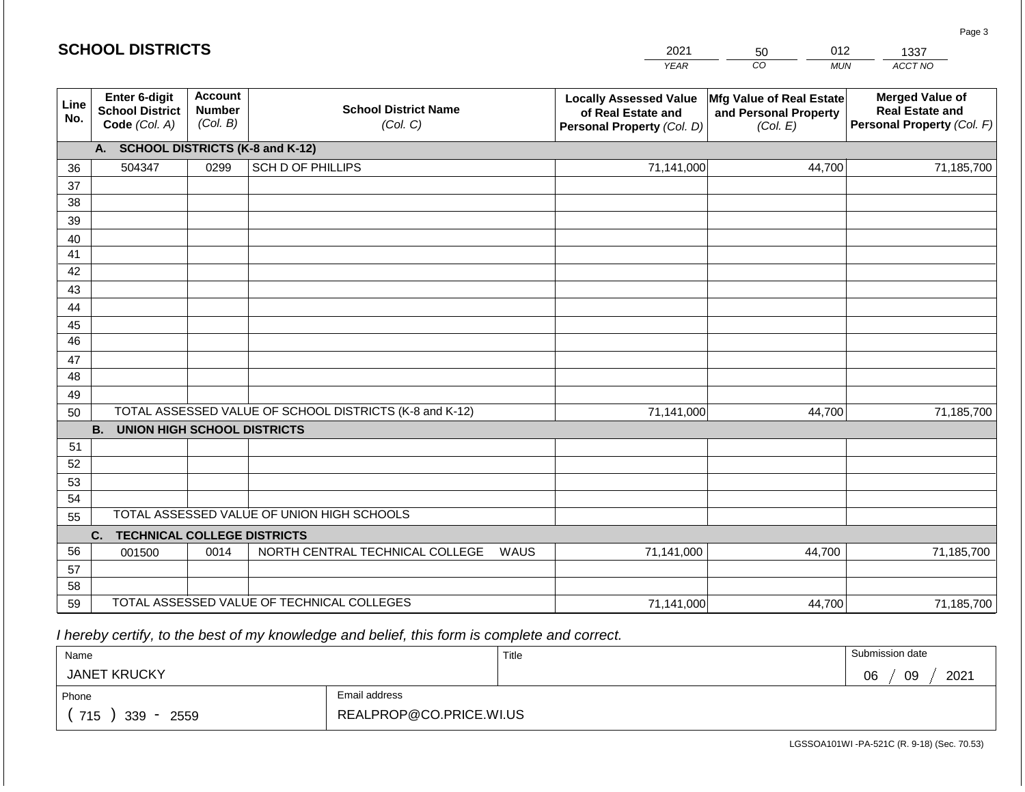| <b>SCHOOL DISTRICTS</b> |                                                          |                                             |                                                         |      | 2021                                                                              | 012<br>50                                                     | 1337                                                                           |  |  |  |  |  |  |
|-------------------------|----------------------------------------------------------|---------------------------------------------|---------------------------------------------------------|------|-----------------------------------------------------------------------------------|---------------------------------------------------------------|--------------------------------------------------------------------------------|--|--|--|--|--|--|
|                         |                                                          |                                             |                                                         |      | <b>YEAR</b>                                                                       | CO<br><b>MUN</b>                                              | ACCT NO                                                                        |  |  |  |  |  |  |
| Line<br>No.             | Enter 6-digit<br><b>School District</b><br>Code (Col. A) | <b>Account</b><br><b>Number</b><br>(Col. B) | <b>School District Name</b><br>(Col. C)                 |      | <b>Locally Assessed Value</b><br>of Real Estate and<br>Personal Property (Col. D) | Mfg Value of Real Estate<br>and Personal Property<br>(Col. E) | <b>Merged Value of</b><br><b>Real Estate and</b><br>Personal Property (Col. F) |  |  |  |  |  |  |
|                         | <b>SCHOOL DISTRICTS (K-8 and K-12)</b><br>A.             |                                             |                                                         |      |                                                                                   |                                                               |                                                                                |  |  |  |  |  |  |
| 36                      | 504347                                                   | 0299                                        | <b>SCH D OF PHILLIPS</b>                                |      | 71,141,000                                                                        | 44,700                                                        | 71,185,700                                                                     |  |  |  |  |  |  |
| 37                      |                                                          |                                             |                                                         |      |                                                                                   |                                                               |                                                                                |  |  |  |  |  |  |
| 38                      |                                                          |                                             |                                                         |      |                                                                                   |                                                               |                                                                                |  |  |  |  |  |  |
| 39                      |                                                          |                                             |                                                         |      |                                                                                   |                                                               |                                                                                |  |  |  |  |  |  |
| 40                      |                                                          |                                             |                                                         |      |                                                                                   |                                                               |                                                                                |  |  |  |  |  |  |
| 41                      |                                                          |                                             |                                                         |      |                                                                                   |                                                               |                                                                                |  |  |  |  |  |  |
| 42                      |                                                          |                                             |                                                         |      |                                                                                   |                                                               |                                                                                |  |  |  |  |  |  |
| 43<br>44                |                                                          |                                             |                                                         |      |                                                                                   |                                                               |                                                                                |  |  |  |  |  |  |
| 45                      |                                                          |                                             |                                                         |      |                                                                                   |                                                               |                                                                                |  |  |  |  |  |  |
| 46                      |                                                          |                                             |                                                         |      |                                                                                   |                                                               |                                                                                |  |  |  |  |  |  |
| 47                      |                                                          |                                             |                                                         |      |                                                                                   |                                                               |                                                                                |  |  |  |  |  |  |
| 48                      |                                                          |                                             |                                                         |      |                                                                                   |                                                               |                                                                                |  |  |  |  |  |  |
| 49                      |                                                          |                                             |                                                         |      |                                                                                   |                                                               |                                                                                |  |  |  |  |  |  |
| 50                      |                                                          |                                             | TOTAL ASSESSED VALUE OF SCHOOL DISTRICTS (K-8 and K-12) |      | 71,141,000                                                                        | 44,700                                                        | 71,185,700                                                                     |  |  |  |  |  |  |
|                         | <b>B.</b><br><b>UNION HIGH SCHOOL DISTRICTS</b>          |                                             |                                                         |      |                                                                                   |                                                               |                                                                                |  |  |  |  |  |  |
| 51                      |                                                          |                                             |                                                         |      |                                                                                   |                                                               |                                                                                |  |  |  |  |  |  |
| 52                      |                                                          |                                             |                                                         |      |                                                                                   |                                                               |                                                                                |  |  |  |  |  |  |
| 53                      |                                                          |                                             |                                                         |      |                                                                                   |                                                               |                                                                                |  |  |  |  |  |  |
| 54                      |                                                          |                                             |                                                         |      |                                                                                   |                                                               |                                                                                |  |  |  |  |  |  |
|                         | TOTAL ASSESSED VALUE OF UNION HIGH SCHOOLS<br>55         |                                             |                                                         |      |                                                                                   |                                                               |                                                                                |  |  |  |  |  |  |
|                         | <b>TECHNICAL COLLEGE DISTRICTS</b><br>C.                 |                                             |                                                         |      |                                                                                   |                                                               |                                                                                |  |  |  |  |  |  |
| 56                      | 001500                                                   | 0014                                        | NORTH CENTRAL TECHNICAL COLLEGE                         | WAUS | 71,141,000                                                                        | 44,700                                                        | 71,185,700                                                                     |  |  |  |  |  |  |
| 57<br>58                |                                                          |                                             |                                                         |      |                                                                                   |                                                               |                                                                                |  |  |  |  |  |  |
| 59                      |                                                          |                                             | TOTAL ASSESSED VALUE OF TECHNICAL COLLEGES              |      |                                                                                   | 44,700                                                        | 71,185,700                                                                     |  |  |  |  |  |  |
|                         | 71,141,000                                               |                                             |                                                         |      |                                                                                   |                                                               |                                                                                |  |  |  |  |  |  |

 *I hereby certify, to the best of my knowledge and belief, this form is complete and correct.*

| Name                   |                         | Title | Submission date  |
|------------------------|-------------------------|-------|------------------|
| <b>JANET KRUCKY</b>    |                         |       | 2021<br>09<br>06 |
| Phone                  | Email address           |       |                  |
| 715<br>$339 -$<br>2559 | REALPROP@CO.PRICE.WI.US |       |                  |

LGSSOA101WI -PA-521C (R. 9-18) (Sec. 70.53)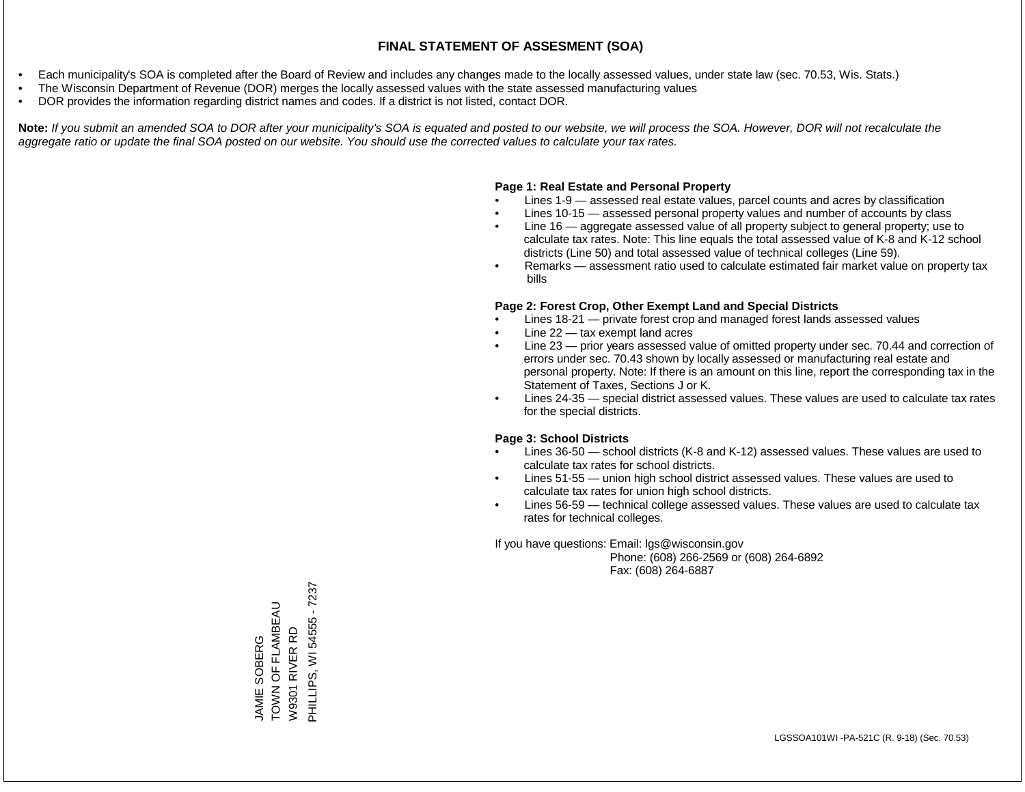- Each municipality's SOA is completed after the Board of Review and includes any changes made to the locally assessed values, under state law (sec. 70.53, Wis. Stats.)
- The Wisconsin Department of Revenue (DOR) merges the locally assessed values with the state assessed manufacturing values
- DOR provides the information regarding district names and codes. If a district is not listed, contact DOR.

Note: If you submit an amended SOA to DOR after your municipality's SOA is equated and posted to our website, we will process the SOA. However, DOR will not recalculate the *aggregate ratio or update the final SOA posted on our website. You should use the corrected values to calculate your tax rates.*

#### **Page 1: Real Estate and Personal Property**

- Lines 1-9 assessed real estate values, parcel counts and acres by classification
- Lines 10-15 assessed personal property values and number of accounts by class
- Line 16 aggregate assessed value of all property subject to general property; use to calculate tax rates. Note: This line equals the total assessed value of K-8 and K-12 school districts (Line 50) and total assessed value of technical colleges (Line 59).
- Remarks assessment ratio used to calculate estimated fair market value on property tax bills

#### **Page 2: Forest Crop, Other Exempt Land and Special Districts**

- Lines 18-21 private forest crop and managed forest lands assessed values
- Line  $22 -$  tax exempt land acres
- Line 23 prior years assessed value of omitted property under sec. 70.44 and correction of errors under sec. 70.43 shown by locally assessed or manufacturing real estate and personal property. Note: If there is an amount on this line, report the corresponding tax in the Statement of Taxes, Sections J or K.
- Lines 24-35 special district assessed values. These values are used to calculate tax rates for the special districts.

#### **Page 3: School Districts**

- Lines 36-50 school districts (K-8 and K-12) assessed values. These values are used to calculate tax rates for school districts.
- Lines 51-55 union high school district assessed values. These values are used to calculate tax rates for union high school districts.
- Lines 56-59 technical college assessed values. These values are used to calculate tax rates for technical colleges.

If you have questions: Email: lgs@wisconsin.gov

 Phone: (608) 266-2569 or (608) 264-6892 Fax: (608) 264-6887

PHILLIPS, WI 54555 - 7237 PHILLIPS, WI 54555 - 7237JAMIE SOBERG<br>TOWN OF FLAMBEAU TOWN OF FLAMBEAU W9301 RIVER RD W9301 RIVER RD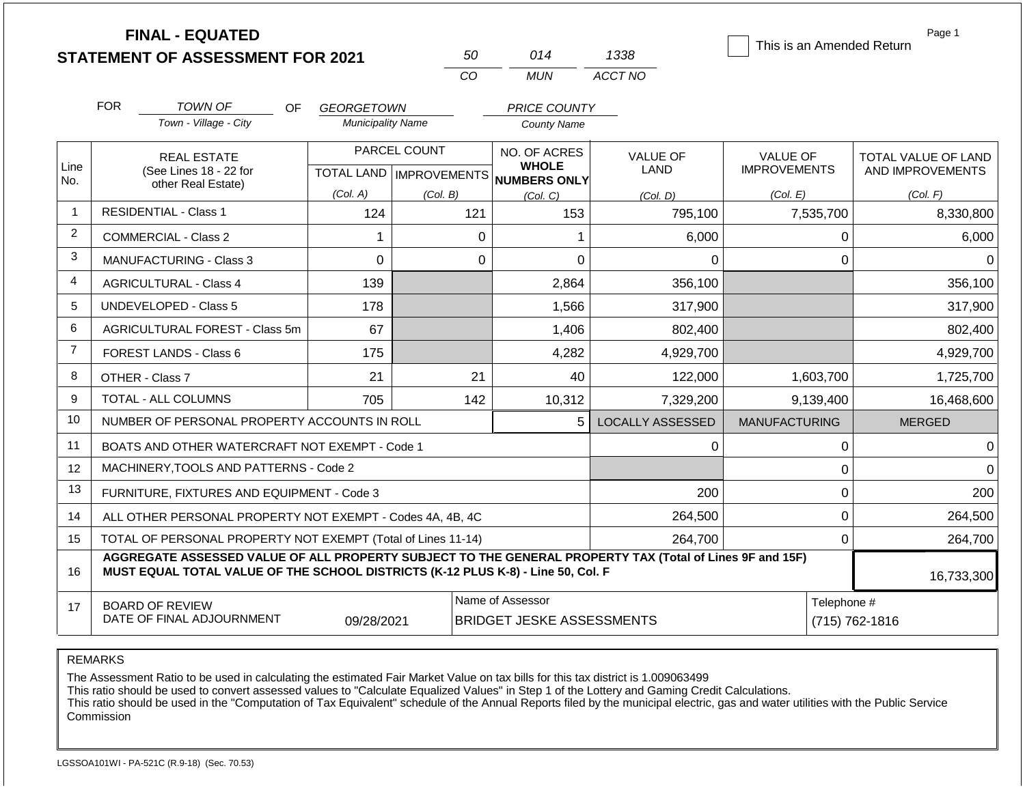|                |                                                                                                                           | <b>FINAL - EQUATED</b><br><b>STATEMENT OF ASSESSMENT FOR 2021</b>                                                                                                                            |                          |              | 50          | 014                                             | 1338                           |                                 |                | Page 1<br>This is an Amended Return     |
|----------------|---------------------------------------------------------------------------------------------------------------------------|----------------------------------------------------------------------------------------------------------------------------------------------------------------------------------------------|--------------------------|--------------|-------------|-------------------------------------------------|--------------------------------|---------------------------------|----------------|-----------------------------------------|
|                |                                                                                                                           |                                                                                                                                                                                              |                          |              | CO          | <b>MUN</b>                                      | ACCT NO                        |                                 |                |                                         |
|                | <b>FOR</b>                                                                                                                | <b>TOWN OF</b><br>OF.                                                                                                                                                                        | <b>GEORGETOWN</b>        |              |             | <b>PRICE COUNTY</b>                             |                                |                                 |                |                                         |
|                |                                                                                                                           | Town - Village - City                                                                                                                                                                        | <b>Municipality Name</b> |              |             | <b>County Name</b>                              |                                |                                 |                |                                         |
| Line           | <b>REAL ESTATE</b><br>(See Lines 18 - 22 for                                                                              |                                                                                                                                                                                              |                          | PARCEL COUNT |             | NO. OF ACRES<br><b>WHOLE</b>                    | <b>VALUE OF</b><br><b>LAND</b> | VALUE OF<br><b>IMPROVEMENTS</b> |                | TOTAL VALUE OF LAND<br>AND IMPROVEMENTS |
| No.            |                                                                                                                           | other Real Estate)                                                                                                                                                                           | (Col. A)                 | (Col. B)     |             | TOTAL LAND MPROVEMENTS NUMBERS ONLY<br>(Col, C) | (Col. D)                       | (Col. E)                        |                | (Col. F)                                |
| 1              |                                                                                                                           | <b>RESIDENTIAL - Class 1</b>                                                                                                                                                                 | 124                      |              | 121         | 153                                             | 795,100                        |                                 | 7,535,700      | 8,330,800                               |
| $\overline{2}$ |                                                                                                                           | <b>COMMERCIAL - Class 2</b>                                                                                                                                                                  | 1                        |              | $\Omega$    | 1                                               | 6,000                          |                                 | 0              | 6,000                                   |
| 3              |                                                                                                                           | <b>MANUFACTURING - Class 3</b>                                                                                                                                                               | $\mathbf 0$              |              | $\mathbf 0$ | $\mathbf 0$                                     | 0                              |                                 | $\mathbf 0$    | $\Omega$                                |
| 4              |                                                                                                                           | <b>AGRICULTURAL - Class 4</b>                                                                                                                                                                | 139                      |              |             | 2,864                                           | 356,100                        |                                 |                | 356,100                                 |
| 5              |                                                                                                                           | <b>UNDEVELOPED - Class 5</b>                                                                                                                                                                 | 178                      |              |             | 1,566                                           | 317,900                        |                                 |                | 317,900                                 |
| 6              |                                                                                                                           | AGRICULTURAL FOREST - Class 5m                                                                                                                                                               | 67                       |              |             | 1,406                                           | 802,400                        |                                 |                | 802,400                                 |
| $\overline{7}$ |                                                                                                                           | FOREST LANDS - Class 6                                                                                                                                                                       | 175                      |              |             | 4,282                                           | 4,929,700                      |                                 |                | 4,929,700                               |
| 8              | OTHER - Class 7                                                                                                           |                                                                                                                                                                                              | 21                       |              | 21          | 40                                              | 122,000                        |                                 | 1,603,700      | 1,725,700                               |
| 9              |                                                                                                                           | <b>TOTAL - ALL COLUMNS</b>                                                                                                                                                                   | 705                      |              | 142         | 10,312                                          | 7,329,200                      |                                 | 9,139,400      | 16,468,600                              |
| 10             |                                                                                                                           | NUMBER OF PERSONAL PROPERTY ACCOUNTS IN ROLL                                                                                                                                                 |                          |              |             | 5                                               | <b>LOCALLY ASSESSED</b>        | <b>MANUFACTURING</b>            |                | <b>MERGED</b>                           |
| 11             |                                                                                                                           | BOATS AND OTHER WATERCRAFT NOT EXEMPT - Code 1                                                                                                                                               |                          |              |             |                                                 | 0                              |                                 | 0              | $\Omega$                                |
| 12             |                                                                                                                           | MACHINERY, TOOLS AND PATTERNS - Code 2                                                                                                                                                       |                          |              |             |                                                 |                                |                                 | $\pmb{0}$      | $\Omega$                                |
| 13             |                                                                                                                           | FURNITURE, FIXTURES AND EQUIPMENT - Code 3                                                                                                                                                   |                          |              |             |                                                 | 200                            |                                 | $\mathbf 0$    | 200                                     |
| 14             |                                                                                                                           | ALL OTHER PERSONAL PROPERTY NOT EXEMPT - Codes 4A, 4B, 4C                                                                                                                                    |                          |              |             |                                                 | 264,500                        |                                 | $\mathbf 0$    | 264,500                                 |
| 15             |                                                                                                                           | TOTAL OF PERSONAL PROPERTY NOT EXEMPT (Total of Lines 11-14)                                                                                                                                 |                          |              |             |                                                 | 264,700                        |                                 | $\mathbf 0$    | 264,700                                 |
| 16             |                                                                                                                           | AGGREGATE ASSESSED VALUE OF ALL PROPERTY SUBJECT TO THE GENERAL PROPERTY TAX (Total of Lines 9F and 15F)<br>MUST EQUAL TOTAL VALUE OF THE SCHOOL DISTRICTS (K-12 PLUS K-8) - Line 50, Col. F |                          |              |             |                                                 |                                |                                 |                | 16,733,300                              |
| 17             | Name of Assessor<br><b>BOARD OF REVIEW</b><br>DATE OF FINAL ADJOURNMENT<br>09/28/2021<br><b>BRIDGET JESKE ASSESSMENTS</b> |                                                                                                                                                                                              |                          |              |             |                                                 |                                | Telephone #                     | (715) 762-1816 |                                         |

The Assessment Ratio to be used in calculating the estimated Fair Market Value on tax bills for this tax district is 1.009063499

This ratio should be used to convert assessed values to "Calculate Equalized Values" in Step 1 of the Lottery and Gaming Credit Calculations.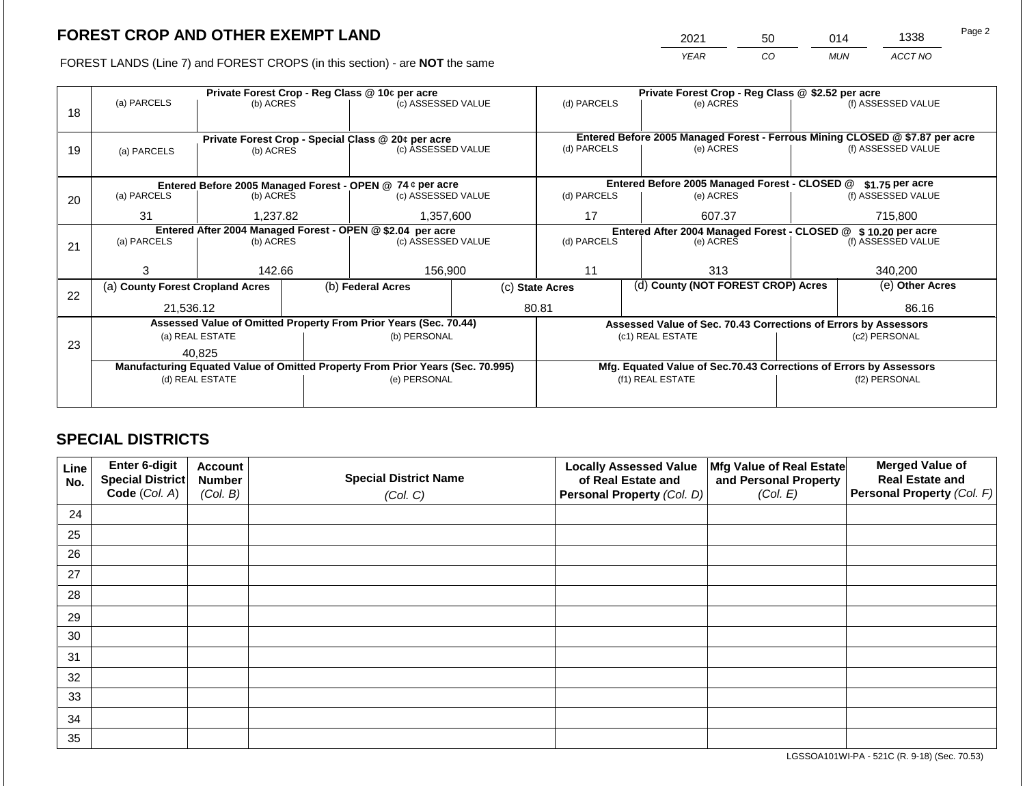2021 50 014 1338

FOREST LANDS (Line 7) and FOREST CROPS (in this section) - are **NOT** the same *YEAR CO MUN ACCT NO*

|    | Private Forest Crop - Reg Class @ 10¢ per acre                                 |                       |  |                                                                  |                                                                              | Private Forest Crop - Reg Class @ \$2.52 per acre |        |                                                                    |               |                    |
|----|--------------------------------------------------------------------------------|-----------------------|--|------------------------------------------------------------------|------------------------------------------------------------------------------|---------------------------------------------------|--------|--------------------------------------------------------------------|---------------|--------------------|
| 18 | (a) PARCELS                                                                    | (b) ACRES             |  | (c) ASSESSED VALUE                                               |                                                                              | (d) PARCELS                                       |        | (e) ACRES                                                          |               | (f) ASSESSED VALUE |
|    |                                                                                |                       |  |                                                                  |                                                                              |                                                   |        |                                                                    |               |                    |
|    |                                                                                |                       |  | Private Forest Crop - Special Class @ 20¢ per acre               | Entered Before 2005 Managed Forest - Ferrous Mining CLOSED @ \$7.87 per acre |                                                   |        |                                                                    |               |                    |
| 19 | (a) PARCELS                                                                    | (b) ACRES             |  | (c) ASSESSED VALUE                                               |                                                                              | (d) PARCELS                                       |        | (e) ACRES                                                          |               | (f) ASSESSED VALUE |
|    |                                                                                |                       |  |                                                                  |                                                                              |                                                   |        |                                                                    |               |                    |
|    |                                                                                |                       |  |                                                                  |                                                                              |                                                   |        | Entered Before 2005 Managed Forest - CLOSED @                      |               |                    |
|    |                                                                                |                       |  | Entered Before 2005 Managed Forest - OPEN @ 74 ¢ per acre        |                                                                              |                                                   |        |                                                                    |               | $$1.75$ per acre   |
| 20 | (a) PARCELS                                                                    | (b) ACRES             |  | (c) ASSESSED VALUE                                               |                                                                              | (d) PARCELS                                       |        | (e) ACRES                                                          |               | (f) ASSESSED VALUE |
|    | 31                                                                             | 1,357,600<br>1,237.82 |  |                                                                  | 17                                                                           |                                                   | 607.37 |                                                                    | 715,800       |                    |
|    | Entered After 2004 Managed Forest - OPEN @ \$2.04 per acre                     |                       |  |                                                                  |                                                                              |                                                   |        | Entered After 2004 Managed Forest - CLOSED @ \$10.20 per acre      |               |                    |
| 21 | (a) PARCELS                                                                    | (b) ACRES             |  | (c) ASSESSED VALUE                                               |                                                                              | (d) PARCELS                                       |        | (e) ACRES                                                          |               | (f) ASSESSED VALUE |
|    |                                                                                |                       |  |                                                                  |                                                                              |                                                   |        |                                                                    |               |                    |
|    | з                                                                              | 142.66                |  | 156,900                                                          |                                                                              | 11                                                |        | 313                                                                |               | 340,200            |
|    | (a) County Forest Cropland Acres                                               |                       |  | (b) Federal Acres                                                |                                                                              | (c) State Acres                                   |        | (d) County (NOT FOREST CROP) Acres                                 |               | (e) Other Acres    |
| 22 |                                                                                |                       |  |                                                                  |                                                                              |                                                   |        |                                                                    |               |                    |
|    | 21,536.12                                                                      |                       |  |                                                                  |                                                                              | 80.81                                             |        |                                                                    |               | 86.16              |
|    |                                                                                |                       |  | Assessed Value of Omitted Property From Prior Years (Sec. 70.44) |                                                                              |                                                   |        | Assessed Value of Sec. 70.43 Corrections of Errors by Assessors    |               |                    |
| 23 |                                                                                | (a) REAL ESTATE       |  | (b) PERSONAL                                                     |                                                                              |                                                   |        | (c1) REAL ESTATE                                                   |               | (c2) PERSONAL      |
|    |                                                                                | 40.825                |  |                                                                  |                                                                              |                                                   |        |                                                                    |               |                    |
|    | Manufacturing Equated Value of Omitted Property From Prior Years (Sec. 70.995) |                       |  |                                                                  |                                                                              |                                                   |        | Mfg. Equated Value of Sec.70.43 Corrections of Errors by Assessors |               |                    |
|    |                                                                                | (d) REAL ESTATE       |  | (e) PERSONAL                                                     |                                                                              | (f1) REAL ESTATE                                  |        |                                                                    | (f2) PERSONAL |                    |
|    |                                                                                |                       |  |                                                                  |                                                                              |                                                   |        |                                                                    |               |                    |
|    |                                                                                |                       |  |                                                                  |                                                                              |                                                   |        |                                                                    |               |                    |

## **SPECIAL DISTRICTS**

| Line<br>No. | Enter 6-digit<br>Special District | <b>Account</b><br><b>Number</b> | <b>Special District Name</b> | <b>Locally Assessed Value</b><br>of Real Estate and | Mfg Value of Real Estate<br>and Personal Property | <b>Merged Value of</b><br><b>Real Estate and</b> |
|-------------|-----------------------------------|---------------------------------|------------------------------|-----------------------------------------------------|---------------------------------------------------|--------------------------------------------------|
|             | Code (Col. A)                     | (Col. B)                        | (Col. C)                     | Personal Property (Col. D)                          | (Col. E)                                          | Personal Property (Col. F)                       |
| 24          |                                   |                                 |                              |                                                     |                                                   |                                                  |
| 25          |                                   |                                 |                              |                                                     |                                                   |                                                  |
| 26          |                                   |                                 |                              |                                                     |                                                   |                                                  |
| 27          |                                   |                                 |                              |                                                     |                                                   |                                                  |
| 28          |                                   |                                 |                              |                                                     |                                                   |                                                  |
| 29          |                                   |                                 |                              |                                                     |                                                   |                                                  |
| 30          |                                   |                                 |                              |                                                     |                                                   |                                                  |
| 31          |                                   |                                 |                              |                                                     |                                                   |                                                  |
| 32          |                                   |                                 |                              |                                                     |                                                   |                                                  |
| 33          |                                   |                                 |                              |                                                     |                                                   |                                                  |
| 34          |                                   |                                 |                              |                                                     |                                                   |                                                  |
| 35          |                                   |                                 |                              |                                                     |                                                   |                                                  |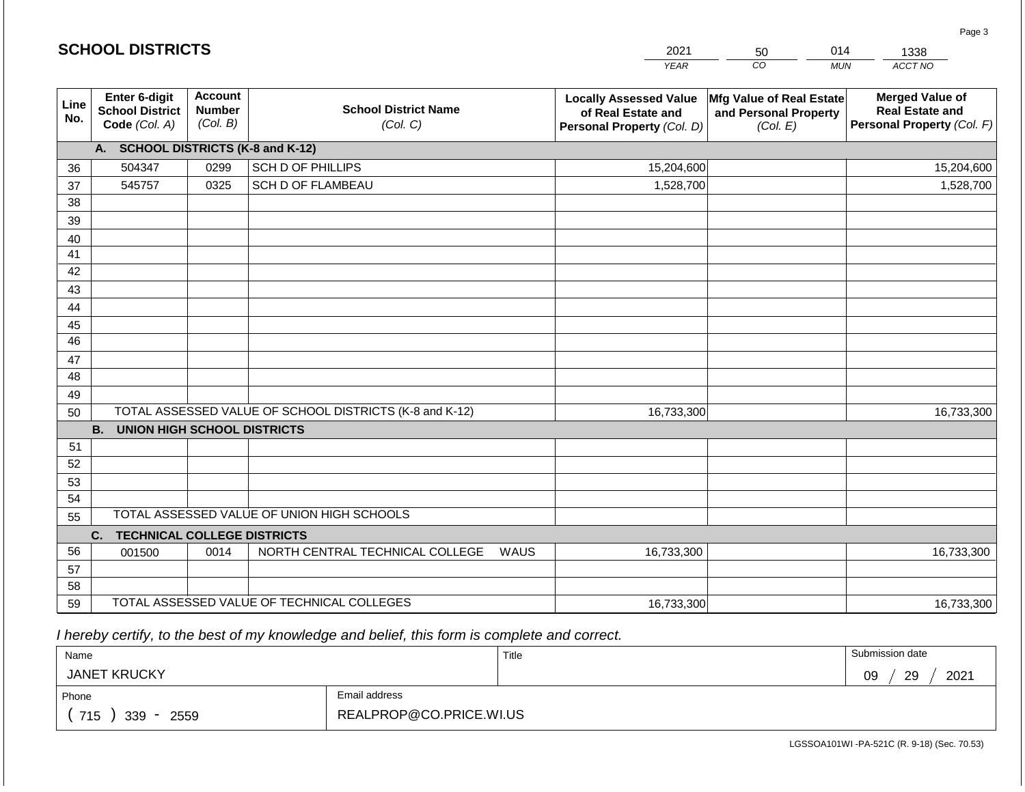|             | <b>SCHOOL DISTRICTS</b>                                  |                                             |                                                         | 2021<br>014<br>50                                                                 |                                                               | 1338                                                                           |
|-------------|----------------------------------------------------------|---------------------------------------------|---------------------------------------------------------|-----------------------------------------------------------------------------------|---------------------------------------------------------------|--------------------------------------------------------------------------------|
|             |                                                          |                                             |                                                         | <b>YEAR</b>                                                                       | CO                                                            | ACCT NO<br><b>MUN</b>                                                          |
| Line<br>No. | Enter 6-digit<br><b>School District</b><br>Code (Col. A) | <b>Account</b><br><b>Number</b><br>(Col. B) | <b>School District Name</b><br>(Col. C)                 | <b>Locally Assessed Value</b><br>of Real Estate and<br>Personal Property (Col. D) | Mfg Value of Real Estate<br>and Personal Property<br>(Col. E) | <b>Merged Value of</b><br><b>Real Estate and</b><br>Personal Property (Col. F) |
|             | A. SCHOOL DISTRICTS (K-8 and K-12)                       |                                             |                                                         |                                                                                   |                                                               |                                                                                |
| 36          | 504347                                                   | 0299                                        | SCH D OF PHILLIPS                                       | 15,204,600                                                                        |                                                               | 15,204,600                                                                     |
| 37          | 545757                                                   | 0325                                        | <b>SCH D OF FLAMBEAU</b>                                | 1,528,700                                                                         |                                                               | 1,528,700                                                                      |
| 38          |                                                          |                                             |                                                         |                                                                                   |                                                               |                                                                                |
| 39          |                                                          |                                             |                                                         |                                                                                   |                                                               |                                                                                |
| 40          |                                                          |                                             |                                                         |                                                                                   |                                                               |                                                                                |
| 41          |                                                          |                                             |                                                         |                                                                                   |                                                               |                                                                                |
| 42          |                                                          |                                             |                                                         |                                                                                   |                                                               |                                                                                |
| 43          |                                                          |                                             |                                                         |                                                                                   |                                                               |                                                                                |
| 44          |                                                          |                                             |                                                         |                                                                                   |                                                               |                                                                                |
| 45<br>46    |                                                          |                                             |                                                         |                                                                                   |                                                               |                                                                                |
| 47          |                                                          |                                             |                                                         |                                                                                   |                                                               |                                                                                |
| 48          |                                                          |                                             |                                                         |                                                                                   |                                                               |                                                                                |
| 49          |                                                          |                                             |                                                         |                                                                                   |                                                               |                                                                                |
| 50          |                                                          |                                             | TOTAL ASSESSED VALUE OF SCHOOL DISTRICTS (K-8 and K-12) | 16,733,300                                                                        |                                                               | 16,733,300                                                                     |
|             | <b>B.</b><br><b>UNION HIGH SCHOOL DISTRICTS</b>          |                                             |                                                         |                                                                                   |                                                               |                                                                                |
| 51          |                                                          |                                             |                                                         |                                                                                   |                                                               |                                                                                |
| 52          |                                                          |                                             |                                                         |                                                                                   |                                                               |                                                                                |
| 53          |                                                          |                                             |                                                         |                                                                                   |                                                               |                                                                                |
| 54          |                                                          |                                             |                                                         |                                                                                   |                                                               |                                                                                |
| 55          |                                                          |                                             | TOTAL ASSESSED VALUE OF UNION HIGH SCHOOLS              |                                                                                   |                                                               |                                                                                |
|             | <b>TECHNICAL COLLEGE DISTRICTS</b><br>C.                 |                                             |                                                         |                                                                                   |                                                               |                                                                                |
| 56          | 001500                                                   | 0014                                        | NORTH CENTRAL TECHNICAL COLLEGE<br>WAUS                 | 16,733,300                                                                        |                                                               | 16,733,300                                                                     |
| 57          |                                                          |                                             |                                                         |                                                                                   |                                                               |                                                                                |
| 58          |                                                          |                                             | TOTAL ASSESSED VALUE OF TECHNICAL COLLEGES              |                                                                                   |                                                               |                                                                                |
| 59          |                                                          |                                             |                                                         | 16,733,300                                                                        |                                                               | 16,733,300                                                                     |

 *I hereby certify, to the best of my knowledge and belief, this form is complete and correct.*

**SCHOOL DISTRICTS**

| Name                                           |                         | Title | Submission date  |
|------------------------------------------------|-------------------------|-------|------------------|
| <b>JANET KRUCKY</b>                            |                         |       | 2021<br>29<br>09 |
| Phone                                          | Email address           |       |                  |
| 715<br>339<br>2559<br>$\overline{\phantom{a}}$ | REALPROP@CO.PRICE.WI.US |       |                  |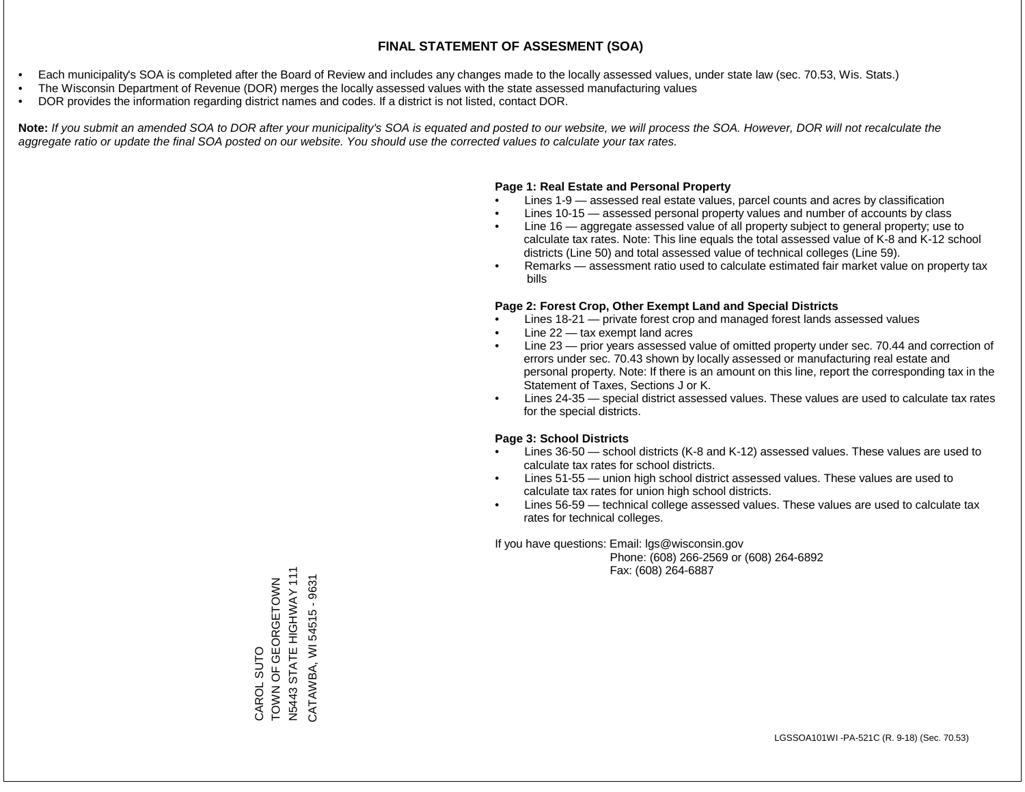- Each municipality's SOA is completed after the Board of Review and includes any changes made to the locally assessed values, under state law (sec. 70.53, Wis. Stats.)
- The Wisconsin Department of Revenue (DOR) merges the locally assessed values with the state assessed manufacturing values
- DOR provides the information regarding district names and codes. If a district is not listed, contact DOR.

Note: If you submit an amended SOA to DOR after your municipality's SOA is equated and posted to our website, we will process the SOA. However, DOR will not recalculate the *aggregate ratio or update the final SOA posted on our website. You should use the corrected values to calculate your tax rates.*

#### **Page 1: Real Estate and Personal Property**

- Lines 1-9 assessed real estate values, parcel counts and acres by classification
- Lines 10-15 assessed personal property values and number of accounts by class
- Line 16 aggregate assessed value of all property subject to general property; use to calculate tax rates. Note: This line equals the total assessed value of K-8 and K-12 school districts (Line 50) and total assessed value of technical colleges (Line 59).
- Remarks assessment ratio used to calculate estimated fair market value on property tax bills

#### **Page 2: Forest Crop, Other Exempt Land and Special Districts**

- Lines 18-21 private forest crop and managed forest lands assessed values
- Line  $22 -$  tax exempt land acres
- Line 23 prior years assessed value of omitted property under sec. 70.44 and correction of errors under sec. 70.43 shown by locally assessed or manufacturing real estate and personal property. Note: If there is an amount on this line, report the corresponding tax in the Statement of Taxes, Sections J or K.
- Lines 24-35 special district assessed values. These values are used to calculate tax rates for the special districts.

#### **Page 3: School Districts**

- Lines 36-50 school districts (K-8 and K-12) assessed values. These values are used to calculate tax rates for school districts.
- Lines 51-55 union high school district assessed values. These values are used to calculate tax rates for union high school districts.
- Lines 56-59 technical college assessed values. These values are used to calculate tax rates for technical colleges.

If you have questions: Email: lgs@wisconsin.gov

 Phone: (608) 266-2569 or (608) 264-6892 Fax: (608) 264-6887

CAROL SUTO<br>TOWN OF GEORGETOWN<br>N5443 STATE HIGHWAY 111 N5443 STATE HIGHWAY 111 TOWN OF GEORG AND CATAWBA, WI 54515 - 9631 CATAWBA, WI 54515 - 9631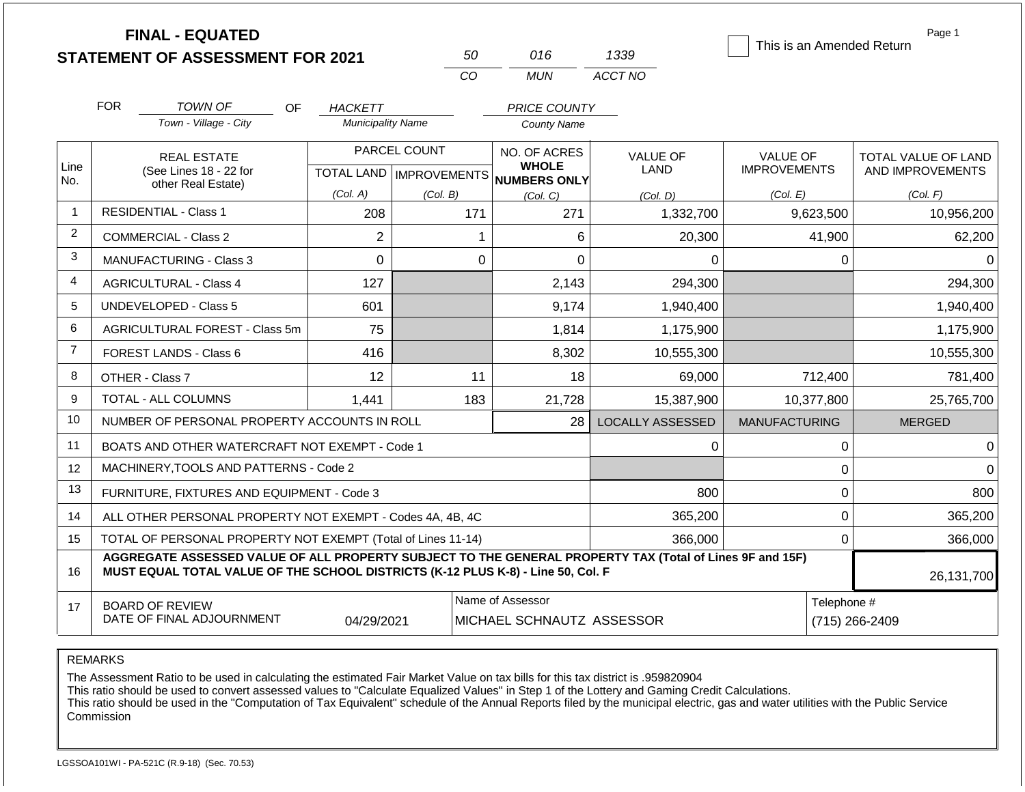|                | <b>FINAL - EQUATED</b><br><b>STATEMENT OF ASSESSMENT FOR 2021</b>                                                                                                                            |                          | 50                                        | 016                                                  | 1339                    | This is an Amended Return       | Page 1                                  |
|----------------|----------------------------------------------------------------------------------------------------------------------------------------------------------------------------------------------|--------------------------|-------------------------------------------|------------------------------------------------------|-------------------------|---------------------------------|-----------------------------------------|
|                |                                                                                                                                                                                              |                          | CO                                        | <b>MUN</b>                                           | ACCT NO                 |                                 |                                         |
|                | <b>FOR</b><br><b>TOWN OF</b><br><b>OF</b>                                                                                                                                                    | <b>HACKETT</b>           |                                           | <b>PRICE COUNTY</b>                                  |                         |                                 |                                         |
|                | Town - Village - City                                                                                                                                                                        | <b>Municipality Name</b> |                                           | <b>County Name</b>                                   |                         |                                 |                                         |
| Line           | <b>REAL ESTATE</b><br>(See Lines 18 - 22 for                                                                                                                                                 |                          | PARCEL COUNT<br>TOTAL LAND   IMPROVEMENTS | NO. OF ACRES<br><b>WHOLE</b><br>NUMBERS ONLY         | <b>VALUE OF</b><br>LAND | VALUE OF<br><b>IMPROVEMENTS</b> | TOTAL VALUE OF LAND<br>AND IMPROVEMENTS |
| No.            | other Real Estate)                                                                                                                                                                           | (Col. A)                 | (Col. B)                                  | (Col, C)                                             | (Col. D)                | (Col. E)                        | (Col. F)                                |
| $\overline{1}$ | <b>RESIDENTIAL - Class 1</b>                                                                                                                                                                 | 208                      | 171                                       | 271                                                  | 1,332,700               | 9,623,500                       | 10,956,200                              |
| 2              | <b>COMMERCIAL - Class 2</b>                                                                                                                                                                  | $\overline{2}$           |                                           | 6<br>1                                               | 20,300                  | 41,900                          | 62,200                                  |
| 3              | <b>MANUFACTURING - Class 3</b>                                                                                                                                                               | $\Omega$                 |                                           | $\Omega$<br>$\Omega$                                 | $\Omega$                | 0                               | $\Omega$                                |
| 4              | <b>AGRICULTURAL - Class 4</b>                                                                                                                                                                | 127                      |                                           | 2,143                                                | 294,300                 |                                 | 294,300                                 |
| 5              | <b>UNDEVELOPED - Class 5</b>                                                                                                                                                                 | 601                      |                                           | 9,174                                                | 1,940,400               |                                 | 1,940,400                               |
| 6              | AGRICULTURAL FOREST - Class 5m                                                                                                                                                               | 75                       |                                           | 1,814                                                | 1,175,900               |                                 | 1,175,900                               |
| $\overline{7}$ | FOREST LANDS - Class 6                                                                                                                                                                       | 416                      |                                           | 8,302                                                | 10,555,300              |                                 | 10,555,300                              |
| 8              | OTHER - Class 7                                                                                                                                                                              | 12                       |                                           | 11<br>18                                             | 69,000                  | 712,400                         | 781,400                                 |
| 9              | <b>TOTAL - ALL COLUMNS</b>                                                                                                                                                                   | 1,441                    | 183                                       | 21,728                                               | 15,387,900              | 10,377,800                      | 25,765,700                              |
| 10             | NUMBER OF PERSONAL PROPERTY ACCOUNTS IN ROLL                                                                                                                                                 |                          |                                           | 28                                                   | <b>LOCALLY ASSESSED</b> | <b>MANUFACTURING</b>            | <b>MERGED</b>                           |
| 11             | BOATS AND OTHER WATERCRAFT NOT EXEMPT - Code 1                                                                                                                                               |                          |                                           |                                                      | 0                       | 0                               | $\overline{0}$                          |
| 12             | MACHINERY, TOOLS AND PATTERNS - Code 2                                                                                                                                                       |                          |                                           |                                                      |                         | $\Omega$                        | $\Omega$                                |
| 13             | FURNITURE, FIXTURES AND EQUIPMENT - Code 3                                                                                                                                                   |                          |                                           |                                                      | 800                     | 0                               | 800                                     |
| 14             | ALL OTHER PERSONAL PROPERTY NOT EXEMPT - Codes 4A, 4B, 4C                                                                                                                                    |                          |                                           |                                                      | 365,200                 | 0                               | 365,200                                 |
| 15             | TOTAL OF PERSONAL PROPERTY NOT EXEMPT (Total of Lines 11-14)                                                                                                                                 |                          |                                           |                                                      | 366,000                 | 0                               | 366,000                                 |
| 16             | AGGREGATE ASSESSED VALUE OF ALL PROPERTY SUBJECT TO THE GENERAL PROPERTY TAX (Total of Lines 9F and 15F)<br>MUST EQUAL TOTAL VALUE OF THE SCHOOL DISTRICTS (K-12 PLUS K-8) - Line 50, Col. F |                          |                                           |                                                      |                         |                                 | 26,131,700                              |
| 17             | <b>BOARD OF REVIEW</b><br>DATE OF FINAL ADJOURNMENT                                                                                                                                          | 04/29/2021               |                                           | Name of Assessor<br><b>MICHAEL SCHNAUTZ ASSESSOR</b> |                         | Telephone #                     | (715) 266-2409                          |

The Assessment Ratio to be used in calculating the estimated Fair Market Value on tax bills for this tax district is .959820904

This ratio should be used to convert assessed values to "Calculate Equalized Values" in Step 1 of the Lottery and Gaming Credit Calculations.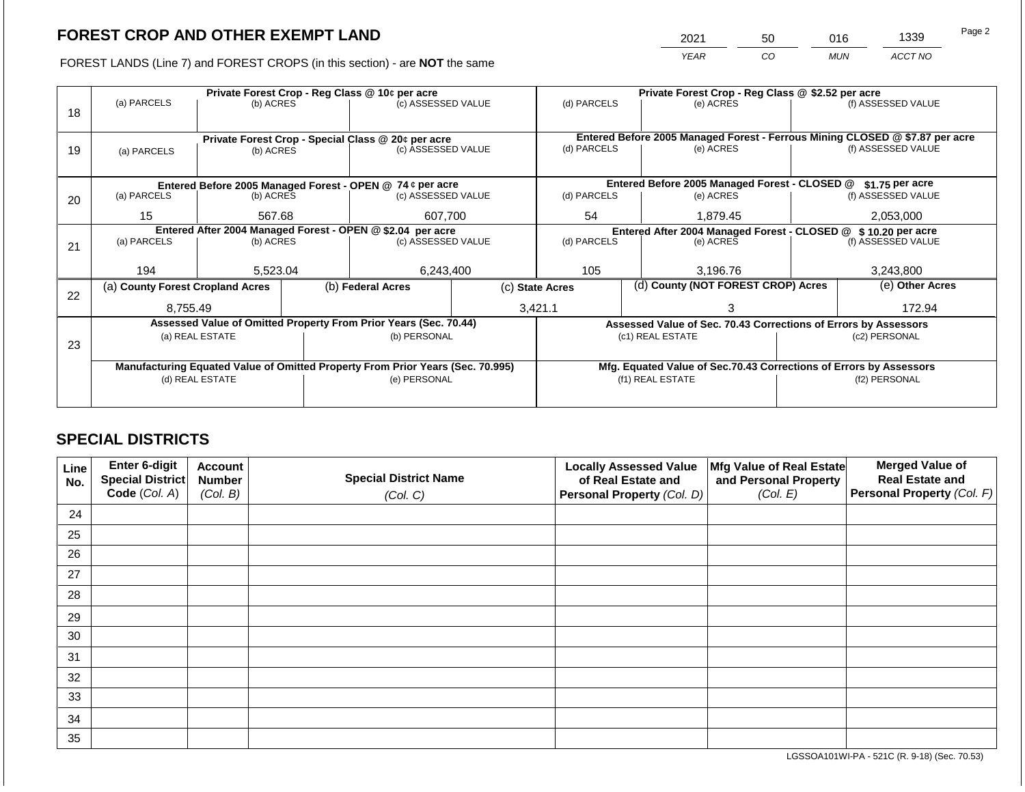2021 50 016 1339

FOREST LANDS (Line 7) and FOREST CROPS (in this section) - are **NOT** the same *YEAR CO MUN ACCT NO*

|    |                                                            |                 |             | Private Forest Crop - Reg Class @ 10¢ per acre                                 | Private Forest Crop - Reg Class @ \$2.52 per acre |                                    |                                                                              |                                                                 |                                                                    |                    |  |
|----|------------------------------------------------------------|-----------------|-------------|--------------------------------------------------------------------------------|---------------------------------------------------|------------------------------------|------------------------------------------------------------------------------|-----------------------------------------------------------------|--------------------------------------------------------------------|--------------------|--|
|    | (a) PARCELS                                                | (b) ACRES       |             | (c) ASSESSED VALUE                                                             |                                                   | (d) PARCELS                        |                                                                              | (e) ACRES                                                       |                                                                    | (f) ASSESSED VALUE |  |
| 18 |                                                            |                 |             |                                                                                |                                                   |                                    |                                                                              |                                                                 |                                                                    |                    |  |
|    |                                                            |                 |             |                                                                                |                                                   |                                    |                                                                              |                                                                 |                                                                    |                    |  |
|    |                                                            |                 |             | Private Forest Crop - Special Class @ 20¢ per acre                             |                                                   |                                    | Entered Before 2005 Managed Forest - Ferrous Mining CLOSED @ \$7.87 per acre |                                                                 |                                                                    |                    |  |
| 19 | (a) PARCELS                                                | (b) ACRES       |             | (c) ASSESSED VALUE                                                             |                                                   | (d) PARCELS                        |                                                                              | (e) ACRES                                                       |                                                                    | (f) ASSESSED VALUE |  |
|    |                                                            |                 |             |                                                                                |                                                   |                                    |                                                                              |                                                                 |                                                                    |                    |  |
|    |                                                            |                 |             | Entered Before 2005 Managed Forest - OPEN @ 74 ¢ per acre                      |                                                   |                                    |                                                                              | Entered Before 2005 Managed Forest - CLOSED @                   |                                                                    | $$1.75$ per acre   |  |
| 20 | (a) PARCELS<br>(b) ACRES<br>(c) ASSESSED VALUE             |                 | (d) PARCELS |                                                                                | (e) ACRES                                         |                                    | (f) ASSESSED VALUE                                                           |                                                                 |                                                                    |                    |  |
|    |                                                            |                 |             |                                                                                |                                                   |                                    |                                                                              |                                                                 |                                                                    |                    |  |
|    | 15                                                         | 567.68          |             | 607.700                                                                        |                                                   | 54                                 |                                                                              | 1,879.45                                                        |                                                                    | 2,053,000          |  |
|    | Entered After 2004 Managed Forest - OPEN @ \$2.04 per acre |                 |             |                                                                                |                                                   |                                    | Entered After 2004 Managed Forest - CLOSED @ \$ 10.20 per acre               |                                                                 |                                                                    |                    |  |
| 21 | (a) PARCELS                                                | (b) ACRES       |             |                                                                                | (c) ASSESSED VALUE                                |                                    | (d) PARCELS<br>(e) ACRES                                                     |                                                                 | (f) ASSESSED VALUE                                                 |                    |  |
|    |                                                            |                 |             |                                                                                |                                                   |                                    |                                                                              |                                                                 |                                                                    |                    |  |
|    | 194                                                        | 5,523.04        |             | 6,243,400                                                                      |                                                   | 105                                |                                                                              | 3,196.76                                                        |                                                                    | 3,243,800          |  |
|    | (a) County Forest Cropland Acres                           |                 |             | (b) Federal Acres<br>(c) State Acres                                           |                                                   | (d) County (NOT FOREST CROP) Acres |                                                                              |                                                                 |                                                                    | (e) Other Acres    |  |
| 22 |                                                            |                 |             |                                                                                |                                                   |                                    |                                                                              |                                                                 |                                                                    |                    |  |
|    | 8.755.49                                                   |                 |             |                                                                                |                                                   | 3,421.1                            |                                                                              |                                                                 |                                                                    | 172.94             |  |
|    |                                                            |                 |             | Assessed Value of Omitted Property From Prior Years (Sec. 70.44)               |                                                   |                                    |                                                                              | Assessed Value of Sec. 70.43 Corrections of Errors by Assessors |                                                                    |                    |  |
|    |                                                            | (a) REAL ESTATE |             | (b) PERSONAL                                                                   |                                                   |                                    |                                                                              | (c1) REAL ESTATE                                                |                                                                    | (c2) PERSONAL      |  |
| 23 |                                                            |                 |             |                                                                                |                                                   |                                    |                                                                              |                                                                 |                                                                    |                    |  |
|    |                                                            |                 |             | Manufacturing Equated Value of Omitted Property From Prior Years (Sec. 70.995) |                                                   |                                    |                                                                              |                                                                 | Mfg. Equated Value of Sec.70.43 Corrections of Errors by Assessors |                    |  |
|    | (d) REAL ESTATE                                            |                 |             | (e) PERSONAL                                                                   |                                                   | (f1) REAL ESTATE                   |                                                                              |                                                                 | (f2) PERSONAL                                                      |                    |  |
|    |                                                            |                 |             |                                                                                |                                                   |                                    |                                                                              |                                                                 |                                                                    |                    |  |
|    |                                                            |                 |             |                                                                                |                                                   |                                    |                                                                              |                                                                 |                                                                    |                    |  |

## **SPECIAL DISTRICTS**

| Line<br>No. | <b>Enter 6-digit</b><br>Special District | <b>Account</b><br><b>Number</b> | <b>Special District Name</b> | <b>Locally Assessed Value</b><br>of Real Estate and | Mfg Value of Real Estate<br>and Personal Property | <b>Merged Value of</b><br><b>Real Estate and</b> |
|-------------|------------------------------------------|---------------------------------|------------------------------|-----------------------------------------------------|---------------------------------------------------|--------------------------------------------------|
|             | Code (Col. A)                            | (Col. B)                        | (Col. C)                     | Personal Property (Col. D)                          | (Col. E)                                          | Personal Property (Col. F)                       |
| 24          |                                          |                                 |                              |                                                     |                                                   |                                                  |
| 25          |                                          |                                 |                              |                                                     |                                                   |                                                  |
| 26          |                                          |                                 |                              |                                                     |                                                   |                                                  |
| 27          |                                          |                                 |                              |                                                     |                                                   |                                                  |
| 28          |                                          |                                 |                              |                                                     |                                                   |                                                  |
| 29          |                                          |                                 |                              |                                                     |                                                   |                                                  |
| 30          |                                          |                                 |                              |                                                     |                                                   |                                                  |
| 31          |                                          |                                 |                              |                                                     |                                                   |                                                  |
| 32          |                                          |                                 |                              |                                                     |                                                   |                                                  |
| 33          |                                          |                                 |                              |                                                     |                                                   |                                                  |
| 34          |                                          |                                 |                              |                                                     |                                                   |                                                  |
| 35          |                                          |                                 |                              |                                                     |                                                   |                                                  |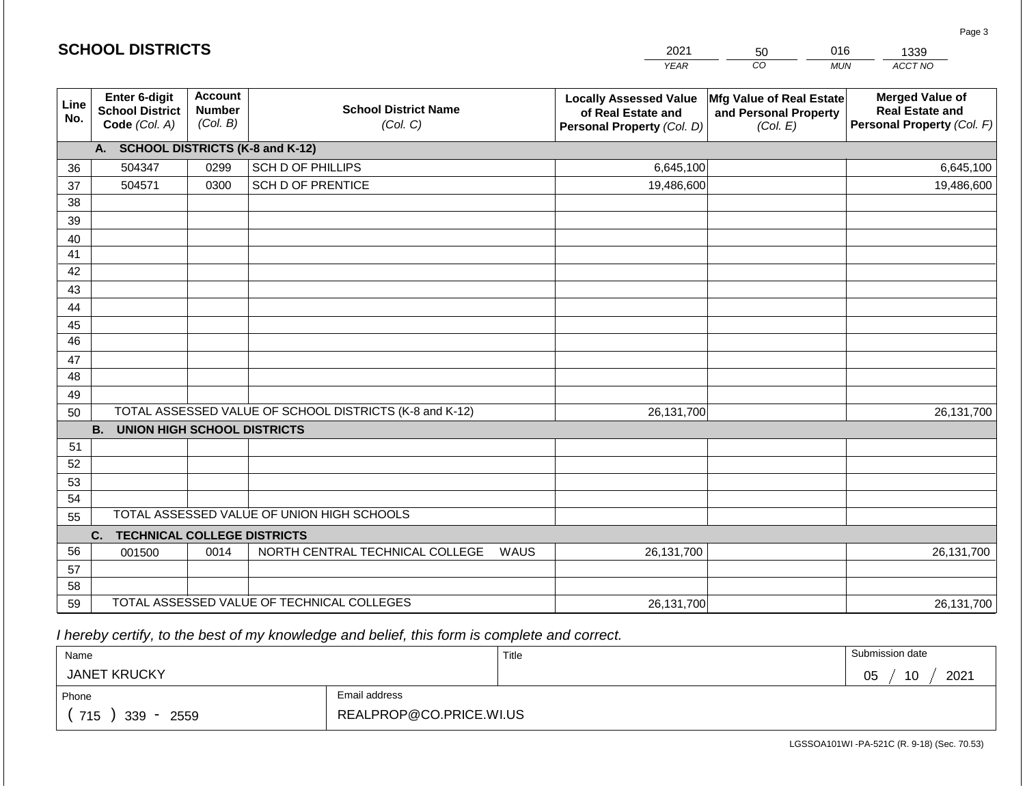|                       | <b>SCHOOL DISTRICTS</b>                                  |                                             |                                                         | 2021                                                                              | 50                                                            | 016<br>1339                                                                    |
|-----------------------|----------------------------------------------------------|---------------------------------------------|---------------------------------------------------------|-----------------------------------------------------------------------------------|---------------------------------------------------------------|--------------------------------------------------------------------------------|
|                       |                                                          |                                             |                                                         | <b>YEAR</b>                                                                       | CO                                                            | ACCT NO<br><b>MUN</b>                                                          |
| Line<br>No.           | Enter 6-digit<br><b>School District</b><br>Code (Col. A) | <b>Account</b><br><b>Number</b><br>(Col. B) | <b>School District Name</b><br>(Col. C)                 | <b>Locally Assessed Value</b><br>of Real Estate and<br>Personal Property (Col. D) | Mfg Value of Real Estate<br>and Personal Property<br>(Col. E) | <b>Merged Value of</b><br><b>Real Estate and</b><br>Personal Property (Col. F) |
|                       | A. SCHOOL DISTRICTS (K-8 and K-12)                       |                                             |                                                         |                                                                                   |                                                               |                                                                                |
| 36                    | 504347                                                   | 0299                                        | <b>SCH D OF PHILLIPS</b>                                | 6,645,100                                                                         |                                                               | 6,645,100                                                                      |
| 37                    | 504571                                                   | 0300                                        | <b>SCH D OF PRENTICE</b>                                | 19,486,600                                                                        |                                                               | 19,486,600                                                                     |
| 38                    |                                                          |                                             |                                                         |                                                                                   |                                                               |                                                                                |
| 39                    |                                                          |                                             |                                                         |                                                                                   |                                                               |                                                                                |
| 40                    |                                                          |                                             |                                                         |                                                                                   |                                                               |                                                                                |
| 41                    |                                                          |                                             |                                                         |                                                                                   |                                                               |                                                                                |
| 42                    |                                                          |                                             |                                                         |                                                                                   |                                                               |                                                                                |
| 43                    |                                                          |                                             |                                                         |                                                                                   |                                                               |                                                                                |
| 44                    |                                                          |                                             |                                                         |                                                                                   |                                                               |                                                                                |
| 45<br>$\overline{46}$ |                                                          |                                             |                                                         |                                                                                   |                                                               |                                                                                |
|                       |                                                          |                                             |                                                         |                                                                                   |                                                               |                                                                                |
| 47<br>48              |                                                          |                                             |                                                         |                                                                                   |                                                               |                                                                                |
| 49                    |                                                          |                                             |                                                         |                                                                                   |                                                               |                                                                                |
| 50                    |                                                          |                                             | TOTAL ASSESSED VALUE OF SCHOOL DISTRICTS (K-8 and K-12) | 26, 131, 700                                                                      |                                                               | 26,131,700                                                                     |
|                       | <b>B.</b><br><b>UNION HIGH SCHOOL DISTRICTS</b>          |                                             |                                                         |                                                                                   |                                                               |                                                                                |
| 51                    |                                                          |                                             |                                                         |                                                                                   |                                                               |                                                                                |
| 52                    |                                                          |                                             |                                                         |                                                                                   |                                                               |                                                                                |
| 53                    |                                                          |                                             |                                                         |                                                                                   |                                                               |                                                                                |
| 54                    |                                                          |                                             |                                                         |                                                                                   |                                                               |                                                                                |
| 55                    |                                                          |                                             | TOTAL ASSESSED VALUE OF UNION HIGH SCHOOLS              |                                                                                   |                                                               |                                                                                |
|                       | <b>TECHNICAL COLLEGE DISTRICTS</b><br>C.                 |                                             |                                                         |                                                                                   |                                                               |                                                                                |
| 56                    | 001500                                                   | 0014                                        | NORTH CENTRAL TECHNICAL COLLEGE                         | 26,131,700<br>WAUS                                                                |                                                               | 26,131,700                                                                     |
| 57                    |                                                          |                                             |                                                         |                                                                                   |                                                               |                                                                                |
| 58                    |                                                          |                                             |                                                         |                                                                                   |                                                               |                                                                                |
| 59                    |                                                          |                                             | TOTAL ASSESSED VALUE OF TECHNICAL COLLEGES              | 26,131,700                                                                        |                                                               | 26,131,700                                                                     |

 *I hereby certify, to the best of my knowledge and belief, this form is complete and correct.*

**SCHOOL DISTRICTS**

| Name                |                         | Title | Submission date        |
|---------------------|-------------------------|-------|------------------------|
| <b>JANET KRUCKY</b> |                         |       | 2021<br>10<br>∩ҕ<br>◡◡ |
| Phone               | Email address           |       |                        |
| 715<br>339<br>2559  | REALPROP@CO.PRICE.WI.US |       |                        |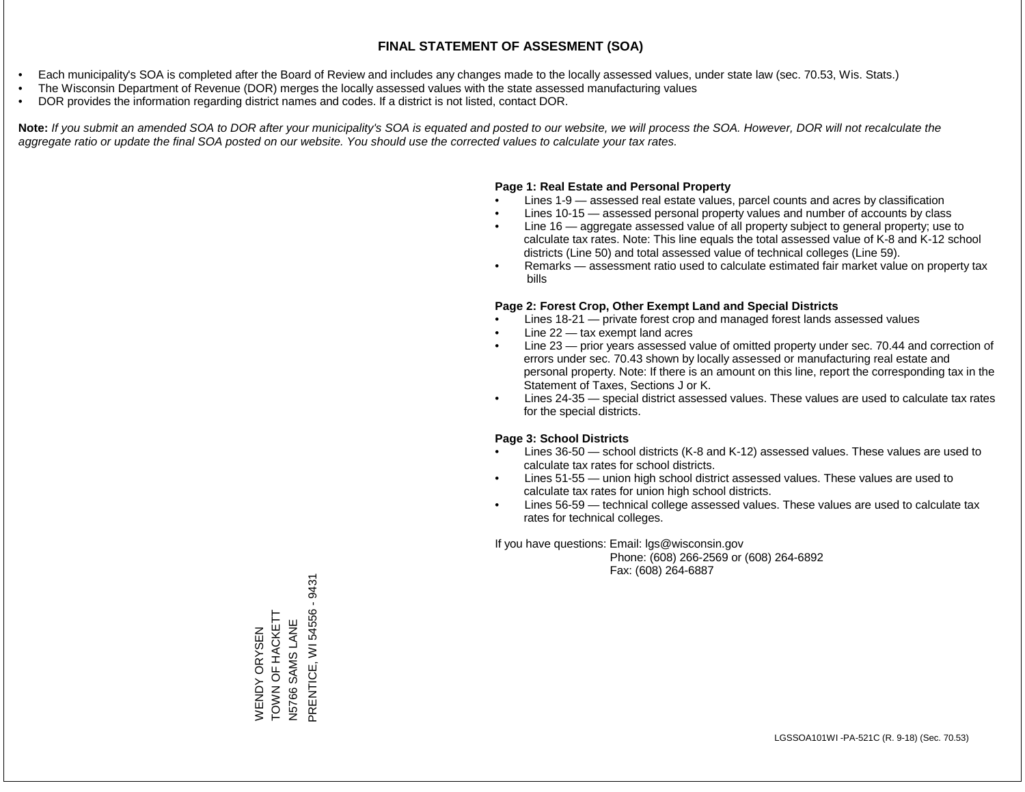- Each municipality's SOA is completed after the Board of Review and includes any changes made to the locally assessed values, under state law (sec. 70.53, Wis. Stats.)
- The Wisconsin Department of Revenue (DOR) merges the locally assessed values with the state assessed manufacturing values
- DOR provides the information regarding district names and codes. If a district is not listed, contact DOR.

Note: If you submit an amended SOA to DOR after your municipality's SOA is equated and posted to our website, we will process the SOA. However, DOR will not recalculate the *aggregate ratio or update the final SOA posted on our website. You should use the corrected values to calculate your tax rates.*

### **Page 1: Real Estate and Personal Property**

- Lines 1-9 assessed real estate values, parcel counts and acres by classification
- Lines 10-15 assessed personal property values and number of accounts by class
- Line 16 aggregate assessed value of all property subject to general property; use to calculate tax rates. Note: This line equals the total assessed value of K-8 and K-12 school districts (Line 50) and total assessed value of technical colleges (Line 59).
- Remarks assessment ratio used to calculate estimated fair market value on property tax bills

### **Page 2: Forest Crop, Other Exempt Land and Special Districts**

- Lines 18-21 private forest crop and managed forest lands assessed values
- Line  $22 -$  tax exempt land acres
- Line 23 prior years assessed value of omitted property under sec. 70.44 and correction of errors under sec. 70.43 shown by locally assessed or manufacturing real estate and personal property. Note: If there is an amount on this line, report the corresponding tax in the Statement of Taxes, Sections J or K.
- Lines 24-35 special district assessed values. These values are used to calculate tax rates for the special districts.

### **Page 3: School Districts**

- Lines 36-50 school districts (K-8 and K-12) assessed values. These values are used to calculate tax rates for school districts.
- Lines 51-55 union high school district assessed values. These values are used to calculate tax rates for union high school districts.
- Lines 56-59 technical college assessed values. These values are used to calculate tax rates for technical colleges.

If you have questions: Email: lgs@wisconsin.gov

 Phone: (608) 266-2569 or (608) 264-6892 Fax: (608) 264-6887

PRENTICE, WI 54556 - 9431 PRENTICE, WI 54556 - 9431TOWN OF HACKETT WENDY ORYSEN<br>TOWN OF HACKETT SAMS LANE N5766 SAMS LANE WENDY ORYSEN N5766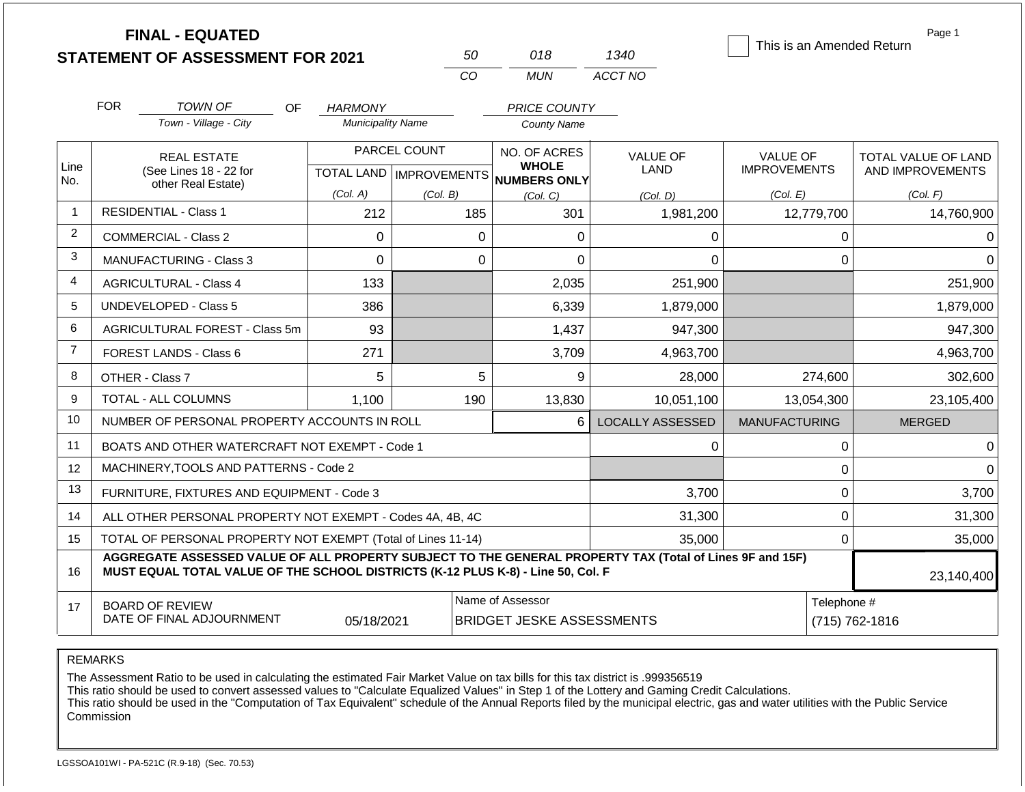|                |                                                                                                                           | <b>FINAL - EQUATED</b><br><b>STATEMENT OF ASSESSMENT FOR 2021</b>                                                                                                                            |                           |              | 50           | 018                          | 1340                    |                                        |                               | Page 1<br>This is an Amended Return     |
|----------------|---------------------------------------------------------------------------------------------------------------------------|----------------------------------------------------------------------------------------------------------------------------------------------------------------------------------------------|---------------------------|--------------|--------------|------------------------------|-------------------------|----------------------------------------|-------------------------------|-----------------------------------------|
|                |                                                                                                                           |                                                                                                                                                                                              |                           |              | <b>CO</b>    | <b>MUN</b>                   | ACCT NO                 |                                        |                               |                                         |
|                | <b>FOR</b>                                                                                                                | <b>TOWN OF</b><br>OF.                                                                                                                                                                        | HARMONY                   |              |              | <b>PRICE COUNTY</b>          |                         |                                        |                               |                                         |
|                |                                                                                                                           | Town - Village - City                                                                                                                                                                        | <b>Municipality Name</b>  |              |              | <b>County Name</b>           |                         |                                        |                               |                                         |
| Line           |                                                                                                                           | <b>REAL ESTATE</b><br>(See Lines 18 - 22 for                                                                                                                                                 | TOTAL LAND   IMPROVEMENTS | PARCEL COUNT |              | NO. OF ACRES<br><b>WHOLE</b> | <b>VALUE OF</b><br>LAND | <b>VALUE OF</b><br><b>IMPROVEMENTS</b> |                               | TOTAL VALUE OF LAND<br>AND IMPROVEMENTS |
| No.            |                                                                                                                           | other Real Estate)                                                                                                                                                                           | (Col. A)                  | (Col. B)     |              | NUMBERS ONLY<br>(Col, C)     | (Col. D)                | (Col. E)                               |                               | (Col. F)                                |
| -1             |                                                                                                                           | <b>RESIDENTIAL - Class 1</b>                                                                                                                                                                 | 212                       |              | 185          | 301                          | 1,981,200               |                                        | 12,779,700                    | 14,760,900                              |
| $\overline{2}$ |                                                                                                                           | <b>COMMERCIAL - Class 2</b>                                                                                                                                                                  | 0                         |              | $\mathbf{0}$ | $\mathbf{0}$                 | $\Omega$                |                                        | 0                             | $\Omega$                                |
| 3              |                                                                                                                           | <b>MANUFACTURING - Class 3</b>                                                                                                                                                               | $\overline{0}$            |              | $\Omega$     | $\Omega$                     | $\Omega$                |                                        |                               | $\Omega$                                |
| 4              |                                                                                                                           | <b>AGRICULTURAL - Class 4</b>                                                                                                                                                                | 133                       |              |              | 2,035                        | 251,900                 |                                        |                               | 251,900                                 |
| 5              |                                                                                                                           | UNDEVELOPED - Class 5                                                                                                                                                                        | 386                       |              |              | 6,339                        | 1,879,000               |                                        |                               | 1,879,000                               |
| 6              |                                                                                                                           | AGRICULTURAL FOREST - Class 5m                                                                                                                                                               | 93                        |              |              | 1,437                        | 947,300                 |                                        |                               | 947,300                                 |
| $\overline{7}$ |                                                                                                                           | <b>FOREST LANDS - Class 6</b>                                                                                                                                                                | 271                       |              |              | 3,709                        | 4,963,700               |                                        |                               | 4,963,700                               |
| 8              |                                                                                                                           | OTHER - Class 7                                                                                                                                                                              | 5                         |              | 5            | 9                            | 28,000                  |                                        | 274,600                       | 302,600                                 |
| 9              |                                                                                                                           | <b>TOTAL - ALL COLUMNS</b>                                                                                                                                                                   | 1,100                     |              | 190          | 13,830                       | 10,051,100              |                                        | 13,054,300                    | 23,105,400                              |
| 10             |                                                                                                                           | NUMBER OF PERSONAL PROPERTY ACCOUNTS IN ROLL                                                                                                                                                 |                           |              |              | 6                            | <b>LOCALLY ASSESSED</b> | <b>MANUFACTURING</b>                   |                               | <b>MERGED</b>                           |
| 11             |                                                                                                                           | BOATS AND OTHER WATERCRAFT NOT EXEMPT - Code 1                                                                                                                                               |                           |              |              |                              | 0                       |                                        | 0                             | 0                                       |
| 12             |                                                                                                                           | MACHINERY, TOOLS AND PATTERNS - Code 2                                                                                                                                                       |                           |              |              |                              |                         |                                        | 0                             | $\Omega$                                |
| 13             |                                                                                                                           | FURNITURE, FIXTURES AND EQUIPMENT - Code 3                                                                                                                                                   |                           |              |              |                              | 3,700                   |                                        | 0                             | 3,700                                   |
| 14             |                                                                                                                           | ALL OTHER PERSONAL PROPERTY NOT EXEMPT - Codes 4A, 4B, 4C                                                                                                                                    |                           |              |              |                              | 31,300                  |                                        | 0                             | 31,300                                  |
| 15             |                                                                                                                           | TOTAL OF PERSONAL PROPERTY NOT EXEMPT (Total of Lines 11-14)                                                                                                                                 |                           |              |              | 35,000                       |                         | 0                                      | 35,000                        |                                         |
| 16             |                                                                                                                           | AGGREGATE ASSESSED VALUE OF ALL PROPERTY SUBJECT TO THE GENERAL PROPERTY TAX (Total of Lines 9F and 15F)<br>MUST EQUAL TOTAL VALUE OF THE SCHOOL DISTRICTS (K-12 PLUS K-8) - Line 50, Col. F |                           |              |              |                              |                         |                                        |                               | 23,140,400                              |
| 17             | Name of Assessor<br><b>BOARD OF REVIEW</b><br>DATE OF FINAL ADJOURNMENT<br><b>BRIDGET JESKE ASSESSMENTS</b><br>05/18/2021 |                                                                                                                                                                                              |                           |              |              |                              |                         |                                        | Telephone #<br>(715) 762-1816 |                                         |

The Assessment Ratio to be used in calculating the estimated Fair Market Value on tax bills for this tax district is .999356519

This ratio should be used to convert assessed values to "Calculate Equalized Values" in Step 1 of the Lottery and Gaming Credit Calculations.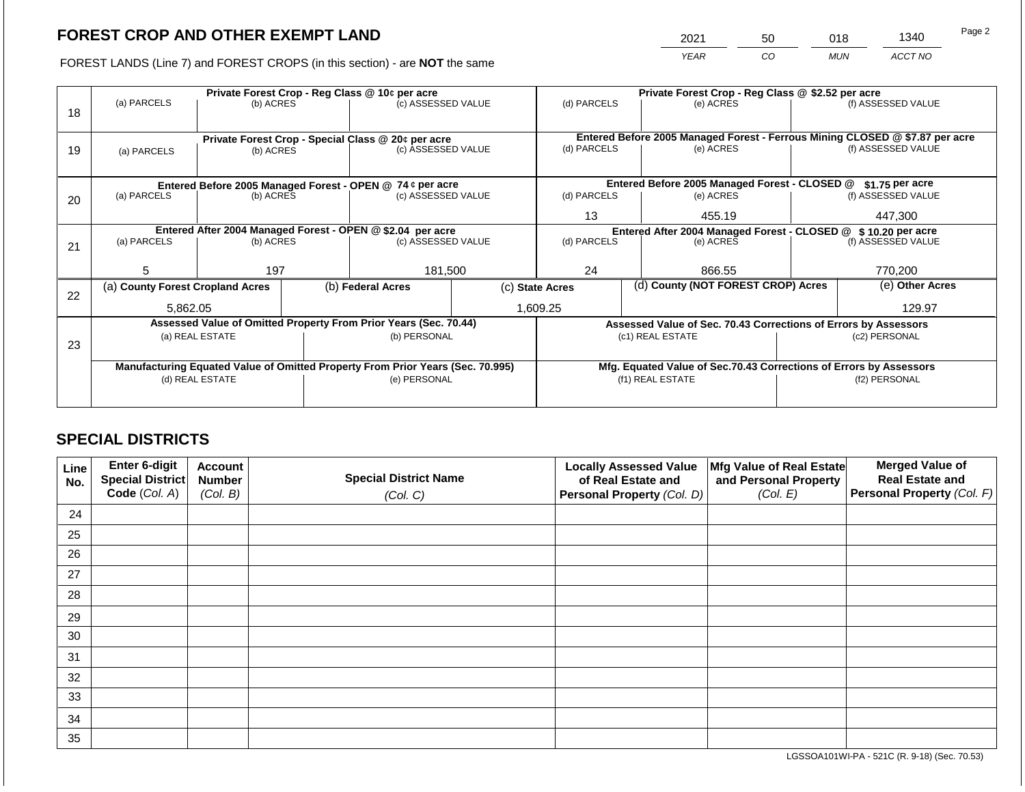2021 50 018 1340

FOREST LANDS (Line 7) and FOREST CROPS (in this section) - are **NOT** the same *YEAR CO MUN ACCT NO*

|    |                                                            |                                                                                              |  | Private Forest Crop - Reg Class @ 10¢ per acre                                 | Private Forest Crop - Reg Class @ \$2.52 per acre |                                                                                     |                                                                              |                                                                    |               |                    |  |
|----|------------------------------------------------------------|----------------------------------------------------------------------------------------------|--|--------------------------------------------------------------------------------|---------------------------------------------------|-------------------------------------------------------------------------------------|------------------------------------------------------------------------------|--------------------------------------------------------------------|---------------|--------------------|--|
| 18 | (a) PARCELS                                                | (b) ACRES                                                                                    |  | (c) ASSESSED VALUE                                                             |                                                   | (d) PARCELS                                                                         |                                                                              | (e) ACRES                                                          |               | (f) ASSESSED VALUE |  |
|    |                                                            |                                                                                              |  |                                                                                |                                                   |                                                                                     |                                                                              |                                                                    |               |                    |  |
|    |                                                            |                                                                                              |  | Private Forest Crop - Special Class @ 20¢ per acre                             |                                                   |                                                                                     | Entered Before 2005 Managed Forest - Ferrous Mining CLOSED @ \$7.87 per acre |                                                                    |               |                    |  |
| 19 | (a) PARCELS                                                | (b) ACRES                                                                                    |  | (c) ASSESSED VALUE                                                             |                                                   | (d) PARCELS                                                                         |                                                                              | (e) ACRES                                                          |               | (f) ASSESSED VALUE |  |
|    |                                                            |                                                                                              |  |                                                                                |                                                   |                                                                                     |                                                                              |                                                                    |               |                    |  |
|    |                                                            |                                                                                              |  |                                                                                | Entered Before 2005 Managed Forest - CLOSED @     |                                                                                     | $$1.75$ per acre                                                             |                                                                    |               |                    |  |
| 20 | (a) PARCELS                                                | Entered Before 2005 Managed Forest - OPEN @ 74 ¢ per acre<br>(b) ACRES<br>(c) ASSESSED VALUE |  | (d) PARCELS                                                                    |                                                   | (e) ACRES                                                                           |                                                                              | (f) ASSESSED VALUE                                                 |               |                    |  |
|    |                                                            |                                                                                              |  |                                                                                |                                                   | 13                                                                                  |                                                                              | 455.19                                                             |               | 447,300            |  |
|    | Entered After 2004 Managed Forest - OPEN @ \$2.04 per acre |                                                                                              |  |                                                                                |                                                   | Entered After 2004 Managed Forest - CLOSED @ \$10.20 per acre<br>(f) ASSESSED VALUE |                                                                              |                                                                    |               |                    |  |
| 21 | (a) PARCELS                                                | (b) ACRES                                                                                    |  | (c) ASSESSED VALUE                                                             |                                                   | (d) PARCELS                                                                         |                                                                              | (e) ACRES                                                          |               |                    |  |
|    |                                                            |                                                                                              |  |                                                                                |                                                   |                                                                                     |                                                                              |                                                                    |               |                    |  |
|    | 5                                                          | 197                                                                                          |  | 181,500                                                                        |                                                   | 24                                                                                  |                                                                              | 866.55                                                             |               | 770,200            |  |
| 22 | (a) County Forest Cropland Acres                           |                                                                                              |  | (b) Federal Acres                                                              |                                                   | (c) State Acres                                                                     |                                                                              | (d) County (NOT FOREST CROP) Acres                                 |               | (e) Other Acres    |  |
|    | 5.862.05                                                   |                                                                                              |  |                                                                                |                                                   | 1,609.25                                                                            |                                                                              |                                                                    |               | 129.97             |  |
|    |                                                            |                                                                                              |  | Assessed Value of Omitted Property From Prior Years (Sec. 70.44)               |                                                   |                                                                                     |                                                                              | Assessed Value of Sec. 70.43 Corrections of Errors by Assessors    |               |                    |  |
|    |                                                            | (a) REAL ESTATE                                                                              |  | (b) PERSONAL                                                                   |                                                   |                                                                                     |                                                                              | (c1) REAL ESTATE                                                   | (c2) PERSONAL |                    |  |
| 23 |                                                            |                                                                                              |  |                                                                                |                                                   |                                                                                     |                                                                              |                                                                    |               |                    |  |
|    |                                                            |                                                                                              |  | Manufacturing Equated Value of Omitted Property From Prior Years (Sec. 70.995) |                                                   |                                                                                     |                                                                              | Mfg. Equated Value of Sec.70.43 Corrections of Errors by Assessors |               |                    |  |
|    |                                                            | (d) REAL ESTATE                                                                              |  | (e) PERSONAL                                                                   |                                                   | (f1) REAL ESTATE                                                                    |                                                                              |                                                                    | (f2) PERSONAL |                    |  |
|    |                                                            |                                                                                              |  |                                                                                |                                                   |                                                                                     |                                                                              |                                                                    |               |                    |  |
|    |                                                            |                                                                                              |  |                                                                                |                                                   |                                                                                     |                                                                              |                                                                    |               |                    |  |

## **SPECIAL DISTRICTS**

| Line<br>No. | Enter 6-digit<br>Special District | <b>Account</b><br><b>Number</b> | <b>Special District Name</b> | <b>Locally Assessed Value</b><br>of Real Estate and | Mfg Value of Real Estate<br>and Personal Property | <b>Merged Value of</b><br><b>Real Estate and</b> |
|-------------|-----------------------------------|---------------------------------|------------------------------|-----------------------------------------------------|---------------------------------------------------|--------------------------------------------------|
|             | Code (Col. A)                     | (Col. B)                        | (Col. C)                     | Personal Property (Col. D)                          | (Col. E)                                          | Personal Property (Col. F)                       |
| 24          |                                   |                                 |                              |                                                     |                                                   |                                                  |
| 25          |                                   |                                 |                              |                                                     |                                                   |                                                  |
| 26          |                                   |                                 |                              |                                                     |                                                   |                                                  |
| 27          |                                   |                                 |                              |                                                     |                                                   |                                                  |
| 28          |                                   |                                 |                              |                                                     |                                                   |                                                  |
| 29          |                                   |                                 |                              |                                                     |                                                   |                                                  |
| 30          |                                   |                                 |                              |                                                     |                                                   |                                                  |
| 31          |                                   |                                 |                              |                                                     |                                                   |                                                  |
| 32          |                                   |                                 |                              |                                                     |                                                   |                                                  |
| 33          |                                   |                                 |                              |                                                     |                                                   |                                                  |
| 34          |                                   |                                 |                              |                                                     |                                                   |                                                  |
| 35          |                                   |                                 |                              |                                                     |                                                   |                                                  |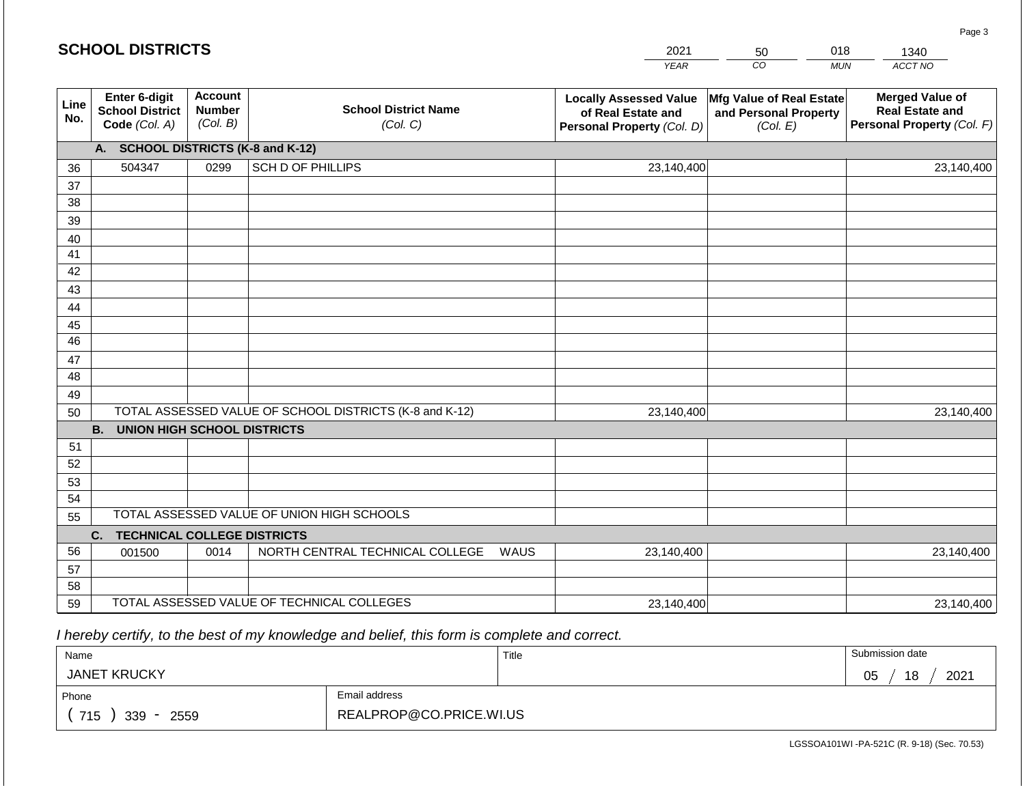|             | <b>SCHOOL DISTRICTS</b><br>2021<br>018<br>50             |                                             |                                                         |      |                                                                                   |                                                               | 1340       |                                                                                |
|-------------|----------------------------------------------------------|---------------------------------------------|---------------------------------------------------------|------|-----------------------------------------------------------------------------------|---------------------------------------------------------------|------------|--------------------------------------------------------------------------------|
|             |                                                          |                                             |                                                         |      | <b>YEAR</b>                                                                       | CO                                                            | <b>MUN</b> | ACCT NO                                                                        |
| Line<br>No. | Enter 6-digit<br><b>School District</b><br>Code (Col. A) | <b>Account</b><br><b>Number</b><br>(Col. B) | <b>School District Name</b><br>(Col. C)                 |      | <b>Locally Assessed Value</b><br>of Real Estate and<br>Personal Property (Col. D) | Mfg Value of Real Estate<br>and Personal Property<br>(Col. E) |            | <b>Merged Value of</b><br><b>Real Estate and</b><br>Personal Property (Col. F) |
|             | A. SCHOOL DISTRICTS (K-8 and K-12)                       |                                             |                                                         |      |                                                                                   |                                                               |            |                                                                                |
| 36          | 504347                                                   | 0299                                        | SCH D OF PHILLIPS                                       |      | 23,140,400                                                                        |                                                               |            | 23,140,400                                                                     |
| 37          |                                                          |                                             |                                                         |      |                                                                                   |                                                               |            |                                                                                |
| 38          |                                                          |                                             |                                                         |      |                                                                                   |                                                               |            |                                                                                |
| 39          |                                                          |                                             |                                                         |      |                                                                                   |                                                               |            |                                                                                |
| 40<br>41    |                                                          |                                             |                                                         |      |                                                                                   |                                                               |            |                                                                                |
| 42          |                                                          |                                             |                                                         |      |                                                                                   |                                                               |            |                                                                                |
| 43          |                                                          |                                             |                                                         |      |                                                                                   |                                                               |            |                                                                                |
| 44          |                                                          |                                             |                                                         |      |                                                                                   |                                                               |            |                                                                                |
| 45          |                                                          |                                             |                                                         |      |                                                                                   |                                                               |            |                                                                                |
| 46          |                                                          |                                             |                                                         |      |                                                                                   |                                                               |            |                                                                                |
| 47          |                                                          |                                             |                                                         |      |                                                                                   |                                                               |            |                                                                                |
| 48          |                                                          |                                             |                                                         |      |                                                                                   |                                                               |            |                                                                                |
| 49          |                                                          |                                             |                                                         |      |                                                                                   |                                                               |            |                                                                                |
| 50          | <b>B. UNION HIGH SCHOOL DISTRICTS</b>                    |                                             | TOTAL ASSESSED VALUE OF SCHOOL DISTRICTS (K-8 and K-12) |      | 23,140,400                                                                        |                                                               |            | 23,140,400                                                                     |
| 51          |                                                          |                                             |                                                         |      |                                                                                   |                                                               |            |                                                                                |
| 52          |                                                          |                                             |                                                         |      |                                                                                   |                                                               |            |                                                                                |
| 53          |                                                          |                                             |                                                         |      |                                                                                   |                                                               |            |                                                                                |
| 54          |                                                          |                                             |                                                         |      |                                                                                   |                                                               |            |                                                                                |
| 55          |                                                          |                                             | TOTAL ASSESSED VALUE OF UNION HIGH SCHOOLS              |      |                                                                                   |                                                               |            |                                                                                |
|             | C.<br><b>TECHNICAL COLLEGE DISTRICTS</b>                 |                                             |                                                         |      |                                                                                   |                                                               |            |                                                                                |
| 56          | 001500                                                   | 0014                                        | NORTH CENTRAL TECHNICAL COLLEGE                         | WAUS | 23,140,400                                                                        |                                                               |            | 23,140,400                                                                     |
| 57          |                                                          |                                             |                                                         |      |                                                                                   |                                                               |            |                                                                                |
| 58          |                                                          |                                             |                                                         |      |                                                                                   |                                                               |            |                                                                                |
| 59          |                                                          |                                             | TOTAL ASSESSED VALUE OF TECHNICAL COLLEGES              |      | 23,140,400                                                                        |                                                               |            | 23,140,400                                                                     |

 *I hereby certify, to the best of my knowledge and belief, this form is complete and correct.*

| Name                |                         | Title | Submission date        |
|---------------------|-------------------------|-------|------------------------|
| <b>JANET KRUCKY</b> |                         |       | 2021<br>18<br>∩ҕ<br>◡◡ |
| Phone               | Email address           |       |                        |
| 715<br>339<br>2559  | REALPROP@CO.PRICE.WI.US |       |                        |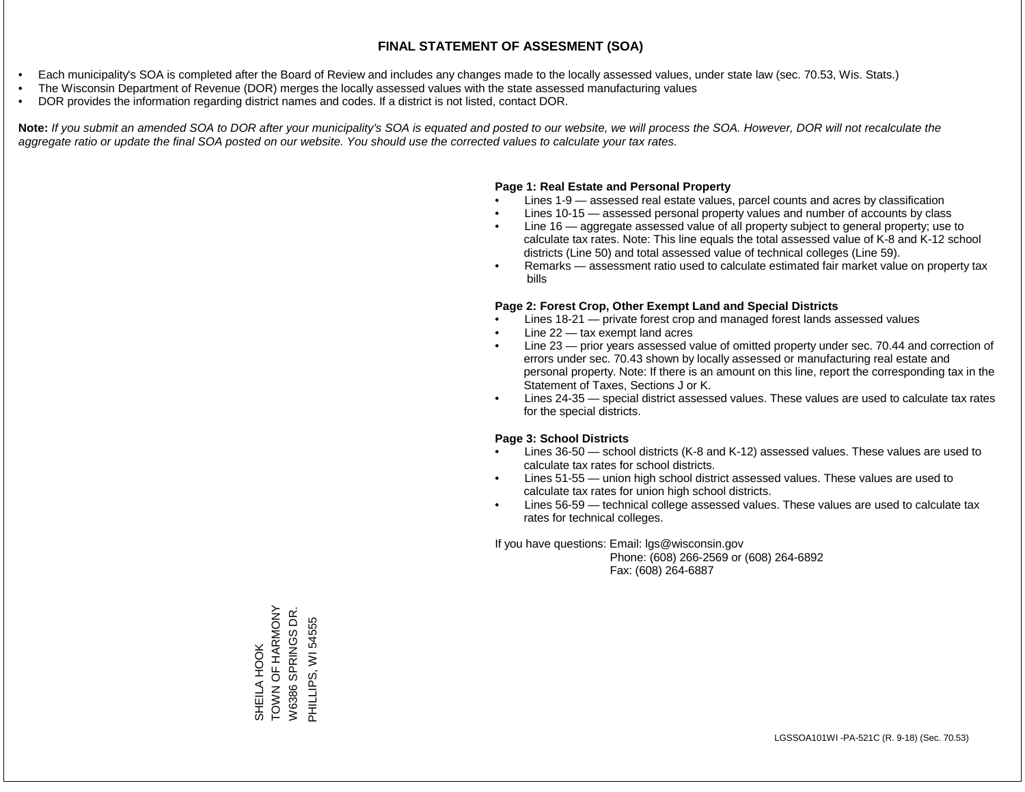- Each municipality's SOA is completed after the Board of Review and includes any changes made to the locally assessed values, under state law (sec. 70.53, Wis. Stats.)
- The Wisconsin Department of Revenue (DOR) merges the locally assessed values with the state assessed manufacturing values
- DOR provides the information regarding district names and codes. If a district is not listed, contact DOR.

Note: If you submit an amended SOA to DOR after your municipality's SOA is equated and posted to our website, we will process the SOA. However, DOR will not recalculate the *aggregate ratio or update the final SOA posted on our website. You should use the corrected values to calculate your tax rates.*

### **Page 1: Real Estate and Personal Property**

- Lines 1-9 assessed real estate values, parcel counts and acres by classification
- Lines 10-15 assessed personal property values and number of accounts by class
- Line 16 aggregate assessed value of all property subject to general property; use to calculate tax rates. Note: This line equals the total assessed value of K-8 and K-12 school districts (Line 50) and total assessed value of technical colleges (Line 59).
- Remarks assessment ratio used to calculate estimated fair market value on property tax bills

### **Page 2: Forest Crop, Other Exempt Land and Special Districts**

- Lines 18-21 private forest crop and managed forest lands assessed values
- Line  $22 -$  tax exempt land acres
- Line 23 prior years assessed value of omitted property under sec. 70.44 and correction of errors under sec. 70.43 shown by locally assessed or manufacturing real estate and personal property. Note: If there is an amount on this line, report the corresponding tax in the Statement of Taxes, Sections J or K.
- Lines 24-35 special district assessed values. These values are used to calculate tax rates for the special districts.

### **Page 3: School Districts**

- Lines 36-50 school districts (K-8 and K-12) assessed values. These values are used to calculate tax rates for school districts.
- Lines 51-55 union high school district assessed values. These values are used to calculate tax rates for union high school districts.
- Lines 56-59 technical college assessed values. These values are used to calculate tax rates for technical colleges.

If you have questions: Email: lgs@wisconsin.gov

 Phone: (608) 266-2569 or (608) 264-6892 Fax: (608) 264-6887

TOWN OF HARMONY SHEILA HOOK<br>TOWN OF HARMONY W6386 SPRINGS DR. W6386 SPRINGS DR. PHILLIPS, WI 54555 PHILLIPS, WI 54555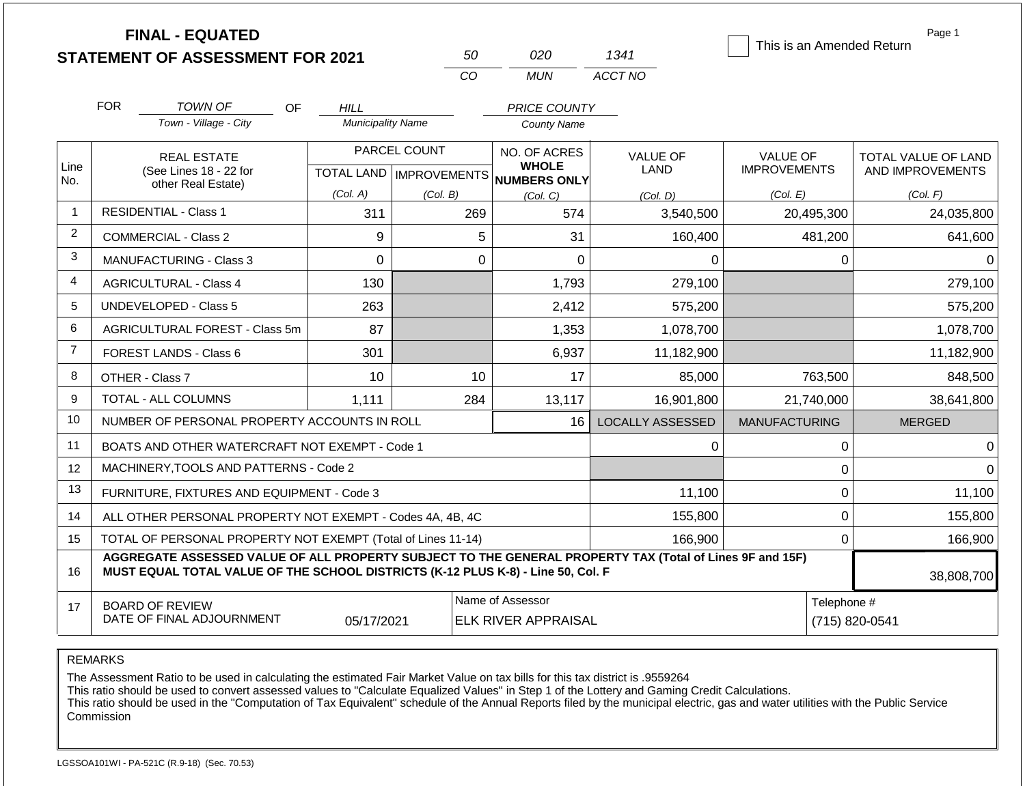|                | <b>FINAL - EQUATED</b><br><b>STATEMENT OF ASSESSMENT FOR 2021</b>                                                                                                                            |                               | 50                                        | 020                          | 1341                           | This is an Amended Return              | Page 1                                  |
|----------------|----------------------------------------------------------------------------------------------------------------------------------------------------------------------------------------------|-------------------------------|-------------------------------------------|------------------------------|--------------------------------|----------------------------------------|-----------------------------------------|
|                |                                                                                                                                                                                              |                               | CO                                        | <b>MUN</b>                   | ACCT NO                        |                                        |                                         |
|                | <b>FOR</b><br><b>TOWN OF</b><br><b>OF</b>                                                                                                                                                    | <b>HILL</b>                   |                                           | PRICE COUNTY                 |                                |                                        |                                         |
|                | Town - Village - City                                                                                                                                                                        | <b>Municipality Name</b>      |                                           | <b>County Name</b>           |                                |                                        |                                         |
| Line           | <b>REAL ESTATE</b><br>(See Lines 18 - 22 for                                                                                                                                                 |                               | PARCEL COUNT<br>TOTAL LAND   IMPROVEMENTS | NO. OF ACRES<br><b>WHOLE</b> | <b>VALUE OF</b><br><b>LAND</b> | <b>VALUE OF</b><br><b>IMPROVEMENTS</b> | TOTAL VALUE OF LAND<br>AND IMPROVEMENTS |
| No.            | other Real Estate)                                                                                                                                                                           | (Col. A)                      | (Col. B)                                  | NUMBERS ONLY<br>(Col. C)     | (Col. D)                       | (Col. E)                               | (Col. F)                                |
| -1             | <b>RESIDENTIAL - Class 1</b>                                                                                                                                                                 | 311                           | 269                                       | 574                          | 3,540,500                      | 20,495,300                             | 24,035,800                              |
| 2              | 9<br>COMMERCIAL - Class 2                                                                                                                                                                    |                               | 5                                         | 31                           | 160,400                        | 481,200                                | 641,600                                 |
| 3              | $\Omega$<br>MANUFACTURING - Class 3                                                                                                                                                          |                               | $\Omega$                                  | $\Omega$                     | 0                              | 0                                      | 0                                       |
| $\overline{4}$ | <b>AGRICULTURAL - Class 4</b><br>130                                                                                                                                                         |                               |                                           | 1,793                        | 279,100                        |                                        | 279,100                                 |
| 5              | <b>UNDEVELOPED - Class 5</b>                                                                                                                                                                 | 263                           |                                           | 2,412                        | 575,200                        |                                        | 575,200                                 |
| 6              | AGRICULTURAL FOREST - Class 5m                                                                                                                                                               | 87                            |                                           | 1,353                        | 1,078,700                      |                                        | 1,078,700                               |
| $\overline{7}$ | <b>FOREST LANDS - Class 6</b>                                                                                                                                                                | 301                           |                                           | 6,937                        | 11,182,900                     |                                        | 11,182,900                              |
| 8              | OTHER - Class 7                                                                                                                                                                              | 10                            | 10                                        | 17                           | 85,000                         | 763,500                                | 848,500                                 |
| 9              | <b>TOTAL - ALL COLUMNS</b>                                                                                                                                                                   | 1,111                         | 284                                       | 13,117                       | 16,901,800                     | 21,740,000                             | 38,641,800                              |
| 10             | NUMBER OF PERSONAL PROPERTY ACCOUNTS IN ROLL                                                                                                                                                 |                               |                                           | 16                           | <b>LOCALLY ASSESSED</b>        | <b>MANUFACTURING</b>                   | <b>MERGED</b>                           |
| 11             | BOATS AND OTHER WATERCRAFT NOT EXEMPT - Code 1                                                                                                                                               |                               |                                           |                              | 0                              | 0                                      | $\Omega$                                |
| 12             | MACHINERY, TOOLS AND PATTERNS - Code 2                                                                                                                                                       |                               |                                           |                              |                                | 0                                      | $\Omega$                                |
| 13             | FURNITURE, FIXTURES AND EQUIPMENT - Code 3                                                                                                                                                   |                               |                                           |                              | 11,100                         | 0                                      | 11,100                                  |
| 14             | ALL OTHER PERSONAL PROPERTY NOT EXEMPT - Codes 4A, 4B, 4C                                                                                                                                    |                               |                                           |                              | 155,800                        | 0                                      | 155,800                                 |
| 15             | TOTAL OF PERSONAL PROPERTY NOT EXEMPT (Total of Lines 11-14)                                                                                                                                 |                               | 166,900                                   | $\overline{0}$               | 166,900                        |                                        |                                         |
| 16             | AGGREGATE ASSESSED VALUE OF ALL PROPERTY SUBJECT TO THE GENERAL PROPERTY TAX (Total of Lines 9F and 15F)<br>MUST EQUAL TOTAL VALUE OF THE SCHOOL DISTRICTS (K-12 PLUS K-8) - Line 50, Col. F |                               | 38,808,700                                |                              |                                |                                        |                                         |
| 17             | <b>BOARD OF REVIEW</b><br>DATE OF FINAL ADJOURNMENT                                                                                                                                          | Telephone #<br>(715) 820-0541 |                                           |                              |                                |                                        |                                         |

The Assessment Ratio to be used in calculating the estimated Fair Market Value on tax bills for this tax district is .9559264

This ratio should be used to convert assessed values to "Calculate Equalized Values" in Step 1 of the Lottery and Gaming Credit Calculations.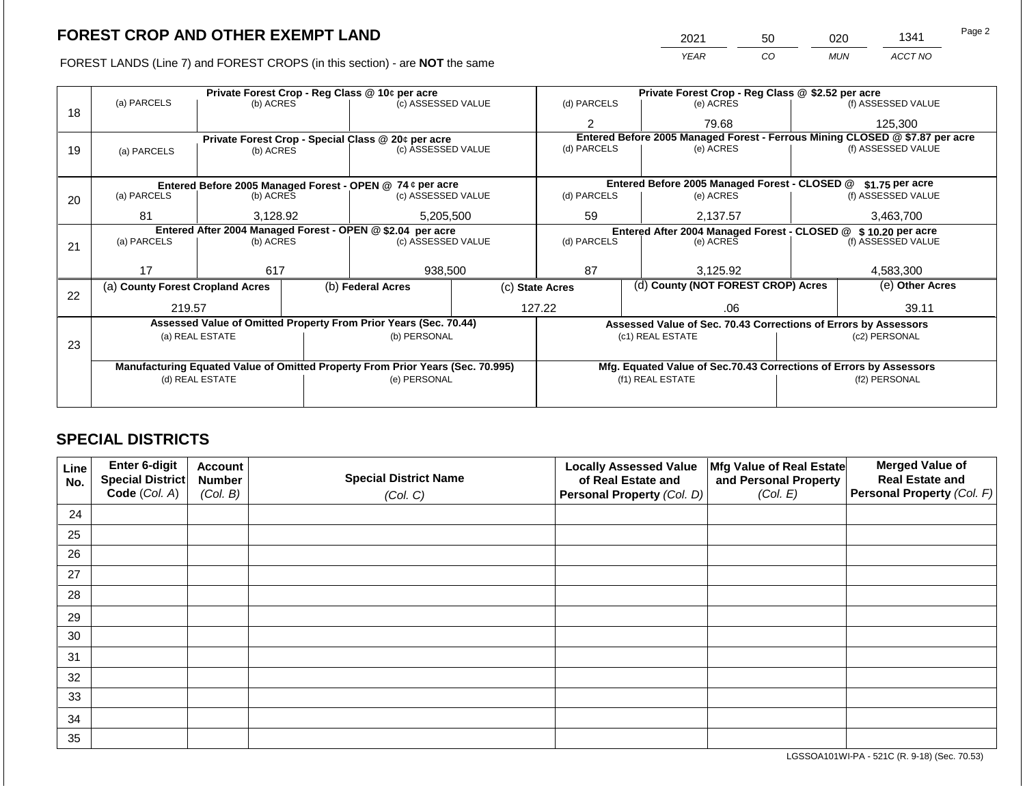FOREST LANDS (Line 7) and FOREST CROPS (in this section) - are NOT the same

| 2021 | 50 | ວ20        | 1341    | Page 2 |
|------|----|------------|---------|--------|
| YEAR | CO | <b>MUN</b> | ACCT NO |        |

|    |                                                            |                       |                                 | Private Forest Crop - Reg Class @ 10¢ per acre                                 |             | Private Forest Crop - Reg Class @ \$2.52 per acre |                  |                                                                 |               |                                                                              |  |
|----|------------------------------------------------------------|-----------------------|---------------------------------|--------------------------------------------------------------------------------|-------------|---------------------------------------------------|------------------|-----------------------------------------------------------------|---------------|------------------------------------------------------------------------------|--|
| 18 | (a) PARCELS                                                | (b) ACRES             |                                 | (c) ASSESSED VALUE                                                             |             | (d) PARCELS                                       |                  | (e) ACRES                                                       |               | (f) ASSESSED VALUE                                                           |  |
|    |                                                            |                       |                                 |                                                                                |             | 2                                                 |                  | 79.68                                                           |               | 125,300                                                                      |  |
|    |                                                            |                       |                                 | Private Forest Crop - Special Class @ 20¢ per acre                             |             |                                                   |                  |                                                                 |               | Entered Before 2005 Managed Forest - Ferrous Mining CLOSED @ \$7.87 per acre |  |
| 19 | (a) PARCELS                                                | (b) ACRES             |                                 | (c) ASSESSED VALUE                                                             | (d) PARCELS |                                                   |                  | (e) ACRES                                                       |               | (f) ASSESSED VALUE                                                           |  |
|    |                                                            |                       |                                 |                                                                                |             |                                                   |                  |                                                                 |               |                                                                              |  |
|    |                                                            |                       |                                 | Entered Before 2005 Managed Forest - OPEN @ 74 ¢ per acre                      |             |                                                   |                  | Entered Before 2005 Managed Forest - CLOSED @                   |               | $$1.75$ per acre                                                             |  |
| 20 | (a) PARCELS<br>(b) ACRES<br>(c) ASSESSED VALUE             |                       |                                 | (d) PARCELS                                                                    |             | (e) ACRES                                         |                  | (f) ASSESSED VALUE                                              |               |                                                                              |  |
|    |                                                            |                       |                                 |                                                                                |             |                                                   |                  |                                                                 |               |                                                                              |  |
|    | 81                                                         | 5,205,500<br>3,128.92 |                                 |                                                                                |             | 59                                                |                  | 2,137.57                                                        |               | 3,463,700                                                                    |  |
|    | Entered After 2004 Managed Forest - OPEN @ \$2.04 per acre |                       |                                 |                                                                                |             |                                                   |                  |                                                                 |               | Entered After 2004 Managed Forest - CLOSED @ \$10.20 per acre                |  |
| 21 | (a) PARCELS                                                |                       | (b) ACRES<br>(c) ASSESSED VALUE |                                                                                | (d) PARCELS |                                                   |                  | (e) ACRES                                                       |               | (f) ASSESSED VALUE                                                           |  |
|    |                                                            |                       |                                 |                                                                                |             |                                                   |                  |                                                                 |               |                                                                              |  |
|    | 17                                                         | 617                   |                                 | 938,500                                                                        |             | 87                                                |                  | 3.125.92                                                        |               | 4,583,300                                                                    |  |
| 22 | (a) County Forest Cropland Acres                           |                       |                                 | (b) Federal Acres                                                              |             | (c) State Acres                                   |                  | (d) County (NOT FOREST CROP) Acres                              |               | (e) Other Acres                                                              |  |
|    | 219.57                                                     |                       |                                 |                                                                                |             | 127.22                                            |                  | .06                                                             |               | 39.11                                                                        |  |
|    |                                                            |                       |                                 | Assessed Value of Omitted Property From Prior Years (Sec. 70.44)               |             |                                                   |                  | Assessed Value of Sec. 70.43 Corrections of Errors by Assessors |               |                                                                              |  |
|    |                                                            | (a) REAL ESTATE       |                                 | (b) PERSONAL                                                                   |             |                                                   | (c1) REAL ESTATE |                                                                 |               | (c2) PERSONAL                                                                |  |
| 23 |                                                            |                       |                                 |                                                                                |             |                                                   |                  |                                                                 |               |                                                                              |  |
|    |                                                            |                       |                                 | Manufacturing Equated Value of Omitted Property From Prior Years (Sec. 70.995) |             |                                                   |                  |                                                                 |               | Mfg. Equated Value of Sec.70.43 Corrections of Errors by Assessors           |  |
|    |                                                            | (d) REAL ESTATE       |                                 | (e) PERSONAL                                                                   |             |                                                   | (f1) REAL ESTATE |                                                                 | (f2) PERSONAL |                                                                              |  |
|    |                                                            |                       |                                 |                                                                                |             |                                                   |                  |                                                                 |               |                                                                              |  |
|    |                                                            |                       |                                 |                                                                                |             |                                                   |                  |                                                                 |               |                                                                              |  |

## **SPECIAL DISTRICTS**

| Line<br>No. | Enter 6-digit<br>Special District<br>Code (Col. A) | <b>Account</b><br><b>Number</b><br>(Col. B) | <b>Special District Name</b><br>(Col. C) | <b>Locally Assessed Value</b><br>of Real Estate and<br>Personal Property (Col. D) | Mfg Value of Real Estate<br>and Personal Property<br>(Col. E) | <b>Merged Value of</b><br><b>Real Estate and</b><br>Personal Property (Col. F) |
|-------------|----------------------------------------------------|---------------------------------------------|------------------------------------------|-----------------------------------------------------------------------------------|---------------------------------------------------------------|--------------------------------------------------------------------------------|
| 24          |                                                    |                                             |                                          |                                                                                   |                                                               |                                                                                |
| 25          |                                                    |                                             |                                          |                                                                                   |                                                               |                                                                                |
| 26          |                                                    |                                             |                                          |                                                                                   |                                                               |                                                                                |
| 27          |                                                    |                                             |                                          |                                                                                   |                                                               |                                                                                |
| 28          |                                                    |                                             |                                          |                                                                                   |                                                               |                                                                                |
| 29          |                                                    |                                             |                                          |                                                                                   |                                                               |                                                                                |
| 30          |                                                    |                                             |                                          |                                                                                   |                                                               |                                                                                |
| 31          |                                                    |                                             |                                          |                                                                                   |                                                               |                                                                                |
| 32          |                                                    |                                             |                                          |                                                                                   |                                                               |                                                                                |
| 33          |                                                    |                                             |                                          |                                                                                   |                                                               |                                                                                |
| 34          |                                                    |                                             |                                          |                                                                                   |                                                               |                                                                                |
| 35          |                                                    |                                             |                                          |                                                                                   |                                                               |                                                                                |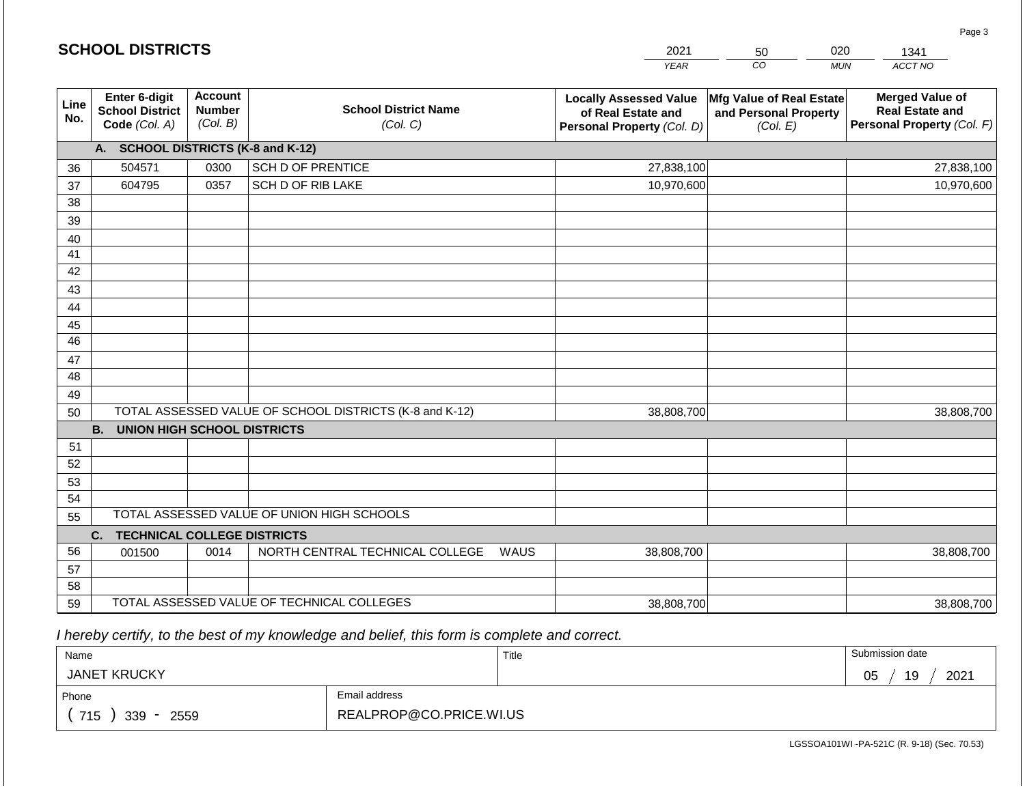|             | <b>SCHOOL DISTRICTS</b>                                  |                                             |                                                         | 2021                                                                              | 50                                                            | 020<br>1341                                                                    |
|-------------|----------------------------------------------------------|---------------------------------------------|---------------------------------------------------------|-----------------------------------------------------------------------------------|---------------------------------------------------------------|--------------------------------------------------------------------------------|
|             |                                                          |                                             |                                                         | <b>YEAR</b>                                                                       | $\overline{co}$                                               | ACCT NO<br><b>MUN</b>                                                          |
| Line<br>No. | Enter 6-digit<br><b>School District</b><br>Code (Col. A) | <b>Account</b><br><b>Number</b><br>(Col. B) | <b>School District Name</b><br>(Col. C)                 | <b>Locally Assessed Value</b><br>of Real Estate and<br>Personal Property (Col. D) | Mfg Value of Real Estate<br>and Personal Property<br>(Col. E) | <b>Merged Value of</b><br><b>Real Estate and</b><br>Personal Property (Col. F) |
|             | A. SCHOOL DISTRICTS (K-8 and K-12)                       |                                             |                                                         |                                                                                   |                                                               |                                                                                |
| 36          | 504571                                                   | 0300                                        | <b>SCH D OF PRENTICE</b>                                | 27,838,100                                                                        |                                                               | 27,838,100                                                                     |
| 37          | 604795                                                   | 0357                                        | SCH D OF RIB LAKE                                       | 10,970,600                                                                        |                                                               | 10,970,600                                                                     |
| 38          |                                                          |                                             |                                                         |                                                                                   |                                                               |                                                                                |
| 39          |                                                          |                                             |                                                         |                                                                                   |                                                               |                                                                                |
| 40          |                                                          |                                             |                                                         |                                                                                   |                                                               |                                                                                |
| 41          |                                                          |                                             |                                                         |                                                                                   |                                                               |                                                                                |
| 42          |                                                          |                                             |                                                         |                                                                                   |                                                               |                                                                                |
| 43          |                                                          |                                             |                                                         |                                                                                   |                                                               |                                                                                |
| 44          |                                                          |                                             |                                                         |                                                                                   |                                                               |                                                                                |
| 45          |                                                          |                                             |                                                         |                                                                                   |                                                               |                                                                                |
| 46          |                                                          |                                             |                                                         |                                                                                   |                                                               |                                                                                |
| 47          |                                                          |                                             |                                                         |                                                                                   |                                                               |                                                                                |
| 48          |                                                          |                                             |                                                         |                                                                                   |                                                               |                                                                                |
| 49<br>50    |                                                          |                                             | TOTAL ASSESSED VALUE OF SCHOOL DISTRICTS (K-8 and K-12) | 38,808,700                                                                        |                                                               | 38,808,700                                                                     |
|             | <b>B.</b><br><b>UNION HIGH SCHOOL DISTRICTS</b>          |                                             |                                                         |                                                                                   |                                                               |                                                                                |
| 51          |                                                          |                                             |                                                         |                                                                                   |                                                               |                                                                                |
| 52          |                                                          |                                             |                                                         |                                                                                   |                                                               |                                                                                |
| 53          |                                                          |                                             |                                                         |                                                                                   |                                                               |                                                                                |
| 54          |                                                          |                                             |                                                         |                                                                                   |                                                               |                                                                                |
| 55          |                                                          |                                             | TOTAL ASSESSED VALUE OF UNION HIGH SCHOOLS              |                                                                                   |                                                               |                                                                                |
|             | <b>TECHNICAL COLLEGE DISTRICTS</b><br>C.                 |                                             |                                                         |                                                                                   |                                                               |                                                                                |
| 56          | 001500                                                   | 0014                                        | NORTH CENTRAL TECHNICAL COLLEGE                         | <b>WAUS</b><br>38,808,700                                                         |                                                               | 38,808,700                                                                     |
| 57          |                                                          |                                             |                                                         |                                                                                   |                                                               |                                                                                |
| 58          |                                                          |                                             |                                                         |                                                                                   |                                                               |                                                                                |
| 59          |                                                          |                                             | TOTAL ASSESSED VALUE OF TECHNICAL COLLEGES              | 38,808,700                                                                        |                                                               | 38,808,700                                                                     |

2021

 *I hereby certify, to the best of my knowledge and belief, this form is complete and correct.*

**SCHOOL DISTRICTS**

| Name                |                         | Title | Submission date        |
|---------------------|-------------------------|-------|------------------------|
| <b>JANET KRUCKY</b> |                         |       | 19<br>2021<br>∩ҕ<br>◡◡ |
| Phone               | Email address           |       |                        |
| 715<br>339<br>2559  | REALPROP@CO.PRICE.WI.US |       |                        |

Page 3

020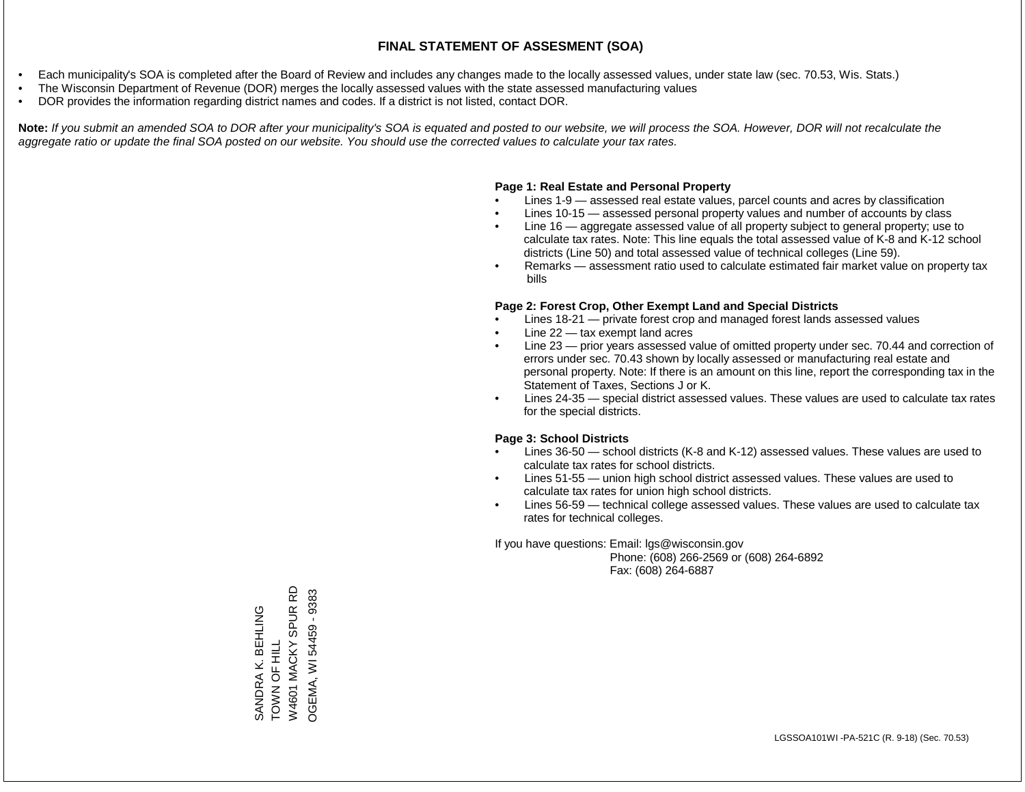- Each municipality's SOA is completed after the Board of Review and includes any changes made to the locally assessed values, under state law (sec. 70.53, Wis. Stats.)
- The Wisconsin Department of Revenue (DOR) merges the locally assessed values with the state assessed manufacturing values
- DOR provides the information regarding district names and codes. If a district is not listed, contact DOR.

Note: If you submit an amended SOA to DOR after your municipality's SOA is equated and posted to our website, we will process the SOA. However, DOR will not recalculate the *aggregate ratio or update the final SOA posted on our website. You should use the corrected values to calculate your tax rates.*

### **Page 1: Real Estate and Personal Property**

- Lines 1-9 assessed real estate values, parcel counts and acres by classification
- Lines 10-15 assessed personal property values and number of accounts by class
- Line 16 aggregate assessed value of all property subject to general property; use to calculate tax rates. Note: This line equals the total assessed value of K-8 and K-12 school districts (Line 50) and total assessed value of technical colleges (Line 59).
- Remarks assessment ratio used to calculate estimated fair market value on property tax bills

### **Page 2: Forest Crop, Other Exempt Land and Special Districts**

- Lines 18-21 private forest crop and managed forest lands assessed values
- Line  $22 -$  tax exempt land acres
- Line 23 prior years assessed value of omitted property under sec. 70.44 and correction of errors under sec. 70.43 shown by locally assessed or manufacturing real estate and personal property. Note: If there is an amount on this line, report the corresponding tax in the Statement of Taxes, Sections J or K.
- Lines 24-35 special district assessed values. These values are used to calculate tax rates for the special districts.

### **Page 3: School Districts**

- Lines 36-50 school districts (K-8 and K-12) assessed values. These values are used to calculate tax rates for school districts.
- Lines 51-55 union high school district assessed values. These values are used to calculate tax rates for union high school districts.
- Lines 56-59 technical college assessed values. These values are used to calculate tax rates for technical colleges.

If you have questions: Email: lgs@wisconsin.gov

 Phone: (608) 266-2569 or (608) 264-6892 Fax: (608) 264-6887

6D W4601 MACKY SPUR RD OGEMA, WI54459 - 9383 OGEMA, WI 54459 - 9383SPUR<sub>F</sub> SANDRA K. BEHLING SANDRA K. BEHLING TOWN OF HILL TOWN OF HILL W4601 MACKY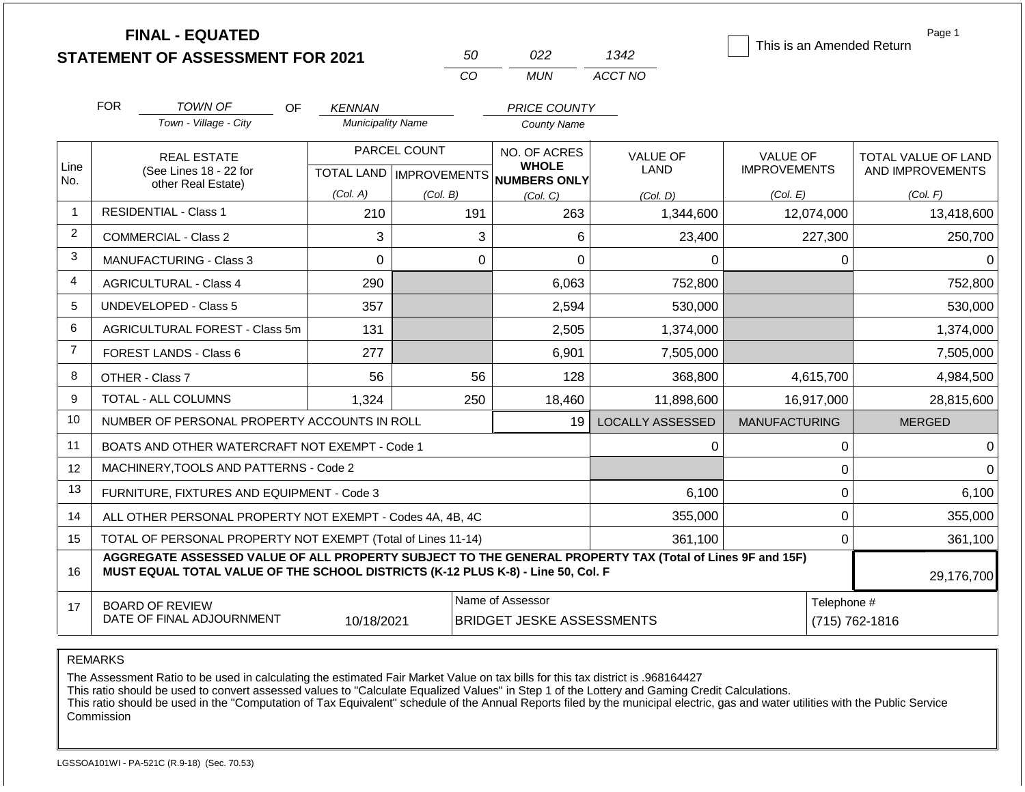|                |                                                                                                                           | <b>FINAL - EQUATED</b><br><b>STATEMENT OF ASSESSMENT FOR 2021</b>                                                                                                                            |                                       |              | 50       | 022                             | 1342                    |                                 |             | Page 1<br>This is an Amended Return |
|----------------|---------------------------------------------------------------------------------------------------------------------------|----------------------------------------------------------------------------------------------------------------------------------------------------------------------------------------------|---------------------------------------|--------------|----------|---------------------------------|-------------------------|---------------------------------|-------------|-------------------------------------|
|                |                                                                                                                           |                                                                                                                                                                                              |                                       |              | CO       | <b>MUN</b>                      | ACCT NO                 |                                 |             |                                     |
|                | <b>FOR</b>                                                                                                                | <b>TOWN OF</b><br>OF.                                                                                                                                                                        | <b>KENNAN</b>                         |              |          | <b>PRICE COUNTY</b>             |                         |                                 |             |                                     |
|                |                                                                                                                           | Town - Village - City                                                                                                                                                                        | <b>Municipality Name</b>              |              |          | <b>County Name</b>              |                         |                                 |             |                                     |
| Line           |                                                                                                                           | <b>REAL ESTATE</b>                                                                                                                                                                           |                                       | PARCEL COUNT |          | NO. OF ACRES<br><b>WHOLE</b>    | <b>VALUE OF</b><br>LAND | <b>VALUE OF</b>                 |             | TOTAL VALUE OF LAND                 |
| No.            | (See Lines 18 - 22 for<br>other Real Estate)                                                                              |                                                                                                                                                                                              | TOTAL LAND   IMPROVEMENTS<br>(Col. A) | (Col. B)     |          | <b>NUMBERS ONLY</b><br>(Col, C) | (Col. D)                | <b>IMPROVEMENTS</b><br>(Col. E) |             | AND IMPROVEMENTS<br>(Col. F)        |
| $\mathbf{1}$   |                                                                                                                           | <b>RESIDENTIAL - Class 1</b>                                                                                                                                                                 | 210                                   |              | 191      | 263                             | 1,344,600               |                                 | 12,074,000  | 13,418,600                          |
| $\overline{c}$ | <b>COMMERCIAL - Class 2</b>                                                                                               |                                                                                                                                                                                              | 3                                     |              | 3        | 6                               | 23,400                  |                                 | 227,300     | 250,700                             |
| 3              | $\overline{0}$<br><b>MANUFACTURING - Class 3</b>                                                                          |                                                                                                                                                                                              |                                       |              | $\Omega$ | $\overline{0}$                  | 0                       |                                 | $\mathbf 0$ | 0                                   |
| 4              | <b>AGRICULTURAL - Class 4</b>                                                                                             |                                                                                                                                                                                              | 290                                   |              |          | 6,063                           | 752,800                 |                                 |             | 752,800                             |
| 5              |                                                                                                                           | <b>UNDEVELOPED - Class 5</b>                                                                                                                                                                 | 357                                   |              |          | 2,594                           | 530,000                 |                                 |             | 530,000                             |
| 6              |                                                                                                                           | <b>AGRICULTURAL FOREST - Class 5m</b>                                                                                                                                                        | 131                                   |              |          | 2,505                           | 1,374,000               |                                 |             | 1,374,000                           |
| $\overline{7}$ |                                                                                                                           | <b>FOREST LANDS - Class 6</b>                                                                                                                                                                | 277                                   |              |          | 6,901                           | 7,505,000               |                                 |             | 7,505,000                           |
| 8              |                                                                                                                           | OTHER - Class 7                                                                                                                                                                              | 56                                    |              | 56       | 128                             | 368,800                 |                                 | 4,615,700   | 4,984,500                           |
| 9              |                                                                                                                           | TOTAL - ALL COLUMNS                                                                                                                                                                          | 1,324                                 |              | 250      | 18,460                          | 11,898,600              |                                 | 16,917,000  | 28,815,600                          |
| 10             |                                                                                                                           | NUMBER OF PERSONAL PROPERTY ACCOUNTS IN ROLL                                                                                                                                                 |                                       |              |          | 19                              | <b>LOCALLY ASSESSED</b> | <b>MANUFACTURING</b>            |             | <b>MERGED</b>                       |
| 11             |                                                                                                                           | BOATS AND OTHER WATERCRAFT NOT EXEMPT - Code 1                                                                                                                                               |                                       |              |          |                                 | 0                       |                                 | 0           | 0                                   |
| 12             |                                                                                                                           | MACHINERY, TOOLS AND PATTERNS - Code 2                                                                                                                                                       |                                       |              |          |                                 |                         |                                 | $\mathbf 0$ | $\Omega$                            |
| 13             |                                                                                                                           | FURNITURE, FIXTURES AND EQUIPMENT - Code 3                                                                                                                                                   |                                       |              |          |                                 | 6,100                   |                                 | 0           | 6,100                               |
| 14             |                                                                                                                           | ALL OTHER PERSONAL PROPERTY NOT EXEMPT - Codes 4A, 4B, 4C                                                                                                                                    |                                       |              |          |                                 | 355,000                 |                                 | $\mathbf 0$ | 355,000                             |
| 15             |                                                                                                                           | TOTAL OF PERSONAL PROPERTY NOT EXEMPT (Total of Lines 11-14)                                                                                                                                 |                                       |              |          |                                 | 361,100                 |                                 | $\mathbf 0$ | 361,100                             |
| 16             |                                                                                                                           | AGGREGATE ASSESSED VALUE OF ALL PROPERTY SUBJECT TO THE GENERAL PROPERTY TAX (Total of Lines 9F and 15F)<br>MUST EQUAL TOTAL VALUE OF THE SCHOOL DISTRICTS (K-12 PLUS K-8) - Line 50, Col. F |                                       |              |          |                                 |                         |                                 |             | 29,176,700                          |
| 17             | Name of Assessor<br><b>BOARD OF REVIEW</b><br>DATE OF FINAL ADJOURNMENT<br>10/18/2021<br><b>BRIDGET JESKE ASSESSMENTS</b> |                                                                                                                                                                                              |                                       |              |          |                                 |                         |                                 | Telephone # | $(715) 762 - 1816$                  |

The Assessment Ratio to be used in calculating the estimated Fair Market Value on tax bills for this tax district is .968164427

This ratio should be used to convert assessed values to "Calculate Equalized Values" in Step 1 of the Lottery and Gaming Credit Calculations.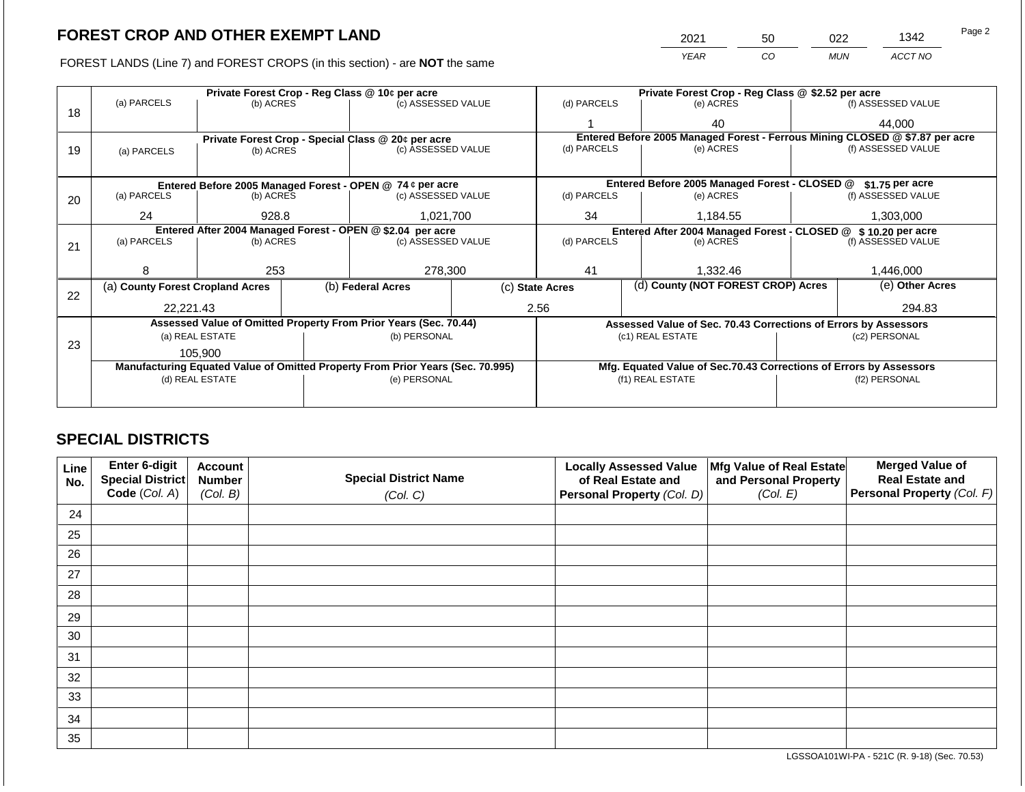FOREST LANDS (Line 7) and FOREST CROPS (in this section) - are **NOT** the same

| 2021 | 50 | N22        | 1342    | Page 2 |
|------|----|------------|---------|--------|
| YFAR | 20 | <b>MUN</b> | ACCT NO |        |

|    |                                                            |                                 |  | Private Forest Crop - Reg Class @ 10¢ per acre                                 |           |                                                               | Private Forest Crop - Reg Class @ \$2.52 per acre                            |  |                    |  |
|----|------------------------------------------------------------|---------------------------------|--|--------------------------------------------------------------------------------|-----------|---------------------------------------------------------------|------------------------------------------------------------------------------|--|--------------------|--|
|    | (a) PARCELS                                                | (b) ACRES                       |  | (c) ASSESSED VALUE                                                             |           | (d) PARCELS                                                   | (e) ACRES                                                                    |  | (f) ASSESSED VALUE |  |
| 18 |                                                            |                                 |  |                                                                                |           |                                                               | 40                                                                           |  | 44,000             |  |
|    |                                                            |                                 |  | Private Forest Crop - Special Class @ 20¢ per acre                             |           |                                                               | Entered Before 2005 Managed Forest - Ferrous Mining CLOSED @ \$7.87 per acre |  |                    |  |
| 19 | (a) PARCELS                                                | (b) ACRES                       |  | (c) ASSESSED VALUE                                                             |           | (d) PARCELS                                                   | (e) ACRES                                                                    |  | (f) ASSESSED VALUE |  |
|    |                                                            |                                 |  |                                                                                |           |                                                               |                                                                              |  |                    |  |
|    |                                                            |                                 |  | Entered Before 2005 Managed Forest - OPEN @ 74 ¢ per acre                      |           |                                                               | Entered Before 2005 Managed Forest - CLOSED @                                |  | \$1.75 per acre    |  |
| 20 | (a) PARCELS                                                | (b) ACRES                       |  | (c) ASSESSED VALUE                                                             |           | (d) PARCELS                                                   | (e) ACRES                                                                    |  | (f) ASSESSED VALUE |  |
|    |                                                            |                                 |  |                                                                                |           |                                                               |                                                                              |  |                    |  |
|    | 1,021,700<br>24<br>928.8                                   |                                 |  | 34                                                                             | 1,184.55  |                                                               | 1,303,000                                                                    |  |                    |  |
|    | Entered After 2004 Managed Forest - OPEN @ \$2.04 per acre |                                 |  |                                                                                |           | Entered After 2004 Managed Forest - CLOSED @ \$10.20 per acre |                                                                              |  |                    |  |
| 21 | (a) PARCELS                                                | (c) ASSESSED VALUE<br>(b) ACRES |  | (d) PARCELS                                                                    | (e) ACRES |                                                               | (f) ASSESSED VALUE                                                           |  |                    |  |
|    |                                                            |                                 |  |                                                                                |           |                                                               |                                                                              |  |                    |  |
|    | я                                                          | 253                             |  | 278,300                                                                        |           | 41                                                            | 1,332.46                                                                     |  | 1,446,000          |  |
|    | (a) County Forest Cropland Acres                           |                                 |  | (b) Federal Acres                                                              |           | (d) County (NOT FOREST CROP) Acres<br>(c) State Acres         |                                                                              |  | (e) Other Acres    |  |
| 22 |                                                            |                                 |  |                                                                                |           |                                                               |                                                                              |  |                    |  |
|    | 22,221.43                                                  |                                 |  |                                                                                |           | 2.56                                                          |                                                                              |  | 294.83             |  |
|    |                                                            |                                 |  | Assessed Value of Omitted Property From Prior Years (Sec. 70.44)               |           |                                                               | Assessed Value of Sec. 70.43 Corrections of Errors by Assessors              |  |                    |  |
|    |                                                            | (a) REAL ESTATE                 |  | (b) PERSONAL                                                                   |           |                                                               | (c1) REAL ESTATE                                                             |  | (c2) PERSONAL      |  |
| 23 |                                                            |                                 |  |                                                                                |           |                                                               |                                                                              |  |                    |  |
|    | 105.900                                                    |                                 |  |                                                                                |           |                                                               |                                                                              |  |                    |  |
|    |                                                            |                                 |  | Manufacturing Equated Value of Omitted Property From Prior Years (Sec. 70.995) |           |                                                               | Mfg. Equated Value of Sec.70.43 Corrections of Errors by Assessors           |  |                    |  |
|    |                                                            | (d) REAL ESTATE                 |  | (e) PERSONAL                                                                   |           |                                                               | (f1) REAL ESTATE                                                             |  | (f2) PERSONAL      |  |
|    |                                                            |                                 |  |                                                                                |           |                                                               |                                                                              |  |                    |  |
|    |                                                            |                                 |  |                                                                                |           |                                                               |                                                                              |  |                    |  |

## **SPECIAL DISTRICTS**

| <b>Line</b><br>No. | Enter 6-digit<br><b>Special District</b> | <b>Account</b><br><b>Number</b> | <b>Special District Name</b> | <b>Locally Assessed Value</b><br>of Real Estate and | Mfg Value of Real Estate<br>and Personal Property | <b>Merged Value of</b><br><b>Real Estate and</b> |
|--------------------|------------------------------------------|---------------------------------|------------------------------|-----------------------------------------------------|---------------------------------------------------|--------------------------------------------------|
|                    | Code (Col. A)                            | (Col. B)                        | (Col. C)                     | Personal Property (Col. D)                          | (Col. E)                                          | Personal Property (Col. F)                       |
| 24                 |                                          |                                 |                              |                                                     |                                                   |                                                  |
| 25                 |                                          |                                 |                              |                                                     |                                                   |                                                  |
| 26                 |                                          |                                 |                              |                                                     |                                                   |                                                  |
| 27                 |                                          |                                 |                              |                                                     |                                                   |                                                  |
| 28                 |                                          |                                 |                              |                                                     |                                                   |                                                  |
| 29                 |                                          |                                 |                              |                                                     |                                                   |                                                  |
| 30                 |                                          |                                 |                              |                                                     |                                                   |                                                  |
| 31                 |                                          |                                 |                              |                                                     |                                                   |                                                  |
| 32                 |                                          |                                 |                              |                                                     |                                                   |                                                  |
| 33                 |                                          |                                 |                              |                                                     |                                                   |                                                  |
| 34                 |                                          |                                 |                              |                                                     |                                                   |                                                  |
| 35                 |                                          |                                 |                              |                                                     |                                                   |                                                  |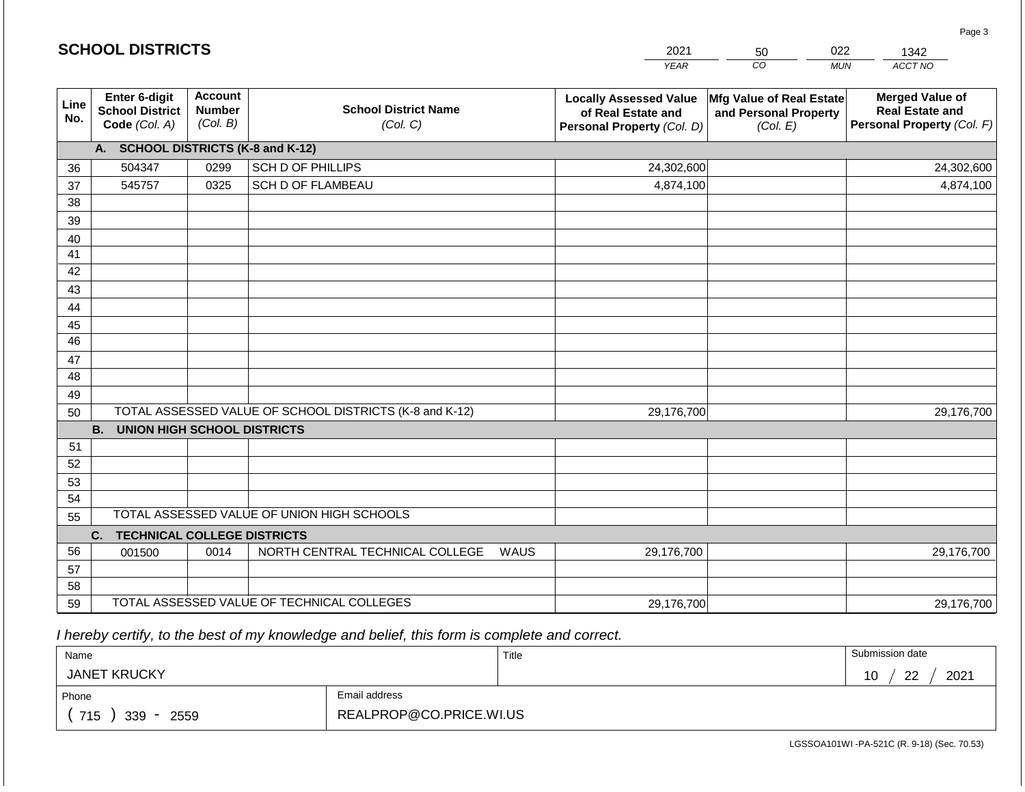|             | <b>SCHOOL DISTRICTS</b>                                  |                                             |                                                         | 2021                                                                              | 50                                                            | 022<br>1342                                                                    |
|-------------|----------------------------------------------------------|---------------------------------------------|---------------------------------------------------------|-----------------------------------------------------------------------------------|---------------------------------------------------------------|--------------------------------------------------------------------------------|
|             |                                                          |                                             |                                                         | <b>YEAR</b>                                                                       | CO                                                            | ACCT NO<br><b>MUN</b>                                                          |
| Line<br>No. | Enter 6-digit<br><b>School District</b><br>Code (Col. A) | <b>Account</b><br><b>Number</b><br>(Col. B) | <b>School District Name</b><br>(Col. C)                 | <b>Locally Assessed Value</b><br>of Real Estate and<br>Personal Property (Col. D) | Mfg Value of Real Estate<br>and Personal Property<br>(Col. E) | <b>Merged Value of</b><br><b>Real Estate and</b><br>Personal Property (Col. F) |
|             | A. SCHOOL DISTRICTS (K-8 and K-12)                       |                                             |                                                         |                                                                                   |                                                               |                                                                                |
| 36          | 504347                                                   | 0299                                        | SCH D OF PHILLIPS                                       | 24,302,600                                                                        |                                                               | 24,302,600                                                                     |
| 37          | 545757                                                   | 0325                                        | <b>SCH D OF FLAMBEAU</b>                                | 4,874,100                                                                         |                                                               | 4,874,100                                                                      |
| 38          |                                                          |                                             |                                                         |                                                                                   |                                                               |                                                                                |
| 39          |                                                          |                                             |                                                         |                                                                                   |                                                               |                                                                                |
| 40          |                                                          |                                             |                                                         |                                                                                   |                                                               |                                                                                |
| 41          |                                                          |                                             |                                                         |                                                                                   |                                                               |                                                                                |
| 42          |                                                          |                                             |                                                         |                                                                                   |                                                               |                                                                                |
| 43          |                                                          |                                             |                                                         |                                                                                   |                                                               |                                                                                |
| 44          |                                                          |                                             |                                                         |                                                                                   |                                                               |                                                                                |
| 45<br>46    |                                                          |                                             |                                                         |                                                                                   |                                                               |                                                                                |
|             |                                                          |                                             |                                                         |                                                                                   |                                                               |                                                                                |
| 47<br>48    |                                                          |                                             |                                                         |                                                                                   |                                                               |                                                                                |
| 49          |                                                          |                                             |                                                         |                                                                                   |                                                               |                                                                                |
| 50          |                                                          |                                             | TOTAL ASSESSED VALUE OF SCHOOL DISTRICTS (K-8 and K-12) | 29,176,700                                                                        |                                                               | 29,176,700                                                                     |
|             | <b>B.</b><br><b>UNION HIGH SCHOOL DISTRICTS</b>          |                                             |                                                         |                                                                                   |                                                               |                                                                                |
| 51          |                                                          |                                             |                                                         |                                                                                   |                                                               |                                                                                |
| 52          |                                                          |                                             |                                                         |                                                                                   |                                                               |                                                                                |
| 53          |                                                          |                                             |                                                         |                                                                                   |                                                               |                                                                                |
| 54          |                                                          |                                             |                                                         |                                                                                   |                                                               |                                                                                |
| 55          |                                                          |                                             | TOTAL ASSESSED VALUE OF UNION HIGH SCHOOLS              |                                                                                   |                                                               |                                                                                |
|             | <b>TECHNICAL COLLEGE DISTRICTS</b><br>C.                 |                                             |                                                         |                                                                                   |                                                               |                                                                                |
| 56          | 001500                                                   | 0014                                        | NORTH CENTRAL TECHNICAL COLLEGE                         | 29,176,700<br>WAUS                                                                |                                                               | 29,176,700                                                                     |
| 57          |                                                          |                                             |                                                         |                                                                                   |                                                               |                                                                                |
| 58          |                                                          |                                             |                                                         |                                                                                   |                                                               |                                                                                |
| 59          |                                                          |                                             | TOTAL ASSESSED VALUE OF TECHNICAL COLLEGES              | 29,176,700                                                                        |                                                               | 29,176,700                                                                     |

 *I hereby certify, to the best of my knowledge and belief, this form is complete and correct.*

**SCHOOL DISTRICTS**

| Name                |                         | Title | Submission date                |
|---------------------|-------------------------|-------|--------------------------------|
| <b>JANET KRUCKY</b> |                         |       | ററ<br>2021<br>1 N<br>ט ו<br>▃▃ |
| Phone               | Email address           |       |                                |
| 715<br>339<br>2559  | REALPROP@CO.PRICE.WI.US |       |                                |

Page 3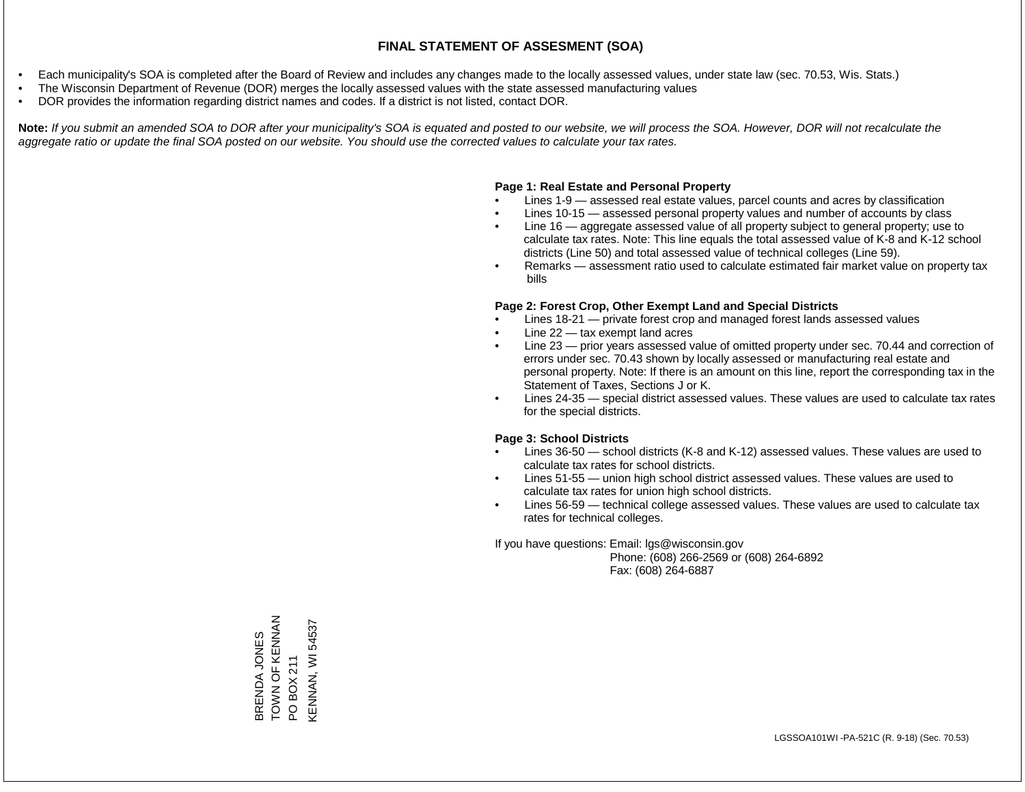- Each municipality's SOA is completed after the Board of Review and includes any changes made to the locally assessed values, under state law (sec. 70.53, Wis. Stats.)
- The Wisconsin Department of Revenue (DOR) merges the locally assessed values with the state assessed manufacturing values
- DOR provides the information regarding district names and codes. If a district is not listed, contact DOR.

Note: If you submit an amended SOA to DOR after your municipality's SOA is equated and posted to our website, we will process the SOA. However, DOR will not recalculate the *aggregate ratio or update the final SOA posted on our website. You should use the corrected values to calculate your tax rates.*

### **Page 1: Real Estate and Personal Property**

- Lines 1-9 assessed real estate values, parcel counts and acres by classification
- Lines 10-15 assessed personal property values and number of accounts by class
- Line 16 aggregate assessed value of all property subject to general property; use to calculate tax rates. Note: This line equals the total assessed value of K-8 and K-12 school districts (Line 50) and total assessed value of technical colleges (Line 59).
- Remarks assessment ratio used to calculate estimated fair market value on property tax bills

### **Page 2: Forest Crop, Other Exempt Land and Special Districts**

- Lines 18-21 private forest crop and managed forest lands assessed values
- Line  $22 -$  tax exempt land acres
- Line 23 prior years assessed value of omitted property under sec. 70.44 and correction of errors under sec. 70.43 shown by locally assessed or manufacturing real estate and personal property. Note: If there is an amount on this line, report the corresponding tax in the Statement of Taxes, Sections J or K.
- Lines 24-35 special district assessed values. These values are used to calculate tax rates for the special districts.

### **Page 3: School Districts**

- Lines 36-50 school districts (K-8 and K-12) assessed values. These values are used to calculate tax rates for school districts.
- Lines 51-55 union high school district assessed values. These values are used to calculate tax rates for union high school districts.
- Lines 56-59 technical college assessed values. These values are used to calculate tax rates for technical colleges.

If you have questions: Email: lgs@wisconsin.gov

 Phone: (608) 266-2569 or (608) 264-6892 Fax: (608) 264-6887

BRENDA JONES Z<br>
V<br>
Z<br>
V<br>
Z<br>
X<br>
C<br>

Z<br>
N<br>
Z<br>
N<br>
Z<br>
N<br>
Z<br>
N<br><br><br><br><br> BRENDA JONES<br>TOWN OF KENNAN<br>PO BOX 211<br>KENNAN, WI 54537 KENNAN, WI 54537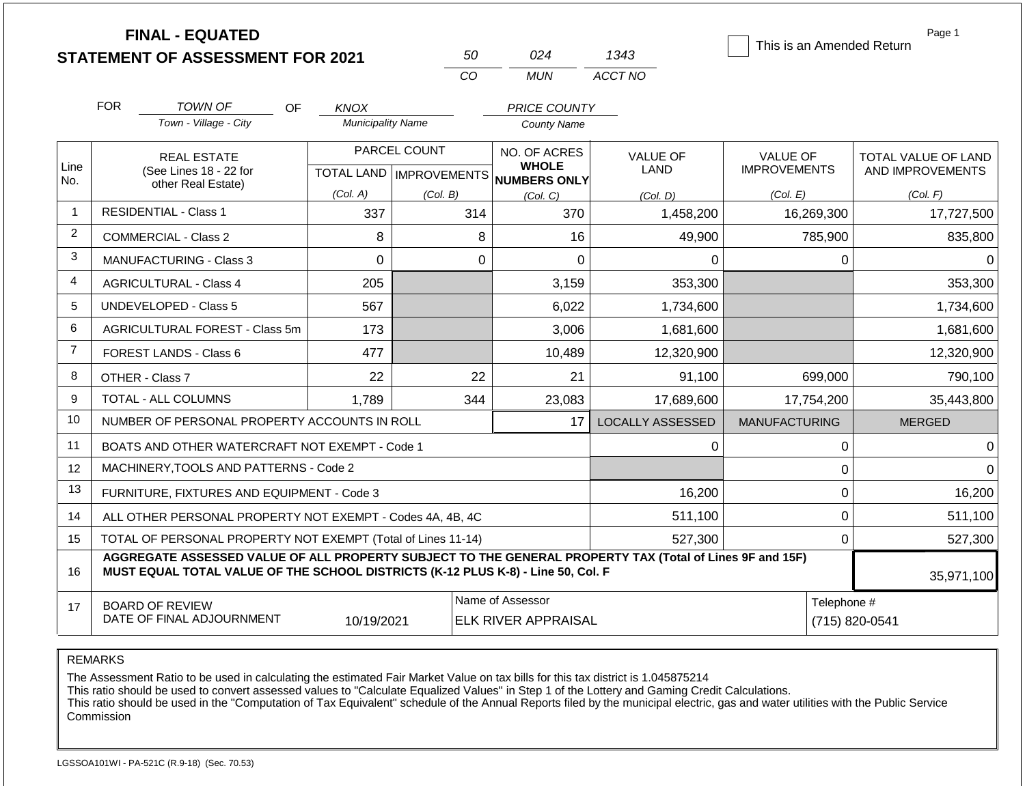|                | <b>FINAL - EQUATED</b><br><b>STATEMENT OF ASSESSMENT FOR 2021</b>                                                                                                                            | Page 1<br>This is an Amended Return |                |                                                                     |                                |                                        |                                         |
|----------------|----------------------------------------------------------------------------------------------------------------------------------------------------------------------------------------------|-------------------------------------|----------------|---------------------------------------------------------------------|--------------------------------|----------------------------------------|-----------------------------------------|
|                |                                                                                                                                                                                              |                                     | CO             | <b>MUN</b>                                                          | ACCT NO                        |                                        |                                         |
|                | <b>FOR</b><br><b>TOWN OF</b><br><b>OF</b>                                                                                                                                                    | <b>KNOX</b>                         |                | PRICE COUNTY                                                        |                                |                                        |                                         |
|                | Town - Village - City                                                                                                                                                                        | <b>Municipality Name</b>            |                | <b>County Name</b>                                                  |                                |                                        |                                         |
| Line<br>No.    | <b>REAL ESTATE</b><br>(See Lines 18 - 22 for                                                                                                                                                 |                                     | PARCEL COUNT   | NO. OF ACRES<br><b>WHOLE</b><br>TOTAL LAND MPROVEMENTS NUMBERS ONLY | <b>VALUE OF</b><br><b>LAND</b> | <b>VALUE OF</b><br><b>IMPROVEMENTS</b> | TOTAL VALUE OF LAND<br>AND IMPROVEMENTS |
|                | other Real Estate)                                                                                                                                                                           | (Col. A)                            | (Col. B)       | (Col, C)                                                            | (Col. D)                       | (Col. E)                               | (Col. F)                                |
| $\overline{1}$ | <b>RESIDENTIAL - Class 1</b>                                                                                                                                                                 | 337                                 | 314            | 370                                                                 | 1,458,200                      | 16,269,300                             | 17,727,500                              |
| $\overline{2}$ | COMMERCIAL - Class 2                                                                                                                                                                         | 8                                   | 8              | 16                                                                  | 49,900                         | 785,900                                | 835,800                                 |
| 3              | <b>MANUFACTURING - Class 3</b>                                                                                                                                                               | $\Omega$                            | $\Omega$       | $\Omega$                                                            | 0                              | 0                                      | $\Omega$                                |
| 4              | <b>AGRICULTURAL - Class 4</b>                                                                                                                                                                | 205                                 |                | 3,159                                                               | 353,300                        |                                        | 353,300                                 |
| 5              | <b>UNDEVELOPED - Class 5</b>                                                                                                                                                                 | 567                                 |                | 6,022                                                               | 1,734,600                      |                                        | 1,734,600                               |
| 6              | AGRICULTURAL FOREST - Class 5m                                                                                                                                                               | 173                                 |                | 3,006                                                               | 1,681,600                      |                                        | 1,681,600                               |
| $\overline{7}$ | <b>FOREST LANDS - Class 6</b>                                                                                                                                                                | 477                                 |                | 10,489                                                              | 12,320,900                     |                                        | 12,320,900                              |
| 8              | OTHER - Class 7                                                                                                                                                                              | 22                                  | 22             | 21                                                                  | 91,100                         | 699,000                                | 790,100                                 |
| 9              | TOTAL - ALL COLUMNS                                                                                                                                                                          | 1,789                               | 344            | 23,083                                                              | 17,689,600                     | 17,754,200                             | 35,443,800                              |
| 10             | NUMBER OF PERSONAL PROPERTY ACCOUNTS IN ROLL                                                                                                                                                 |                                     |                | 17                                                                  | <b>LOCALLY ASSESSED</b>        | <b>MANUFACTURING</b>                   | <b>MERGED</b>                           |
| 11             | BOATS AND OTHER WATERCRAFT NOT EXEMPT - Code 1                                                                                                                                               |                                     |                |                                                                     | 0                              | $\mathbf 0$                            | $\Omega$                                |
| 12             | MACHINERY, TOOLS AND PATTERNS - Code 2                                                                                                                                                       |                                     |                |                                                                     |                                | $\mathbf 0$                            | $\Omega$                                |
| 13             | FURNITURE, FIXTURES AND EQUIPMENT - Code 3                                                                                                                                                   |                                     |                |                                                                     | 16,200                         | $\pmb{0}$                              | 16,200                                  |
| 14             | ALL OTHER PERSONAL PROPERTY NOT EXEMPT - Codes 4A, 4B, 4C                                                                                                                                    |                                     |                |                                                                     | 511,100                        | $\mathbf 0$                            | 511,100                                 |
| 15             | TOTAL OF PERSONAL PROPERTY NOT EXEMPT (Total of Lines 11-14)                                                                                                                                 |                                     |                |                                                                     | 527,300                        | $\mathbf 0$                            | 527,300                                 |
| 16             | AGGREGATE ASSESSED VALUE OF ALL PROPERTY SUBJECT TO THE GENERAL PROPERTY TAX (Total of Lines 9F and 15F)<br>MUST EQUAL TOTAL VALUE OF THE SCHOOL DISTRICTS (K-12 PLUS K-8) - Line 50, Col. F |                                     |                |                                                                     |                                |                                        | 35,971,100                              |
| 17             | <b>BOARD OF REVIEW</b><br>DATE OF FINAL ADJOURNMENT                                                                                                                                          | Telephone #                         | (715) 820-0541 |                                                                     |                                |                                        |                                         |

The Assessment Ratio to be used in calculating the estimated Fair Market Value on tax bills for this tax district is 1.045875214

This ratio should be used to convert assessed values to "Calculate Equalized Values" in Step 1 of the Lottery and Gaming Credit Calculations.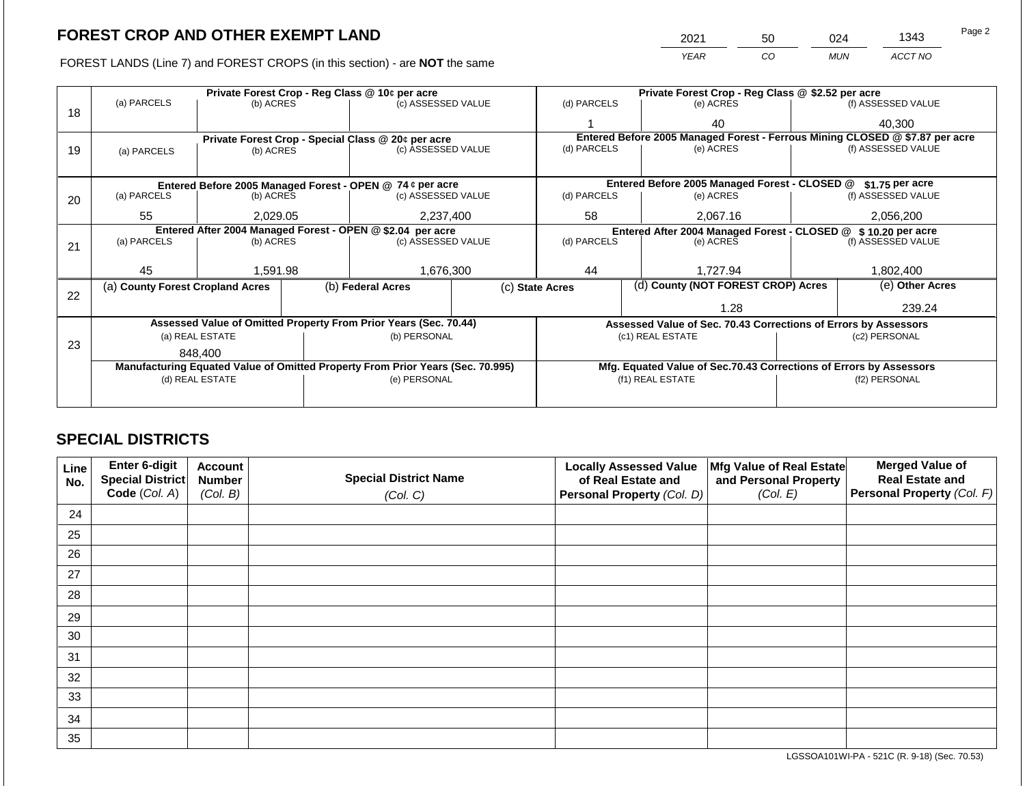2021 50 024 1343

FOREST LANDS (Line 7) and FOREST CROPS (in this section) - are **NOT** the same *YEAR CO MUN ACCT NO*

|    |                                  |                 |  | Private Forest Crop - Reg Class @ 10¢ per acre                                 |                                                                                                                             | Private Forest Crop - Reg Class @ \$2.52 per acre |                                    |                                                                    |                 |                    |  |
|----|----------------------------------|-----------------|--|--------------------------------------------------------------------------------|-----------------------------------------------------------------------------------------------------------------------------|---------------------------------------------------|------------------------------------|--------------------------------------------------------------------|-----------------|--------------------|--|
| 18 | (a) PARCELS                      | (b) ACRES       |  | (c) ASSESSED VALUE                                                             |                                                                                                                             | (d) PARCELS                                       |                                    | (e) ACRES                                                          |                 | (f) ASSESSED VALUE |  |
|    |                                  |                 |  |                                                                                |                                                                                                                             |                                                   |                                    | 40                                                                 |                 | 40.300             |  |
|    |                                  |                 |  | Private Forest Crop - Special Class @ 20¢ per acre                             | Entered Before 2005 Managed Forest - Ferrous Mining CLOSED @ \$7.87 per acre                                                |                                                   |                                    |                                                                    |                 |                    |  |
| 19 | (a) PARCELS                      | (b) ACRES       |  | (c) ASSESSED VALUE                                                             |                                                                                                                             | (d) PARCELS                                       |                                    | (e) ACRES                                                          |                 | (f) ASSESSED VALUE |  |
|    |                                  |                 |  |                                                                                |                                                                                                                             |                                                   |                                    |                                                                    |                 |                    |  |
|    |                                  |                 |  | Entered Before 2005 Managed Forest - OPEN @ 74 ¢ per acre                      |                                                                                                                             |                                                   |                                    | Entered Before 2005 Managed Forest - CLOSED @                      |                 | \$1.75 per acre    |  |
| 20 | (a) PARCELS                      | (b) ACRES       |  | (c) ASSESSED VALUE                                                             |                                                                                                                             | (d) PARCELS                                       |                                    | (e) ACRES                                                          |                 | (f) ASSESSED VALUE |  |
|    | 55<br>2,029.05                   |                 |  | 2,237,400                                                                      |                                                                                                                             | 58                                                |                                    | 2,067.16                                                           |                 | 2,056,200          |  |
|    |                                  |                 |  |                                                                                | Entered After 2004 Managed Forest - OPEN @ \$2.04 per acre<br>Entered After 2004 Managed Forest - CLOSED @ \$10.20 per acre |                                                   |                                    |                                                                    |                 |                    |  |
|    | (a) PARCELS                      | (b) ACRES       |  | (c) ASSESSED VALUE                                                             | (d) PARCELS                                                                                                                 |                                                   | (e) ACRES                          | (f) ASSESSED VALUE                                                 |                 |                    |  |
| 21 |                                  |                 |  |                                                                                |                                                                                                                             |                                                   |                                    |                                                                    |                 |                    |  |
|    | 45                               |                 |  |                                                                                |                                                                                                                             |                                                   |                                    |                                                                    |                 |                    |  |
|    |                                  | 1,591.98        |  | 1,676,300                                                                      | 44                                                                                                                          |                                                   | 1.727.94                           |                                                                    | 1,802,400       |                    |  |
| 22 | (a) County Forest Cropland Acres |                 |  | (b) Federal Acres                                                              | (c) State Acres                                                                                                             |                                                   | (d) County (NOT FOREST CROP) Acres |                                                                    | (e) Other Acres |                    |  |
|    |                                  |                 |  |                                                                                |                                                                                                                             |                                                   |                                    | 1.28                                                               |                 | 239.24             |  |
|    |                                  |                 |  |                                                                                |                                                                                                                             |                                                   |                                    |                                                                    |                 |                    |  |
|    |                                  |                 |  | Assessed Value of Omitted Property From Prior Years (Sec. 70.44)               |                                                                                                                             |                                                   |                                    | Assessed Value of Sec. 70.43 Corrections of Errors by Assessors    |                 |                    |  |
| 23 |                                  | (a) REAL ESTATE |  | (b) PERSONAL                                                                   |                                                                                                                             |                                                   |                                    | (c1) REAL ESTATE                                                   | (c2) PERSONAL   |                    |  |
|    | 848.400                          |                 |  |                                                                                |                                                                                                                             |                                                   |                                    |                                                                    |                 |                    |  |
|    |                                  |                 |  | Manufacturing Equated Value of Omitted Property From Prior Years (Sec. 70.995) |                                                                                                                             |                                                   |                                    | Mfg. Equated Value of Sec.70.43 Corrections of Errors by Assessors |                 |                    |  |
|    |                                  | (d) REAL ESTATE |  | (e) PERSONAL                                                                   |                                                                                                                             | (f1) REAL ESTATE                                  |                                    |                                                                    | (f2) PERSONAL   |                    |  |
|    |                                  |                 |  |                                                                                |                                                                                                                             |                                                   |                                    |                                                                    |                 |                    |  |
|    |                                  |                 |  |                                                                                |                                                                                                                             |                                                   |                                    |                                                                    |                 |                    |  |

## **SPECIAL DISTRICTS**

| Line<br>No. | <b>Enter 6-digit</b><br>Special District | <b>Account</b><br><b>Number</b> | <b>Special District Name</b> | <b>Locally Assessed Value</b><br>of Real Estate and | Mfg Value of Real Estate<br>and Personal Property | <b>Merged Value of</b><br><b>Real Estate and</b> |
|-------------|------------------------------------------|---------------------------------|------------------------------|-----------------------------------------------------|---------------------------------------------------|--------------------------------------------------|
|             | Code (Col. A)                            | (Col. B)                        | (Col. C)                     | Personal Property (Col. D)                          | (Col. E)                                          | <b>Personal Property (Col. F)</b>                |
| 24          |                                          |                                 |                              |                                                     |                                                   |                                                  |
| 25          |                                          |                                 |                              |                                                     |                                                   |                                                  |
| 26          |                                          |                                 |                              |                                                     |                                                   |                                                  |
| 27          |                                          |                                 |                              |                                                     |                                                   |                                                  |
| 28          |                                          |                                 |                              |                                                     |                                                   |                                                  |
| 29          |                                          |                                 |                              |                                                     |                                                   |                                                  |
| 30          |                                          |                                 |                              |                                                     |                                                   |                                                  |
| 31          |                                          |                                 |                              |                                                     |                                                   |                                                  |
| 32          |                                          |                                 |                              |                                                     |                                                   |                                                  |
| 33          |                                          |                                 |                              |                                                     |                                                   |                                                  |
| 34          |                                          |                                 |                              |                                                     |                                                   |                                                  |
| 35          |                                          |                                 |                              |                                                     |                                                   |                                                  |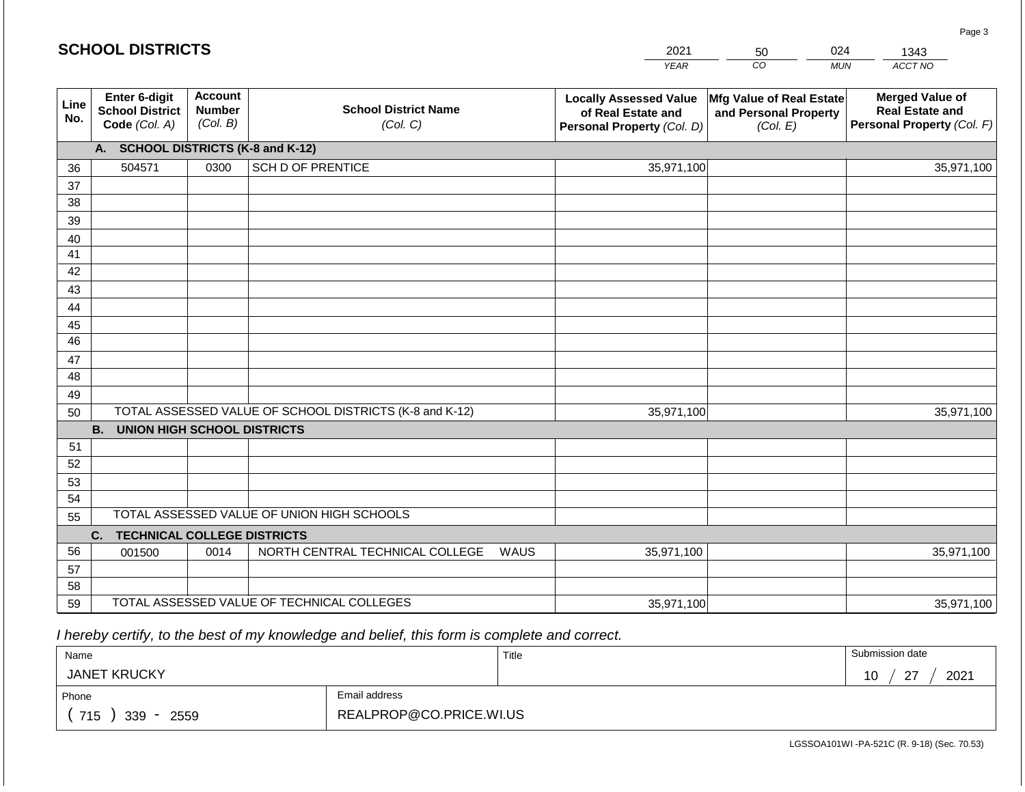| <b>SCHOOL DISTRICTS</b><br>2021 |                                                          |                                             |                                                         |                                                                                   |                                                               | 024        | 1343                                                                           |
|---------------------------------|----------------------------------------------------------|---------------------------------------------|---------------------------------------------------------|-----------------------------------------------------------------------------------|---------------------------------------------------------------|------------|--------------------------------------------------------------------------------|
|                                 |                                                          |                                             |                                                         | <b>YEAR</b>                                                                       | CO                                                            | <b>MUN</b> | ACCT NO                                                                        |
| Line<br>No.                     | Enter 6-digit<br><b>School District</b><br>Code (Col. A) | <b>Account</b><br><b>Number</b><br>(Col. B) | <b>School District Name</b><br>(Col. C)                 | <b>Locally Assessed Value</b><br>of Real Estate and<br>Personal Property (Col. D) | Mfg Value of Real Estate<br>and Personal Property<br>(Col. E) |            | <b>Merged Value of</b><br><b>Real Estate and</b><br>Personal Property (Col. F) |
|                                 | A. SCHOOL DISTRICTS (K-8 and K-12)                       |                                             |                                                         |                                                                                   |                                                               |            |                                                                                |
| 36                              | 504571                                                   | 0300                                        | <b>SCH D OF PRENTICE</b>                                | 35,971,100                                                                        |                                                               |            | 35,971,100                                                                     |
| 37                              |                                                          |                                             |                                                         |                                                                                   |                                                               |            |                                                                                |
| 38                              |                                                          |                                             |                                                         |                                                                                   |                                                               |            |                                                                                |
| 39                              |                                                          |                                             |                                                         |                                                                                   |                                                               |            |                                                                                |
| 40                              |                                                          |                                             |                                                         |                                                                                   |                                                               |            |                                                                                |
| 41<br>42                        |                                                          |                                             |                                                         |                                                                                   |                                                               |            |                                                                                |
| 43                              |                                                          |                                             |                                                         |                                                                                   |                                                               |            |                                                                                |
| 44                              |                                                          |                                             |                                                         |                                                                                   |                                                               |            |                                                                                |
| 45                              |                                                          |                                             |                                                         |                                                                                   |                                                               |            |                                                                                |
| 46                              |                                                          |                                             |                                                         |                                                                                   |                                                               |            |                                                                                |
| 47                              |                                                          |                                             |                                                         |                                                                                   |                                                               |            |                                                                                |
| 48                              |                                                          |                                             |                                                         |                                                                                   |                                                               |            |                                                                                |
| 49                              |                                                          |                                             |                                                         |                                                                                   |                                                               |            |                                                                                |
| 50                              |                                                          |                                             | TOTAL ASSESSED VALUE OF SCHOOL DISTRICTS (K-8 and K-12) | 35,971,100                                                                        |                                                               |            | 35,971,100                                                                     |
|                                 | <b>B.</b><br><b>UNION HIGH SCHOOL DISTRICTS</b>          |                                             |                                                         |                                                                                   |                                                               |            |                                                                                |
| 51                              |                                                          |                                             |                                                         |                                                                                   |                                                               |            |                                                                                |
| 52<br>53                        |                                                          |                                             |                                                         |                                                                                   |                                                               |            |                                                                                |
| 54                              |                                                          |                                             |                                                         |                                                                                   |                                                               |            |                                                                                |
| 55                              |                                                          |                                             | TOTAL ASSESSED VALUE OF UNION HIGH SCHOOLS              |                                                                                   |                                                               |            |                                                                                |
|                                 | <b>TECHNICAL COLLEGE DISTRICTS</b><br>C.                 |                                             |                                                         |                                                                                   |                                                               |            |                                                                                |
| 56                              | 001500                                                   | 0014                                        | NORTH CENTRAL TECHNICAL COLLEGE                         | 35,971,100<br>WAUS                                                                |                                                               |            | 35,971,100                                                                     |
| 57                              |                                                          |                                             |                                                         |                                                                                   |                                                               |            |                                                                                |
| 58                              |                                                          |                                             |                                                         |                                                                                   |                                                               |            |                                                                                |
| 59                              |                                                          |                                             | TOTAL ASSESSED VALUE OF TECHNICAL COLLEGES              | 35,971,100                                                                        |                                                               |            | 35,971,100                                                                     |

 *I hereby certify, to the best of my knowledge and belief, this form is complete and correct.*

**SCHOOL DISTRICTS**

| Name                                           |                         | Title | Submission date      |
|------------------------------------------------|-------------------------|-------|----------------------|
| <b>JANET KRUCKY</b>                            |                         |       | 2021<br>$\sim$<br>10 |
| Phone                                          | Email address           |       |                      |
| 715<br>339<br>2559<br>$\overline{\phantom{a}}$ | REALPROP@CO.PRICE.WI.US |       |                      |

Page 3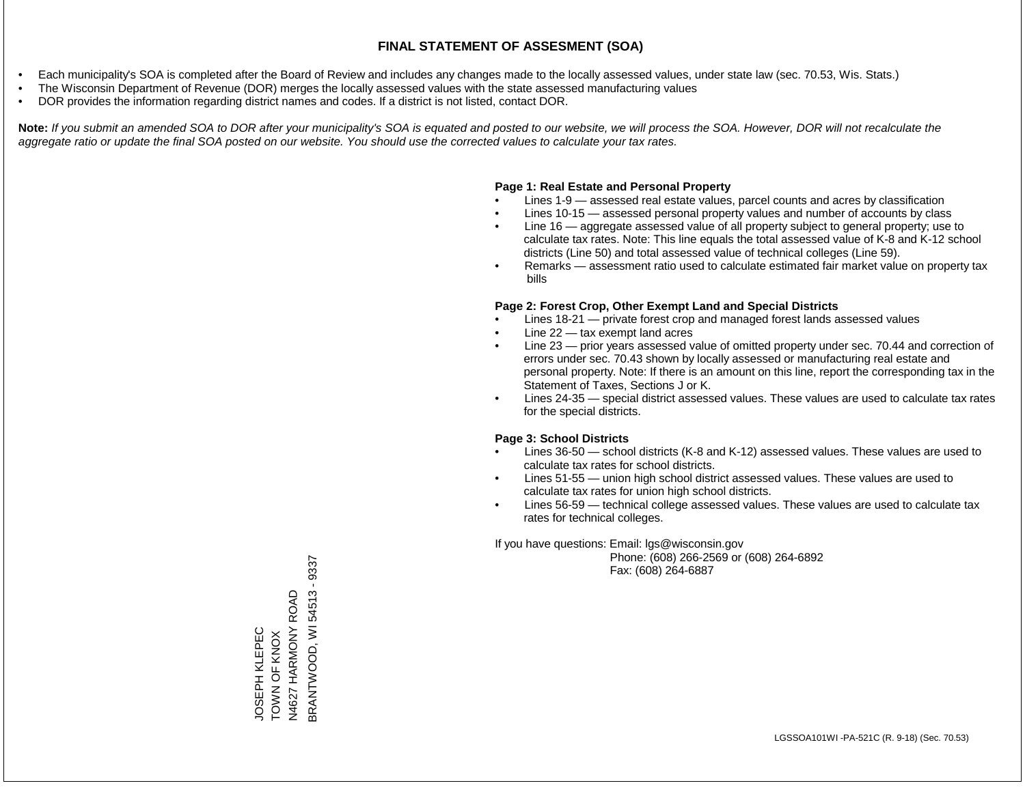- Each municipality's SOA is completed after the Board of Review and includes any changes made to the locally assessed values, under state law (sec. 70.53, Wis. Stats.)
- The Wisconsin Department of Revenue (DOR) merges the locally assessed values with the state assessed manufacturing values
- DOR provides the information regarding district names and codes. If a district is not listed, contact DOR.

Note: If you submit an amended SOA to DOR after your municipality's SOA is equated and posted to our website, we will process the SOA. However, DOR will not recalculate the *aggregate ratio or update the final SOA posted on our website. You should use the corrected values to calculate your tax rates.*

### **Page 1: Real Estate and Personal Property**

- Lines 1-9 assessed real estate values, parcel counts and acres by classification
- Lines 10-15 assessed personal property values and number of accounts by class
- Line 16 aggregate assessed value of all property subject to general property; use to calculate tax rates. Note: This line equals the total assessed value of K-8 and K-12 school districts (Line 50) and total assessed value of technical colleges (Line 59).
- Remarks assessment ratio used to calculate estimated fair market value on property tax bills

### **Page 2: Forest Crop, Other Exempt Land and Special Districts**

- Lines 18-21 private forest crop and managed forest lands assessed values
- Line  $22 -$  tax exempt land acres
- Line 23 prior years assessed value of omitted property under sec. 70.44 and correction of errors under sec. 70.43 shown by locally assessed or manufacturing real estate and personal property. Note: If there is an amount on this line, report the corresponding tax in the Statement of Taxes, Sections J or K.
- Lines 24-35 special district assessed values. These values are used to calculate tax rates for the special districts.

### **Page 3: School Districts**

- Lines 36-50 school districts (K-8 and K-12) assessed values. These values are used to calculate tax rates for school districts.
- Lines 51-55 union high school district assessed values. These values are used to calculate tax rates for union high school districts.
- Lines 56-59 technical college assessed values. These values are used to calculate tax rates for technical colleges.

If you have questions: Email: lgs@wisconsin.gov

 Phone: (608) 266-2569 or (608) 264-6892 Fax: (608) 264-6887

**BRANTWOOD, WI 54513 - 9337** BRANTWOOD, WI 54513 - 9337HARMONY ROAD N4627 HARMONY ROAD JOSEPH KLEPEC<br>TOWN OF KNOX JOSEPH KLEPEC TOWN OF KNOX N4627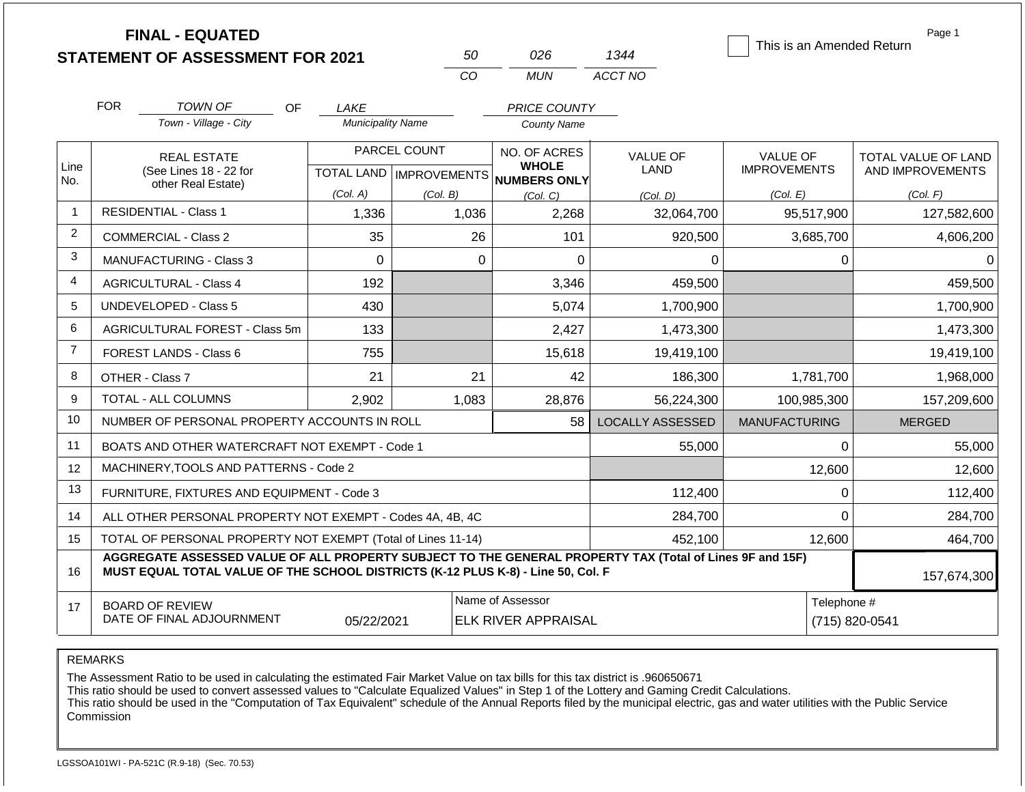|                |                                                     | <b>FINAL - EQUATED</b><br><b>STATEMENT OF ASSESSMENT FOR 2021</b>                                                                                                                            |                          | 50           | 026                                                                      | 1344                    | This is an Amended Return              | Page 1                                  |
|----------------|-----------------------------------------------------|----------------------------------------------------------------------------------------------------------------------------------------------------------------------------------------------|--------------------------|--------------|--------------------------------------------------------------------------|-------------------------|----------------------------------------|-----------------------------------------|
|                |                                                     |                                                                                                                                                                                              |                          | CO           | <b>MUN</b>                                                               | ACCT NO                 |                                        |                                         |
|                | <b>FOR</b>                                          | <b>TOWN OF</b><br>OF.                                                                                                                                                                        | LAKE                     |              | <b>PRICE COUNTY</b>                                                      |                         |                                        |                                         |
|                |                                                     | Town - Village - City                                                                                                                                                                        | <b>Municipality Name</b> |              | <b>County Name</b>                                                       |                         |                                        |                                         |
| Line           |                                                     | <b>REAL ESTATE</b><br>(See Lines 18 - 22 for                                                                                                                                                 |                          | PARCEL COUNT | NO. OF ACRES<br><b>WHOLE</b><br>TOTAL LAND   IMPROVEMENTS   NUMBERS ONLY | <b>VALUE OF</b><br>LAND | <b>VALUE OF</b><br><b>IMPROVEMENTS</b> | TOTAL VALUE OF LAND<br>AND IMPROVEMENTS |
| No.            | other Real Estate)                                  |                                                                                                                                                                                              | (Col. A)                 | (Col. B)     | (Col. C)                                                                 | (Col. D)                | (Col. E)                               | (Col. F)                                |
| $\mathbf{1}$   |                                                     | <b>RESIDENTIAL - Class 1</b>                                                                                                                                                                 | 1,336                    | 1,036        | 2,268                                                                    | 32,064,700              | 95,517,900                             | 127,582,600                             |
| $\overline{2}$ |                                                     | <b>COMMERCIAL - Class 2</b>                                                                                                                                                                  | 35                       | 26           | 101                                                                      | 920,500                 | 3,685,700                              | 4,606,200                               |
| 3              |                                                     | <b>MANUFACTURING - Class 3</b>                                                                                                                                                               | $\Omega$                 | $\Omega$     | $\mathbf 0$                                                              | $\Omega$                | 0                                      | $\Omega$                                |
| $\overline{4}$ |                                                     | <b>AGRICULTURAL - Class 4</b>                                                                                                                                                                | 192                      |              | 3,346                                                                    | 459,500                 |                                        | 459,500                                 |
| 5              |                                                     | <b>UNDEVELOPED - Class 5</b>                                                                                                                                                                 | 430                      |              | 5,074                                                                    | 1,700,900               |                                        | 1,700,900                               |
| 6              |                                                     | <b>AGRICULTURAL FOREST - Class 5m</b>                                                                                                                                                        | 133                      |              | 2,427                                                                    | 1,473,300               |                                        | 1,473,300                               |
| $\overline{7}$ |                                                     | FOREST LANDS - Class 6                                                                                                                                                                       | 755                      |              | 15,618                                                                   | 19,419,100              |                                        | 19,419,100                              |
| 8              |                                                     | OTHER - Class 7                                                                                                                                                                              | 21                       | 21           | 42                                                                       | 186,300                 | 1,781,700                              | 1,968,000                               |
| 9              |                                                     | <b>TOTAL - ALL COLUMNS</b>                                                                                                                                                                   | 2,902                    | 1,083        | 28,876                                                                   | 56,224,300              | 100.985.300                            | 157,209,600                             |
| 10             |                                                     | NUMBER OF PERSONAL PROPERTY ACCOUNTS IN ROLL                                                                                                                                                 |                          |              | 58                                                                       | <b>LOCALLY ASSESSED</b> | <b>MANUFACTURING</b>                   | <b>MERGED</b>                           |
| 11             |                                                     | BOATS AND OTHER WATERCRAFT NOT EXEMPT - Code 1                                                                                                                                               |                          |              |                                                                          | 55,000                  | 0                                      | 55,000                                  |
| 12             |                                                     | MACHINERY, TOOLS AND PATTERNS - Code 2                                                                                                                                                       |                          |              |                                                                          |                         | 12,600                                 | 12,600                                  |
| 13             |                                                     | FURNITURE, FIXTURES AND EQUIPMENT - Code 3                                                                                                                                                   |                          |              |                                                                          | 112,400                 | 0                                      | 112,400                                 |
| 14             |                                                     | ALL OTHER PERSONAL PROPERTY NOT EXEMPT - Codes 4A, 4B, 4C                                                                                                                                    |                          |              |                                                                          | 284,700                 | $\Omega$                               | 284,700                                 |
| 15             |                                                     | TOTAL OF PERSONAL PROPERTY NOT EXEMPT (Total of Lines 11-14)                                                                                                                                 |                          | 452,100      | 12,600                                                                   | 464,700                 |                                        |                                         |
| 16             |                                                     | AGGREGATE ASSESSED VALUE OF ALL PROPERTY SUBJECT TO THE GENERAL PROPERTY TAX (Total of Lines 9F and 15F)<br>MUST EQUAL TOTAL VALUE OF THE SCHOOL DISTRICTS (K-12 PLUS K-8) - Line 50, Col. F |                          |              |                                                                          |                         |                                        | 157,674,300                             |
| 17             | <b>BOARD OF REVIEW</b><br>DATE OF FINAL ADJOURNMENT | Telephone #                                                                                                                                                                                  | (715) 820-0541           |              |                                                                          |                         |                                        |                                         |

The Assessment Ratio to be used in calculating the estimated Fair Market Value on tax bills for this tax district is .960650671

This ratio should be used to convert assessed values to "Calculate Equalized Values" in Step 1 of the Lottery and Gaming Credit Calculations.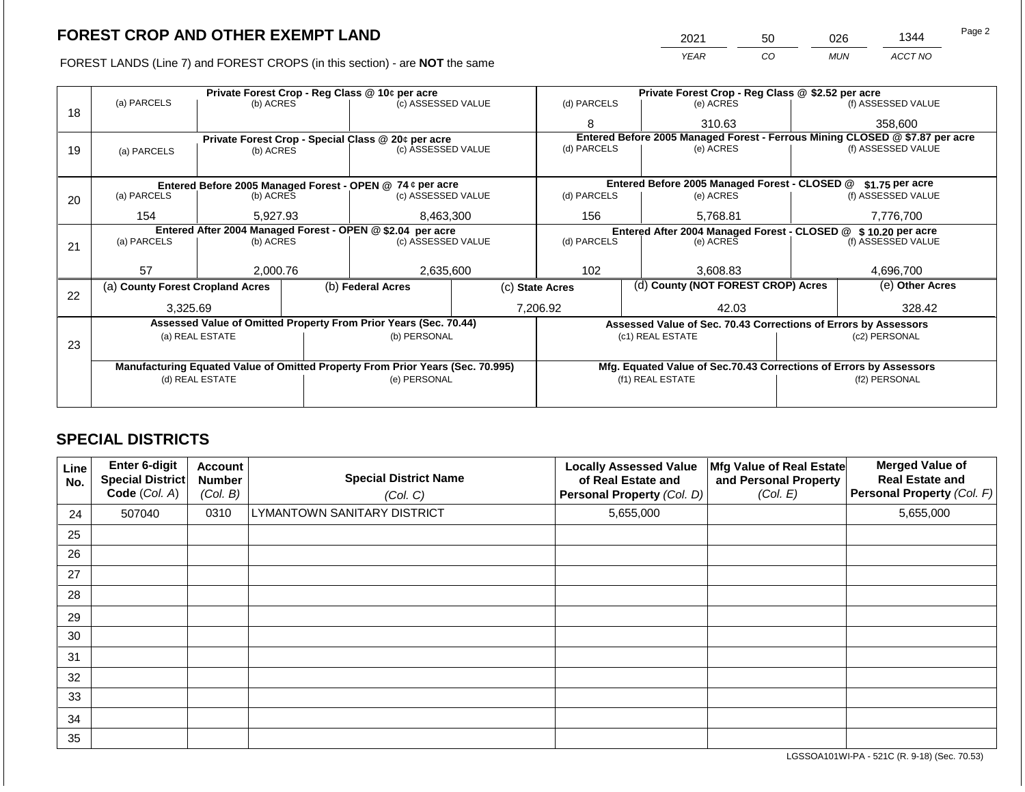FOREST LANDS (Line 7) and FOREST CROPS (in this section) - are NOT the same

| 2021 | 50 | 026        | 1344    | Page 2 |
|------|----|------------|---------|--------|
| YEAR | CО | <b>MUN</b> | ACCT NO |        |

|    |                                                            |                 |                    | Private Forest Crop - Reg Class @ 10¢ per acre                                 |             | Private Forest Crop - Reg Class @ \$2.52 per acre                            |                                                                 |           |                    |                                                                    |  |
|----|------------------------------------------------------------|-----------------|--------------------|--------------------------------------------------------------------------------|-------------|------------------------------------------------------------------------------|-----------------------------------------------------------------|-----------|--------------------|--------------------------------------------------------------------|--|
| 18 | (a) PARCELS                                                | (b) ACRES       |                    | (c) ASSESSED VALUE                                                             |             | (d) PARCELS                                                                  |                                                                 | (e) ACRES |                    | (f) ASSESSED VALUE                                                 |  |
|    |                                                            |                 |                    |                                                                                |             | 8                                                                            |                                                                 | 310.63    |                    | 358,600                                                            |  |
|    |                                                            |                 |                    | Private Forest Crop - Special Class @ 20¢ per acre                             |             | Entered Before 2005 Managed Forest - Ferrous Mining CLOSED @ \$7.87 per acre |                                                                 |           |                    |                                                                    |  |
| 19 | (a) PARCELS                                                | (b) ACRES       |                    | (c) ASSESSED VALUE                                                             |             | (d) PARCELS                                                                  |                                                                 | (e) ACRES |                    | (f) ASSESSED VALUE                                                 |  |
|    |                                                            |                 |                    |                                                                                |             |                                                                              |                                                                 |           |                    |                                                                    |  |
|    |                                                            |                 |                    | Entered Before 2005 Managed Forest - OPEN @ 74 ¢ per acre                      |             |                                                                              | Entered Before 2005 Managed Forest - CLOSED @                   |           |                    | \$1.75 per acre                                                    |  |
| 20 | (a) PARCELS                                                | (b) ACRES       | (c) ASSESSED VALUE |                                                                                | (d) PARCELS |                                                                              | (e) ACRES                                                       |           | (f) ASSESSED VALUE |                                                                    |  |
|    | 154                                                        | 5,927.93        |                    | 8,463,300                                                                      |             | 156                                                                          |                                                                 | 5,768.81  |                    | 7,776,700                                                          |  |
|    | Entered After 2004 Managed Forest - OPEN @ \$2.04 per acre |                 |                    |                                                                                |             |                                                                              | Entered After 2004 Managed Forest - CLOSED @                    |           |                    | \$10.20 per acre                                                   |  |
| 21 | (a) PARCELS                                                | (b) ACRES       |                    | (c) ASSESSED VALUE                                                             |             | (d) PARCELS                                                                  |                                                                 | (e) ACRES |                    | (f) ASSESSED VALUE                                                 |  |
|    |                                                            |                 |                    |                                                                                |             |                                                                              |                                                                 |           |                    |                                                                    |  |
|    | 57                                                         | 2,000.76        |                    | 2,635,600                                                                      |             | 102                                                                          |                                                                 | 3,608.83  | 4,696,700          |                                                                    |  |
| 22 | (a) County Forest Cropland Acres                           |                 |                    | (b) Federal Acres                                                              |             | (d) County (NOT FOREST CROP) Acres<br>(c) State Acres                        |                                                                 |           | (e) Other Acres    |                                                                    |  |
|    | 3,325.69                                                   |                 |                    |                                                                                |             | 7,206.92                                                                     |                                                                 | 42.03     |                    | 328.42                                                             |  |
|    |                                                            |                 |                    | Assessed Value of Omitted Property From Prior Years (Sec. 70.44)               |             |                                                                              | Assessed Value of Sec. 70.43 Corrections of Errors by Assessors |           |                    |                                                                    |  |
|    |                                                            | (a) REAL ESTATE |                    | (b) PERSONAL                                                                   |             |                                                                              | (c1) REAL ESTATE                                                |           | (c2) PERSONAL      |                                                                    |  |
| 23 |                                                            |                 |                    |                                                                                |             |                                                                              |                                                                 |           |                    |                                                                    |  |
|    |                                                            |                 |                    | Manufacturing Equated Value of Omitted Property From Prior Years (Sec. 70.995) |             |                                                                              |                                                                 |           |                    | Mfg. Equated Value of Sec.70.43 Corrections of Errors by Assessors |  |
|    |                                                            | (d) REAL ESTATE |                    | (e) PERSONAL                                                                   |             |                                                                              | (f1) REAL ESTATE                                                |           |                    | (f2) PERSONAL                                                      |  |
|    |                                                            |                 |                    |                                                                                |             |                                                                              |                                                                 |           |                    |                                                                    |  |
|    |                                                            |                 |                    |                                                                                |             |                                                                              |                                                                 |           |                    |                                                                    |  |

## **SPECIAL DISTRICTS**

| Line<br>No. | Enter 6-digit<br>Special District<br>Code (Col. A) | <b>Account</b><br><b>Number</b><br>(Col. B) | <b>Special District Name</b><br>(Col. C) | <b>Locally Assessed Value</b><br>of Real Estate and<br>Personal Property (Col. D) | Mfg Value of Real Estate<br>and Personal Property<br>(Col. E) | <b>Merged Value of</b><br><b>Real Estate and</b><br>Personal Property (Col. F) |
|-------------|----------------------------------------------------|---------------------------------------------|------------------------------------------|-----------------------------------------------------------------------------------|---------------------------------------------------------------|--------------------------------------------------------------------------------|
| 24          | 507040                                             | 0310                                        | LYMANTOWN SANITARY DISTRICT              | 5,655,000                                                                         |                                                               | 5,655,000                                                                      |
| 25          |                                                    |                                             |                                          |                                                                                   |                                                               |                                                                                |
| 26          |                                                    |                                             |                                          |                                                                                   |                                                               |                                                                                |
| 27          |                                                    |                                             |                                          |                                                                                   |                                                               |                                                                                |
| 28          |                                                    |                                             |                                          |                                                                                   |                                                               |                                                                                |
| 29          |                                                    |                                             |                                          |                                                                                   |                                                               |                                                                                |
| 30          |                                                    |                                             |                                          |                                                                                   |                                                               |                                                                                |
| 31          |                                                    |                                             |                                          |                                                                                   |                                                               |                                                                                |
| 32          |                                                    |                                             |                                          |                                                                                   |                                                               |                                                                                |
| 33          |                                                    |                                             |                                          |                                                                                   |                                                               |                                                                                |
| 34          |                                                    |                                             |                                          |                                                                                   |                                                               |                                                                                |
| 35          |                                                    |                                             |                                          |                                                                                   |                                                               |                                                                                |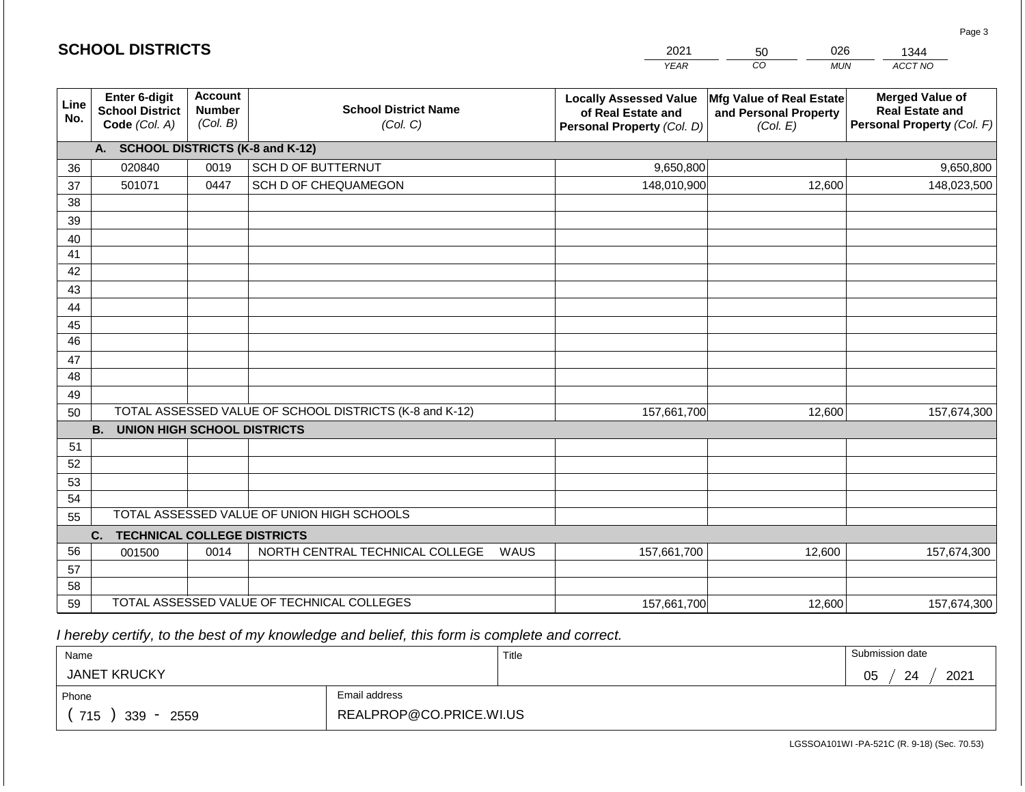|                       | <b>SCHOOL DISTRICTS</b>                                  |                                             |                                                         | 2021                                                                              | 026<br>50<br>1344                                             |                                                                                |  |  |  |
|-----------------------|----------------------------------------------------------|---------------------------------------------|---------------------------------------------------------|-----------------------------------------------------------------------------------|---------------------------------------------------------------|--------------------------------------------------------------------------------|--|--|--|
|                       |                                                          |                                             |                                                         | <b>YEAR</b>                                                                       | CO<br><b>MUN</b>                                              | ACCT NO                                                                        |  |  |  |
| Line<br>No.           | Enter 6-digit<br><b>School District</b><br>Code (Col. A) | <b>Account</b><br><b>Number</b><br>(Col. B) | <b>School District Name</b><br>(Col. C)                 | <b>Locally Assessed Value</b><br>of Real Estate and<br>Personal Property (Col. D) | Mfg Value of Real Estate<br>and Personal Property<br>(Col. E) | <b>Merged Value of</b><br><b>Real Estate and</b><br>Personal Property (Col. F) |  |  |  |
|                       | A. SCHOOL DISTRICTS (K-8 and K-12)                       |                                             |                                                         |                                                                                   |                                                               |                                                                                |  |  |  |
| 36                    | 020840                                                   | 0019                                        | <b>SCH D OF BUTTERNUT</b>                               | 9,650,800                                                                         |                                                               | 9,650,800                                                                      |  |  |  |
| 37                    | 501071                                                   | 0447                                        | SCH D OF CHEQUAMEGON                                    | 148,010,900                                                                       | 12,600                                                        | 148,023,500                                                                    |  |  |  |
| 38                    |                                                          |                                             |                                                         |                                                                                   |                                                               |                                                                                |  |  |  |
| 39                    |                                                          |                                             |                                                         |                                                                                   |                                                               |                                                                                |  |  |  |
| 40                    |                                                          |                                             |                                                         |                                                                                   |                                                               |                                                                                |  |  |  |
| 41                    |                                                          |                                             |                                                         |                                                                                   |                                                               |                                                                                |  |  |  |
| 42                    |                                                          |                                             |                                                         |                                                                                   |                                                               |                                                                                |  |  |  |
| 43                    |                                                          |                                             |                                                         |                                                                                   |                                                               |                                                                                |  |  |  |
| 44                    |                                                          |                                             |                                                         |                                                                                   |                                                               |                                                                                |  |  |  |
| 45<br>$\overline{46}$ |                                                          |                                             |                                                         |                                                                                   |                                                               |                                                                                |  |  |  |
| 47                    |                                                          |                                             |                                                         |                                                                                   |                                                               |                                                                                |  |  |  |
| 48                    |                                                          |                                             |                                                         |                                                                                   |                                                               |                                                                                |  |  |  |
| 49                    |                                                          |                                             |                                                         |                                                                                   |                                                               |                                                                                |  |  |  |
| 50                    |                                                          |                                             | TOTAL ASSESSED VALUE OF SCHOOL DISTRICTS (K-8 and K-12) | 157,661,700                                                                       | 12,600                                                        | 157,674,300                                                                    |  |  |  |
|                       | <b>B.</b><br><b>UNION HIGH SCHOOL DISTRICTS</b>          |                                             |                                                         |                                                                                   |                                                               |                                                                                |  |  |  |
| 51                    |                                                          |                                             |                                                         |                                                                                   |                                                               |                                                                                |  |  |  |
| 52                    |                                                          |                                             |                                                         |                                                                                   |                                                               |                                                                                |  |  |  |
| 53                    |                                                          |                                             |                                                         |                                                                                   |                                                               |                                                                                |  |  |  |
| 54                    |                                                          |                                             |                                                         |                                                                                   |                                                               |                                                                                |  |  |  |
| 55                    |                                                          |                                             | TOTAL ASSESSED VALUE OF UNION HIGH SCHOOLS              |                                                                                   |                                                               |                                                                                |  |  |  |
|                       | C.<br><b>TECHNICAL COLLEGE DISTRICTS</b>                 |                                             |                                                         |                                                                                   |                                                               |                                                                                |  |  |  |
| 56                    | 001500                                                   | 0014                                        | NORTH CENTRAL TECHNICAL COLLEGE                         | WAUS<br>157,661,700                                                               | 12,600                                                        | 157,674,300                                                                    |  |  |  |
| 57                    |                                                          |                                             |                                                         |                                                                                   |                                                               |                                                                                |  |  |  |
| 58                    |                                                          |                                             |                                                         |                                                                                   |                                                               |                                                                                |  |  |  |
| 59                    |                                                          |                                             | TOTAL ASSESSED VALUE OF TECHNICAL COLLEGES              | 157,661,700                                                                       | 12,600                                                        | 157,674,300                                                                    |  |  |  |

 *I hereby certify, to the best of my knowledge and belief, this form is complete and correct.*

**SCHOOL DISTRICTS**

| Name                                           |                         | Title | Submission date        |
|------------------------------------------------|-------------------------|-------|------------------------|
| <b>JANET KRUCKY</b>                            |                         |       | 2021<br>24<br>∩ҕ<br>◡◡ |
| Phone                                          | Email address           |       |                        |
| 715<br>339<br>2559<br>$\overline{\phantom{a}}$ | REALPROP@CO.PRICE.WI.US |       |                        |

Page 3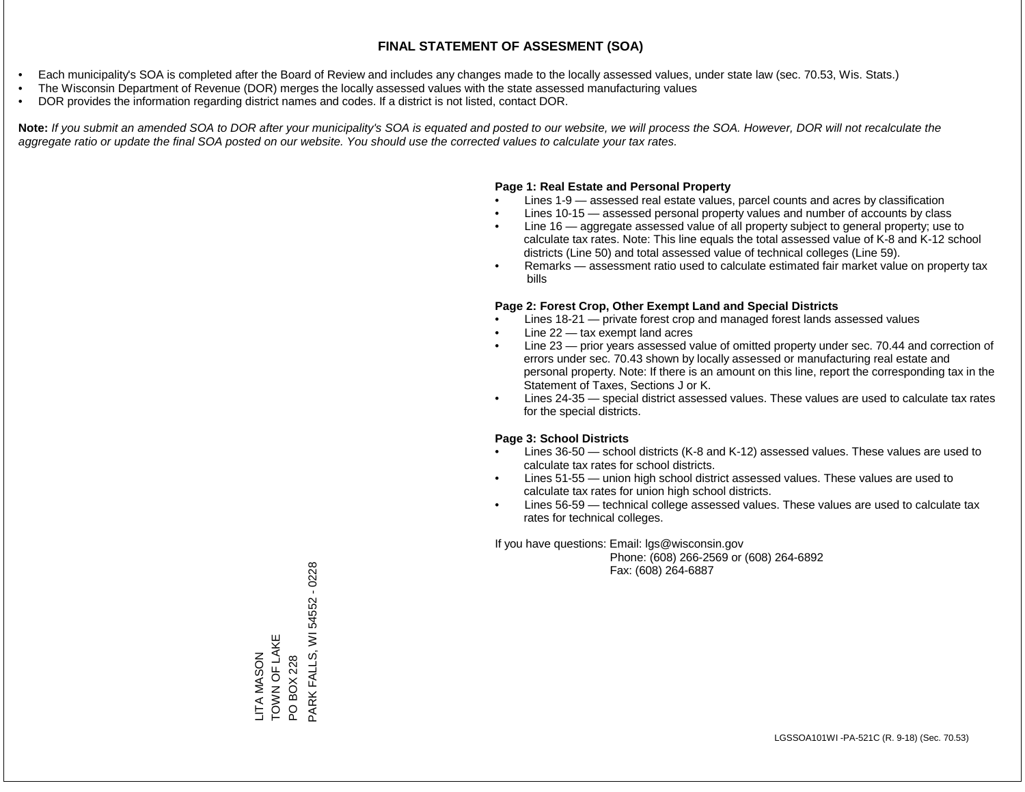- Each municipality's SOA is completed after the Board of Review and includes any changes made to the locally assessed values, under state law (sec. 70.53, Wis. Stats.)
- The Wisconsin Department of Revenue (DOR) merges the locally assessed values with the state assessed manufacturing values
- DOR provides the information regarding district names and codes. If a district is not listed, contact DOR.

Note: If you submit an amended SOA to DOR after your municipality's SOA is equated and posted to our website, we will process the SOA. However, DOR will not recalculate the *aggregate ratio or update the final SOA posted on our website. You should use the corrected values to calculate your tax rates.*

## **Page 1: Real Estate and Personal Property**

- Lines 1-9 assessed real estate values, parcel counts and acres by classification
- Lines 10-15 assessed personal property values and number of accounts by class
- Line 16 aggregate assessed value of all property subject to general property; use to calculate tax rates. Note: This line equals the total assessed value of K-8 and K-12 school districts (Line 50) and total assessed value of technical colleges (Line 59).
- Remarks assessment ratio used to calculate estimated fair market value on property tax bills

### **Page 2: Forest Crop, Other Exempt Land and Special Districts**

- Lines 18-21 private forest crop and managed forest lands assessed values
- Line  $22 -$  tax exempt land acres
- Line 23 prior years assessed value of omitted property under sec. 70.44 and correction of errors under sec. 70.43 shown by locally assessed or manufacturing real estate and personal property. Note: If there is an amount on this line, report the corresponding tax in the Statement of Taxes, Sections J or K.
- Lines 24-35 special district assessed values. These values are used to calculate tax rates for the special districts.

### **Page 3: School Districts**

- Lines 36-50 school districts (K-8 and K-12) assessed values. These values are used to calculate tax rates for school districts.
- Lines 51-55 union high school district assessed values. These values are used to calculate tax rates for union high school districts.
- Lines 56-59 technical college assessed values. These values are used to calculate tax rates for technical colleges.

If you have questions: Email: lgs@wisconsin.gov

 Phone: (608) 266-2569 or (608) 264-6892 Fax: (608) 264-6887

LITA MASON<br>TOWN OF LAKE TOWN OF LAKE PO BOX 228<br>PARK FALLS, WI 54552 - 0228 PARK FALLS, WI 54552 - 0228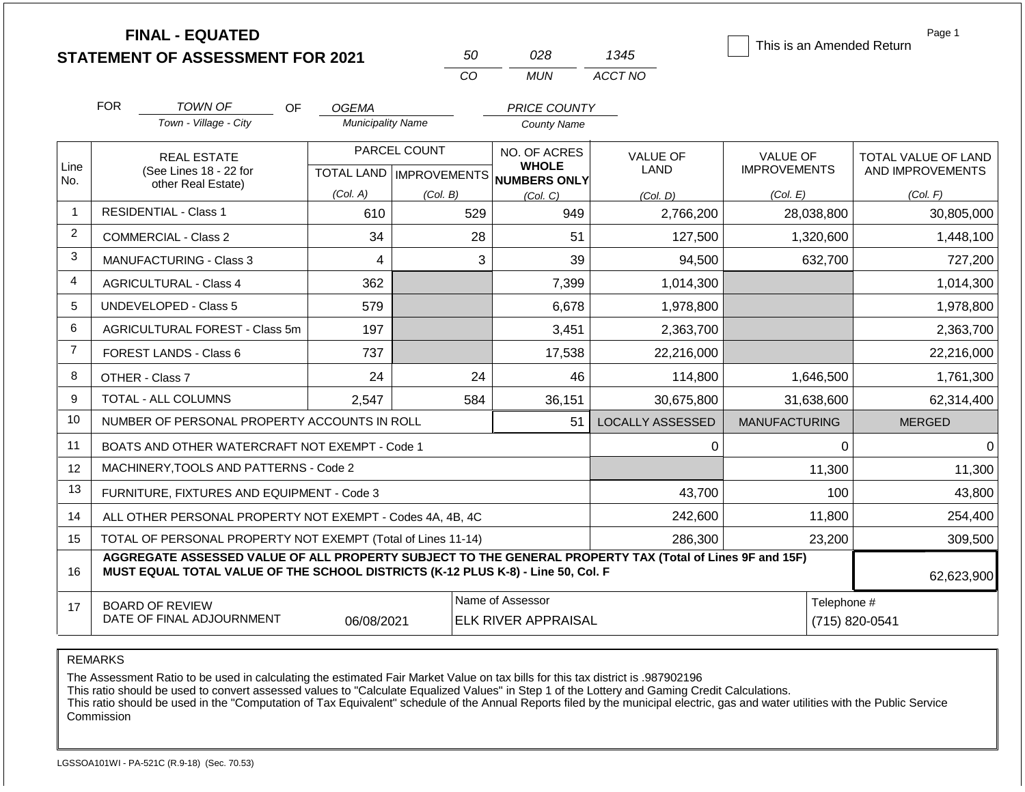|                |            | <b>FINAL - EQUATED</b><br><b>STATEMENT OF ASSESSMENT FOR 2021</b>                                                                                                                            |                                                  | 50       | 028                                                 | 1345    |                         |                                        |                | Page 1<br>This is an Amended Return     |
|----------------|------------|----------------------------------------------------------------------------------------------------------------------------------------------------------------------------------------------|--------------------------------------------------|----------|-----------------------------------------------------|---------|-------------------------|----------------------------------------|----------------|-----------------------------------------|
|                |            |                                                                                                                                                                                              |                                                  | CO       | <b>MUN</b>                                          | ACCT NO |                         |                                        |                |                                         |
|                | <b>FOR</b> | <b>TOWN OF</b><br>OF.                                                                                                                                                                        | <b>OGEMA</b>                                     |          | <b>PRICE COUNTY</b>                                 |         |                         |                                        |                |                                         |
|                |            | Town - Village - City                                                                                                                                                                        | <b>Municipality Name</b>                         |          | <b>County Name</b>                                  |         |                         |                                        |                |                                         |
| Line<br>No.    |            | <b>REAL ESTATE</b><br>(See Lines 18 - 22 for                                                                                                                                                 | PARCEL COUNT<br><b>TOTAL LAND   IMPROVEMENTS</b> |          | NO. OF ACRES<br><b>WHOLE</b><br><b>NUMBERS ONLY</b> |         | <b>VALUE OF</b><br>LAND | <b>VALUE OF</b><br><b>IMPROVEMENTS</b> |                | TOTAL VALUE OF LAND<br>AND IMPROVEMENTS |
|                |            | other Real Estate)                                                                                                                                                                           | (Col. A)                                         | (Col. B) | (Col, C)                                            |         | (Col, D)                | (Col. E)                               |                | (Col. F)                                |
| $\mathbf{1}$   |            | <b>RESIDENTIAL - Class 1</b>                                                                                                                                                                 | 610                                              |          | 529                                                 | 949     | 2,766,200               |                                        | 28,038,800     | 30,805,000                              |
| $\overline{2}$ |            | COMMERCIAL - Class 2                                                                                                                                                                         | 34                                               |          | 28                                                  | 51      | 127,500                 |                                        | 1,320,600      | 1,448,100                               |
| 3              |            | <b>MANUFACTURING - Class 3</b>                                                                                                                                                               | 4                                                |          | 3                                                   | 39      | 94,500                  |                                        | 632,700        | 727,200                                 |
| 4              |            | <b>AGRICULTURAL - Class 4</b>                                                                                                                                                                | 362                                              |          |                                                     | 7,399   | 1,014,300               |                                        |                | 1,014,300                               |
| 5              |            | <b>UNDEVELOPED - Class 5</b>                                                                                                                                                                 | 579                                              |          |                                                     | 6,678   | 1,978,800               |                                        |                | 1,978,800                               |
| 6              |            | AGRICULTURAL FOREST - Class 5m                                                                                                                                                               | 197                                              |          |                                                     | 3,451   | 2,363,700               |                                        |                | 2,363,700                               |
| $\overline{7}$ |            | FOREST LANDS - Class 6                                                                                                                                                                       | 737                                              |          | 17,538                                              |         | 22,216,000              |                                        |                | 22,216,000                              |
| 8              |            | OTHER - Class 7                                                                                                                                                                              | 24                                               |          | 24                                                  | 46      | 114,800                 |                                        | 1,646,500      | 1,761,300                               |
| 9              |            | TOTAL - ALL COLUMNS                                                                                                                                                                          | 2,547                                            |          | 584<br>36,151                                       |         | 30,675,800              |                                        | 31,638,600     | 62,314,400                              |
| 10             |            | NUMBER OF PERSONAL PROPERTY ACCOUNTS IN ROLL                                                                                                                                                 |                                                  |          |                                                     | 51      | <b>LOCALLY ASSESSED</b> | <b>MANUFACTURING</b>                   |                | <b>MERGED</b>                           |
| 11             |            | BOATS AND OTHER WATERCRAFT NOT EXEMPT - Code 1                                                                                                                                               |                                                  |          |                                                     |         | 0                       |                                        | $\Omega$       | $\Omega$                                |
| 12             |            | MACHINERY, TOOLS AND PATTERNS - Code 2                                                                                                                                                       |                                                  |          |                                                     |         |                         |                                        | 11,300         | 11,300                                  |
| 13             |            | FURNITURE, FIXTURES AND EQUIPMENT - Code 3                                                                                                                                                   |                                                  |          |                                                     |         | 43,700                  |                                        | 100            | 43,800                                  |
| 14             |            | ALL OTHER PERSONAL PROPERTY NOT EXEMPT - Codes 4A, 4B, 4C                                                                                                                                    |                                                  |          |                                                     |         | 242,600                 |                                        | 11,800         | 254,400                                 |
| 15             |            | TOTAL OF PERSONAL PROPERTY NOT EXEMPT (Total of Lines 11-14)                                                                                                                                 |                                                  |          |                                                     |         | 286,300                 |                                        | 23,200         | 309,500                                 |
| 16             |            | AGGREGATE ASSESSED VALUE OF ALL PROPERTY SUBJECT TO THE GENERAL PROPERTY TAX (Total of Lines 9F and 15F)<br>MUST EQUAL TOTAL VALUE OF THE SCHOOL DISTRICTS (K-12 PLUS K-8) - Line 50, Col. F |                                                  |          |                                                     |         |                         |                                        |                | 62,623,900                              |
| 17             |            | <b>BOARD OF REVIEW</b><br>DATE OF FINAL ADJOURNMENT                                                                                                                                          | 06/08/2021                                       |          | Name of Assessor<br><b>ELK RIVER APPRAISAL</b>      |         |                         | Telephone #                            | (715) 820-0541 |                                         |

The Assessment Ratio to be used in calculating the estimated Fair Market Value on tax bills for this tax district is .987902196

This ratio should be used to convert assessed values to "Calculate Equalized Values" in Step 1 of the Lottery and Gaming Credit Calculations.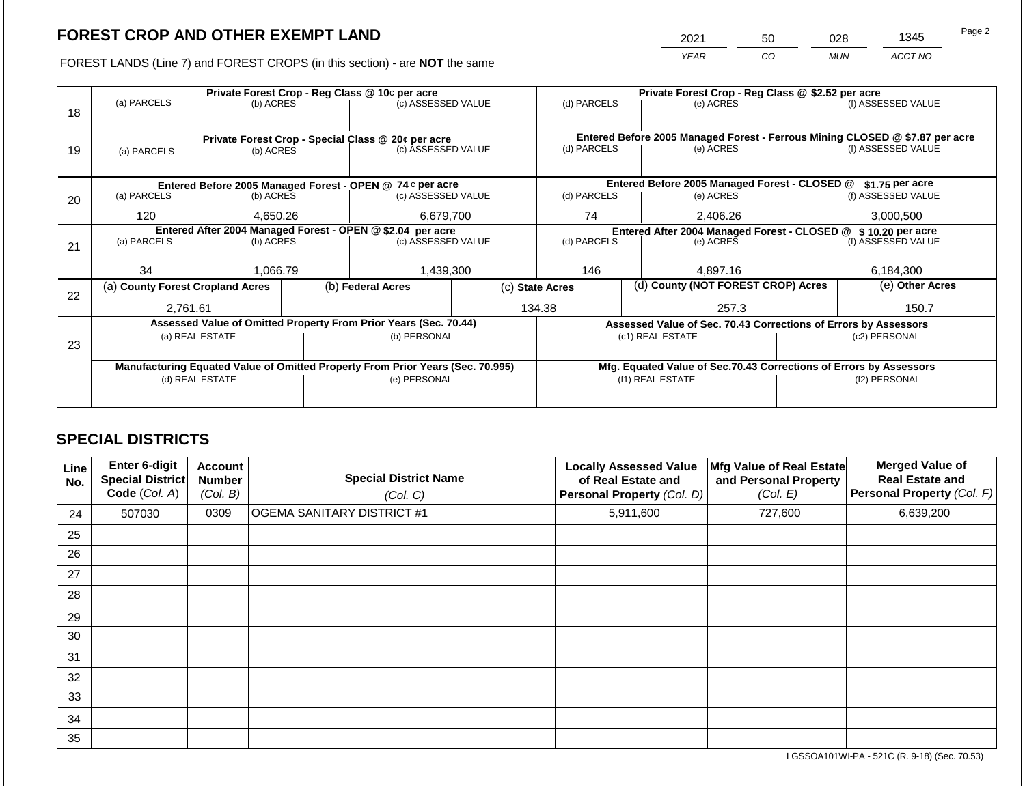2021 50 028 1345

FOREST LANDS (Line 7) and FOREST CROPS (in this section) - are **NOT** the same *YEAR CO MUN ACCT NO*

|    |                                                                                |                 |  | Private Forest Crop - Reg Class @ 10¢ per acre                           |                                                               | Private Forest Crop - Reg Class @ \$2.52 per acre |  |                                                                    |                                                                              |                    |
|----|--------------------------------------------------------------------------------|-----------------|--|--------------------------------------------------------------------------|---------------------------------------------------------------|---------------------------------------------------|--|--------------------------------------------------------------------|------------------------------------------------------------------------------|--------------------|
|    | (a) PARCELS                                                                    | (b) ACRES       |  | (c) ASSESSED VALUE                                                       |                                                               | (d) PARCELS                                       |  | (e) ACRES                                                          |                                                                              | (f) ASSESSED VALUE |
| 18 |                                                                                |                 |  |                                                                          |                                                               |                                                   |  |                                                                    |                                                                              |                    |
|    |                                                                                |                 |  |                                                                          |                                                               |                                                   |  |                                                                    | Entered Before 2005 Managed Forest - Ferrous Mining CLOSED @ \$7.87 per acre |                    |
|    |                                                                                |                 |  | Private Forest Crop - Special Class @ 20¢ per acre<br>(c) ASSESSED VALUE |                                                               | (d) PARCELS                                       |  | (e) ACRES                                                          |                                                                              | (f) ASSESSED VALUE |
| 19 | (a) PARCELS                                                                    | (b) ACRES       |  |                                                                          |                                                               |                                                   |  |                                                                    |                                                                              |                    |
|    |                                                                                |                 |  |                                                                          |                                                               |                                                   |  |                                                                    |                                                                              |                    |
|    |                                                                                |                 |  | Entered Before 2005 Managed Forest - OPEN @ 74 ¢ per acre                |                                                               |                                                   |  | Entered Before 2005 Managed Forest - CLOSED @                      |                                                                              | \$1.75 per acre    |
| 20 | (a) PARCELS<br>(b) ACRES                                                       |                 |  | (c) ASSESSED VALUE                                                       |                                                               | (d) PARCELS                                       |  | (e) ACRES                                                          |                                                                              | (f) ASSESSED VALUE |
|    |                                                                                |                 |  |                                                                          |                                                               |                                                   |  |                                                                    |                                                                              |                    |
|    | 120                                                                            | 4,650.26        |  | 6,679,700                                                                |                                                               | 74                                                |  | 2,406.26                                                           |                                                                              | 3,000,500          |
|    | Entered After 2004 Managed Forest - OPEN @ \$2.04 per acre                     |                 |  |                                                                          | Entered After 2004 Managed Forest - CLOSED @ \$10.20 per acre |                                                   |  |                                                                    |                                                                              |                    |
| 21 | (a) PARCELS                                                                    | (b) ACRES       |  | (c) ASSESSED VALUE                                                       |                                                               | (d) PARCELS                                       |  | (e) ACRES                                                          |                                                                              | (f) ASSESSED VALUE |
|    |                                                                                |                 |  |                                                                          |                                                               |                                                   |  |                                                                    |                                                                              |                    |
|    | 34                                                                             | 1,066.79        |  | 1,439,300                                                                |                                                               | 146                                               |  | 4,897.16                                                           |                                                                              | 6,184,300          |
|    | (a) County Forest Cropland Acres                                               |                 |  | (b) Federal Acres                                                        |                                                               | (c) State Acres                                   |  | (d) County (NOT FOREST CROP) Acres                                 |                                                                              | (e) Other Acres    |
| 22 |                                                                                |                 |  |                                                                          |                                                               |                                                   |  |                                                                    |                                                                              |                    |
|    | 2,761.61                                                                       |                 |  |                                                                          |                                                               | 134.38                                            |  | 257.3                                                              | 150.7                                                                        |                    |
|    |                                                                                |                 |  | Assessed Value of Omitted Property From Prior Years (Sec. 70.44)         |                                                               |                                                   |  | Assessed Value of Sec. 70.43 Corrections of Errors by Assessors    |                                                                              |                    |
|    |                                                                                | (a) REAL ESTATE |  | (b) PERSONAL                                                             |                                                               |                                                   |  | (c1) REAL ESTATE                                                   |                                                                              | (c2) PERSONAL      |
| 23 |                                                                                |                 |  |                                                                          |                                                               |                                                   |  |                                                                    |                                                                              |                    |
|    | Manufacturing Equated Value of Omitted Property From Prior Years (Sec. 70.995) |                 |  |                                                                          |                                                               |                                                   |  | Mfg. Equated Value of Sec.70.43 Corrections of Errors by Assessors |                                                                              |                    |
|    | (d) REAL ESTATE                                                                |                 |  | (e) PERSONAL                                                             |                                                               |                                                   |  | (f1) REAL ESTATE                                                   |                                                                              | (f2) PERSONAL      |
|    |                                                                                |                 |  |                                                                          |                                                               |                                                   |  |                                                                    |                                                                              |                    |
|    |                                                                                |                 |  |                                                                          |                                                               |                                                   |  |                                                                    |                                                                              |                    |

## **SPECIAL DISTRICTS**

| Line<br>No. | Enter 6-digit<br>Special District<br>Code (Col. A) | <b>Account</b><br><b>Number</b><br>(Col. B) | <b>Special District Name</b><br>(Col. C) | <b>Locally Assessed Value</b><br>of Real Estate and<br>Personal Property (Col. D) | Mfg Value of Real Estate<br>and Personal Property<br>(Col. E) | <b>Merged Value of</b><br><b>Real Estate and</b><br>Personal Property (Col. F) |
|-------------|----------------------------------------------------|---------------------------------------------|------------------------------------------|-----------------------------------------------------------------------------------|---------------------------------------------------------------|--------------------------------------------------------------------------------|
| 24          | 507030                                             | 0309                                        | OGEMA SANITARY DISTRICT #1               | 5,911,600                                                                         | 727,600                                                       | 6,639,200                                                                      |
| 25          |                                                    |                                             |                                          |                                                                                   |                                                               |                                                                                |
| 26          |                                                    |                                             |                                          |                                                                                   |                                                               |                                                                                |
| 27          |                                                    |                                             |                                          |                                                                                   |                                                               |                                                                                |
| 28          |                                                    |                                             |                                          |                                                                                   |                                                               |                                                                                |
| 29          |                                                    |                                             |                                          |                                                                                   |                                                               |                                                                                |
| 30          |                                                    |                                             |                                          |                                                                                   |                                                               |                                                                                |
| 31          |                                                    |                                             |                                          |                                                                                   |                                                               |                                                                                |
| 32          |                                                    |                                             |                                          |                                                                                   |                                                               |                                                                                |
| 33          |                                                    |                                             |                                          |                                                                                   |                                                               |                                                                                |
| 34          |                                                    |                                             |                                          |                                                                                   |                                                               |                                                                                |
| 35          |                                                    |                                             |                                          |                                                                                   |                                                               |                                                                                |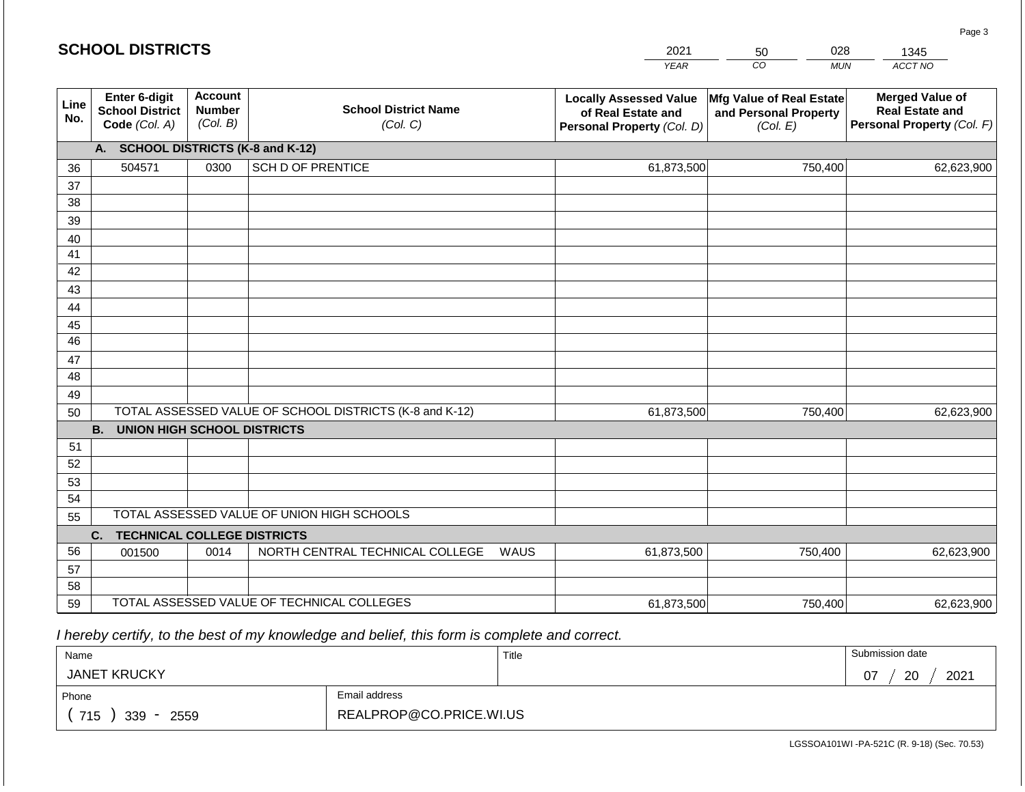|             | <b>SCHOOL DISTRICTS</b>                                  |                                             |                                                         |      | 2021                                                                              | 028<br>50                                                     | 1345                                                                           |  |
|-------------|----------------------------------------------------------|---------------------------------------------|---------------------------------------------------------|------|-----------------------------------------------------------------------------------|---------------------------------------------------------------|--------------------------------------------------------------------------------|--|
|             |                                                          |                                             |                                                         |      | <b>YEAR</b>                                                                       | CO<br><b>MUN</b>                                              | ACCT NO                                                                        |  |
| Line<br>No. | Enter 6-digit<br><b>School District</b><br>Code (Col. A) | <b>Account</b><br><b>Number</b><br>(Col. B) | <b>School District Name</b><br>(Col. C)                 |      | <b>Locally Assessed Value</b><br>of Real Estate and<br>Personal Property (Col. D) | Mfg Value of Real Estate<br>and Personal Property<br>(Col. E) | <b>Merged Value of</b><br><b>Real Estate and</b><br>Personal Property (Col. F) |  |
|             | A. SCHOOL DISTRICTS (K-8 and K-12)                       |                                             |                                                         |      |                                                                                   |                                                               |                                                                                |  |
| 36          | 504571                                                   | 0300                                        | <b>SCH D OF PRENTICE</b>                                |      | 61,873,500                                                                        | 750,400                                                       | 62,623,900                                                                     |  |
| 37          |                                                          |                                             |                                                         |      |                                                                                   |                                                               |                                                                                |  |
| 38          |                                                          |                                             |                                                         |      |                                                                                   |                                                               |                                                                                |  |
| 39          |                                                          |                                             |                                                         |      |                                                                                   |                                                               |                                                                                |  |
| 40          |                                                          |                                             |                                                         |      |                                                                                   |                                                               |                                                                                |  |
| 41<br>42    |                                                          |                                             |                                                         |      |                                                                                   |                                                               |                                                                                |  |
| 43          |                                                          |                                             |                                                         |      |                                                                                   |                                                               |                                                                                |  |
| 44          |                                                          |                                             |                                                         |      |                                                                                   |                                                               |                                                                                |  |
| 45          |                                                          |                                             |                                                         |      |                                                                                   |                                                               |                                                                                |  |
| 46          |                                                          |                                             |                                                         |      |                                                                                   |                                                               |                                                                                |  |
| 47          |                                                          |                                             |                                                         |      |                                                                                   |                                                               |                                                                                |  |
| 48          |                                                          |                                             |                                                         |      |                                                                                   |                                                               |                                                                                |  |
| 49          |                                                          |                                             |                                                         |      |                                                                                   |                                                               |                                                                                |  |
| 50          |                                                          |                                             | TOTAL ASSESSED VALUE OF SCHOOL DISTRICTS (K-8 and K-12) |      | 61,873,500                                                                        | 750,400                                                       | 62,623,900                                                                     |  |
|             | <b>B.</b><br><b>UNION HIGH SCHOOL DISTRICTS</b>          |                                             |                                                         |      |                                                                                   |                                                               |                                                                                |  |
| 51          |                                                          |                                             |                                                         |      |                                                                                   |                                                               |                                                                                |  |
| 52<br>53    |                                                          |                                             |                                                         |      |                                                                                   |                                                               |                                                                                |  |
| 54          |                                                          |                                             |                                                         |      |                                                                                   |                                                               |                                                                                |  |
| 55          |                                                          |                                             | TOTAL ASSESSED VALUE OF UNION HIGH SCHOOLS              |      |                                                                                   |                                                               |                                                                                |  |
|             | <b>TECHNICAL COLLEGE DISTRICTS</b><br>C.                 |                                             |                                                         |      |                                                                                   |                                                               |                                                                                |  |
| 56          | 001500                                                   | 0014                                        | NORTH CENTRAL TECHNICAL COLLEGE                         | WAUS | 61,873,500                                                                        | 750,400                                                       | 62,623,900                                                                     |  |
| 57          |                                                          |                                             |                                                         |      |                                                                                   |                                                               |                                                                                |  |
| 58          |                                                          |                                             |                                                         |      |                                                                                   |                                                               |                                                                                |  |
| 59          |                                                          |                                             | TOTAL ASSESSED VALUE OF TECHNICAL COLLEGES              |      | 61,873,500                                                                        | 750,400                                                       | 62,623,900                                                                     |  |

 *I hereby certify, to the best of my knowledge and belief, this form is complete and correct.*

**SCHOOL DISTRICTS**

| Name                                           |                         | Title | Submission date  |
|------------------------------------------------|-------------------------|-------|------------------|
| <b>JANET KRUCKY</b>                            |                         |       | 20<br>2021<br>07 |
| Phone                                          | Email address           |       |                  |
| 715<br>339<br>2559<br>$\overline{\phantom{0}}$ | REALPROP@CO.PRICE.WI.US |       |                  |

Page 3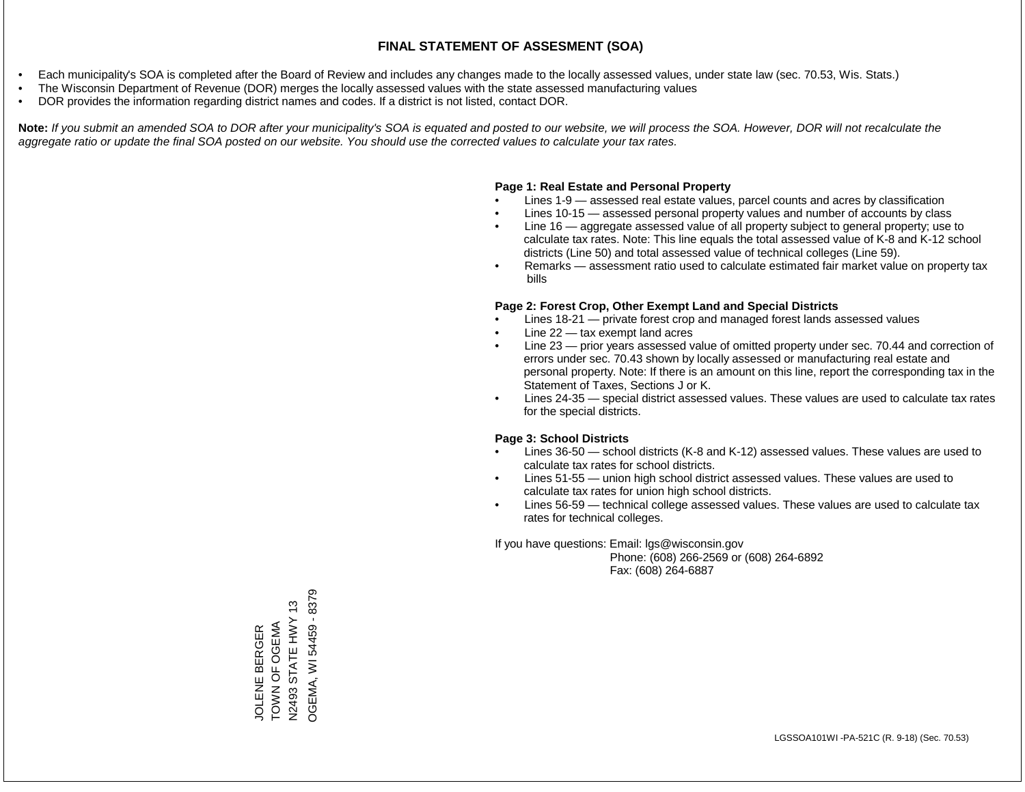- Each municipality's SOA is completed after the Board of Review and includes any changes made to the locally assessed values, under state law (sec. 70.53, Wis. Stats.)
- The Wisconsin Department of Revenue (DOR) merges the locally assessed values with the state assessed manufacturing values
- DOR provides the information regarding district names and codes. If a district is not listed, contact DOR.

Note: If you submit an amended SOA to DOR after your municipality's SOA is equated and posted to our website, we will process the SOA. However, DOR will not recalculate the *aggregate ratio or update the final SOA posted on our website. You should use the corrected values to calculate your tax rates.*

## **Page 1: Real Estate and Personal Property**

- Lines 1-9 assessed real estate values, parcel counts and acres by classification
- Lines 10-15 assessed personal property values and number of accounts by class
- Line 16 aggregate assessed value of all property subject to general property; use to calculate tax rates. Note: This line equals the total assessed value of K-8 and K-12 school districts (Line 50) and total assessed value of technical colleges (Line 59).
- Remarks assessment ratio used to calculate estimated fair market value on property tax bills

### **Page 2: Forest Crop, Other Exempt Land and Special Districts**

- Lines 18-21 private forest crop and managed forest lands assessed values
- Line  $22 -$  tax exempt land acres
- Line 23 prior years assessed value of omitted property under sec. 70.44 and correction of errors under sec. 70.43 shown by locally assessed or manufacturing real estate and personal property. Note: If there is an amount on this line, report the corresponding tax in the Statement of Taxes, Sections J or K.
- Lines 24-35 special district assessed values. These values are used to calculate tax rates for the special districts.

### **Page 3: School Districts**

- Lines 36-50 school districts (K-8 and K-12) assessed values. These values are used to calculate tax rates for school districts.
- Lines 51-55 union high school district assessed values. These values are used to calculate tax rates for union high school districts.
- Lines 56-59 technical college assessed values. These values are used to calculate tax rates for technical colleges.

If you have questions: Email: lgs@wisconsin.gov

 Phone: (608) 266-2569 or (608) 264-6892 Fax: (608) 264-6887

OGEMA, WI 54459 - 8379 OGEMA, WI 54459 - 8379TOWN OF OGEMA<br>N2493 STATE HWY 13 N2493 STATE HWY 13 TOWN OF OGEMA JOLENE BERGER JOLENE BERGER N2493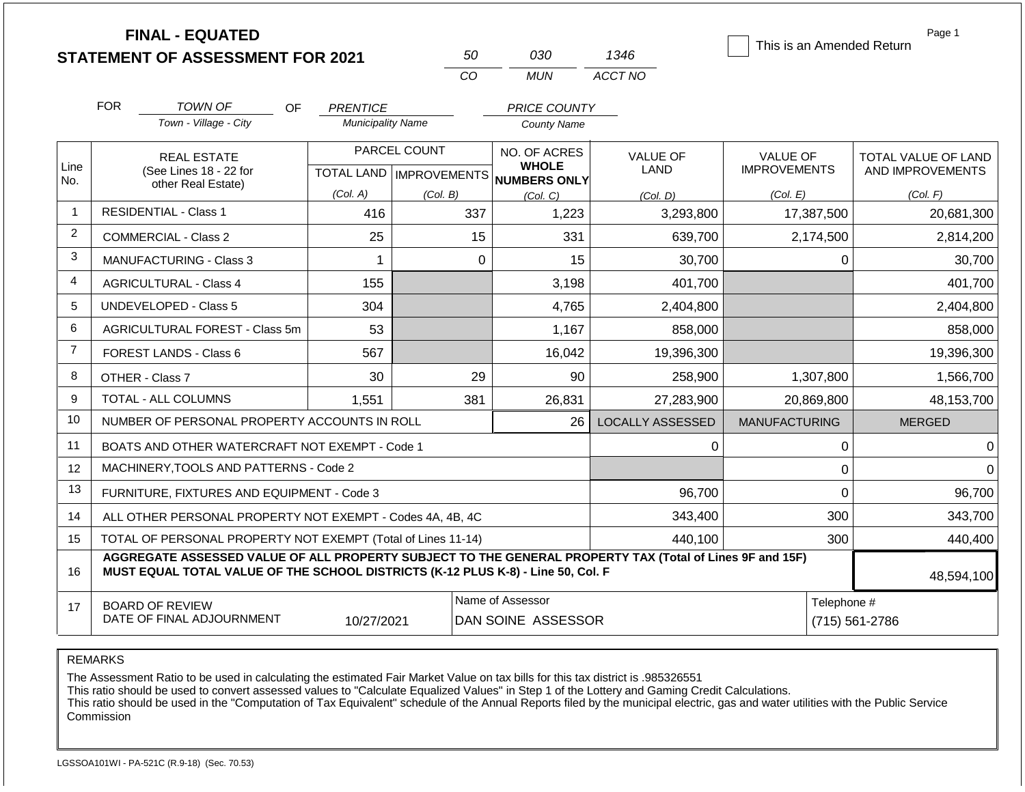|                |            | <b>FINAL - EQUATED</b><br><b>STATEMENT OF ASSESSMENT FOR 2021</b>                                                                                                                            |                          |                                  | 50          | 030                                    | 1346                    |                      |                               | Page 1<br>This is an Amended Return |
|----------------|------------|----------------------------------------------------------------------------------------------------------------------------------------------------------------------------------------------|--------------------------|----------------------------------|-------------|----------------------------------------|-------------------------|----------------------|-------------------------------|-------------------------------------|
|                |            |                                                                                                                                                                                              |                          |                                  | CO          | <b>MUN</b>                             | ACCT NO                 |                      |                               |                                     |
|                | <b>FOR</b> | <b>TOWN OF</b><br>OF.                                                                                                                                                                        | <b>PRENTICE</b>          |                                  |             | <b>PRICE COUNTY</b>                    |                         |                      |                               |                                     |
|                |            | Town - Village - City                                                                                                                                                                        | <b>Municipality Name</b> |                                  |             | <b>County Name</b>                     |                         |                      |                               |                                     |
|                |            | <b>REAL ESTATE</b>                                                                                                                                                                           | PARCEL COUNT             |                                  |             | NO. OF ACRES                           | VALUE OF                | <b>VALUE OF</b>      |                               | TOTAL VALUE OF LAND                 |
| Line<br>No.    |            | (See Lines 18 - 22 for<br>other Real Estate)                                                                                                                                                 |                          | <b>TOTAL LAND   IMPROVEMENTS</b> |             | <b>WHOLE</b><br>NUMBERS ONLY           | <b>LAND</b>             | <b>IMPROVEMENTS</b>  |                               | AND IMPROVEMENTS                    |
|                |            |                                                                                                                                                                                              | (Col. A)                 | (Col. B)                         |             | (Col, C)                               | (Col. D)                | (Col. E)             |                               | (Col. F)                            |
| $\mathbf{1}$   |            | <b>RESIDENTIAL - Class 1</b>                                                                                                                                                                 | 416                      |                                  | 337         | 1,223                                  | 3,293,800               |                      | 17,387,500                    | 20,681,300                          |
| $\overline{2}$ |            | <b>COMMERCIAL - Class 2</b>                                                                                                                                                                  | 25                       |                                  | 15          | 331                                    | 639,700                 |                      | 2,174,500                     | 2,814,200                           |
| 3              |            | MANUFACTURING - Class 3                                                                                                                                                                      | 1                        |                                  | $\mathbf 0$ | 15                                     | 30,700                  |                      | $\mathbf 0$                   | 30,700                              |
| 4              |            | <b>AGRICULTURAL - Class 4</b>                                                                                                                                                                | 155                      |                                  |             | 3,198                                  | 401,700                 |                      |                               | 401,700                             |
| 5              |            | <b>UNDEVELOPED - Class 5</b>                                                                                                                                                                 | 304                      |                                  |             | 4,765                                  | 2,404,800               |                      |                               | 2,404,800                           |
| 6              |            | AGRICULTURAL FOREST - Class 5m                                                                                                                                                               | 53                       |                                  |             | 1,167                                  | 858,000                 |                      |                               | 858,000                             |
| $\overline{7}$ |            | <b>FOREST LANDS - Class 6</b>                                                                                                                                                                | 567                      |                                  |             | 16,042                                 | 19,396,300              |                      |                               | 19,396,300                          |
| 8              |            | OTHER - Class 7                                                                                                                                                                              | 30                       |                                  | 29          | 90                                     | 258,900                 |                      | 1,307,800                     | 1,566,700                           |
| 9              |            | TOTAL - ALL COLUMNS                                                                                                                                                                          | 1,551                    |                                  | 381         | 26,831                                 | 27,283,900              |                      | 20,869,800                    | 48,153,700                          |
| 10             |            | NUMBER OF PERSONAL PROPERTY ACCOUNTS IN ROLL                                                                                                                                                 |                          |                                  |             | 26                                     | <b>LOCALLY ASSESSED</b> | <b>MANUFACTURING</b> |                               | <b>MERGED</b>                       |
| 11             |            | BOATS AND OTHER WATERCRAFT NOT EXEMPT - Code 1                                                                                                                                               |                          |                                  |             |                                        | 0                       |                      | $\pmb{0}$                     | $\Omega$                            |
| 12             |            | MACHINERY, TOOLS AND PATTERNS - Code 2                                                                                                                                                       |                          |                                  |             |                                        |                         |                      | $\mathbf 0$                   | $\Omega$                            |
| 13             |            | FURNITURE, FIXTURES AND EQUIPMENT - Code 3                                                                                                                                                   |                          |                                  |             |                                        | 96,700                  |                      | $\mathbf 0$                   | 96,700                              |
| 14             |            | ALL OTHER PERSONAL PROPERTY NOT EXEMPT - Codes 4A, 4B, 4C                                                                                                                                    |                          |                                  |             |                                        | 343,400                 |                      | 300                           | 343,700                             |
| 15             |            | TOTAL OF PERSONAL PROPERTY NOT EXEMPT (Total of Lines 11-14)                                                                                                                                 |                          |                                  |             |                                        | 440,100                 |                      | 300                           | 440,400                             |
| 16             |            | AGGREGATE ASSESSED VALUE OF ALL PROPERTY SUBJECT TO THE GENERAL PROPERTY TAX (Total of Lines 9F and 15F)<br>MUST EQUAL TOTAL VALUE OF THE SCHOOL DISTRICTS (K-12 PLUS K-8) - Line 50, Col. F |                          |                                  |             |                                        |                         |                      |                               | 48,594,100                          |
| 17             |            | <b>BOARD OF REVIEW</b><br>DATE OF FINAL ADJOURNMENT                                                                                                                                          | 10/27/2021               |                                  |             | Name of Assessor<br>DAN SOINE ASSESSOR |                         |                      | Telephone #<br>(715) 561-2786 |                                     |

The Assessment Ratio to be used in calculating the estimated Fair Market Value on tax bills for this tax district is .985326551

This ratio should be used to convert assessed values to "Calculate Equalized Values" in Step 1 of the Lottery and Gaming Credit Calculations.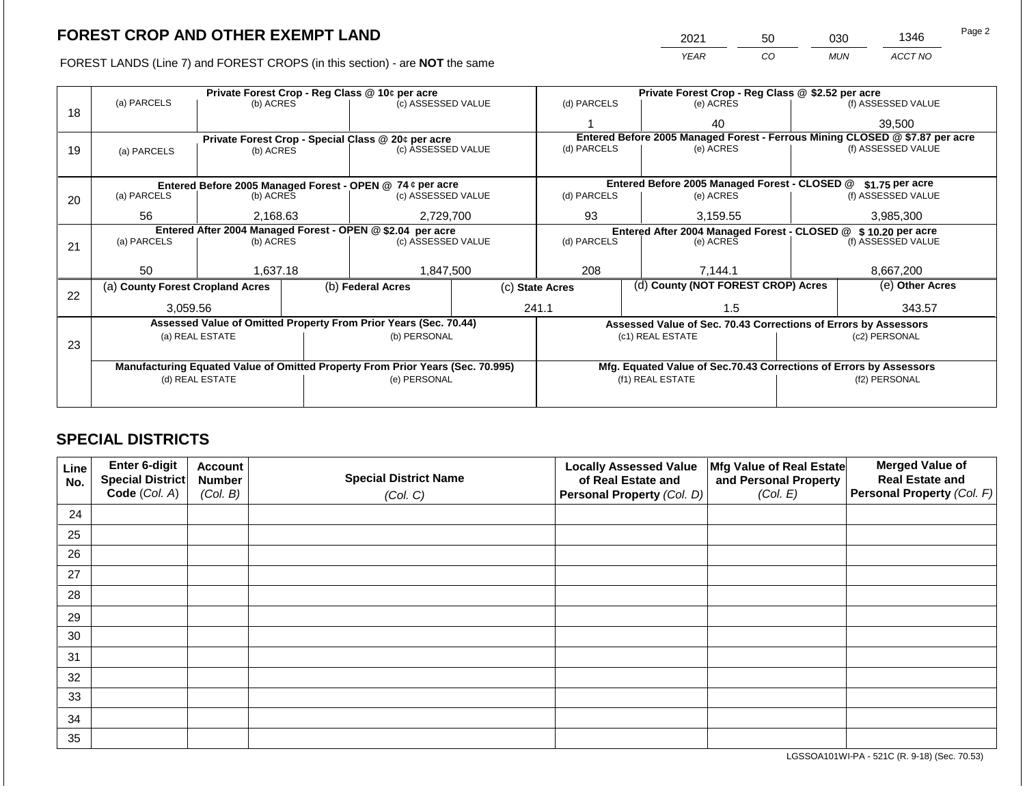FOREST LANDS (Line 7) and FOREST CROPS (in this section) - are NOT the same

| 2021 | 50 | ევი | 1346    | Page 2 |
|------|----|-----|---------|--------|
| YFAR | CO | MUN | ACCT NO |        |

|    |                                                                                                   |                 |  | Private Forest Crop - Reg Class @ 10¢ per acre                   |  |                                                               | Private Forest Crop - Reg Class @ \$2.52 per acre                            |               |                    |  |
|----|---------------------------------------------------------------------------------------------------|-----------------|--|------------------------------------------------------------------|--|---------------------------------------------------------------|------------------------------------------------------------------------------|---------------|--------------------|--|
|    | (a) PARCELS                                                                                       | (b) ACRES       |  | (c) ASSESSED VALUE                                               |  | (d) PARCELS                                                   | (e) ACRES                                                                    |               | (f) ASSESSED VALUE |  |
| 18 |                                                                                                   |                 |  |                                                                  |  |                                                               | 40                                                                           |               | 39,500             |  |
|    |                                                                                                   |                 |  | Private Forest Crop - Special Class @ 20¢ per acre               |  |                                                               | Entered Before 2005 Managed Forest - Ferrous Mining CLOSED @ \$7.87 per acre |               |                    |  |
| 19 | (a) PARCELS                                                                                       | (b) ACRES       |  | (c) ASSESSED VALUE                                               |  | (d) PARCELS                                                   | (e) ACRES                                                                    |               | (f) ASSESSED VALUE |  |
|    |                                                                                                   |                 |  |                                                                  |  |                                                               |                                                                              |               |                    |  |
|    |                                                                                                   |                 |  | Entered Before 2005 Managed Forest - OPEN @ 74 ¢ per acre        |  |                                                               | Entered Before 2005 Managed Forest - CLOSED @                                |               | $$1.75$ per acre   |  |
|    | (a) PARCELS<br>(b) ACRES<br>20                                                                    |                 |  | (c) ASSESSED VALUE                                               |  | (d) PARCELS                                                   | (e) ACRES                                                                    |               | (f) ASSESSED VALUE |  |
|    |                                                                                                   |                 |  |                                                                  |  |                                                               |                                                                              |               | 3,985,300          |  |
|    | 56<br>2,168.63                                                                                    |                 |  | 2,729,700                                                        |  | 93                                                            | 3,159.55                                                                     |               |                    |  |
|    | Entered After 2004 Managed Forest - OPEN @ \$2.04 per acre                                        |                 |  |                                                                  |  | Entered After 2004 Managed Forest - CLOSED @ \$10.20 per acre |                                                                              |               |                    |  |
| 21 | (a) PARCELS<br>(b) ACRES                                                                          |                 |  | (c) ASSESSED VALUE                                               |  | (d) PARCELS                                                   | (e) ACRES                                                                    |               | (f) ASSESSED VALUE |  |
|    |                                                                                                   |                 |  |                                                                  |  |                                                               |                                                                              |               |                    |  |
|    | 50                                                                                                | 1,637.18        |  | 1,847,500                                                        |  | 208                                                           | 7,144.1                                                                      |               | 8,667,200          |  |
|    | (a) County Forest Cropland Acres                                                                  |                 |  | (b) Federal Acres                                                |  | (d) County (NOT FOREST CROP) Acres<br>(c) State Acres         |                                                                              |               | (e) Other Acres    |  |
| 22 |                                                                                                   |                 |  |                                                                  |  |                                                               |                                                                              |               |                    |  |
|    | 3,059.56                                                                                          |                 |  |                                                                  |  | 241.1<br>1.5                                                  |                                                                              |               | 343.57             |  |
|    |                                                                                                   |                 |  | Assessed Value of Omitted Property From Prior Years (Sec. 70.44) |  |                                                               | Assessed Value of Sec. 70.43 Corrections of Errors by Assessors              |               |                    |  |
|    |                                                                                                   | (a) REAL ESTATE |  | (b) PERSONAL                                                     |  |                                                               | (c1) REAL ESTATE                                                             | (c2) PERSONAL |                    |  |
| 23 |                                                                                                   |                 |  |                                                                  |  |                                                               |                                                                              |               |                    |  |
|    |                                                                                                   |                 |  |                                                                  |  |                                                               |                                                                              |               |                    |  |
|    | Manufacturing Equated Value of Omitted Property From Prior Years (Sec. 70.995)<br>(d) REAL ESTATE |                 |  |                                                                  |  |                                                               | Mfg. Equated Value of Sec.70.43 Corrections of Errors by Assessors           |               |                    |  |
|    |                                                                                                   |                 |  | (e) PERSONAL                                                     |  |                                                               | (f1) REAL ESTATE                                                             |               | (f2) PERSONAL      |  |
|    |                                                                                                   |                 |  |                                                                  |  |                                                               |                                                                              |               |                    |  |
|    |                                                                                                   |                 |  |                                                                  |  |                                                               |                                                                              |               |                    |  |

## **SPECIAL DISTRICTS**

| <b>Line</b><br>No. | Enter 6-digit<br>Special District | <b>Account</b><br><b>Number</b> | <b>Special District Name</b> | <b>Locally Assessed Value</b><br>of Real Estate and | Mfg Value of Real Estate<br>and Personal Property | <b>Merged Value of</b><br><b>Real Estate and</b> |
|--------------------|-----------------------------------|---------------------------------|------------------------------|-----------------------------------------------------|---------------------------------------------------|--------------------------------------------------|
|                    | Code (Col. A)                     | (Col. B)                        | (Col. C)                     | Personal Property (Col. D)                          | (Col. E)                                          | Personal Property (Col. F)                       |
| 24                 |                                   |                                 |                              |                                                     |                                                   |                                                  |
| 25                 |                                   |                                 |                              |                                                     |                                                   |                                                  |
| 26                 |                                   |                                 |                              |                                                     |                                                   |                                                  |
| 27                 |                                   |                                 |                              |                                                     |                                                   |                                                  |
| 28                 |                                   |                                 |                              |                                                     |                                                   |                                                  |
| 29                 |                                   |                                 |                              |                                                     |                                                   |                                                  |
| 30                 |                                   |                                 |                              |                                                     |                                                   |                                                  |
| 31                 |                                   |                                 |                              |                                                     |                                                   |                                                  |
| 32                 |                                   |                                 |                              |                                                     |                                                   |                                                  |
| 33                 |                                   |                                 |                              |                                                     |                                                   |                                                  |
| 34                 |                                   |                                 |                              |                                                     |                                                   |                                                  |
| 35                 |                                   |                                 |                              |                                                     |                                                   |                                                  |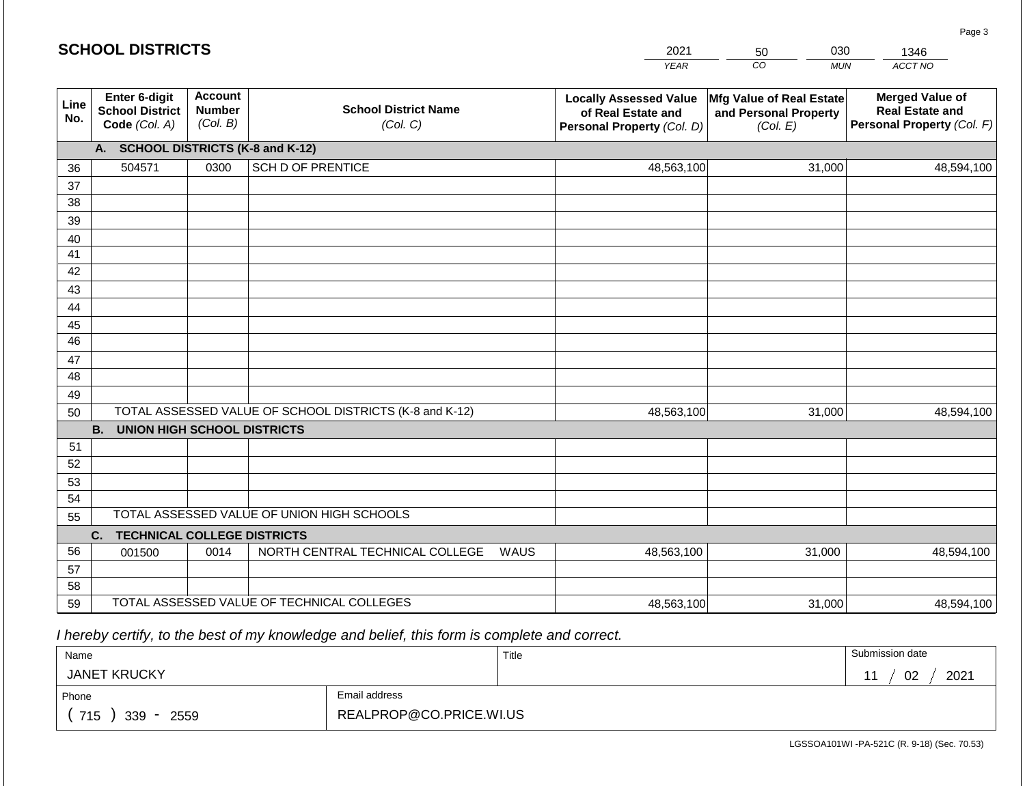|             | <b>SCHOOL DISTRICTS</b>                                  |                                             |                                                         |      | 2021                                                                              | 030<br>50                                                            | 1346                                                                           |  |
|-------------|----------------------------------------------------------|---------------------------------------------|---------------------------------------------------------|------|-----------------------------------------------------------------------------------|----------------------------------------------------------------------|--------------------------------------------------------------------------------|--|
|             |                                                          |                                             |                                                         |      | <b>YEAR</b>                                                                       | $\overline{co}$<br><b>MUN</b>                                        | ACCT NO                                                                        |  |
| Line<br>No. | Enter 6-digit<br><b>School District</b><br>Code (Col. A) | <b>Account</b><br><b>Number</b><br>(Col. B) | <b>School District Name</b><br>(Col. C)                 |      | <b>Locally Assessed Value</b><br>of Real Estate and<br>Personal Property (Col. D) | <b>Mfg Value of Real Estate</b><br>and Personal Property<br>(Col. E) | <b>Merged Value of</b><br><b>Real Estate and</b><br>Personal Property (Col. F) |  |
|             | A.                                                       |                                             | <b>SCHOOL DISTRICTS (K-8 and K-12)</b>                  |      |                                                                                   |                                                                      |                                                                                |  |
| 36          | 504571                                                   | 0300                                        | <b>SCH D OF PRENTICE</b>                                |      | 48,563,100                                                                        | 31,000                                                               | 48,594,100                                                                     |  |
| 37          |                                                          |                                             |                                                         |      |                                                                                   |                                                                      |                                                                                |  |
| 38          |                                                          |                                             |                                                         |      |                                                                                   |                                                                      |                                                                                |  |
| 39          |                                                          |                                             |                                                         |      |                                                                                   |                                                                      |                                                                                |  |
| 40          |                                                          |                                             |                                                         |      |                                                                                   |                                                                      |                                                                                |  |
| 41          |                                                          |                                             |                                                         |      |                                                                                   |                                                                      |                                                                                |  |
| 42          |                                                          |                                             |                                                         |      |                                                                                   |                                                                      |                                                                                |  |
| 43          |                                                          |                                             |                                                         |      |                                                                                   |                                                                      |                                                                                |  |
| 44          |                                                          |                                             |                                                         |      |                                                                                   |                                                                      |                                                                                |  |
| 45<br>46    |                                                          |                                             |                                                         |      |                                                                                   |                                                                      |                                                                                |  |
| 47          |                                                          |                                             |                                                         |      |                                                                                   |                                                                      |                                                                                |  |
| 48          |                                                          |                                             |                                                         |      |                                                                                   |                                                                      |                                                                                |  |
| 49          |                                                          |                                             |                                                         |      |                                                                                   |                                                                      |                                                                                |  |
| 50          |                                                          |                                             | TOTAL ASSESSED VALUE OF SCHOOL DISTRICTS (K-8 and K-12) |      | 48,563,100                                                                        | 31,000                                                               | 48,594,100                                                                     |  |
|             | <b>B.</b><br><b>UNION HIGH SCHOOL DISTRICTS</b>          |                                             |                                                         |      |                                                                                   |                                                                      |                                                                                |  |
| 51          |                                                          |                                             |                                                         |      |                                                                                   |                                                                      |                                                                                |  |
| 52          |                                                          |                                             |                                                         |      |                                                                                   |                                                                      |                                                                                |  |
| 53          |                                                          |                                             |                                                         |      |                                                                                   |                                                                      |                                                                                |  |
| 54          |                                                          |                                             |                                                         |      |                                                                                   |                                                                      |                                                                                |  |
| 55          |                                                          |                                             | TOTAL ASSESSED VALUE OF UNION HIGH SCHOOLS              |      |                                                                                   |                                                                      |                                                                                |  |
|             | <b>TECHNICAL COLLEGE DISTRICTS</b><br>C.                 |                                             |                                                         |      |                                                                                   |                                                                      |                                                                                |  |
| 56          | 001500                                                   | 0014                                        | NORTH CENTRAL TECHNICAL COLLEGE                         | WAUS | 48,563,100                                                                        | 31,000                                                               | 48,594,100                                                                     |  |
| 57          |                                                          |                                             |                                                         |      |                                                                                   |                                                                      |                                                                                |  |
| 58          |                                                          |                                             |                                                         |      |                                                                                   |                                                                      |                                                                                |  |
| 59          |                                                          |                                             | TOTAL ASSESSED VALUE OF TECHNICAL COLLEGES              |      | 48,563,100                                                                        | 31,000                                                               | 48,594,100                                                                     |  |

2021

 *I hereby certify, to the best of my knowledge and belief, this form is complete and correct.*

**SCHOOL DISTRICTS**

| Name                |                         | Title | Submission date |
|---------------------|-------------------------|-------|-----------------|
| <b>JANET KRUCKY</b> |                         |       | 02<br>2021      |
| Phone               | Email address           |       |                 |
| 715<br>339<br>2559  | REALPROP@CO.PRICE.WI.US |       |                 |

Page 3

030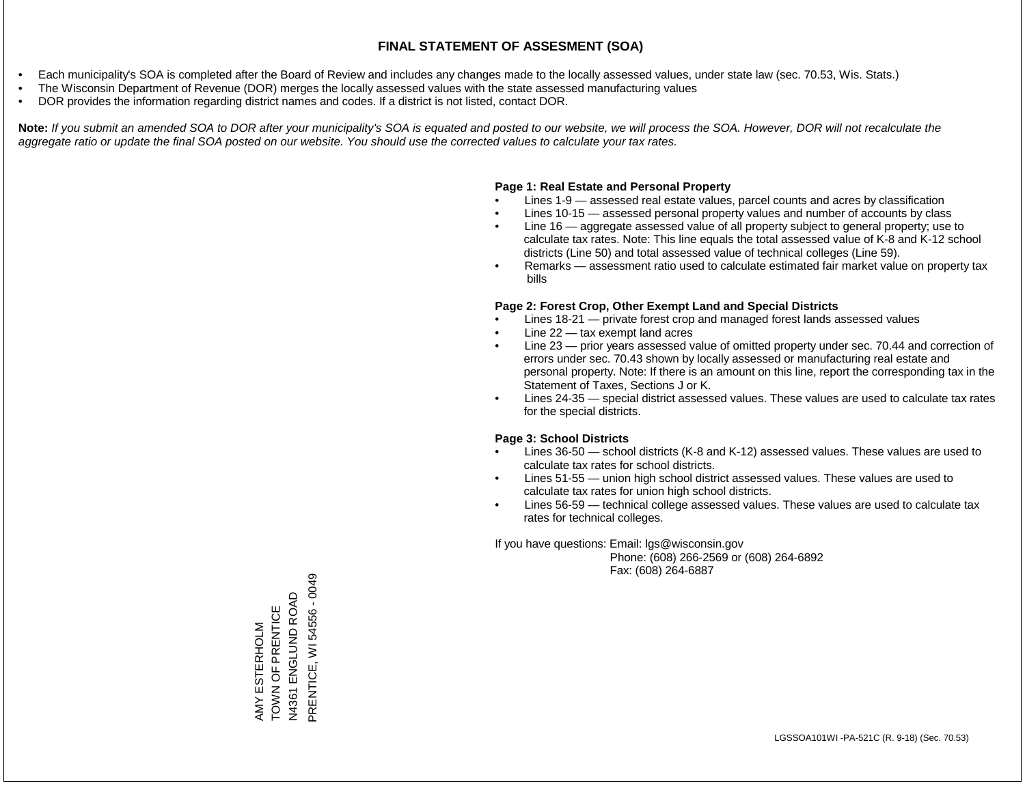- Each municipality's SOA is completed after the Board of Review and includes any changes made to the locally assessed values, under state law (sec. 70.53, Wis. Stats.)
- The Wisconsin Department of Revenue (DOR) merges the locally assessed values with the state assessed manufacturing values
- DOR provides the information regarding district names and codes. If a district is not listed, contact DOR.

Note: If you submit an amended SOA to DOR after your municipality's SOA is equated and posted to our website, we will process the SOA. However, DOR will not recalculate the *aggregate ratio or update the final SOA posted on our website. You should use the corrected values to calculate your tax rates.*

### **Page 1: Real Estate and Personal Property**

- Lines 1-9 assessed real estate values, parcel counts and acres by classification
- Lines 10-15 assessed personal property values and number of accounts by class
- Line 16 aggregate assessed value of all property subject to general property; use to calculate tax rates. Note: This line equals the total assessed value of K-8 and K-12 school districts (Line 50) and total assessed value of technical colleges (Line 59).
- Remarks assessment ratio used to calculate estimated fair market value on property tax bills

### **Page 2: Forest Crop, Other Exempt Land and Special Districts**

- Lines 18-21 private forest crop and managed forest lands assessed values
- Line  $22 -$  tax exempt land acres
- Line 23 prior years assessed value of omitted property under sec. 70.44 and correction of errors under sec. 70.43 shown by locally assessed or manufacturing real estate and personal property. Note: If there is an amount on this line, report the corresponding tax in the Statement of Taxes, Sections J or K.
- Lines 24-35 special district assessed values. These values are used to calculate tax rates for the special districts.

### **Page 3: School Districts**

- Lines 36-50 school districts (K-8 and K-12) assessed values. These values are used to calculate tax rates for school districts.
- Lines 51-55 union high school district assessed values. These values are used to calculate tax rates for union high school districts.
- Lines 56-59 technical college assessed values. These values are used to calculate tax rates for technical colleges.

If you have questions: Email: lgs@wisconsin.gov

 Phone: (608) 266-2569 or (608) 264-6892 Fax: (608) 264-6887

PRENTICE, WI 54556 - 0049 PRENTICE, WI 54556 - 0049ENGLUND ROAD N4361 ENGLUND ROAD AMY ESTERHOLM<br>TOWN OF PRENTICE TOWN OF PRENTICE AMY ESTERHOLM N4361 E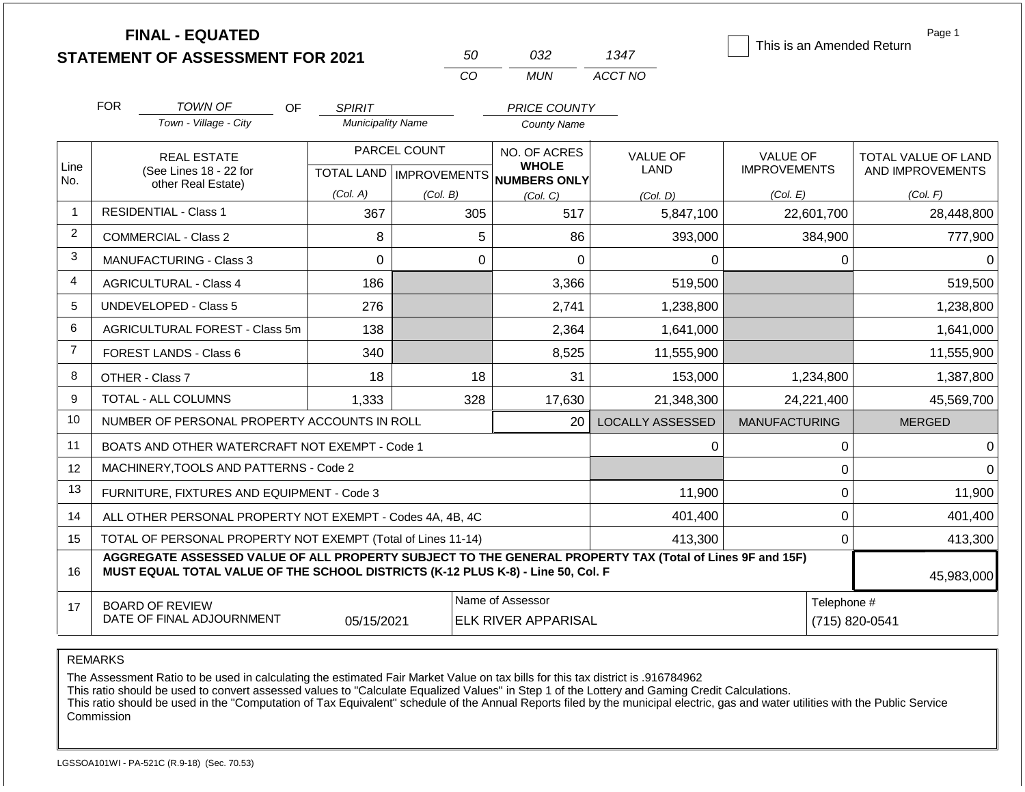|                | <b>FINAL - EQUATED</b><br><b>STATEMENT OF ASSESSMENT FOR 2021</b>                                                                                                                            |                          | 50                                        | 032                                                 | 1347                    | This is an Amended Return       | Page 1                                  |
|----------------|----------------------------------------------------------------------------------------------------------------------------------------------------------------------------------------------|--------------------------|-------------------------------------------|-----------------------------------------------------|-------------------------|---------------------------------|-----------------------------------------|
|                |                                                                                                                                                                                              |                          | CO                                        | <b>MUN</b>                                          | ACCT NO                 |                                 |                                         |
|                | <b>FOR</b><br><b>TOWN OF</b><br>OF.                                                                                                                                                          | <b>SPIRIT</b>            |                                           | <b>PRICE COUNTY</b>                                 |                         |                                 |                                         |
|                | Town - Village - City                                                                                                                                                                        | <b>Municipality Name</b> |                                           | <b>County Name</b>                                  |                         |                                 |                                         |
| Line<br>No.    | <b>REAL ESTATE</b><br>(See Lines 18 - 22 for                                                                                                                                                 |                          | PARCEL COUNT<br>TOTAL LAND   IMPROVEMENTS | NO. OF ACRES<br><b>WHOLE</b><br><b>NUMBERS ONLY</b> | <b>VALUE OF</b><br>LAND | VALUE OF<br><b>IMPROVEMENTS</b> | TOTAL VALUE OF LAND<br>AND IMPROVEMENTS |
|                | other Real Estate)                                                                                                                                                                           | (Col. A)                 | (Col. B)                                  | (Col, C)                                            | (Col. D)                | (Col. E)                        | (Col. F)                                |
| 1              | <b>RESIDENTIAL - Class 1</b>                                                                                                                                                                 | 367                      | 305                                       | 517                                                 | 5,847,100               | 22,601,700                      | 28,448,800                              |
| $\overline{c}$ | <b>COMMERCIAL - Class 2</b>                                                                                                                                                                  | 8                        | 5                                         | 86                                                  | 393,000                 | 384,900                         | 777,900                                 |
| 3              | <b>MANUFACTURING - Class 3</b>                                                                                                                                                               | 0                        | $\mathbf 0$                               | $\mathbf 0$                                         | 0                       | 0                               | 0                                       |
| 4              | <b>AGRICULTURAL - Class 4</b>                                                                                                                                                                | 186                      |                                           | 3,366                                               | 519,500                 |                                 | 519,500                                 |
| 5              | <b>UNDEVELOPED - Class 5</b>                                                                                                                                                                 | 276                      |                                           | 2,741                                               | 1,238,800               |                                 | 1,238,800                               |
| 6              | AGRICULTURAL FOREST - Class 5m                                                                                                                                                               | 138                      |                                           | 2,364                                               | 1,641,000               |                                 | 1,641,000                               |
| $\overline{7}$ | <b>FOREST LANDS - Class 6</b>                                                                                                                                                                | 340                      |                                           | 8,525                                               | 11,555,900              |                                 | 11,555,900                              |
| 8              | OTHER - Class 7                                                                                                                                                                              | 18                       | 18                                        | 31                                                  | 153,000                 | 1,234,800                       | 1,387,800                               |
| 9              | <b>TOTAL - ALL COLUMNS</b>                                                                                                                                                                   | 1,333                    | 328                                       | 17,630                                              | 21,348,300              | 24,221,400                      | 45,569,700                              |
| 10             | NUMBER OF PERSONAL PROPERTY ACCOUNTS IN ROLL                                                                                                                                                 |                          |                                           | 20                                                  | <b>LOCALLY ASSESSED</b> | <b>MANUFACTURING</b>            | <b>MERGED</b>                           |
| 11             | BOATS AND OTHER WATERCRAFT NOT EXEMPT - Code 1                                                                                                                                               |                          |                                           |                                                     | 0                       | 0                               | 0                                       |
| 12             | MACHINERY, TOOLS AND PATTERNS - Code 2                                                                                                                                                       |                          |                                           |                                                     |                         | 0                               | $\Omega$                                |
| 13             | FURNITURE, FIXTURES AND EQUIPMENT - Code 3                                                                                                                                                   |                          |                                           |                                                     | 11,900                  | $\Omega$                        | 11,900                                  |
| 14             | ALL OTHER PERSONAL PROPERTY NOT EXEMPT - Codes 4A, 4B, 4C                                                                                                                                    |                          |                                           |                                                     | 401,400                 | $\boldsymbol{0}$                | 401,400                                 |
| 15             | TOTAL OF PERSONAL PROPERTY NOT EXEMPT (Total of Lines 11-14)                                                                                                                                 |                          |                                           |                                                     | 413,300                 | $\mathbf 0$                     | 413,300                                 |
| 16             | AGGREGATE ASSESSED VALUE OF ALL PROPERTY SUBJECT TO THE GENERAL PROPERTY TAX (Total of Lines 9F and 15F)<br>MUST EQUAL TOTAL VALUE OF THE SCHOOL DISTRICTS (K-12 PLUS K-8) - Line 50, Col. F |                          |                                           |                                                     |                         |                                 | 45,983,000                              |
| 17             | <b>BOARD OF REVIEW</b><br>DATE OF FINAL ADJOURNMENT                                                                                                                                          | 05/15/2021               |                                           | Name of Assessor<br><b>ELK RIVER APPARISAL</b>      |                         | Telephone #<br>(715) 820-0541   |                                         |

The Assessment Ratio to be used in calculating the estimated Fair Market Value on tax bills for this tax district is .916784962

This ratio should be used to convert assessed values to "Calculate Equalized Values" in Step 1 of the Lottery and Gaming Credit Calculations.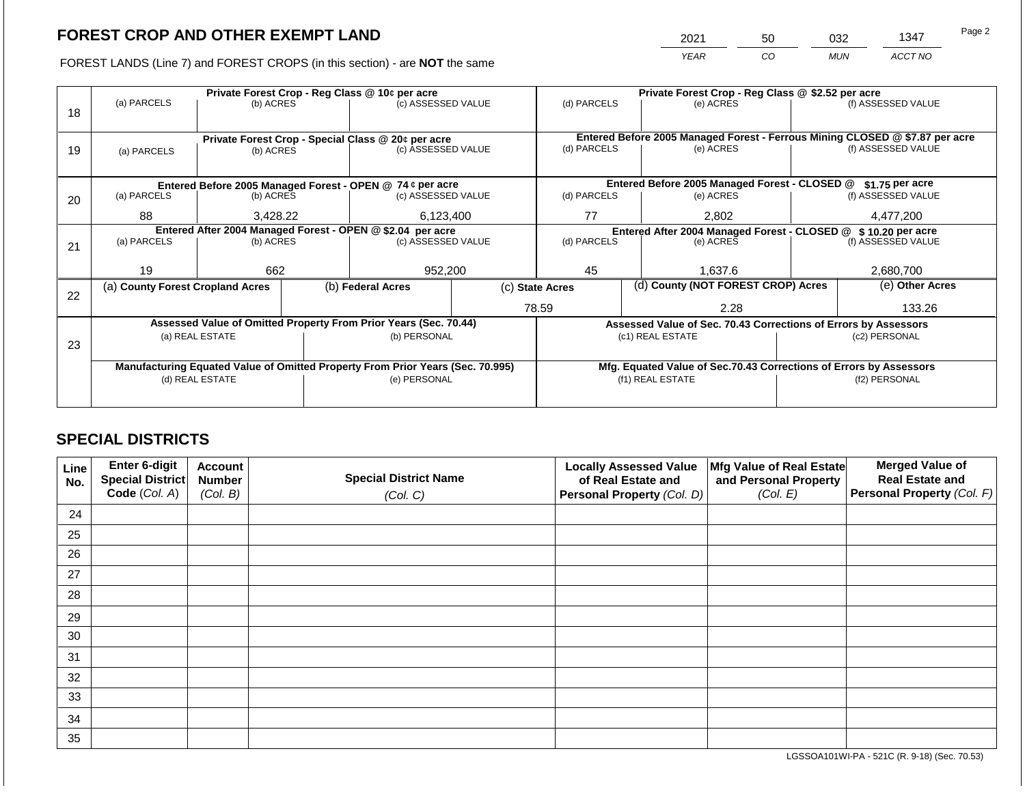2021 50 032 1347

FOREST LANDS (Line 7) and FOREST CROPS (in this section) - are **NOT** the same *YEAR CO MUN ACCT NO*

|    |                                                                                |                 |  | Private Forest Crop - Reg Class @ 10¢ per acre                           |                                               | Private Forest Crop - Reg Class @ \$2.52 per acre                                           |                 |                                                                    |                    |                    |
|----|--------------------------------------------------------------------------------|-----------------|--|--------------------------------------------------------------------------|-----------------------------------------------|---------------------------------------------------------------------------------------------|-----------------|--------------------------------------------------------------------|--------------------|--------------------|
|    | (a) PARCELS                                                                    | (b) ACRES       |  | (c) ASSESSED VALUE                                                       |                                               | (d) PARCELS                                                                                 |                 | (e) ACRES                                                          |                    | (f) ASSESSED VALUE |
| 18 |                                                                                |                 |  |                                                                          |                                               |                                                                                             |                 |                                                                    |                    |                    |
|    |                                                                                |                 |  |                                                                          |                                               |                                                                                             |                 |                                                                    |                    |                    |
|    |                                                                                |                 |  | Private Forest Crop - Special Class @ 20¢ per acre<br>(c) ASSESSED VALUE |                                               | Entered Before 2005 Managed Forest - Ferrous Mining CLOSED @ \$7.87 per acre<br>(d) PARCELS |                 | (e) ACRES                                                          | (f) ASSESSED VALUE |                    |
| 19 | (a) PARCELS                                                                    | (b) ACRES       |  |                                                                          |                                               |                                                                                             |                 |                                                                    |                    |                    |
|    |                                                                                |                 |  |                                                                          |                                               |                                                                                             |                 |                                                                    |                    |                    |
|    | Entered Before 2005 Managed Forest - OPEN @ 74 ¢ per acre                      |                 |  |                                                                          | Entered Before 2005 Managed Forest - CLOSED @ |                                                                                             | \$1.75 per acre |                                                                    |                    |                    |
| 20 | (a) PARCELS<br>(b) ACRES                                                       |                 |  | (c) ASSESSED VALUE                                                       |                                               | (d) PARCELS                                                                                 |                 | (e) ACRES                                                          |                    | (f) ASSESSED VALUE |
|    |                                                                                |                 |  |                                                                          |                                               |                                                                                             |                 |                                                                    |                    |                    |
|    |                                                                                | 88<br>3,428.22  |  | 6,123,400                                                                |                                               | 77                                                                                          |                 | 2,802                                                              |                    | 4,477,200          |
|    | Entered After 2004 Managed Forest - OPEN @ \$2.04 per acre                     |                 |  |                                                                          |                                               | Entered After 2004 Managed Forest - CLOSED @ \$10.20 per acre                               |                 |                                                                    |                    |                    |
| 21 | (a) PARCELS                                                                    | (b) ACRES       |  | (c) ASSESSED VALUE                                                       |                                               | (d) PARCELS                                                                                 |                 | (e) ACRES                                                          |                    | (f) ASSESSED VALUE |
|    |                                                                                |                 |  |                                                                          |                                               |                                                                                             |                 |                                                                    |                    |                    |
|    | 19                                                                             | 662             |  | 952,200                                                                  |                                               | 45                                                                                          |                 | 1.637.6                                                            |                    | 2,680,700          |
|    | (a) County Forest Cropland Acres                                               |                 |  | (b) Federal Acres                                                        |                                               | (c) State Acres                                                                             |                 | (d) County (NOT FOREST CROP) Acres                                 |                    | (e) Other Acres    |
| 22 |                                                                                |                 |  |                                                                          |                                               |                                                                                             |                 |                                                                    |                    |                    |
|    |                                                                                |                 |  |                                                                          |                                               | 78.59                                                                                       |                 | 2.28                                                               | 133.26             |                    |
|    |                                                                                |                 |  | Assessed Value of Omitted Property From Prior Years (Sec. 70.44)         |                                               |                                                                                             |                 | Assessed Value of Sec. 70.43 Corrections of Errors by Assessors    |                    |                    |
|    |                                                                                | (a) REAL ESTATE |  | (b) PERSONAL                                                             |                                               |                                                                                             |                 | (c1) REAL ESTATE                                                   |                    | (c2) PERSONAL      |
| 23 |                                                                                |                 |  |                                                                          |                                               |                                                                                             |                 |                                                                    |                    |                    |
|    | Manufacturing Equated Value of Omitted Property From Prior Years (Sec. 70.995) |                 |  |                                                                          |                                               |                                                                                             |                 | Mfg. Equated Value of Sec.70.43 Corrections of Errors by Assessors |                    |                    |
|    | (d) REAL ESTATE                                                                |                 |  | (e) PERSONAL                                                             |                                               |                                                                                             |                 | (f1) REAL ESTATE                                                   | (f2) PERSONAL      |                    |
|    |                                                                                |                 |  |                                                                          |                                               |                                                                                             |                 |                                                                    |                    |                    |
|    |                                                                                |                 |  |                                                                          |                                               |                                                                                             |                 |                                                                    |                    |                    |

## **SPECIAL DISTRICTS**

| Line<br>No. | Enter 6-digit<br>Special District<br>Code (Col. A) | <b>Account</b><br><b>Number</b><br>(Col. B) | <b>Special District Name</b><br>(Col. C) | <b>Locally Assessed Value</b><br>of Real Estate and<br><b>Personal Property (Col. D)</b> | Mfg Value of Real Estate<br>and Personal Property<br>(Col. E) | <b>Merged Value of</b><br><b>Real Estate and</b><br>Personal Property (Col. F) |
|-------------|----------------------------------------------------|---------------------------------------------|------------------------------------------|------------------------------------------------------------------------------------------|---------------------------------------------------------------|--------------------------------------------------------------------------------|
| 24          |                                                    |                                             |                                          |                                                                                          |                                                               |                                                                                |
| 25          |                                                    |                                             |                                          |                                                                                          |                                                               |                                                                                |
| 26          |                                                    |                                             |                                          |                                                                                          |                                                               |                                                                                |
| 27          |                                                    |                                             |                                          |                                                                                          |                                                               |                                                                                |
| 28          |                                                    |                                             |                                          |                                                                                          |                                                               |                                                                                |
| 29          |                                                    |                                             |                                          |                                                                                          |                                                               |                                                                                |
| 30          |                                                    |                                             |                                          |                                                                                          |                                                               |                                                                                |
| 31          |                                                    |                                             |                                          |                                                                                          |                                                               |                                                                                |
| 32          |                                                    |                                             |                                          |                                                                                          |                                                               |                                                                                |
| 33          |                                                    |                                             |                                          |                                                                                          |                                                               |                                                                                |
| 34          |                                                    |                                             |                                          |                                                                                          |                                                               |                                                                                |
| 35          |                                                    |                                             |                                          |                                                                                          |                                                               |                                                                                |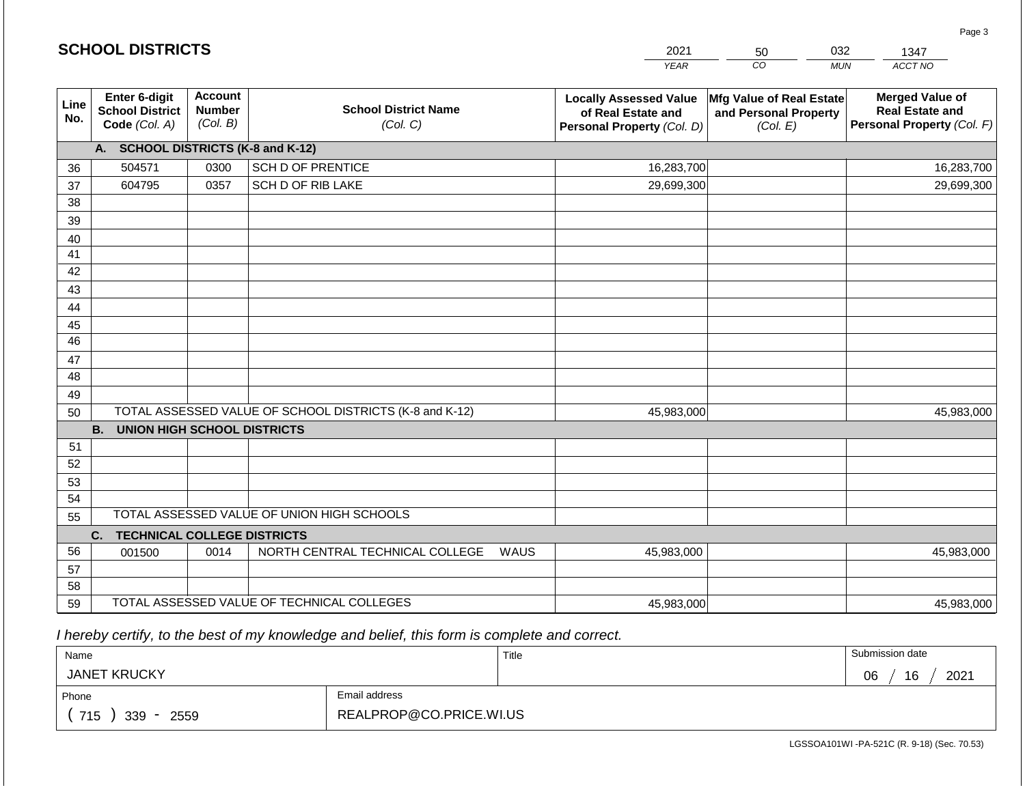|             | <b>SCHOOL DISTRICTS</b>                                  |                                             |                                                         | 2021                                                                              | 50                                                            | 032<br>1347                                                                    |
|-------------|----------------------------------------------------------|---------------------------------------------|---------------------------------------------------------|-----------------------------------------------------------------------------------|---------------------------------------------------------------|--------------------------------------------------------------------------------|
|             |                                                          |                                             |                                                         | <b>YEAR</b>                                                                       | $\overline{co}$                                               | <b>MUN</b><br>ACCT NO                                                          |
| Line<br>No. | Enter 6-digit<br><b>School District</b><br>Code (Col. A) | <b>Account</b><br><b>Number</b><br>(Col. B) | <b>School District Name</b><br>(Col. C)                 | <b>Locally Assessed Value</b><br>of Real Estate and<br>Personal Property (Col. D) | Mfg Value of Real Estate<br>and Personal Property<br>(Col. E) | <b>Merged Value of</b><br><b>Real Estate and</b><br>Personal Property (Col. F) |
|             | A. SCHOOL DISTRICTS (K-8 and K-12)                       |                                             |                                                         |                                                                                   |                                                               |                                                                                |
| 36          | 504571                                                   | 0300                                        | <b>SCH D OF PRENTICE</b>                                | 16,283,700                                                                        |                                                               | 16,283,700                                                                     |
| 37          | 604795                                                   | 0357                                        | SCH D OF RIB LAKE                                       | 29,699,300                                                                        |                                                               | 29,699,300                                                                     |
| 38          |                                                          |                                             |                                                         |                                                                                   |                                                               |                                                                                |
| 39          |                                                          |                                             |                                                         |                                                                                   |                                                               |                                                                                |
| 40          |                                                          |                                             |                                                         |                                                                                   |                                                               |                                                                                |
| 41          |                                                          |                                             |                                                         |                                                                                   |                                                               |                                                                                |
| 42          |                                                          |                                             |                                                         |                                                                                   |                                                               |                                                                                |
| 43          |                                                          |                                             |                                                         |                                                                                   |                                                               |                                                                                |
| 44          |                                                          |                                             |                                                         |                                                                                   |                                                               |                                                                                |
| 45          |                                                          |                                             |                                                         |                                                                                   |                                                               |                                                                                |
| 46          |                                                          |                                             |                                                         |                                                                                   |                                                               |                                                                                |
| 47          |                                                          |                                             |                                                         |                                                                                   |                                                               |                                                                                |
| 48          |                                                          |                                             |                                                         |                                                                                   |                                                               |                                                                                |
| 49<br>50    |                                                          |                                             | TOTAL ASSESSED VALUE OF SCHOOL DISTRICTS (K-8 and K-12) | 45,983,000                                                                        |                                                               | 45,983,000                                                                     |
|             | <b>B.</b><br><b>UNION HIGH SCHOOL DISTRICTS</b>          |                                             |                                                         |                                                                                   |                                                               |                                                                                |
| 51          |                                                          |                                             |                                                         |                                                                                   |                                                               |                                                                                |
| 52          |                                                          |                                             |                                                         |                                                                                   |                                                               |                                                                                |
| 53          |                                                          |                                             |                                                         |                                                                                   |                                                               |                                                                                |
| 54          |                                                          |                                             |                                                         |                                                                                   |                                                               |                                                                                |
| 55          |                                                          |                                             | TOTAL ASSESSED VALUE OF UNION HIGH SCHOOLS              |                                                                                   |                                                               |                                                                                |
|             | <b>TECHNICAL COLLEGE DISTRICTS</b><br>C.                 |                                             |                                                         |                                                                                   |                                                               |                                                                                |
| 56          | 001500                                                   | 0014                                        | NORTH CENTRAL TECHNICAL COLLEGE                         | <b>WAUS</b><br>45,983,000                                                         |                                                               | 45,983,000                                                                     |
| 57          |                                                          |                                             |                                                         |                                                                                   |                                                               |                                                                                |
| 58          |                                                          |                                             |                                                         |                                                                                   |                                                               |                                                                                |
| 59          |                                                          |                                             | TOTAL ASSESSED VALUE OF TECHNICAL COLLEGES              | 45,983,000                                                                        |                                                               | 45,983,000                                                                     |

2021

 *I hereby certify, to the best of my knowledge and belief, this form is complete and correct.*

**SCHOOL DISTRICTS**

| Name                |                         | Title | Submission date  |
|---------------------|-------------------------|-------|------------------|
| <b>JANET KRUCKY</b> |                         |       | 2021<br>16<br>06 |
| Phone               | Email address           |       |                  |
| 715<br>339<br>2559  | REALPROP@CO.PRICE.WI.US |       |                  |

Page 3

032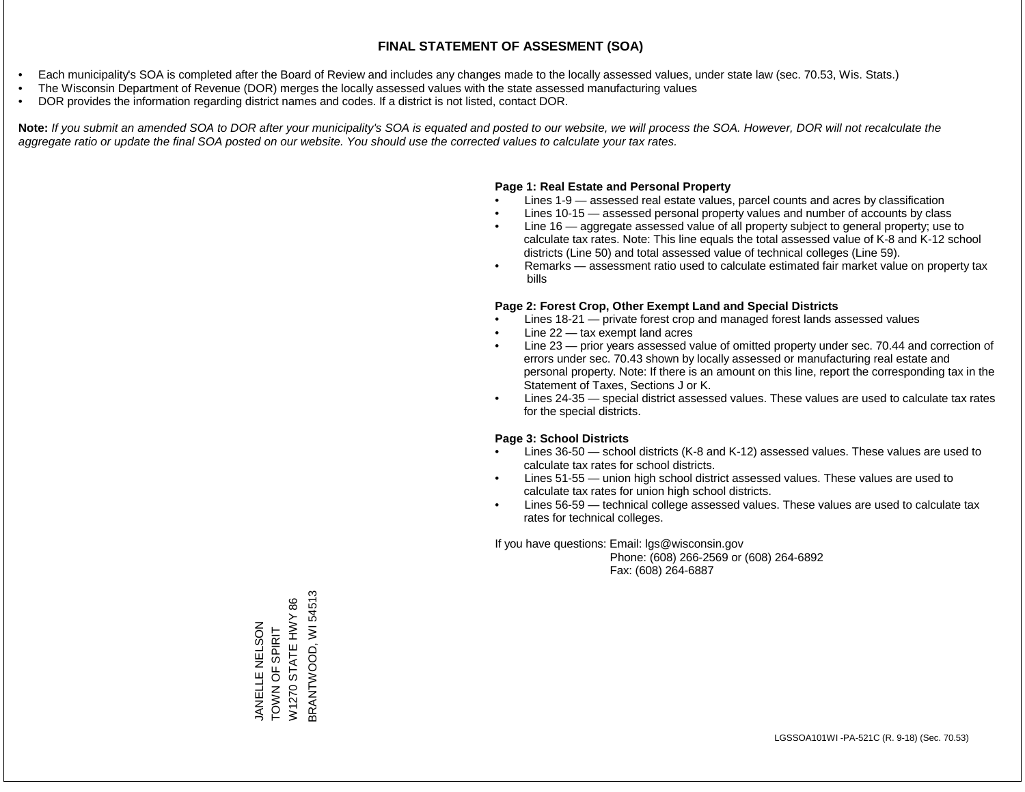- Each municipality's SOA is completed after the Board of Review and includes any changes made to the locally assessed values, under state law (sec. 70.53, Wis. Stats.)
- The Wisconsin Department of Revenue (DOR) merges the locally assessed values with the state assessed manufacturing values
- DOR provides the information regarding district names and codes. If a district is not listed, contact DOR.

Note: If you submit an amended SOA to DOR after your municipality's SOA is equated and posted to our website, we will process the SOA. However, DOR will not recalculate the *aggregate ratio or update the final SOA posted on our website. You should use the corrected values to calculate your tax rates.*

### **Page 1: Real Estate and Personal Property**

- Lines 1-9 assessed real estate values, parcel counts and acres by classification
- Lines 10-15 assessed personal property values and number of accounts by class
- Line 16 aggregate assessed value of all property subject to general property; use to calculate tax rates. Note: This line equals the total assessed value of K-8 and K-12 school districts (Line 50) and total assessed value of technical colleges (Line 59).
- Remarks assessment ratio used to calculate estimated fair market value on property tax bills

### **Page 2: Forest Crop, Other Exempt Land and Special Districts**

- Lines 18-21 private forest crop and managed forest lands assessed values
- Line  $22 -$  tax exempt land acres
- Line 23 prior years assessed value of omitted property under sec. 70.44 and correction of errors under sec. 70.43 shown by locally assessed or manufacturing real estate and personal property. Note: If there is an amount on this line, report the corresponding tax in the Statement of Taxes, Sections J or K.
- Lines 24-35 special district assessed values. These values are used to calculate tax rates for the special districts.

### **Page 3: School Districts**

- Lines 36-50 school districts (K-8 and K-12) assessed values. These values are used to calculate tax rates for school districts.
- Lines 51-55 union high school district assessed values. These values are used to calculate tax rates for union high school districts.
- Lines 56-59 technical college assessed values. These values are used to calculate tax rates for technical colleges.

If you have questions: Email: lgs@wisconsin.gov

 Phone: (608) 266-2569 or (608) 264-6892 Fax: (608) 264-6887

BRANTWOOD, WI 54513 BRANTWOOD, WI 54513W1270 STATE HWY 86 W1270 STATE HWY 86 JANELLE NELSON JANELLE NELSON TOWN OF SPIRIT TOWN OF SPIRIT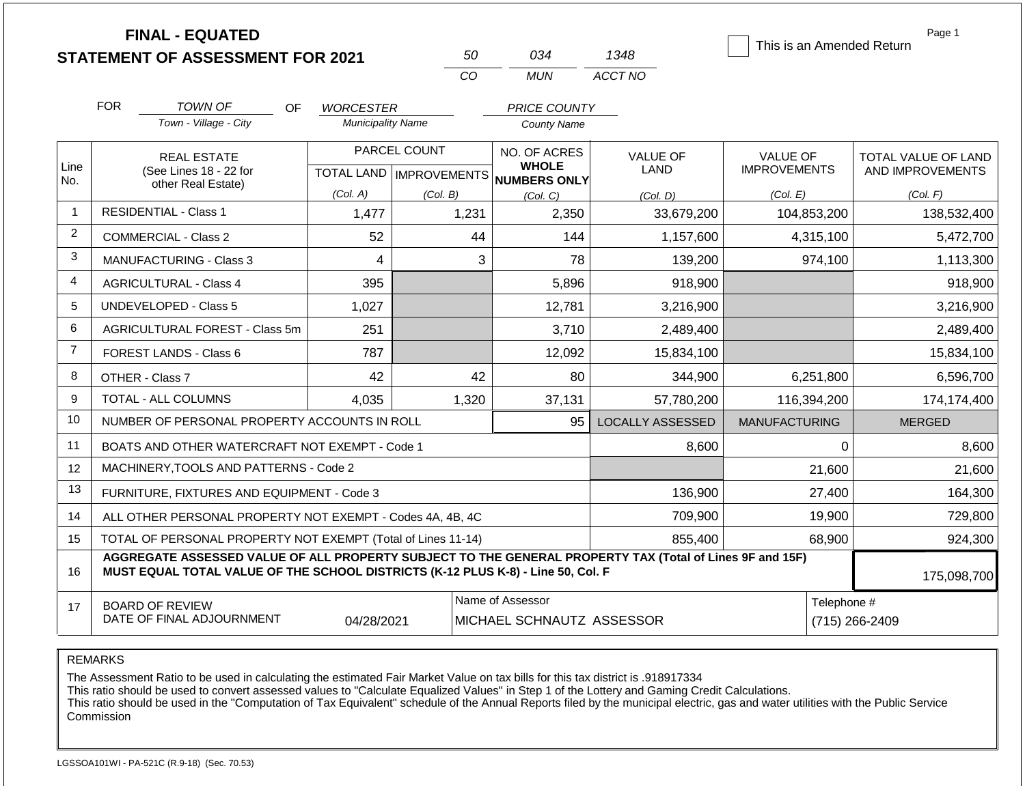|                 |            | <b>FINAL - EQUATED</b><br><b>STATEMENT OF ASSESSMENT FOR 2021</b>                                                                                                                            |                          | 50           | 034                                                  | 1348                    | This is an Amended Return     | Page 1              |
|-----------------|------------|----------------------------------------------------------------------------------------------------------------------------------------------------------------------------------------------|--------------------------|--------------|------------------------------------------------------|-------------------------|-------------------------------|---------------------|
|                 |            |                                                                                                                                                                                              |                          | CO           | <b>MUN</b>                                           | ACCT NO                 |                               |                     |
|                 | <b>FOR</b> | <b>TOWN OF</b><br>OF.                                                                                                                                                                        | <b>WORCESTER</b>         |              | <b>PRICE COUNTY</b>                                  |                         |                               |                     |
|                 |            | Town - Village - City                                                                                                                                                                        | <b>Municipality Name</b> |              | <b>County Name</b>                                   |                         |                               |                     |
|                 |            | <b>REAL ESTATE</b>                                                                                                                                                                           |                          | PARCEL COUNT | NO. OF ACRES                                         | <b>VALUE OF</b>         | VALUE OF                      | TOTAL VALUE OF LAND |
| Line<br>No.     |            | (See Lines 18 - 22 for<br>other Real Estate)                                                                                                                                                 |                          |              | <b>WHOLE</b><br>TOTAL LAND IMPROVEMENTS NUMBERS ONLY | LAND                    | <b>IMPROVEMENTS</b>           | AND IMPROVEMENTS    |
|                 |            |                                                                                                                                                                                              | (Col. A)                 | (Col. B)     | (Col, C)                                             | (Col, D)                | (Col. E)                      | (Col. F)            |
| 1               |            | <b>RESIDENTIAL - Class 1</b>                                                                                                                                                                 | 1,477                    | 1,231        | 2,350                                                | 33,679,200              | 104,853,200                   | 138,532,400         |
| $\overline{2}$  |            | <b>COMMERCIAL - Class 2</b>                                                                                                                                                                  | 52                       |              | 44<br>144                                            | 1,157,600               | 4,315,100                     | 5,472,700           |
| 3               |            | <b>MANUFACTURING - Class 3</b>                                                                                                                                                               | 4                        |              | 3<br>78                                              | 139,200                 | 974,100                       | 1,113,300           |
| $\overline{4}$  |            | <b>AGRICULTURAL - Class 4</b>                                                                                                                                                                | 395                      |              | 5,896                                                | 918,900                 |                               | 918,900             |
| 5               |            | <b>UNDEVELOPED - Class 5</b>                                                                                                                                                                 | 1,027                    |              | 12,781                                               | 3,216,900               |                               | 3,216,900           |
| 6               |            | AGRICULTURAL FOREST - Class 5m                                                                                                                                                               | 251                      |              | 3,710                                                | 2,489,400               |                               | 2,489,400           |
| $\overline{7}$  |            | FOREST LANDS - Class 6                                                                                                                                                                       | 787                      |              | 12,092                                               | 15,834,100              |                               | 15,834,100          |
| 8               |            | OTHER - Class 7                                                                                                                                                                              | 42                       |              | 42<br>80                                             | 344,900                 | 6,251,800                     | 6,596,700           |
| 9               |            | <b>TOTAL - ALL COLUMNS</b>                                                                                                                                                                   | 4,035                    | 1,320        | 37,131                                               | 57,780,200              | 116,394,200                   | 174,174,400         |
| 10              |            | NUMBER OF PERSONAL PROPERTY ACCOUNTS IN ROLL                                                                                                                                                 |                          |              | 95                                                   | <b>LOCALLY ASSESSED</b> | <b>MANUFACTURING</b>          | <b>MERGED</b>       |
| 11              |            | BOATS AND OTHER WATERCRAFT NOT EXEMPT - Code 1                                                                                                                                               |                          |              |                                                      | 8,600                   | $\Omega$                      | 8,600               |
| 12 <sup>2</sup> |            | MACHINERY, TOOLS AND PATTERNS - Code 2                                                                                                                                                       |                          |              |                                                      |                         | 21,600                        | 21,600              |
| 13              |            | FURNITURE, FIXTURES AND EQUIPMENT - Code 3                                                                                                                                                   |                          |              |                                                      | 136,900                 | 27,400                        | 164,300             |
| 14              |            | ALL OTHER PERSONAL PROPERTY NOT EXEMPT - Codes 4A, 4B, 4C                                                                                                                                    |                          |              |                                                      | 709,900                 | 19,900                        | 729,800             |
| 15              |            | TOTAL OF PERSONAL PROPERTY NOT EXEMPT (Total of Lines 11-14)                                                                                                                                 |                          |              |                                                      | 855,400                 | 68,900                        | 924,300             |
| 16              |            | AGGREGATE ASSESSED VALUE OF ALL PROPERTY SUBJECT TO THE GENERAL PROPERTY TAX (Total of Lines 9F and 15F)<br>MUST EQUAL TOTAL VALUE OF THE SCHOOL DISTRICTS (K-12 PLUS K-8) - Line 50, Col. F |                          |              |                                                      |                         |                               | 175,098,700         |
| 17              |            | <b>BOARD OF REVIEW</b><br>DATE OF FINAL ADJOURNMENT                                                                                                                                          | 04/28/2021               |              | Name of Assessor<br>MICHAEL SCHNAUTZ ASSESSOR        |                         | Telephone #<br>(715) 266-2409 |                     |

The Assessment Ratio to be used in calculating the estimated Fair Market Value on tax bills for this tax district is .918917334

This ratio should be used to convert assessed values to "Calculate Equalized Values" in Step 1 of the Lottery and Gaming Credit Calculations.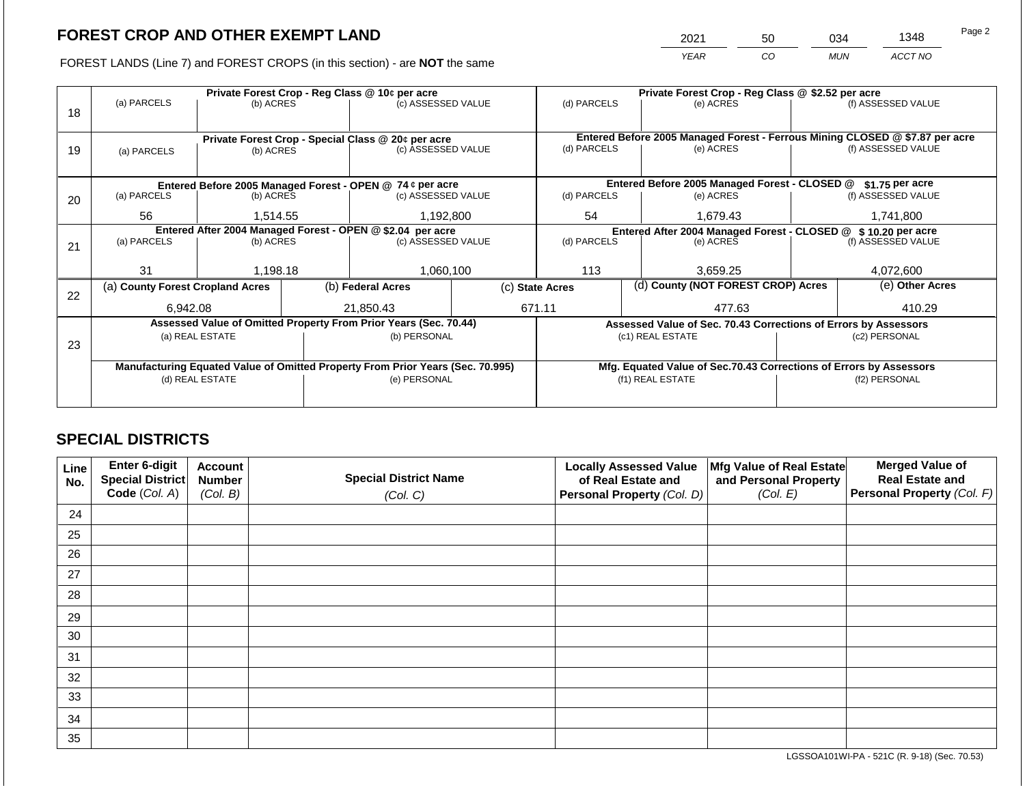2021 50 034 1348

FOREST LANDS (Line 7) and FOREST CROPS (in this section) - are **NOT** the same *YEAR CO MUN ACCT NO*

|    |                                                            |                                                                 |  | Private Forest Crop - Reg Class @ 10¢ per acre                                 |             | Private Forest Crop - Reg Class @ \$2.52 per acre                            |          |                                                                    |                    |                    |
|----|------------------------------------------------------------|-----------------------------------------------------------------|--|--------------------------------------------------------------------------------|-------------|------------------------------------------------------------------------------|----------|--------------------------------------------------------------------|--------------------|--------------------|
| 18 | (a) PARCELS                                                | (b) ACRES                                                       |  | (c) ASSESSED VALUE                                                             |             | (d) PARCELS                                                                  |          | (e) ACRES                                                          |                    | (f) ASSESSED VALUE |
|    |                                                            |                                                                 |  |                                                                                |             |                                                                              |          |                                                                    |                    |                    |
|    |                                                            |                                                                 |  |                                                                                |             | Entered Before 2005 Managed Forest - Ferrous Mining CLOSED @ \$7.87 per acre |          |                                                                    |                    |                    |
| 19 | (a) PARCELS                                                | Private Forest Crop - Special Class @ 20¢ per acre<br>(b) ACRES |  | (c) ASSESSED VALUE                                                             |             | (d) PARCELS                                                                  |          | (e) ACRES                                                          | (f) ASSESSED VALUE |                    |
|    |                                                            |                                                                 |  |                                                                                |             |                                                                              |          |                                                                    |                    |                    |
|    |                                                            |                                                                 |  |                                                                                |             |                                                                              |          |                                                                    |                    |                    |
|    |                                                            |                                                                 |  | Entered Before 2005 Managed Forest - OPEN @ 74 ¢ per acre                      |             |                                                                              |          | Entered Before 2005 Managed Forest - CLOSED @                      |                    | $$1.75$ per acre   |
| 20 | (a) PARCELS                                                | (b) ACRES                                                       |  | (c) ASSESSED VALUE                                                             |             | (d) PARCELS                                                                  |          | (e) ACRES                                                          |                    | (f) ASSESSED VALUE |
|    | 56                                                         | 1,514.55                                                        |  | 1,192,800                                                                      | 54          |                                                                              | 1,679.43 |                                                                    | 1,741,800          |                    |
|    | Entered After 2004 Managed Forest - OPEN @ \$2.04 per acre |                                                                 |  |                                                                                |             |                                                                              |          | Entered After 2004 Managed Forest - CLOSED @ \$ 10.20 per acre     |                    |                    |
| 21 | (a) PARCELS                                                | (b) ACRES                                                       |  | (c) ASSESSED VALUE                                                             | (d) PARCELS |                                                                              |          | (e) ACRES                                                          |                    | (f) ASSESSED VALUE |
|    |                                                            |                                                                 |  |                                                                                |             |                                                                              |          |                                                                    |                    |                    |
|    | 31                                                         | 1,198.18                                                        |  | 1,060,100                                                                      |             | 113                                                                          |          | 3,659.25                                                           |                    | 4,072,600          |
|    | (a) County Forest Cropland Acres                           |                                                                 |  | (b) Federal Acres                                                              |             | (c) State Acres                                                              |          | (d) County (NOT FOREST CROP) Acres                                 | (e) Other Acres    |                    |
| 22 |                                                            |                                                                 |  |                                                                                |             |                                                                              |          |                                                                    |                    |                    |
|    | 6.942.08                                                   |                                                                 |  | 21.850.43                                                                      |             | 671.11                                                                       |          | 477.63                                                             |                    | 410.29             |
|    |                                                            |                                                                 |  | Assessed Value of Omitted Property From Prior Years (Sec. 70.44)               |             |                                                                              |          | Assessed Value of Sec. 70.43 Corrections of Errors by Assessors    |                    |                    |
| 23 |                                                            | (a) REAL ESTATE                                                 |  | (b) PERSONAL                                                                   |             |                                                                              |          | (c1) REAL ESTATE                                                   | (c2) PERSONAL      |                    |
|    |                                                            |                                                                 |  |                                                                                |             |                                                                              |          |                                                                    |                    |                    |
|    |                                                            |                                                                 |  | Manufacturing Equated Value of Omitted Property From Prior Years (Sec. 70.995) |             |                                                                              |          | Mfg. Equated Value of Sec.70.43 Corrections of Errors by Assessors |                    |                    |
|    |                                                            | (d) REAL ESTATE                                                 |  | (e) PERSONAL                                                                   |             | (f1) REAL ESTATE                                                             |          |                                                                    | (f2) PERSONAL      |                    |
|    |                                                            |                                                                 |  |                                                                                |             |                                                                              |          |                                                                    |                    |                    |
|    |                                                            |                                                                 |  |                                                                                |             |                                                                              |          |                                                                    |                    |                    |

## **SPECIAL DISTRICTS**

| Line<br>No. | Enter 6-digit<br>Special District | <b>Account</b><br><b>Number</b> | <b>Special District Name</b> | <b>Locally Assessed Value</b><br>of Real Estate and | Mfg Value of Real Estate<br>and Personal Property | <b>Merged Value of</b><br><b>Real Estate and</b> |
|-------------|-----------------------------------|---------------------------------|------------------------------|-----------------------------------------------------|---------------------------------------------------|--------------------------------------------------|
|             | Code (Col. A)                     | (Col. B)                        | (Col. C)                     | Personal Property (Col. D)                          | (Col. E)                                          | Personal Property (Col. F)                       |
| 24          |                                   |                                 |                              |                                                     |                                                   |                                                  |
| 25          |                                   |                                 |                              |                                                     |                                                   |                                                  |
| 26          |                                   |                                 |                              |                                                     |                                                   |                                                  |
| 27          |                                   |                                 |                              |                                                     |                                                   |                                                  |
| 28          |                                   |                                 |                              |                                                     |                                                   |                                                  |
| 29          |                                   |                                 |                              |                                                     |                                                   |                                                  |
| 30          |                                   |                                 |                              |                                                     |                                                   |                                                  |
| 31          |                                   |                                 |                              |                                                     |                                                   |                                                  |
| 32          |                                   |                                 |                              |                                                     |                                                   |                                                  |
| 33          |                                   |                                 |                              |                                                     |                                                   |                                                  |
| 34          |                                   |                                 |                              |                                                     |                                                   |                                                  |
| 35          |                                   |                                 |                              |                                                     |                                                   |                                                  |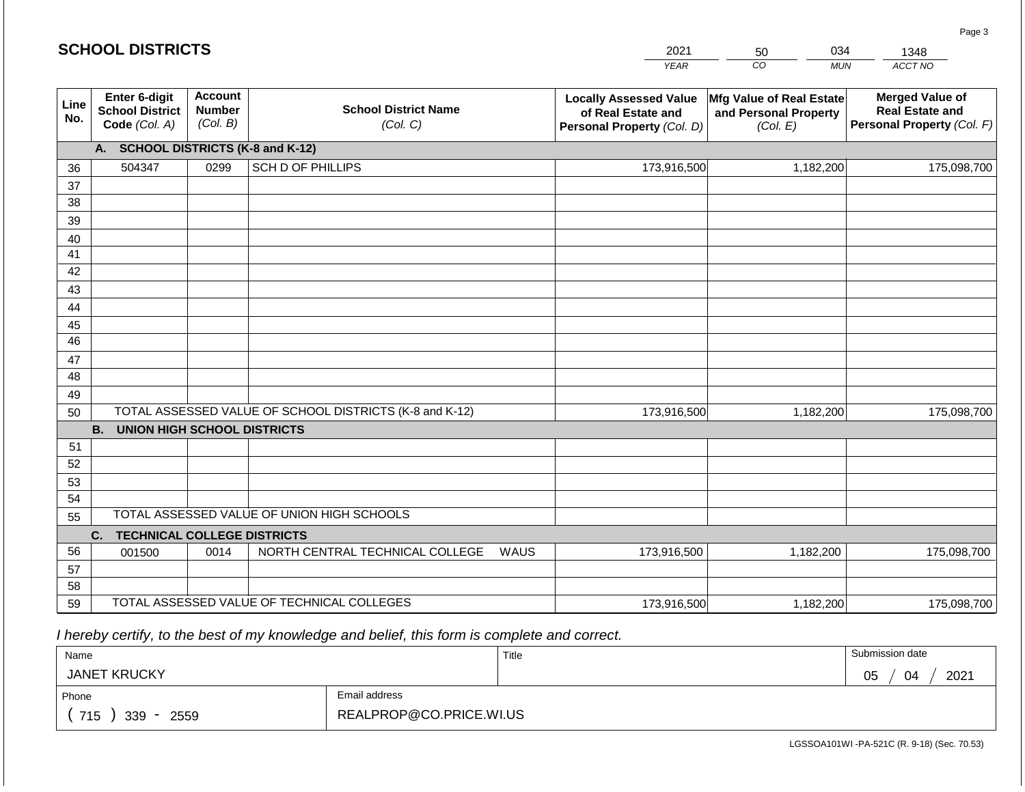|             | <b>SCHOOL DISTRICTS</b>                                  |                                             |                                                         |      | 2021                                                                              | 034<br>50                                                     | 1348                                                                           |  |
|-------------|----------------------------------------------------------|---------------------------------------------|---------------------------------------------------------|------|-----------------------------------------------------------------------------------|---------------------------------------------------------------|--------------------------------------------------------------------------------|--|
|             |                                                          |                                             |                                                         |      | <b>YEAR</b>                                                                       | CO<br><b>MUN</b>                                              | ACCT NO                                                                        |  |
| Line<br>No. | Enter 6-digit<br><b>School District</b><br>Code (Col. A) | <b>Account</b><br><b>Number</b><br>(Col. B) | <b>School District Name</b><br>(Col. C)                 |      | <b>Locally Assessed Value</b><br>of Real Estate and<br>Personal Property (Col. D) | Mfg Value of Real Estate<br>and Personal Property<br>(Col. E) | <b>Merged Value of</b><br><b>Real Estate and</b><br>Personal Property (Col. F) |  |
|             | А.                                                       |                                             | <b>SCHOOL DISTRICTS (K-8 and K-12)</b>                  |      |                                                                                   |                                                               |                                                                                |  |
| 36          | 504347                                                   | 0299                                        | <b>SCH D OF PHILLIPS</b>                                |      | 173,916,500                                                                       | 1,182,200                                                     | 175,098,700                                                                    |  |
| 37          |                                                          |                                             |                                                         |      |                                                                                   |                                                               |                                                                                |  |
| 38          |                                                          |                                             |                                                         |      |                                                                                   |                                                               |                                                                                |  |
| 39          |                                                          |                                             |                                                         |      |                                                                                   |                                                               |                                                                                |  |
| 40          |                                                          |                                             |                                                         |      |                                                                                   |                                                               |                                                                                |  |
| 41          |                                                          |                                             |                                                         |      |                                                                                   |                                                               |                                                                                |  |
| 42<br>43    |                                                          |                                             |                                                         |      |                                                                                   |                                                               |                                                                                |  |
| 44          |                                                          |                                             |                                                         |      |                                                                                   |                                                               |                                                                                |  |
| 45          |                                                          |                                             |                                                         |      |                                                                                   |                                                               |                                                                                |  |
| 46          |                                                          |                                             |                                                         |      |                                                                                   |                                                               |                                                                                |  |
| 47          |                                                          |                                             |                                                         |      |                                                                                   |                                                               |                                                                                |  |
| 48          |                                                          |                                             |                                                         |      |                                                                                   |                                                               |                                                                                |  |
| 49          |                                                          |                                             |                                                         |      |                                                                                   |                                                               |                                                                                |  |
| 50          |                                                          |                                             | TOTAL ASSESSED VALUE OF SCHOOL DISTRICTS (K-8 and K-12) |      | 173,916,500                                                                       | 1,182,200                                                     | 175,098,700                                                                    |  |
|             | <b>B.</b><br><b>UNION HIGH SCHOOL DISTRICTS</b>          |                                             |                                                         |      |                                                                                   |                                                               |                                                                                |  |
| 51          |                                                          |                                             |                                                         |      |                                                                                   |                                                               |                                                                                |  |
| 52          |                                                          |                                             |                                                         |      |                                                                                   |                                                               |                                                                                |  |
| 53          |                                                          |                                             |                                                         |      |                                                                                   |                                                               |                                                                                |  |
| 54          |                                                          |                                             | TOTAL ASSESSED VALUE OF UNION HIGH SCHOOLS              |      |                                                                                   |                                                               |                                                                                |  |
| 55          |                                                          |                                             |                                                         |      |                                                                                   |                                                               |                                                                                |  |
| 56          | <b>TECHNICAL COLLEGE DISTRICTS</b><br>C.                 | 0014                                        | NORTH CENTRAL TECHNICAL COLLEGE                         | WAUS | 173,916,500                                                                       | 1,182,200                                                     | 175,098,700                                                                    |  |
| 57          | 001500                                                   |                                             |                                                         |      |                                                                                   |                                                               |                                                                                |  |
| 58          |                                                          |                                             |                                                         |      |                                                                                   |                                                               |                                                                                |  |
| 59          |                                                          |                                             | TOTAL ASSESSED VALUE OF TECHNICAL COLLEGES              |      | 173,916,500                                                                       | 1,182,200                                                     | 175,098,700                                                                    |  |

 *I hereby certify, to the best of my knowledge and belief, this form is complete and correct.*

| Name                   |                         | Title | Submission date        |
|------------------------|-------------------------|-------|------------------------|
| <b>JANET KRUCKY</b>    |                         |       | 2021<br>∩ҕ<br>04<br>◡◡ |
| Phone                  | Email address           |       |                        |
| 715<br>$339 -$<br>2559 | REALPROP@CO.PRICE.WI.US |       |                        |

LGSSOA101WI -PA-521C (R. 9-18) (Sec. 70.53)

Page 3

| <b>SCHOOL DISTRICTS</b> |
|-------------------------|
|-------------------------|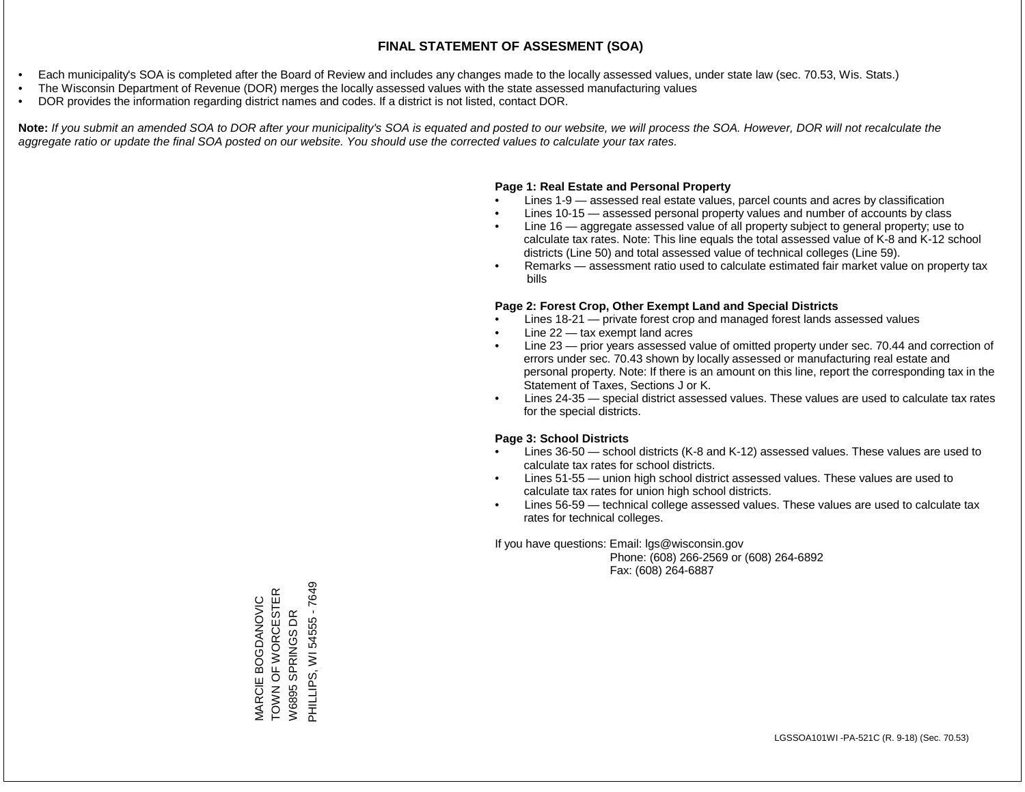- Each municipality's SOA is completed after the Board of Review and includes any changes made to the locally assessed values, under state law (sec. 70.53, Wis. Stats.)
- The Wisconsin Department of Revenue (DOR) merges the locally assessed values with the state assessed manufacturing values
- DOR provides the information regarding district names and codes. If a district is not listed, contact DOR.

Note: If you submit an amended SOA to DOR after your municipality's SOA is equated and posted to our website, we will process the SOA. However, DOR will not recalculate the *aggregate ratio or update the final SOA posted on our website. You should use the corrected values to calculate your tax rates.*

### **Page 1: Real Estate and Personal Property**

- Lines 1-9 assessed real estate values, parcel counts and acres by classification
- Lines 10-15 assessed personal property values and number of accounts by class
- Line 16 aggregate assessed value of all property subject to general property; use to calculate tax rates. Note: This line equals the total assessed value of K-8 and K-12 school districts (Line 50) and total assessed value of technical colleges (Line 59).
- Remarks assessment ratio used to calculate estimated fair market value on property tax bills

### **Page 2: Forest Crop, Other Exempt Land and Special Districts**

- Lines 18-21 private forest crop and managed forest lands assessed values
- Line  $22 -$  tax exempt land acres
- Line 23 prior years assessed value of omitted property under sec. 70.44 and correction of errors under sec. 70.43 shown by locally assessed or manufacturing real estate and personal property. Note: If there is an amount on this line, report the corresponding tax in the Statement of Taxes, Sections J or K.
- Lines 24-35 special district assessed values. These values are used to calculate tax rates for the special districts.

### **Page 3: School Districts**

- Lines 36-50 school districts (K-8 and K-12) assessed values. These values are used to calculate tax rates for school districts.
- Lines 51-55 union high school district assessed values. These values are used to calculate tax rates for union high school districts.
- Lines 56-59 technical college assessed values. These values are used to calculate tax rates for technical colleges.

If you have questions: Email: lgs@wisconsin.gov

 Phone: (608) 266-2569 or (608) 264-6892 Fax: (608) 264-6887

MARCIE BOGDANOVIC<br>TOWN OF WORCESTER<br>W6895 SPRINGS DR PHILLIPS, WI 54555 - 7649 PHILLIPS, WI 54555 - 7649TOWN OF WORCESTER MARCIE BOGDANOVIC W6895 SPRINGS DR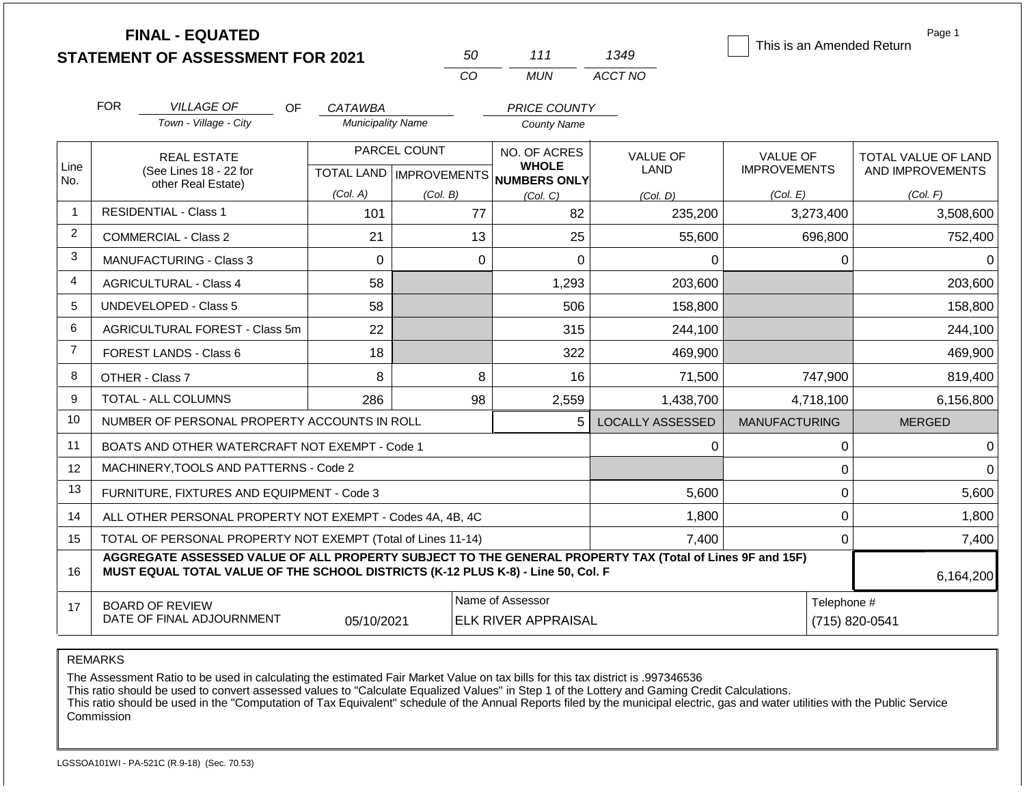|                |                                         | <b>FINAL - EQUATED</b>                                                                                                                                                                       |                          |                           |                              |                         | This is an Amended Return | Page 1              |  |
|----------------|-----------------------------------------|----------------------------------------------------------------------------------------------------------------------------------------------------------------------------------------------|--------------------------|---------------------------|------------------------------|-------------------------|---------------------------|---------------------|--|
|                |                                         | <b>STATEMENT OF ASSESSMENT FOR 2021</b>                                                                                                                                                      |                          | 50<br>CO                  | 111                          | 1349                    |                           |                     |  |
|                |                                         |                                                                                                                                                                                              |                          |                           | <b>MUN</b>                   | ACCT NO                 |                           |                     |  |
|                | <b>FOR</b>                              | <b>VILLAGE OF</b><br>OF                                                                                                                                                                      | <b>CATAWBA</b>           |                           | <b>PRICE COUNTY</b>          |                         |                           |                     |  |
|                |                                         | Town - Village - City                                                                                                                                                                        | <b>Municipality Name</b> |                           | <b>County Name</b>           |                         |                           |                     |  |
|                |                                         | <b>REAL ESTATE</b>                                                                                                                                                                           |                          | PARCEL COUNT              | NO. OF ACRES                 | <b>VALUE OF</b>         | <b>VALUE OF</b>           | TOTAL VALUE OF LAND |  |
| Line<br>No.    |                                         | (See Lines 18 - 22 for                                                                                                                                                                       |                          | TOTAL LAND   IMPROVEMENTS | <b>WHOLE</b><br>NUMBERS ONLY | LAND                    | <b>IMPROVEMENTS</b>       | AND IMPROVEMENTS    |  |
|                |                                         | other Real Estate)                                                                                                                                                                           | (Col. A)                 | (Col. B)                  | (Col. C)                     | (Col. D)                | (Col. E)                  | (Col. F)            |  |
| $\overline{1}$ |                                         | <b>RESIDENTIAL - Class 1</b>                                                                                                                                                                 | 101                      | 77                        | 82                           | 235,200                 | 3,273,400                 | 3,508,600           |  |
| 2              |                                         | <b>COMMERCIAL - Class 2</b>                                                                                                                                                                  | 21                       | 13                        | 25                           | 55,600                  | 696,800                   | 752,400             |  |
| 3              |                                         | <b>MANUFACTURING - Class 3</b>                                                                                                                                                               | $\mathbf 0$              |                           | $\mathbf 0$<br>0             | $\Omega$                | 0                         | $\Omega$            |  |
| 4              |                                         | <b>AGRICULTURAL - Class 4</b>                                                                                                                                                                | 58                       |                           | 1,293                        | 203,600                 |                           | 203,600             |  |
| 5              |                                         | <b>UNDEVELOPED - Class 5</b>                                                                                                                                                                 | 58                       |                           | 506                          | 158,800                 |                           | 158,800             |  |
| 6              |                                         | AGRICULTURAL FOREST - Class 5m                                                                                                                                                               | 22                       |                           | 315                          | 244,100                 |                           | 244,100             |  |
| $\overline{7}$ |                                         | <b>FOREST LANDS - Class 6</b>                                                                                                                                                                | 18                       |                           | 322                          | 469,900                 |                           | 469,900             |  |
| 8              |                                         | OTHER - Class 7                                                                                                                                                                              | 8                        |                           | 8<br>16                      | 71,500                  | 747,900                   | 819,400             |  |
| 9              |                                         | TOTAL - ALL COLUMNS                                                                                                                                                                          | 286                      | 98                        | 2,559                        | 1,438,700               | 4,718,100                 | 6,156,800           |  |
| 10             |                                         | NUMBER OF PERSONAL PROPERTY ACCOUNTS IN ROLL                                                                                                                                                 |                          |                           | 5                            | <b>LOCALLY ASSESSED</b> | <b>MANUFACTURING</b>      | <b>MERGED</b>       |  |
| 11             |                                         | BOATS AND OTHER WATERCRAFT NOT EXEMPT - Code 1                                                                                                                                               |                          |                           |                              | 0                       | 0                         | $\Omega$            |  |
| 12             |                                         | MACHINERY, TOOLS AND PATTERNS - Code 2                                                                                                                                                       |                          |                           |                              |                         | 0                         | $\Omega$            |  |
| 13             |                                         | FURNITURE, FIXTURES AND EQUIPMENT - Code 3                                                                                                                                                   |                          |                           |                              | 5,600                   | 0                         | 5,600               |  |
| 14             |                                         | ALL OTHER PERSONAL PROPERTY NOT EXEMPT - Codes 4A, 4B, 4C                                                                                                                                    |                          |                           |                              | 1,800                   | 0                         | 1,800               |  |
| 15             |                                         | TOTAL OF PERSONAL PROPERTY NOT EXEMPT (Total of Lines 11-14)                                                                                                                                 |                          |                           |                              | 7,400                   | 0                         | 7,400               |  |
| 16             |                                         | AGGREGATE ASSESSED VALUE OF ALL PROPERTY SUBJECT TO THE GENERAL PROPERTY TAX (Total of Lines 9F and 15F)<br>MUST EQUAL TOTAL VALUE OF THE SCHOOL DISTRICTS (K-12 PLUS K-8) - Line 50, Col. F |                          |                           |                              |                         |                           | 6,164,200           |  |
| 17             |                                         | <b>BOARD OF REVIEW</b>                                                                                                                                                                       |                          |                           | Name of Assessor             |                         | Telephone #               |                     |  |
|                | DATE OF FINAL ADJOURNMENT<br>05/10/2021 |                                                                                                                                                                                              |                          |                           | <b>ELK RIVER APPRAISAL</b>   |                         | (715) 820-0541            |                     |  |

The Assessment Ratio to be used in calculating the estimated Fair Market Value on tax bills for this tax district is .997346536

This ratio should be used to convert assessed values to "Calculate Equalized Values" in Step 1 of the Lottery and Gaming Credit Calculations.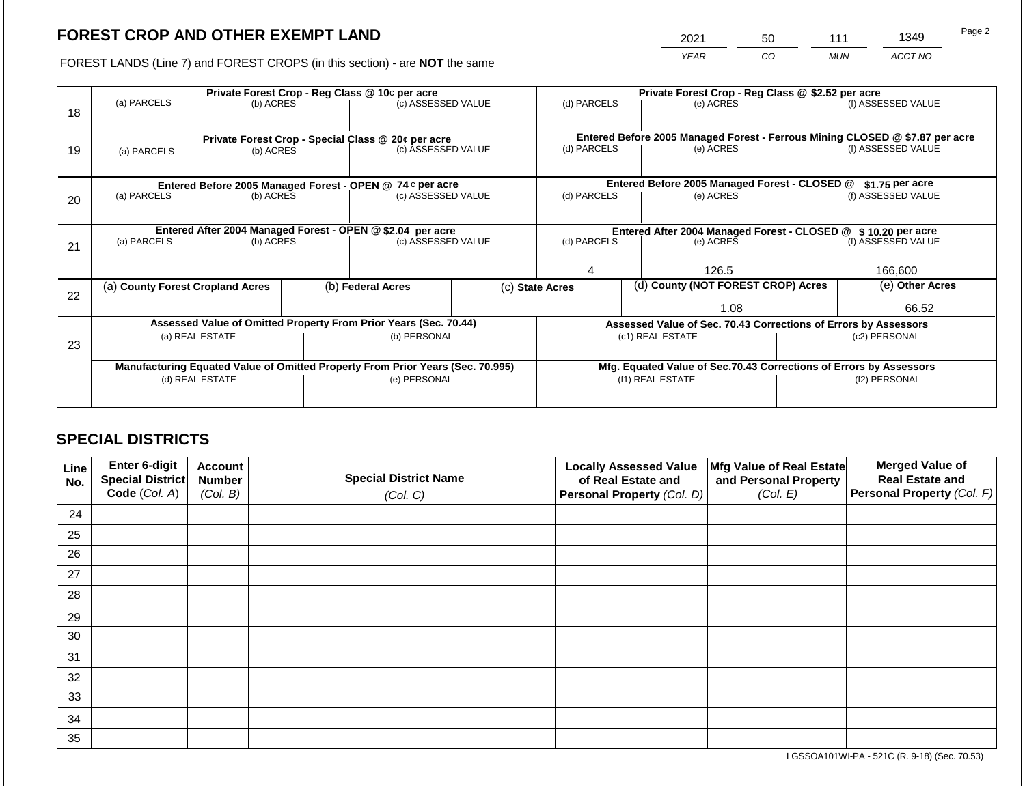2021 50 111 1349

FOREST LANDS (Line 7) and FOREST CROPS (in this section) - are **NOT** the same *YEAR CO MUN ACCT NO*

|    |                                                            |                                 |                                                               | Private Forest Crop - Reg Class @ 10¢ per acre                                 |                                               | Private Forest Crop - Reg Class @ \$2.52 per acre |                                    |                                                                    |                                                                              |                    |
|----|------------------------------------------------------------|---------------------------------|---------------------------------------------------------------|--------------------------------------------------------------------------------|-----------------------------------------------|---------------------------------------------------|------------------------------------|--------------------------------------------------------------------|------------------------------------------------------------------------------|--------------------|
| 18 | (a) PARCELS                                                | (b) ACRES                       |                                                               | (c) ASSESSED VALUE                                                             |                                               | (d) PARCELS                                       |                                    | (e) ACRES                                                          |                                                                              | (f) ASSESSED VALUE |
|    |                                                            |                                 |                                                               |                                                                                |                                               |                                                   |                                    |                                                                    |                                                                              |                    |
|    |                                                            |                                 |                                                               | Private Forest Crop - Special Class @ 20¢ per acre                             |                                               |                                                   |                                    |                                                                    | Entered Before 2005 Managed Forest - Ferrous Mining CLOSED @ \$7.87 per acre |                    |
| 19 | (a) PARCELS                                                | (c) ASSESSED VALUE<br>(b) ACRES |                                                               |                                                                                | (d) PARCELS                                   |                                                   | (e) ACRES                          |                                                                    | (f) ASSESSED VALUE                                                           |                    |
|    |                                                            |                                 |                                                               |                                                                                |                                               |                                                   |                                    |                                                                    |                                                                              |                    |
|    | Entered Before 2005 Managed Forest - OPEN @ 74 ¢ per acre  |                                 |                                                               |                                                                                | Entered Before 2005 Managed Forest - CLOSED @ |                                                   | $$1.75$ per acre                   |                                                                    |                                                                              |                    |
| 20 | (a) PARCELS                                                | (b) ACRES                       |                                                               | (c) ASSESSED VALUE                                                             |                                               | (d) PARCELS                                       |                                    | (e) ACRES                                                          |                                                                              | (f) ASSESSED VALUE |
|    |                                                            |                                 |                                                               |                                                                                |                                               |                                                   |                                    |                                                                    |                                                                              |                    |
|    | Entered After 2004 Managed Forest - OPEN @ \$2.04 per acre |                                 | Entered After 2004 Managed Forest - CLOSED @ \$10.20 per acre |                                                                                |                                               |                                                   |                                    |                                                                    |                                                                              |                    |
| 21 | (a) PARCELS                                                | (b) ACRES                       |                                                               | (c) ASSESSED VALUE                                                             |                                               | (d) PARCELS<br>(e) ACRES                          |                                    | (f) ASSESSED VALUE                                                 |                                                                              |                    |
|    |                                                            |                                 |                                                               |                                                                                |                                               |                                                   |                                    |                                                                    |                                                                              |                    |
|    |                                                            |                                 |                                                               |                                                                                |                                               | 126.5                                             |                                    |                                                                    | 166,600                                                                      |                    |
|    | (a) County Forest Cropland Acres                           |                                 |                                                               | (b) Federal Acres                                                              |                                               | (c) State Acres                                   | (d) County (NOT FOREST CROP) Acres |                                                                    |                                                                              | (e) Other Acres    |
| 22 |                                                            |                                 |                                                               |                                                                                |                                               |                                                   |                                    | 1.08                                                               |                                                                              | 66.52              |
|    |                                                            |                                 |                                                               |                                                                                |                                               |                                                   |                                    |                                                                    |                                                                              |                    |
|    |                                                            |                                 |                                                               | Assessed Value of Omitted Property From Prior Years (Sec. 70.44)               |                                               |                                                   |                                    | Assessed Value of Sec. 70.43 Corrections of Errors by Assessors    |                                                                              |                    |
| 23 |                                                            | (a) REAL ESTATE                 |                                                               | (b) PERSONAL                                                                   |                                               |                                                   |                                    | (c1) REAL ESTATE                                                   |                                                                              | (c2) PERSONAL      |
|    |                                                            |                                 |                                                               |                                                                                |                                               |                                                   |                                    |                                                                    |                                                                              |                    |
|    |                                                            |                                 |                                                               | Manufacturing Equated Value of Omitted Property From Prior Years (Sec. 70.995) |                                               |                                                   |                                    | Mfg. Equated Value of Sec.70.43 Corrections of Errors by Assessors |                                                                              |                    |
|    |                                                            | (d) REAL ESTATE                 |                                                               | (e) PERSONAL                                                                   |                                               | (f1) REAL ESTATE                                  |                                    |                                                                    | (f2) PERSONAL                                                                |                    |
|    |                                                            |                                 |                                                               |                                                                                |                                               |                                                   |                                    |                                                                    |                                                                              |                    |
|    |                                                            |                                 |                                                               |                                                                                |                                               |                                                   |                                    |                                                                    |                                                                              |                    |

## **SPECIAL DISTRICTS**

| Line<br>No. | Enter 6-digit<br>Special District<br>Code (Col. A) | <b>Account</b><br><b>Number</b><br>(Col. B) | <b>Special District Name</b><br>(Col. C) | <b>Locally Assessed Value</b><br>of Real Estate and<br>Personal Property (Col. D) | Mfg Value of Real Estate<br>and Personal Property<br>(Col. E) | <b>Merged Value of</b><br><b>Real Estate and</b><br>Personal Property (Col. F) |
|-------------|----------------------------------------------------|---------------------------------------------|------------------------------------------|-----------------------------------------------------------------------------------|---------------------------------------------------------------|--------------------------------------------------------------------------------|
| 24          |                                                    |                                             |                                          |                                                                                   |                                                               |                                                                                |
| 25          |                                                    |                                             |                                          |                                                                                   |                                                               |                                                                                |
| 26          |                                                    |                                             |                                          |                                                                                   |                                                               |                                                                                |
| 27          |                                                    |                                             |                                          |                                                                                   |                                                               |                                                                                |
| 28          |                                                    |                                             |                                          |                                                                                   |                                                               |                                                                                |
| 29          |                                                    |                                             |                                          |                                                                                   |                                                               |                                                                                |
| 30          |                                                    |                                             |                                          |                                                                                   |                                                               |                                                                                |
| 31          |                                                    |                                             |                                          |                                                                                   |                                                               |                                                                                |
| 32          |                                                    |                                             |                                          |                                                                                   |                                                               |                                                                                |
| 33          |                                                    |                                             |                                          |                                                                                   |                                                               |                                                                                |
| 34          |                                                    |                                             |                                          |                                                                                   |                                                               |                                                                                |
| 35          |                                                    |                                             |                                          |                                                                                   |                                                               |                                                                                |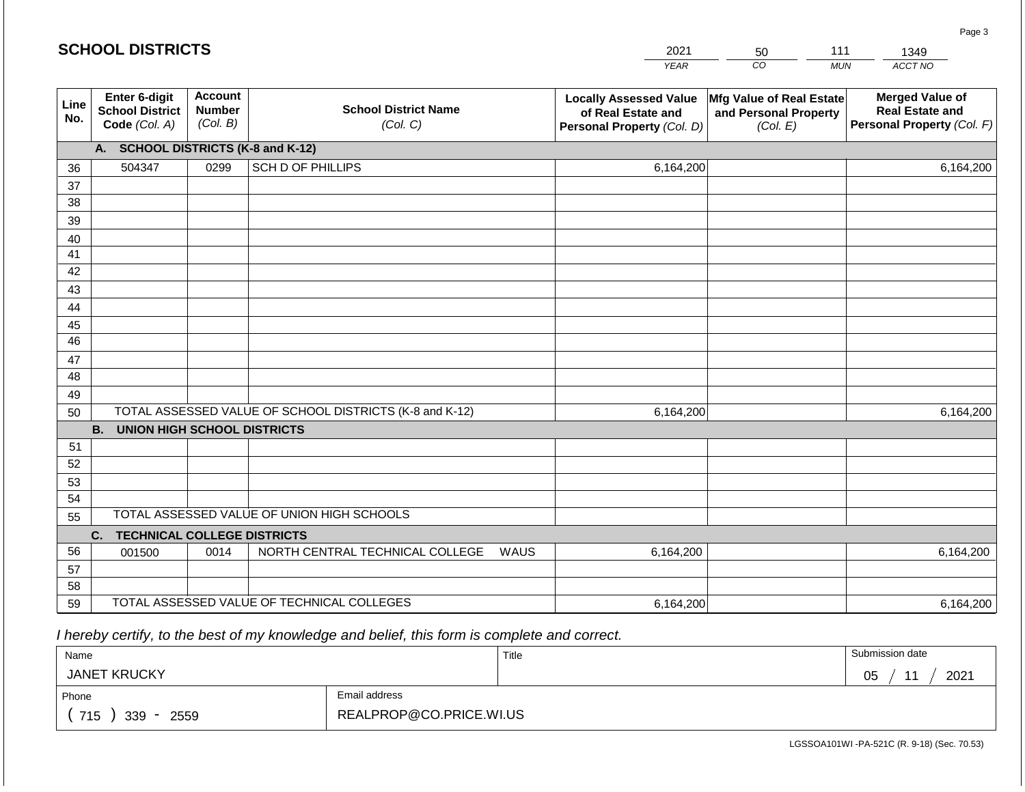|             | <b>SCHOOL DISTRICTS</b>                                                          |                                             |                                         | 2021                                                                              | 50                                                            | 111        | 1349                                                                           |  |  |
|-------------|----------------------------------------------------------------------------------|---------------------------------------------|-----------------------------------------|-----------------------------------------------------------------------------------|---------------------------------------------------------------|------------|--------------------------------------------------------------------------------|--|--|
|             |                                                                                  |                                             |                                         | <b>YEAR</b>                                                                       | CO                                                            | <b>MUN</b> | ACCT NO                                                                        |  |  |
| Line<br>No. | Enter 6-digit<br><b>School District</b><br>Code (Col. A)                         | <b>Account</b><br><b>Number</b><br>(Col. B) | <b>School District Name</b><br>(Col. C) | <b>Locally Assessed Value</b><br>of Real Estate and<br>Personal Property (Col. D) | Mfg Value of Real Estate<br>and Personal Property<br>(Col. E) |            | <b>Merged Value of</b><br><b>Real Estate and</b><br>Personal Property (Col. F) |  |  |
|             | A. SCHOOL DISTRICTS (K-8 and K-12)                                               |                                             |                                         |                                                                                   |                                                               |            |                                                                                |  |  |
| 36          | 504347                                                                           | 0299                                        | SCH D OF PHILLIPS                       | 6,164,200                                                                         |                                                               |            | 6,164,200                                                                      |  |  |
| 37          |                                                                                  |                                             |                                         |                                                                                   |                                                               |            |                                                                                |  |  |
| 38          |                                                                                  |                                             |                                         |                                                                                   |                                                               |            |                                                                                |  |  |
| 39          |                                                                                  |                                             |                                         |                                                                                   |                                                               |            |                                                                                |  |  |
| 40          |                                                                                  |                                             |                                         |                                                                                   |                                                               |            |                                                                                |  |  |
| 41<br>42    |                                                                                  |                                             |                                         |                                                                                   |                                                               |            |                                                                                |  |  |
| 43          |                                                                                  |                                             |                                         |                                                                                   |                                                               |            |                                                                                |  |  |
| 44          |                                                                                  |                                             |                                         |                                                                                   |                                                               |            |                                                                                |  |  |
| 45          |                                                                                  |                                             |                                         |                                                                                   |                                                               |            |                                                                                |  |  |
| 46          |                                                                                  |                                             |                                         |                                                                                   |                                                               |            |                                                                                |  |  |
| 47          |                                                                                  |                                             |                                         |                                                                                   |                                                               |            |                                                                                |  |  |
| 48          |                                                                                  |                                             |                                         |                                                                                   |                                                               |            |                                                                                |  |  |
| 49          |                                                                                  |                                             |                                         |                                                                                   |                                                               |            |                                                                                |  |  |
| 50          | TOTAL ASSESSED VALUE OF SCHOOL DISTRICTS (K-8 and K-12)                          |                                             |                                         | 6,164,200                                                                         |                                                               |            | 6,164,200                                                                      |  |  |
|             | <b>B. UNION HIGH SCHOOL DISTRICTS</b>                                            |                                             |                                         |                                                                                   |                                                               |            |                                                                                |  |  |
| 51          |                                                                                  |                                             |                                         |                                                                                   |                                                               |            |                                                                                |  |  |
| 52          |                                                                                  |                                             |                                         |                                                                                   |                                                               |            |                                                                                |  |  |
| 53          |                                                                                  |                                             |                                         |                                                                                   |                                                               |            |                                                                                |  |  |
| 54          |                                                                                  |                                             |                                         |                                                                                   |                                                               |            |                                                                                |  |  |
| 55          | TOTAL ASSESSED VALUE OF UNION HIGH SCHOOLS<br><b>TECHNICAL COLLEGE DISTRICTS</b> |                                             |                                         |                                                                                   |                                                               |            |                                                                                |  |  |
| 56          | C.                                                                               | 0014                                        | NORTH CENTRAL TECHNICAL COLLEGE         | WAUS                                                                              |                                                               |            |                                                                                |  |  |
| 57          | 001500                                                                           |                                             |                                         | 6,164,200                                                                         |                                                               |            | 6,164,200                                                                      |  |  |
| 58          |                                                                                  |                                             |                                         |                                                                                   |                                                               |            |                                                                                |  |  |
| 59          | TOTAL ASSESSED VALUE OF TECHNICAL COLLEGES                                       |                                             |                                         | 6,164,200                                                                         |                                                               |            | 6,164,200                                                                      |  |  |

 *I hereby certify, to the best of my knowledge and belief, this form is complete and correct.*

| Name                   |  | Title | Submission date                   |
|------------------------|--|-------|-----------------------------------|
| <b>JANET KRUCKY</b>    |  |       | 2021<br>$\overline{A}$<br>∩ҕ<br>◡ |
| Email address<br>Phone |  |       |                                   |
| 715<br>$339 -$<br>2559 |  |       |                                   |

LGSSOA101WI -PA-521C (R. 9-18) (Sec. 70.53)

Page 3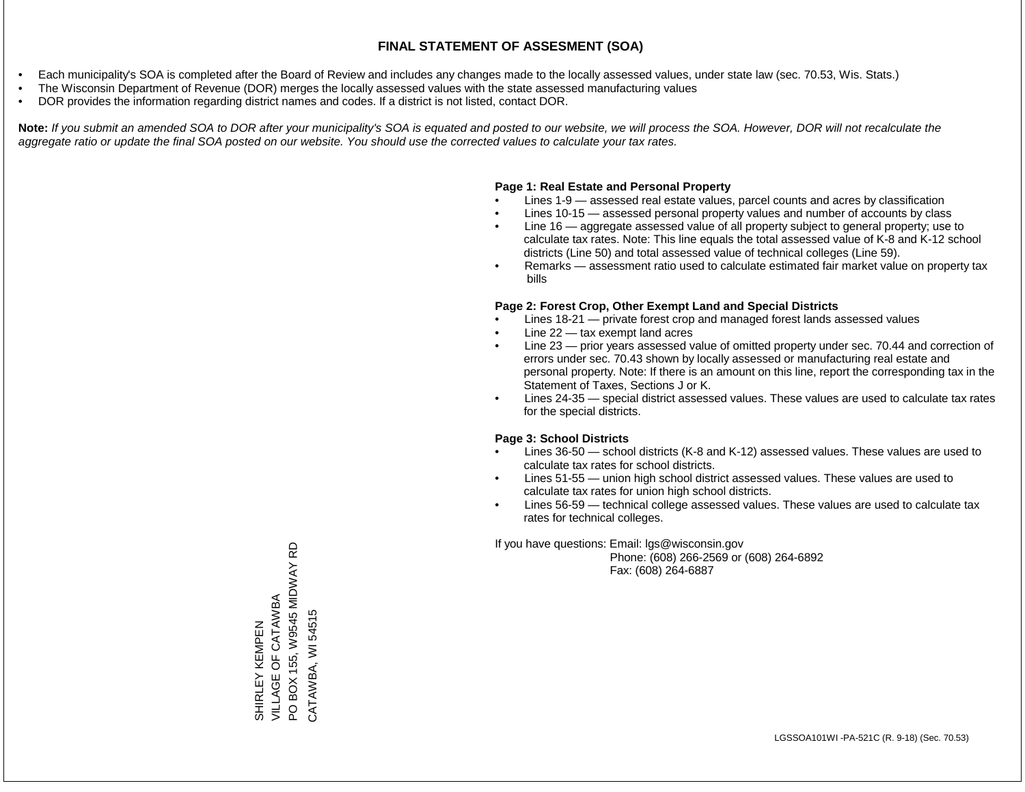- Each municipality's SOA is completed after the Board of Review and includes any changes made to the locally assessed values, under state law (sec. 70.53, Wis. Stats.)
- The Wisconsin Department of Revenue (DOR) merges the locally assessed values with the state assessed manufacturing values
- DOR provides the information regarding district names and codes. If a district is not listed, contact DOR.

Note: If you submit an amended SOA to DOR after your municipality's SOA is equated and posted to our website, we will process the SOA. However, DOR will not recalculate the *aggregate ratio or update the final SOA posted on our website. You should use the corrected values to calculate your tax rates.*

## **Page 1: Real Estate and Personal Property**

- Lines 1-9 assessed real estate values, parcel counts and acres by classification
- Lines 10-15 assessed personal property values and number of accounts by class
- Line 16 aggregate assessed value of all property subject to general property; use to calculate tax rates. Note: This line equals the total assessed value of K-8 and K-12 school districts (Line 50) and total assessed value of technical colleges (Line 59).
- Remarks assessment ratio used to calculate estimated fair market value on property tax bills

### **Page 2: Forest Crop, Other Exempt Land and Special Districts**

- Lines 18-21 private forest crop and managed forest lands assessed values
- Line  $22 -$  tax exempt land acres
- Line 23 prior years assessed value of omitted property under sec. 70.44 and correction of errors under sec. 70.43 shown by locally assessed or manufacturing real estate and personal property. Note: If there is an amount on this line, report the corresponding tax in the Statement of Taxes, Sections J or K.
- Lines 24-35 special district assessed values. These values are used to calculate tax rates for the special districts.

### **Page 3: School Districts**

- Lines 36-50 school districts (K-8 and K-12) assessed values. These values are used to calculate tax rates for school districts.
- Lines 51-55 union high school district assessed values. These values are used to calculate tax rates for union high school districts.
- Lines 56-59 technical college assessed values. These values are used to calculate tax rates for technical colleges.

If you have questions: Email: lgs@wisconsin.gov

 Phone: (608) 266-2569 or (608) 264-6892 Fax: (608) 264-6887

PO BOX 155, W9545 MIDWAY RD PO BOX 155, W9545 MIDWAY RD VILLAGE OF CATAWBA SHIRLEY KEMPEN<br>VILLAGE OF CATAWBA CATAWBA, WI 54515 CATAWBA, WI 54515SHIRLEY KEMPEN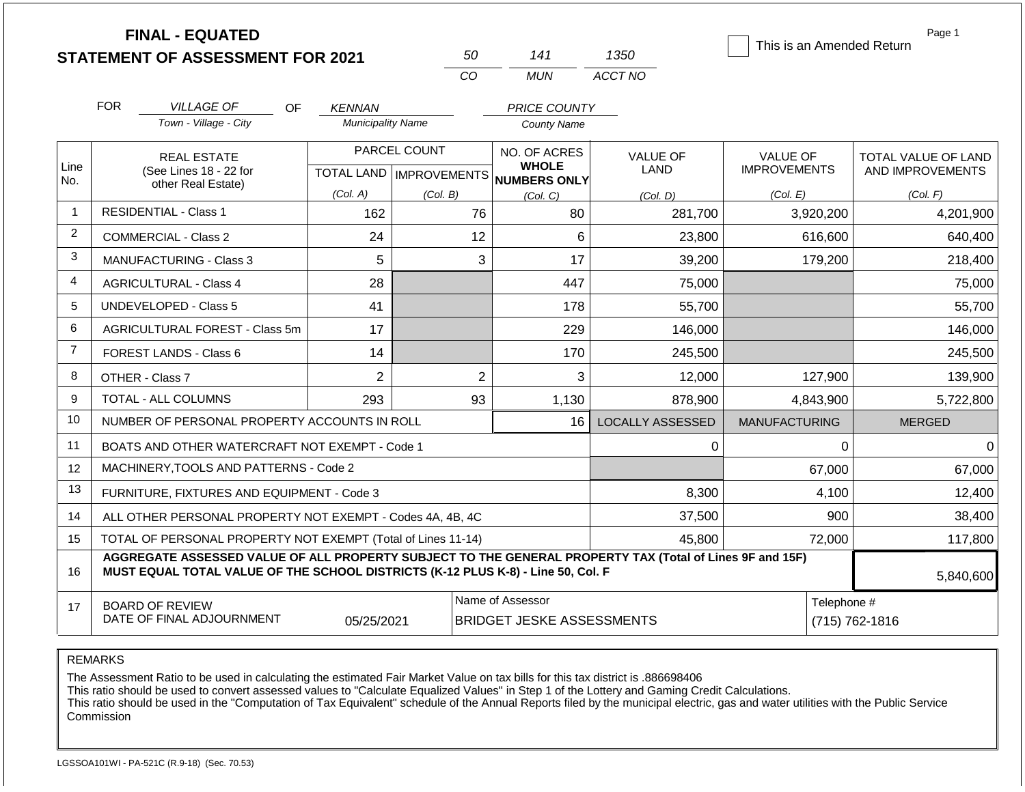|                | <b>FINAL - EQUATED</b><br><b>STATEMENT OF ASSESSMENT FOR 2021</b>                                                                                                                            |                            | 50                                                 | 141                                 | 1350                    | This is an Amended Return | Page 1              |
|----------------|----------------------------------------------------------------------------------------------------------------------------------------------------------------------------------------------|----------------------------|----------------------------------------------------|-------------------------------------|-------------------------|---------------------------|---------------------|
|                |                                                                                                                                                                                              |                            | CO                                                 | <b>MUN</b>                          | ACCT NO                 |                           |                     |
|                | <b>FOR</b><br><b>VILLAGE OF</b>                                                                                                                                                              | <b>OF</b><br><b>KENNAN</b> |                                                    | <b>PRICE COUNTY</b>                 |                         |                           |                     |
|                | Town - Village - City                                                                                                                                                                        | <b>Municipality Name</b>   |                                                    | <b>County Name</b>                  |                         |                           |                     |
|                | <b>REAL ESTATE</b>                                                                                                                                                                           |                            | PARCEL COUNT                                       | NO. OF ACRES                        | <b>VALUE OF</b>         | <b>VALUE OF</b>           | TOTAL VALUE OF LAND |
| Line<br>No.    | (See Lines 18 - 22 for<br>other Real Estate)                                                                                                                                                 | <b>TOTAL LAND</b>          | <b>IMPROVEMENTS</b>                                | <b>WHOLE</b><br><b>NUMBERS ONLY</b> | LAND                    | <b>IMPROVEMENTS</b>       | AND IMPROVEMENTS    |
|                |                                                                                                                                                                                              | (Col. A)                   | (Col. B)                                           | (Col. C)                            | (Col. D)                | (Col. E)                  | (Col. F)            |
| $\overline{1}$ | <b>RESIDENTIAL - Class 1</b>                                                                                                                                                                 | 162                        | 76                                                 | 80                                  | 281,700                 | 3,920,200                 | 4,201,900           |
| 2              | <b>COMMERCIAL - Class 2</b>                                                                                                                                                                  | 24                         | 12                                                 | 6                                   | 23,800                  | 616,600                   | 640,400             |
| 3              | <b>MANUFACTURING - Class 3</b>                                                                                                                                                               | 5                          | 3                                                  | 17                                  | 39,200                  | 179,200                   | 218,400             |
| 4              | <b>AGRICULTURAL - Class 4</b>                                                                                                                                                                | 28                         |                                                    | 447                                 | 75,000                  |                           | 75,000              |
| 5              | <b>UNDEVELOPED - Class 5</b>                                                                                                                                                                 | 41                         |                                                    | 178                                 | 55,700                  |                           | 55,700              |
| 6              | AGRICULTURAL FOREST - Class 5m                                                                                                                                                               | 17                         |                                                    | 229                                 | 146,000                 |                           | 146,000             |
| $\overline{7}$ | FOREST LANDS - Class 6                                                                                                                                                                       | 14                         |                                                    | 170                                 | 245,500                 |                           | 245,500             |
| 8              | OTHER - Class 7                                                                                                                                                                              | $\overline{2}$             | $\overline{2}$                                     | 3                                   | 12,000                  | 127,900                   | 139,900             |
| 9              | TOTAL - ALL COLUMNS                                                                                                                                                                          | 293                        | 93                                                 | 1,130                               | 878,900                 | 4,843,900                 | 5,722,800           |
| 10             | NUMBER OF PERSONAL PROPERTY ACCOUNTS IN ROLL                                                                                                                                                 |                            |                                                    | 16                                  | <b>LOCALLY ASSESSED</b> | <b>MANUFACTURING</b>      | <b>MERGED</b>       |
| 11             | BOATS AND OTHER WATERCRAFT NOT EXEMPT - Code 1                                                                                                                                               |                            |                                                    |                                     | 0                       | 0                         | $\Omega$            |
| 12             | MACHINERY, TOOLS AND PATTERNS - Code 2                                                                                                                                                       |                            |                                                    |                                     |                         | 67,000                    | 67,000              |
| 13             | FURNITURE, FIXTURES AND EQUIPMENT - Code 3                                                                                                                                                   |                            |                                                    |                                     | 8,300                   | 4,100                     | 12,400              |
| 14             | ALL OTHER PERSONAL PROPERTY NOT EXEMPT - Codes 4A, 4B, 4C                                                                                                                                    |                            |                                                    |                                     | 37,500                  | 900                       | 38,400              |
| 15             | TOTAL OF PERSONAL PROPERTY NOT EXEMPT (Total of Lines 11-14)                                                                                                                                 |                            |                                                    |                                     | 45,800                  | 72,000                    | 117,800             |
| 16             | AGGREGATE ASSESSED VALUE OF ALL PROPERTY SUBJECT TO THE GENERAL PROPERTY TAX (Total of Lines 9F and 15F)<br>MUST EQUAL TOTAL VALUE OF THE SCHOOL DISTRICTS (K-12 PLUS K-8) - Line 50, Col. F |                            |                                                    |                                     |                         |                           | 5,840,600           |
| 17             | <b>BOARD OF REVIEW</b>                                                                                                                                                                       |                            |                                                    | Name of Assessor                    |                         | Telephone #               |                     |
|                | DATE OF FINAL ADJOURNMENT                                                                                                                                                                    | 05/25/2021                 | <b>BRIDGET JESKE ASSESSMENTS</b><br>(715) 762-1816 |                                     |                         |                           |                     |

#### REMARKS

The Assessment Ratio to be used in calculating the estimated Fair Market Value on tax bills for this tax district is .886698406

This ratio should be used to convert assessed values to "Calculate Equalized Values" in Step 1 of the Lottery and Gaming Credit Calculations.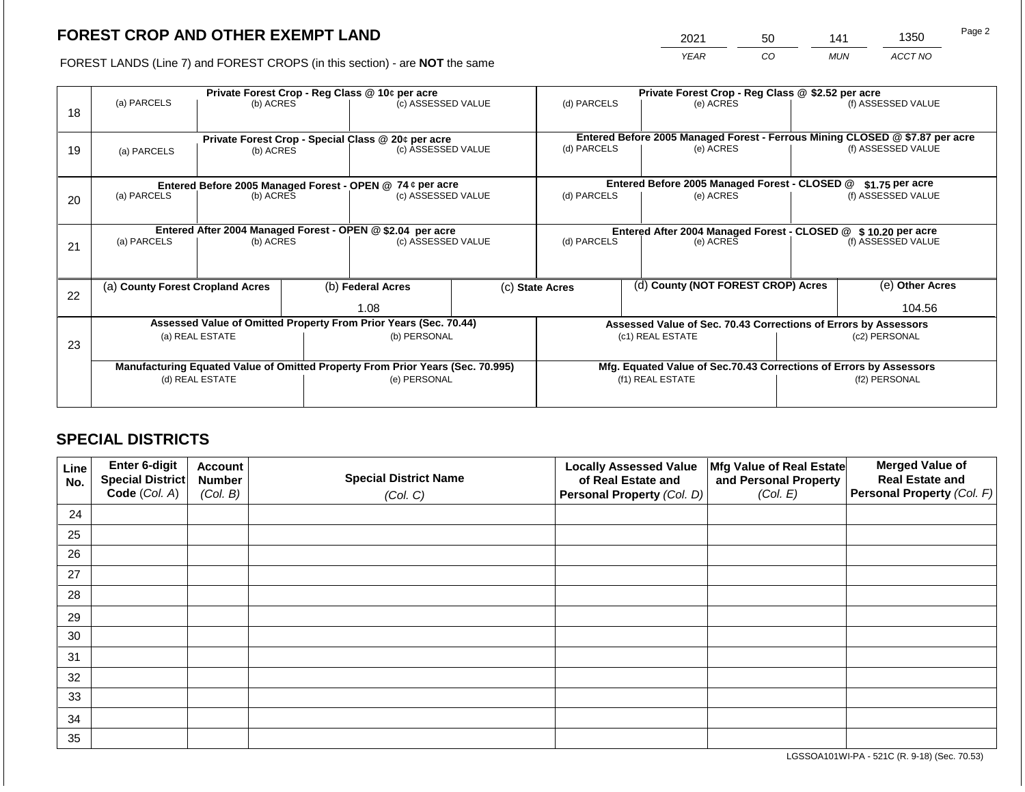2021 50 141 1350

FOREST LANDS (Line 7) and FOREST CROPS (in this section) - are **NOT** the same *YEAR CO MUN ACCT NO*

|    |                                                            | Private Forest Crop - Reg Class @ 10¢ per acre |  |                                                                                |                          | Private Forest Crop - Reg Class @ \$2.52 per acre                                           |  |                                                                    |                    |                    |
|----|------------------------------------------------------------|------------------------------------------------|--|--------------------------------------------------------------------------------|--------------------------|---------------------------------------------------------------------------------------------|--|--------------------------------------------------------------------|--------------------|--------------------|
| 18 | (a) PARCELS                                                | (b) ACRES                                      |  | (c) ASSESSED VALUE                                                             |                          | (d) PARCELS                                                                                 |  | (e) ACRES                                                          |                    | (f) ASSESSED VALUE |
|    |                                                            |                                                |  |                                                                                |                          |                                                                                             |  |                                                                    |                    |                    |
|    |                                                            |                                                |  | Private Forest Crop - Special Class @ 20¢ per acre                             |                          | Entered Before 2005 Managed Forest - Ferrous Mining CLOSED @ \$7.87 per acre<br>(d) PARCELS |  |                                                                    | (f) ASSESSED VALUE |                    |
| 19 | (a) PARCELS                                                | (b) ACRES                                      |  | (c) ASSESSED VALUE                                                             |                          | (e) ACRES                                                                                   |  |                                                                    |                    |                    |
|    |                                                            |                                                |  |                                                                                |                          |                                                                                             |  |                                                                    |                    |                    |
|    |                                                            |                                                |  | Entered Before 2005 Managed Forest - OPEN @ 74 ¢ per acre                      |                          |                                                                                             |  | Entered Before 2005 Managed Forest - CLOSED @                      |                    | $$1.75$ per acre   |
| 20 | (a) PARCELS<br>(b) ACRES                                   |                                                |  | (c) ASSESSED VALUE                                                             |                          | (d) PARCELS                                                                                 |  | (e) ACRES                                                          |                    | (f) ASSESSED VALUE |
|    |                                                            |                                                |  |                                                                                |                          |                                                                                             |  |                                                                    |                    |                    |
|    | Entered After 2004 Managed Forest - OPEN @ \$2.04 per acre |                                                |  | Entered After 2004 Managed Forest - CLOSED @ \$10.20 per acre                  |                          |                                                                                             |  |                                                                    |                    |                    |
| 21 | (a) PARCELS                                                | (c) ASSESSED VALUE<br>(b) ACRES                |  |                                                                                | (d) PARCELS<br>(e) ACRES |                                                                                             |  | (f) ASSESSED VALUE                                                 |                    |                    |
|    |                                                            |                                                |  |                                                                                |                          |                                                                                             |  |                                                                    |                    |                    |
|    |                                                            |                                                |  |                                                                                |                          |                                                                                             |  |                                                                    |                    |                    |
| 22 | (a) County Forest Cropland Acres                           |                                                |  | (b) Federal Acres                                                              |                          | (d) County (NOT FOREST CROP) Acres<br>(c) State Acres                                       |  |                                                                    | (e) Other Acres    |                    |
|    |                                                            |                                                |  | 1.08                                                                           |                          |                                                                                             |  |                                                                    |                    | 104.56             |
|    |                                                            |                                                |  | Assessed Value of Omitted Property From Prior Years (Sec. 70.44)               |                          | Assessed Value of Sec. 70.43 Corrections of Errors by Assessors                             |  |                                                                    |                    |                    |
|    |                                                            | (a) REAL ESTATE                                |  | (b) PERSONAL                                                                   |                          |                                                                                             |  | (c1) REAL ESTATE                                                   |                    | (c2) PERSONAL      |
| 23 |                                                            |                                                |  |                                                                                |                          |                                                                                             |  |                                                                    |                    |                    |
|    |                                                            |                                                |  | Manufacturing Equated Value of Omitted Property From Prior Years (Sec. 70.995) |                          |                                                                                             |  | Mfg. Equated Value of Sec.70.43 Corrections of Errors by Assessors |                    |                    |
|    |                                                            | (d) REAL ESTATE                                |  | (e) PERSONAL                                                                   |                          |                                                                                             |  | (f1) REAL ESTATE                                                   |                    | (f2) PERSONAL      |
|    |                                                            |                                                |  |                                                                                |                          |                                                                                             |  |                                                                    |                    |                    |
|    |                                                            |                                                |  |                                                                                |                          |                                                                                             |  |                                                                    |                    |                    |

# **SPECIAL DISTRICTS**

| Line<br>No. | <b>Enter 6-digit</b><br>Special District | <b>Account</b><br><b>Number</b> | <b>Special District Name</b> | <b>Locally Assessed Value</b><br>of Real Estate and | Mfg Value of Real Estate<br>and Personal Property | <b>Merged Value of</b><br><b>Real Estate and</b> |
|-------------|------------------------------------------|---------------------------------|------------------------------|-----------------------------------------------------|---------------------------------------------------|--------------------------------------------------|
|             | Code (Col. A)                            | (Col. B)                        | (Col. C)                     | Personal Property (Col. D)                          | (Col. E)                                          | <b>Personal Property (Col. F)</b>                |
| 24          |                                          |                                 |                              |                                                     |                                                   |                                                  |
| 25          |                                          |                                 |                              |                                                     |                                                   |                                                  |
| 26          |                                          |                                 |                              |                                                     |                                                   |                                                  |
| 27          |                                          |                                 |                              |                                                     |                                                   |                                                  |
| 28          |                                          |                                 |                              |                                                     |                                                   |                                                  |
| 29          |                                          |                                 |                              |                                                     |                                                   |                                                  |
| 30          |                                          |                                 |                              |                                                     |                                                   |                                                  |
| 31          |                                          |                                 |                              |                                                     |                                                   |                                                  |
| 32          |                                          |                                 |                              |                                                     |                                                   |                                                  |
| 33          |                                          |                                 |                              |                                                     |                                                   |                                                  |
| 34          |                                          |                                 |                              |                                                     |                                                   |                                                  |
| 35          |                                          |                                 |                              |                                                     |                                                   |                                                  |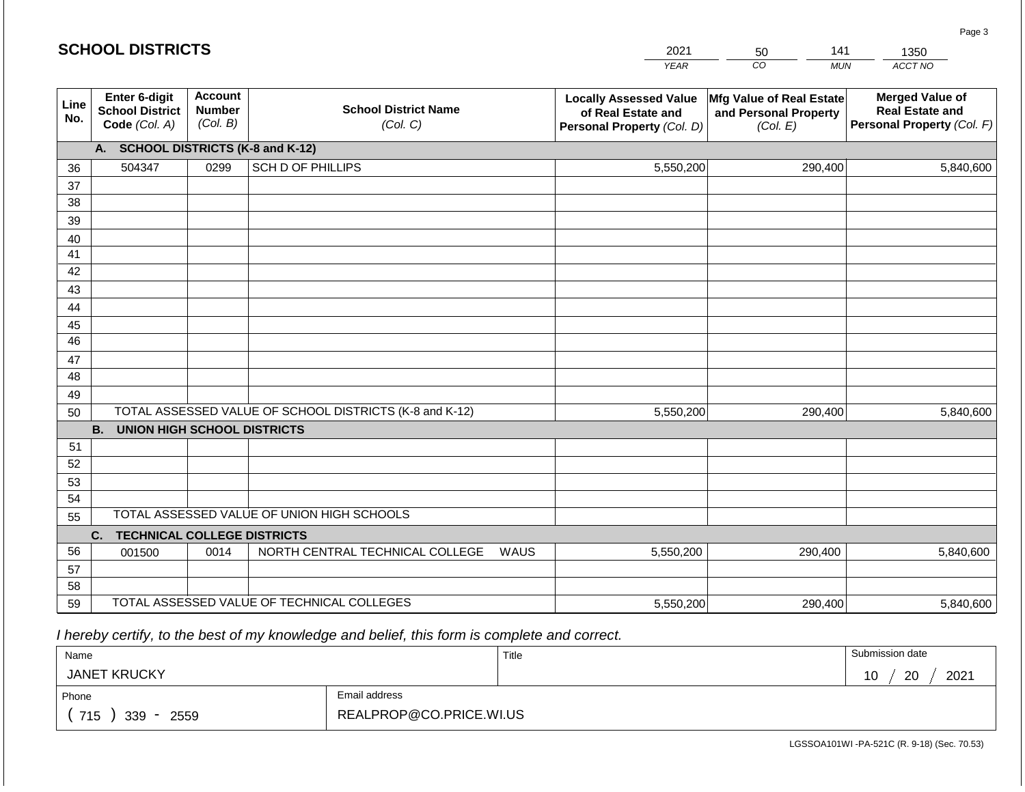| CO<br>ACCT NO<br><b>YEAR</b><br><b>MUN</b><br><b>Account</b><br>Enter 6-digit<br><b>Merged Value of</b><br><b>Locally Assessed Value</b><br>Mfg Value of Real Estate<br>Line<br><b>School District Name</b><br><b>Number</b><br><b>School District</b><br><b>Real Estate and</b><br>and Personal Property<br>of Real Estate and<br>No.<br>(Col. B)<br>Code (Col. A)<br>(Col. C)<br>Personal Property (Col. F)<br>Personal Property (Col. D)<br>(Col. E)<br><b>SCHOOL DISTRICTS (K-8 and K-12)</b><br>A.<br><b>SCH D OF PHILLIPS</b><br>504347<br>0299<br>5,550,200<br>290,400<br>5,840,600<br>36<br>37<br>38<br>39<br>40<br>41<br>42<br>43<br>44<br>45<br>46<br>47<br>48<br>49<br>TOTAL ASSESSED VALUE OF SCHOOL DISTRICTS (K-8 and K-12)<br>5,550,200<br>290,400<br>5,840,600<br>50<br><b>B.</b><br><b>UNION HIGH SCHOOL DISTRICTS</b> |
|-----------------------------------------------------------------------------------------------------------------------------------------------------------------------------------------------------------------------------------------------------------------------------------------------------------------------------------------------------------------------------------------------------------------------------------------------------------------------------------------------------------------------------------------------------------------------------------------------------------------------------------------------------------------------------------------------------------------------------------------------------------------------------------------------------------------------------------------|
|                                                                                                                                                                                                                                                                                                                                                                                                                                                                                                                                                                                                                                                                                                                                                                                                                                         |
|                                                                                                                                                                                                                                                                                                                                                                                                                                                                                                                                                                                                                                                                                                                                                                                                                                         |
|                                                                                                                                                                                                                                                                                                                                                                                                                                                                                                                                                                                                                                                                                                                                                                                                                                         |
|                                                                                                                                                                                                                                                                                                                                                                                                                                                                                                                                                                                                                                                                                                                                                                                                                                         |
|                                                                                                                                                                                                                                                                                                                                                                                                                                                                                                                                                                                                                                                                                                                                                                                                                                         |
|                                                                                                                                                                                                                                                                                                                                                                                                                                                                                                                                                                                                                                                                                                                                                                                                                                         |
|                                                                                                                                                                                                                                                                                                                                                                                                                                                                                                                                                                                                                                                                                                                                                                                                                                         |
|                                                                                                                                                                                                                                                                                                                                                                                                                                                                                                                                                                                                                                                                                                                                                                                                                                         |
|                                                                                                                                                                                                                                                                                                                                                                                                                                                                                                                                                                                                                                                                                                                                                                                                                                         |
|                                                                                                                                                                                                                                                                                                                                                                                                                                                                                                                                                                                                                                                                                                                                                                                                                                         |
|                                                                                                                                                                                                                                                                                                                                                                                                                                                                                                                                                                                                                                                                                                                                                                                                                                         |
|                                                                                                                                                                                                                                                                                                                                                                                                                                                                                                                                                                                                                                                                                                                                                                                                                                         |
|                                                                                                                                                                                                                                                                                                                                                                                                                                                                                                                                                                                                                                                                                                                                                                                                                                         |
|                                                                                                                                                                                                                                                                                                                                                                                                                                                                                                                                                                                                                                                                                                                                                                                                                                         |
|                                                                                                                                                                                                                                                                                                                                                                                                                                                                                                                                                                                                                                                                                                                                                                                                                                         |
|                                                                                                                                                                                                                                                                                                                                                                                                                                                                                                                                                                                                                                                                                                                                                                                                                                         |
|                                                                                                                                                                                                                                                                                                                                                                                                                                                                                                                                                                                                                                                                                                                                                                                                                                         |
|                                                                                                                                                                                                                                                                                                                                                                                                                                                                                                                                                                                                                                                                                                                                                                                                                                         |
| 51                                                                                                                                                                                                                                                                                                                                                                                                                                                                                                                                                                                                                                                                                                                                                                                                                                      |
| 52                                                                                                                                                                                                                                                                                                                                                                                                                                                                                                                                                                                                                                                                                                                                                                                                                                      |
| 53                                                                                                                                                                                                                                                                                                                                                                                                                                                                                                                                                                                                                                                                                                                                                                                                                                      |
| 54<br>TOTAL ASSESSED VALUE OF UNION HIGH SCHOOLS                                                                                                                                                                                                                                                                                                                                                                                                                                                                                                                                                                                                                                                                                                                                                                                        |
| 55                                                                                                                                                                                                                                                                                                                                                                                                                                                                                                                                                                                                                                                                                                                                                                                                                                      |
| <b>TECHNICAL COLLEGE DISTRICTS</b><br>C.                                                                                                                                                                                                                                                                                                                                                                                                                                                                                                                                                                                                                                                                                                                                                                                                |
| 56<br>NORTH CENTRAL TECHNICAL COLLEGE<br>0014<br>WAUS<br>5,550,200<br>290,400<br>5,840,600<br>001500                                                                                                                                                                                                                                                                                                                                                                                                                                                                                                                                                                                                                                                                                                                                    |
| 57<br>58                                                                                                                                                                                                                                                                                                                                                                                                                                                                                                                                                                                                                                                                                                                                                                                                                                |
| TOTAL ASSESSED VALUE OF TECHNICAL COLLEGES<br>59<br>5,550,200<br>5,840,600<br>290,400                                                                                                                                                                                                                                                                                                                                                                                                                                                                                                                                                                                                                                                                                                                                                   |

 *I hereby certify, to the best of my knowledge and belief, this form is complete and correct.*

| Name                |                         | Title | Submission date  |  |  |
|---------------------|-------------------------|-------|------------------|--|--|
| <b>JANET KRUCKY</b> |                         |       | 2021<br>20<br>10 |  |  |
| Phone               | Email address           |       |                  |  |  |
| 715<br>339<br>2559  | REALPROP@CO.PRICE.WI.US |       |                  |  |  |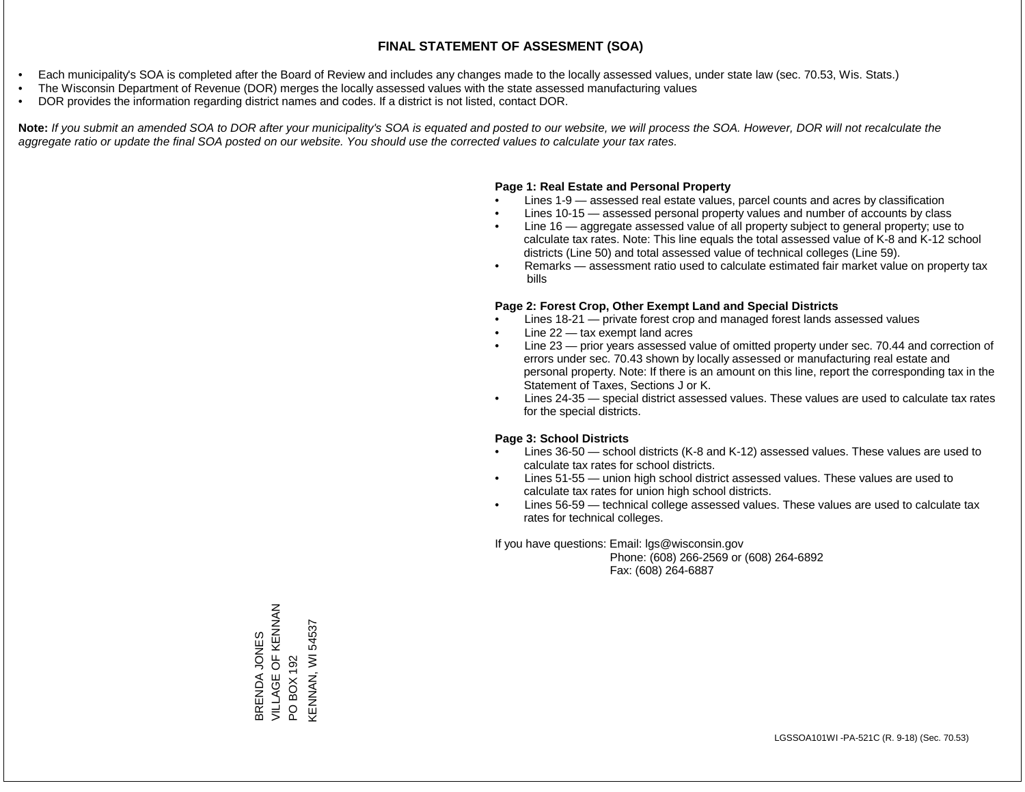- Each municipality's SOA is completed after the Board of Review and includes any changes made to the locally assessed values, under state law (sec. 70.53, Wis. Stats.)
- The Wisconsin Department of Revenue (DOR) merges the locally assessed values with the state assessed manufacturing values
- DOR provides the information regarding district names and codes. If a district is not listed, contact DOR.

Note: If you submit an amended SOA to DOR after your municipality's SOA is equated and posted to our website, we will process the SOA. However, DOR will not recalculate the *aggregate ratio or update the final SOA posted on our website. You should use the corrected values to calculate your tax rates.*

#### **Page 1: Real Estate and Personal Property**

- Lines 1-9 assessed real estate values, parcel counts and acres by classification
- Lines 10-15 assessed personal property values and number of accounts by class
- Line 16 aggregate assessed value of all property subject to general property; use to calculate tax rates. Note: This line equals the total assessed value of K-8 and K-12 school districts (Line 50) and total assessed value of technical colleges (Line 59).
- Remarks assessment ratio used to calculate estimated fair market value on property tax bills

#### **Page 2: Forest Crop, Other Exempt Land and Special Districts**

- Lines 18-21 private forest crop and managed forest lands assessed values
- Line  $22 -$  tax exempt land acres
- Line 23 prior years assessed value of omitted property under sec. 70.44 and correction of errors under sec. 70.43 shown by locally assessed or manufacturing real estate and personal property. Note: If there is an amount on this line, report the corresponding tax in the Statement of Taxes, Sections J or K.
- Lines 24-35 special district assessed values. These values are used to calculate tax rates for the special districts.

#### **Page 3: School Districts**

- Lines 36-50 school districts (K-8 and K-12) assessed values. These values are used to calculate tax rates for school districts.
- Lines 51-55 union high school district assessed values. These values are used to calculate tax rates for union high school districts.
- Lines 56-59 technical college assessed values. These values are used to calculate tax rates for technical colleges.

If you have questions: Email: lgs@wisconsin.gov

 Phone: (608) 266-2569 or (608) 264-6892 Fax: (608) 264-6887

BRENDA JONES VILLAGE OF KENNAN BRENDA JONES<br>VILLAGE OF KENNAN<br>PO BOX 192<br>KENNAN, WI 54537 KENNAN, WI 54537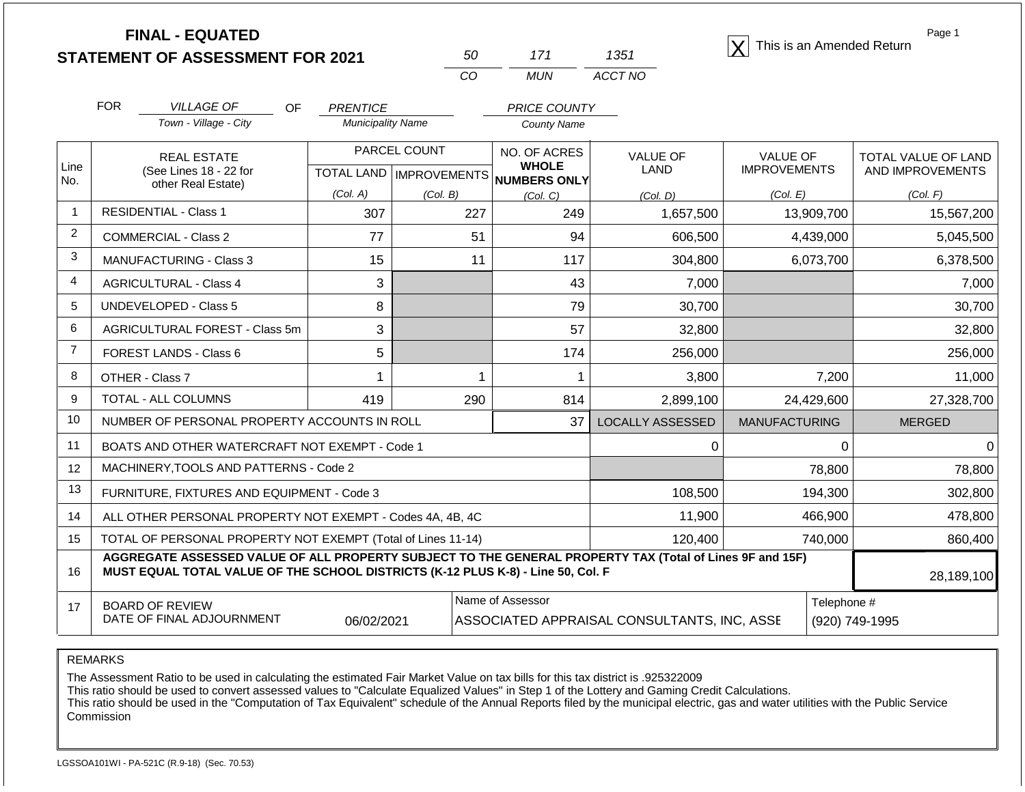**STATEMENT OF ASSESSMENT FOR 2021**

| 50         | 171   | 1351    |
|------------|-------|---------|
| $\sqrt{ }$ | MI IN | ACCT NO |

**FINAL - EQUATED**<br>  $\overline{X}$  This is an Amended Return

Page 1

|                | <b>FOR</b>                          | <b>VILLAGE OF</b><br><b>OF</b>                                                                                                                                                               | <b>PRENTICE</b>          |                           | <b>PRICE COUNTY</b>          |                                             |                                        |                     |
|----------------|-------------------------------------|----------------------------------------------------------------------------------------------------------------------------------------------------------------------------------------------|--------------------------|---------------------------|------------------------------|---------------------------------------------|----------------------------------------|---------------------|
|                |                                     | Town - Village - City                                                                                                                                                                        | <b>Municipality Name</b> |                           | <b>County Name</b>           |                                             |                                        |                     |
| Line           |                                     | <b>REAL ESTATE</b>                                                                                                                                                                           |                          | PARCEL COUNT              | NO. OF ACRES<br><b>WHOLE</b> | <b>VALUE OF</b><br><b>LAND</b>              | <b>VALUE OF</b><br><b>IMPROVEMENTS</b> | TOTAL VALUE OF LAND |
| No.            |                                     | (See Lines 18 - 22 for<br>other Real Estate)                                                                                                                                                 |                          | TOTAL LAND   IMPROVEMENTS | <b>NUMBERS ONLY</b>          |                                             |                                        | AND IMPROVEMENTS    |
|                |                                     |                                                                                                                                                                                              | (Col. A)                 | (Col. B)                  | (Col. C)                     | (Col, D)                                    | (Col. E)                               | (Col. F)            |
| $\mathbf{1}$   |                                     | <b>RESIDENTIAL - Class 1</b>                                                                                                                                                                 | 307                      | 227                       | 249                          | 1,657,500                                   | 13,909,700                             | 15,567,200          |
| $\overline{2}$ |                                     | <b>COMMERCIAL - Class 2</b>                                                                                                                                                                  | 77                       | 51                        | 94                           | 606,500                                     | 4,439,000                              | 5,045,500           |
| 3              |                                     | <b>MANUFACTURING - Class 3</b>                                                                                                                                                               | 15                       | 11                        | 117                          | 304,800                                     | 6,073,700                              | 6,378,500           |
| 4              | 3<br><b>AGRICULTURAL - Class 4</b>  |                                                                                                                                                                                              |                          |                           | 43                           | 7,000                                       |                                        | 7,000               |
| 5              | <b>UNDEVELOPED - Class 5</b><br>8   |                                                                                                                                                                                              |                          | 79                        | 30,700                       |                                             | 30,700                                 |                     |
| 6              | AGRICULTURAL FOREST - Class 5m<br>3 |                                                                                                                                                                                              |                          | 57                        | 32,800                       |                                             | 32,800                                 |                     |
| $\overline{7}$ |                                     | FOREST LANDS - Class 6                                                                                                                                                                       | 5                        |                           | 174                          | 256,000                                     |                                        | 256,000             |
| 8              |                                     | OTHER - Class 7                                                                                                                                                                              | 1                        |                           | 1                            | 3,800                                       | 7,200                                  | 11,000              |
| 9              |                                     | TOTAL - ALL COLUMNS                                                                                                                                                                          | 419                      | 290                       | 814                          | 2,899,100                                   | 24,429,600                             | 27,328,700          |
| 10             |                                     | NUMBER OF PERSONAL PROPERTY ACCOUNTS IN ROLL                                                                                                                                                 |                          |                           | 37                           | <b>LOCALLY ASSESSED</b>                     | <b>MANUFACTURING</b>                   | <b>MERGED</b>       |
| 11             |                                     | BOATS AND OTHER WATERCRAFT NOT EXEMPT - Code 1                                                                                                                                               |                          |                           |                              | 0                                           | 0                                      | 0                   |
| 12             |                                     | MACHINERY, TOOLS AND PATTERNS - Code 2                                                                                                                                                       |                          |                           |                              |                                             | 78,800                                 | 78,800              |
| 13             |                                     | FURNITURE, FIXTURES AND EQUIPMENT - Code 3                                                                                                                                                   |                          |                           |                              | 108,500                                     | 194,300                                | 302,800             |
| 14             |                                     | ALL OTHER PERSONAL PROPERTY NOT EXEMPT - Codes 4A, 4B, 4C                                                                                                                                    |                          |                           |                              | 11,900                                      | 466,900                                | 478,800             |
| 15             |                                     | TOTAL OF PERSONAL PROPERTY NOT EXEMPT (Total of Lines 11-14)                                                                                                                                 |                          |                           |                              | 120,400                                     | 740,000                                | 860,400             |
| 16             |                                     | AGGREGATE ASSESSED VALUE OF ALL PROPERTY SUBJECT TO THE GENERAL PROPERTY TAX (Total of Lines 9F and 15F)<br>MUST EQUAL TOTAL VALUE OF THE SCHOOL DISTRICTS (K-12 PLUS K-8) - Line 50, Col. F |                          |                           |                              |                                             |                                        | 28,189,100          |
| 17             |                                     | <b>BOARD OF REVIEW</b><br>DATE OF FINAL ADJOURNMENT                                                                                                                                          | 06/02/2021               |                           | Name of Assessor             | ASSOCIATED APPRAISAL CONSULTANTS, INC, ASSE | Telephone #                            | (920) 749-1995      |

REMARKS

The Assessment Ratio to be used in calculating the estimated Fair Market Value on tax bills for this tax district is .925322009

This ratio should be used to convert assessed values to "Calculate Equalized Values" in Step 1 of the Lottery and Gaming Credit Calculations.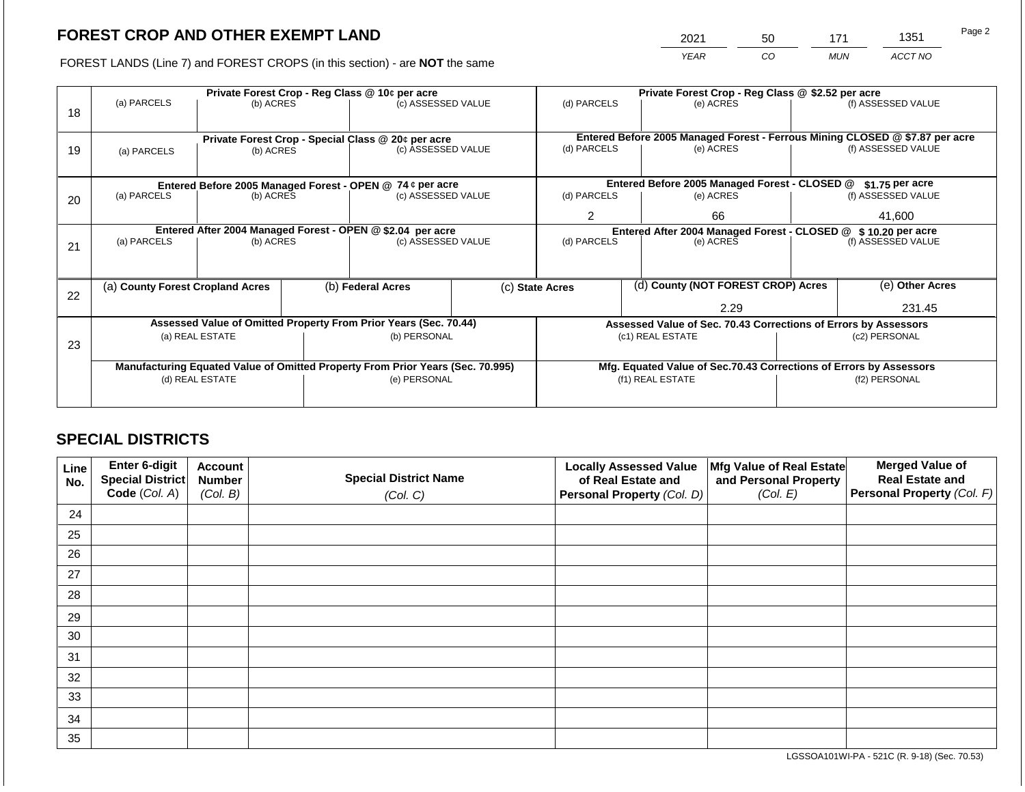2021 50 171 1351

FOREST LANDS (Line 7) and FOREST CROPS (in this section) - are **NOT** the same *YEAR CO MUN ACCT NO*

|    |                                  |                                                                                | Private Forest Crop - Reg Class @ \$2.52 per acre |                                                    |                                                                                        |                                                                  |      |                                                                              |               |                    |
|----|----------------------------------|--------------------------------------------------------------------------------|---------------------------------------------------|----------------------------------------------------|----------------------------------------------------------------------------------------|------------------------------------------------------------------|------|------------------------------------------------------------------------------|---------------|--------------------|
| 18 | (a) PARCELS                      | (b) ACRES                                                                      |                                                   | (c) ASSESSED VALUE                                 |                                                                                        | (d) PARCELS                                                      |      | (e) ACRES                                                                    |               | (f) ASSESSED VALUE |
|    |                                  |                                                                                |                                                   |                                                    |                                                                                        |                                                                  |      |                                                                              |               |                    |
|    |                                  |                                                                                |                                                   | Private Forest Crop - Special Class @ 20¢ per acre |                                                                                        |                                                                  |      | Entered Before 2005 Managed Forest - Ferrous Mining CLOSED @ \$7.87 per acre |               |                    |
| 19 | (a) PARCELS                      | (b) ACRES                                                                      |                                                   | (c) ASSESSED VALUE                                 |                                                                                        | (d) PARCELS                                                      |      | (e) ACRES                                                                    |               | (f) ASSESSED VALUE |
|    |                                  |                                                                                |                                                   |                                                    |                                                                                        |                                                                  |      |                                                                              |               |                    |
|    |                                  | Entered Before 2005 Managed Forest - OPEN @ 74 ¢ per acre                      |                                                   |                                                    |                                                                                        | Entered Before 2005 Managed Forest - CLOSED @<br>\$1.75 per acre |      |                                                                              |               |                    |
| 20 | (a) PARCELS<br>(b) ACRES         |                                                                                |                                                   | (c) ASSESSED VALUE                                 |                                                                                        | (d) PARCELS                                                      |      | (e) ACRES                                                                    |               | (f) ASSESSED VALUE |
|    |                                  |                                                                                |                                                   |                                                    |                                                                                        | $\overline{2}$<br>66                                             |      |                                                                              | 41,600        |                    |
|    |                                  | Entered After 2004 Managed Forest - OPEN @ \$2.04 per acre                     |                                                   |                                                    | Entered After 2004 Managed Forest - CLOSED @ \$10.20 per acre                          |                                                                  |      |                                                                              |               |                    |
| 21 |                                  | (a) PARCELS<br>(b) ACRES                                                       |                                                   | (c) ASSESSED VALUE                                 |                                                                                        | (d) PARCELS                                                      |      | (e) ACRES                                                                    |               | (f) ASSESSED VALUE |
|    |                                  |                                                                                |                                                   |                                                    |                                                                                        |                                                                  |      |                                                                              |               |                    |
|    |                                  |                                                                                |                                                   |                                                    |                                                                                        |                                                                  |      |                                                                              |               |                    |
| 22 | (a) County Forest Cropland Acres |                                                                                |                                                   | (b) Federal Acres                                  |                                                                                        | (d) County (NOT FOREST CROP) Acres<br>(c) State Acres            |      |                                                                              |               | (e) Other Acres    |
|    |                                  |                                                                                |                                                   |                                                    |                                                                                        |                                                                  | 2.29 |                                                                              |               | 231.45             |
|    |                                  | Assessed Value of Omitted Property From Prior Years (Sec. 70.44)               |                                                   |                                                    |                                                                                        |                                                                  |      | Assessed Value of Sec. 70.43 Corrections of Errors by Assessors              |               |                    |
|    |                                  | (a) REAL ESTATE                                                                |                                                   | (b) PERSONAL                                       |                                                                                        |                                                                  |      | (c1) REAL ESTATE                                                             | (c2) PERSONAL |                    |
|    |                                  |                                                                                |                                                   |                                                    |                                                                                        |                                                                  |      |                                                                              |               |                    |
|    |                                  | Manufacturing Equated Value of Omitted Property From Prior Years (Sec. 70.995) |                                                   |                                                    |                                                                                        |                                                                  |      |                                                                              |               |                    |
|    |                                  | (d) REAL ESTATE                                                                |                                                   | (e) PERSONAL                                       |                                                                                        |                                                                  |      |                                                                              |               | (f2) PERSONAL      |
|    |                                  |                                                                                |                                                   |                                                    |                                                                                        |                                                                  |      |                                                                              |               |                    |
| 23 |                                  |                                                                                |                                                   |                                                    | Mfg. Equated Value of Sec.70.43 Corrections of Errors by Assessors<br>(f1) REAL ESTATE |                                                                  |      |                                                                              |               |                    |

# **SPECIAL DISTRICTS**

| Line<br>No. | Enter 6-digit<br>Special District<br>Code (Col. A) | <b>Account</b><br><b>Number</b><br>(Col. B) | <b>Special District Name</b><br>(Col. C) | <b>Locally Assessed Value</b><br>of Real Estate and<br><b>Personal Property (Col. D)</b> | Mfg Value of Real Estate<br>and Personal Property<br>(Col. E) | <b>Merged Value of</b><br><b>Real Estate and</b><br>Personal Property (Col. F) |
|-------------|----------------------------------------------------|---------------------------------------------|------------------------------------------|------------------------------------------------------------------------------------------|---------------------------------------------------------------|--------------------------------------------------------------------------------|
| 24          |                                                    |                                             |                                          |                                                                                          |                                                               |                                                                                |
| 25          |                                                    |                                             |                                          |                                                                                          |                                                               |                                                                                |
| 26          |                                                    |                                             |                                          |                                                                                          |                                                               |                                                                                |
| 27          |                                                    |                                             |                                          |                                                                                          |                                                               |                                                                                |
| 28          |                                                    |                                             |                                          |                                                                                          |                                                               |                                                                                |
| 29          |                                                    |                                             |                                          |                                                                                          |                                                               |                                                                                |
| 30          |                                                    |                                             |                                          |                                                                                          |                                                               |                                                                                |
| 31          |                                                    |                                             |                                          |                                                                                          |                                                               |                                                                                |
| 32          |                                                    |                                             |                                          |                                                                                          |                                                               |                                                                                |
| 33          |                                                    |                                             |                                          |                                                                                          |                                                               |                                                                                |
| 34          |                                                    |                                             |                                          |                                                                                          |                                                               |                                                                                |
| 35          |                                                    |                                             |                                          |                                                                                          |                                                               |                                                                                |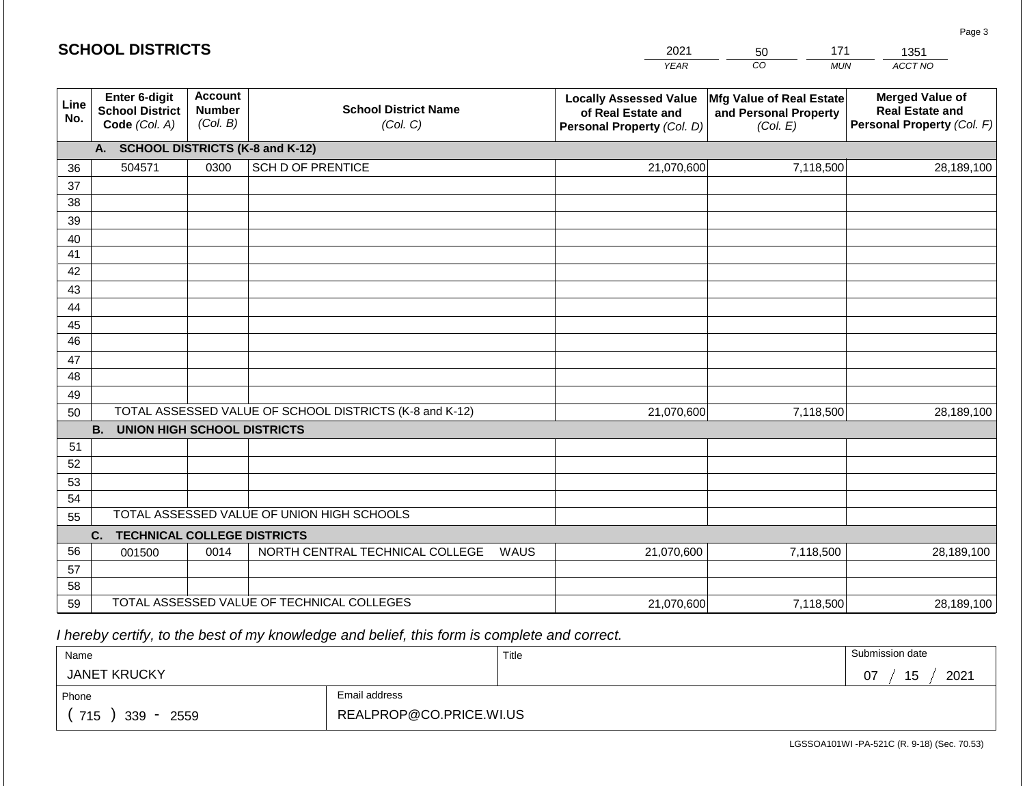|             | <b>SCHOOL DISTRICTS</b>                                  |                                             |                                                         |      | 2021                                                                              | 171<br>50                                                     | 1351                                                                           |
|-------------|----------------------------------------------------------|---------------------------------------------|---------------------------------------------------------|------|-----------------------------------------------------------------------------------|---------------------------------------------------------------|--------------------------------------------------------------------------------|
|             |                                                          |                                             |                                                         |      | <b>YEAR</b>                                                                       | CO <sub>.</sub><br><b>MUN</b>                                 | ACCT NO                                                                        |
| Line<br>No. | Enter 6-digit<br><b>School District</b><br>Code (Col. A) | <b>Account</b><br><b>Number</b><br>(Col. B) | <b>School District Name</b><br>(Col. C)                 |      | <b>Locally Assessed Value</b><br>of Real Estate and<br>Personal Property (Col. D) | Mfg Value of Real Estate<br>and Personal Property<br>(Col. E) | <b>Merged Value of</b><br><b>Real Estate and</b><br>Personal Property (Col. F) |
|             | A. SCHOOL DISTRICTS (K-8 and K-12)                       |                                             |                                                         |      |                                                                                   |                                                               |                                                                                |
| 36          | 504571                                                   | 0300                                        | <b>SCH D OF PRENTICE</b>                                |      | 21,070,600                                                                        | 7,118,500                                                     | 28,189,100                                                                     |
| 37          |                                                          |                                             |                                                         |      |                                                                                   |                                                               |                                                                                |
| 38          |                                                          |                                             |                                                         |      |                                                                                   |                                                               |                                                                                |
| 39          |                                                          |                                             |                                                         |      |                                                                                   |                                                               |                                                                                |
| 40<br>41    |                                                          |                                             |                                                         |      |                                                                                   |                                                               |                                                                                |
| 42          |                                                          |                                             |                                                         |      |                                                                                   |                                                               |                                                                                |
| 43          |                                                          |                                             |                                                         |      |                                                                                   |                                                               |                                                                                |
| 44          |                                                          |                                             |                                                         |      |                                                                                   |                                                               |                                                                                |
| 45          |                                                          |                                             |                                                         |      |                                                                                   |                                                               |                                                                                |
| 46          |                                                          |                                             |                                                         |      |                                                                                   |                                                               |                                                                                |
| 47          |                                                          |                                             |                                                         |      |                                                                                   |                                                               |                                                                                |
| 48          |                                                          |                                             |                                                         |      |                                                                                   |                                                               |                                                                                |
| 49          |                                                          |                                             |                                                         |      |                                                                                   |                                                               |                                                                                |
| 50          |                                                          |                                             | TOTAL ASSESSED VALUE OF SCHOOL DISTRICTS (K-8 and K-12) |      | 21,070,600                                                                        | 7,118,500                                                     | 28,189,100                                                                     |
|             | <b>B. UNION HIGH SCHOOL DISTRICTS</b>                    |                                             |                                                         |      |                                                                                   |                                                               |                                                                                |
| 51<br>52    |                                                          |                                             |                                                         |      |                                                                                   |                                                               |                                                                                |
| 53          |                                                          |                                             |                                                         |      |                                                                                   |                                                               |                                                                                |
| 54          |                                                          |                                             |                                                         |      |                                                                                   |                                                               |                                                                                |
| 55          |                                                          |                                             | TOTAL ASSESSED VALUE OF UNION HIGH SCHOOLS              |      |                                                                                   |                                                               |                                                                                |
|             | <b>TECHNICAL COLLEGE DISTRICTS</b><br>C.                 |                                             |                                                         |      |                                                                                   |                                                               |                                                                                |
| 56          | 001500                                                   | 0014                                        | NORTH CENTRAL TECHNICAL COLLEGE                         | WAUS | 21,070,600                                                                        | 7,118,500                                                     | 28,189,100                                                                     |
| 57          |                                                          |                                             |                                                         |      |                                                                                   |                                                               |                                                                                |
| 58          |                                                          |                                             |                                                         |      |                                                                                   |                                                               |                                                                                |
| 59          |                                                          |                                             | TOTAL ASSESSED VALUE OF TECHNICAL COLLEGES              |      | 21,070,600                                                                        | 7,118,500                                                     | 28,189,100                                                                     |

 *I hereby certify, to the best of my knowledge and belief, this form is complete and correct.*

| Name                |                         | Title | Submission date  |
|---------------------|-------------------------|-------|------------------|
| <b>JANET KRUCKY</b> |                         |       | 2021<br>15<br>07 |
| Phone               | Email address           |       |                  |
| 715<br>339<br>2559  | REALPROP@CO.PRICE.WI.US |       |                  |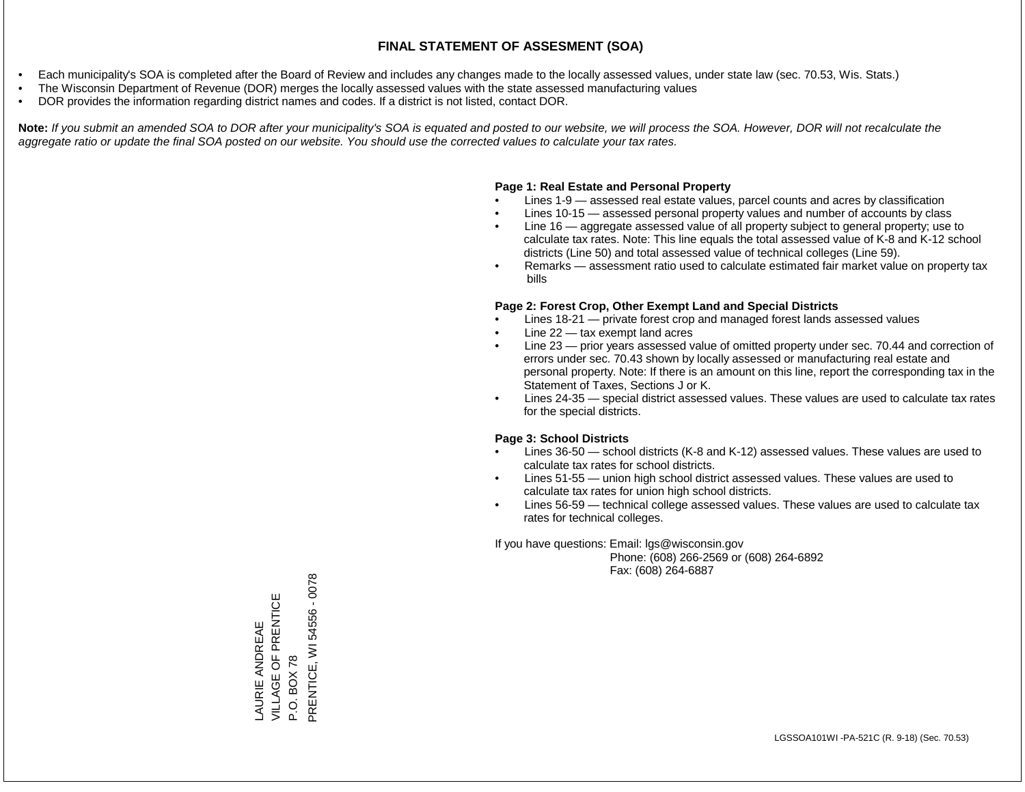- Each municipality's SOA is completed after the Board of Review and includes any changes made to the locally assessed values, under state law (sec. 70.53, Wis. Stats.)
- The Wisconsin Department of Revenue (DOR) merges the locally assessed values with the state assessed manufacturing values
- DOR provides the information regarding district names and codes. If a district is not listed, contact DOR.

Note: If you submit an amended SOA to DOR after your municipality's SOA is equated and posted to our website, we will process the SOA. However, DOR will not recalculate the *aggregate ratio or update the final SOA posted on our website. You should use the corrected values to calculate your tax rates.*

### **Page 1: Real Estate and Personal Property**

- Lines 1-9 assessed real estate values, parcel counts and acres by classification
- Lines 10-15 assessed personal property values and number of accounts by class
- Line 16 aggregate assessed value of all property subject to general property; use to calculate tax rates. Note: This line equals the total assessed value of K-8 and K-12 school districts (Line 50) and total assessed value of technical colleges (Line 59).
- Remarks assessment ratio used to calculate estimated fair market value on property tax bills

### **Page 2: Forest Crop, Other Exempt Land and Special Districts**

- Lines 18-21 private forest crop and managed forest lands assessed values
- Line  $22 -$  tax exempt land acres
- Line 23 prior years assessed value of omitted property under sec. 70.44 and correction of errors under sec. 70.43 shown by locally assessed or manufacturing real estate and personal property. Note: If there is an amount on this line, report the corresponding tax in the Statement of Taxes, Sections J or K.
- Lines 24-35 special district assessed values. These values are used to calculate tax rates for the special districts.

### **Page 3: School Districts**

- Lines 36-50 school districts (K-8 and K-12) assessed values. These values are used to calculate tax rates for school districts.
- Lines 51-55 union high school district assessed values. These values are used to calculate tax rates for union high school districts.
- Lines 56-59 technical college assessed values. These values are used to calculate tax rates for technical colleges.

If you have questions: Email: lgs@wisconsin.gov

 Phone: (608) 266-2569 or (608) 264-6892 Fax: (608) 264-6887

LAURIE ANDREAE VILLAGE OF PRENTICE LAURIE ANDREAE<br>VILLAGE OF PRENTICE<br>P.O. BOX 78<br>PRENTICE, WI 54556 - 0078 PRENTICE, WI 54556 - 0078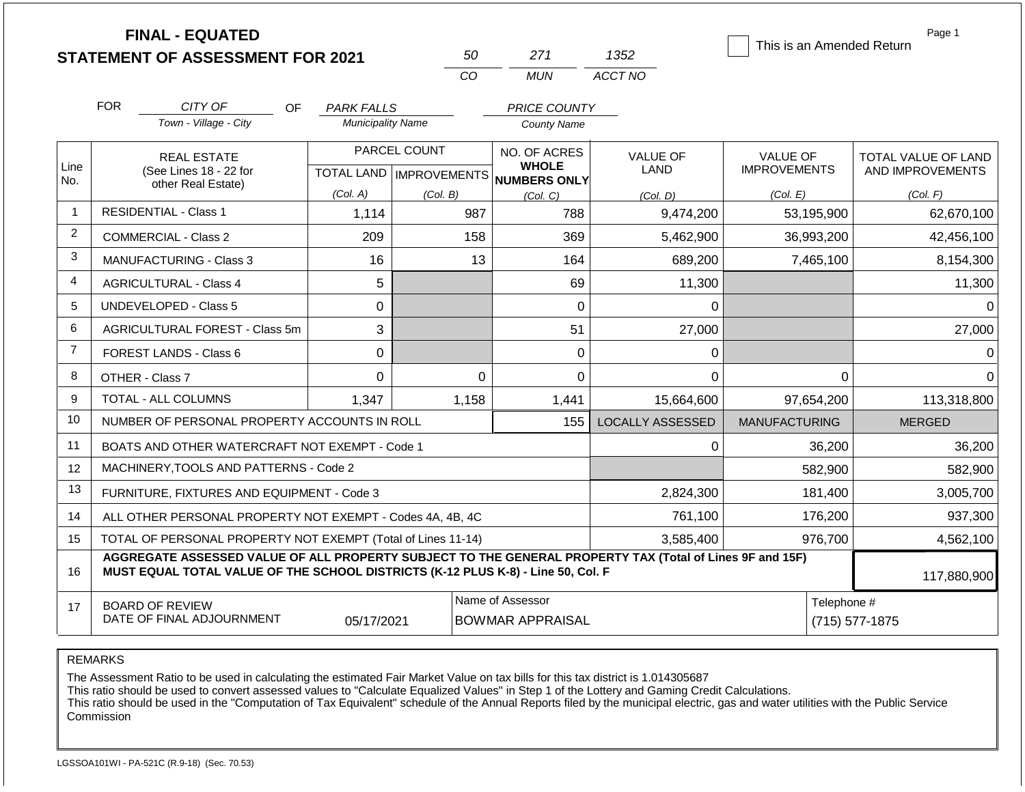|                |                                    | <b>FINAL - EQUATED</b><br><b>STATEMENT OF ASSESSMENT FOR 2021</b>                                                                                                                            |                                               | 50           | 271                                                                 | 1352    |                         | This is an Amended Return       | Page 1                                         |
|----------------|------------------------------------|----------------------------------------------------------------------------------------------------------------------------------------------------------------------------------------------|-----------------------------------------------|--------------|---------------------------------------------------------------------|---------|-------------------------|---------------------------------|------------------------------------------------|
|                |                                    |                                                                                                                                                                                              |                                               | CO           | <b>MUN</b>                                                          | ACCT NO |                         |                                 |                                                |
|                | <b>FOR</b>                         | CITY OF                                                                                                                                                                                      |                                               |              |                                                                     |         |                         |                                 |                                                |
|                |                                    | <b>OF</b><br>Town - Village - City                                                                                                                                                           | <b>PARK FALLS</b><br><b>Municipality Name</b> |              | PRICE COUNTY<br><b>County Name</b>                                  |         |                         |                                 |                                                |
| Line<br>No.    |                                    | <b>REAL ESTATE</b><br>(See Lines 18 - 22 for                                                                                                                                                 |                                               | PARCEL COUNT | NO. OF ACRES<br><b>WHOLE</b><br>TOTAL LAND MPROVEMENTS NUMBERS ONLY |         | <b>VALUE OF</b><br>LAND | VALUE OF<br><b>IMPROVEMENTS</b> | <b>TOTAL VALUE OF LAND</b><br>AND IMPROVEMENTS |
|                |                                    | other Real Estate)                                                                                                                                                                           | (Col. A)                                      | (Col. B)     | (Col, C)                                                            |         | (Col. D)                | (Col. E)                        | (Col. F)                                       |
| $\mathbf{1}$   |                                    | <b>RESIDENTIAL - Class 1</b>                                                                                                                                                                 | 1,114                                         | 987          |                                                                     | 788     | 9,474,200               | 53,195,900                      | 62,670,100                                     |
| $\overline{2}$ | <b>COMMERCIAL - Class 2</b>        |                                                                                                                                                                                              | 209                                           | 158          |                                                                     | 369     | 5.462.900               | 36,993,200                      | 42,456,100                                     |
| 3              | 16<br>MANUFACTURING - Class 3      |                                                                                                                                                                                              |                                               | 13           | 164                                                                 | 689,200 | 7,465,100               | 8,154,300                       |                                                |
| $\overline{4}$ | 5<br><b>AGRICULTURAL - Class 4</b> |                                                                                                                                                                                              |                                               |              | 69                                                                  | 11,300  |                         | 11,300                          |                                                |
| 5              |                                    | <b>UNDEVELOPED - Class 5</b>                                                                                                                                                                 | 0                                             |              |                                                                     | 0       | $\Omega$                |                                 | $\Omega$                                       |
| 6              |                                    | AGRICULTURAL FOREST - Class 5m                                                                                                                                                               | 3                                             |              |                                                                     | 51      | 27,000                  |                                 | 27,000                                         |
| $\overline{7}$ |                                    | FOREST LANDS - Class 6                                                                                                                                                                       | $\Omega$                                      |              |                                                                     | 0       | 0                       |                                 | $\Omega$                                       |
| 8              |                                    | OTHER - Class 7                                                                                                                                                                              | 0                                             |              | $\Omega$                                                            | 0       | 0                       | $\mathbf 0$                     | $\Omega$                                       |
| 9              |                                    | <b>TOTAL - ALL COLUMNS</b>                                                                                                                                                                   | 1,347                                         | 1,158        | 1,441                                                               |         | 15,664,600              | 97,654,200                      | 113,318,800                                    |
| 10             |                                    | NUMBER OF PERSONAL PROPERTY ACCOUNTS IN ROLL                                                                                                                                                 |                                               |              |                                                                     | 155     | <b>LOCALLY ASSESSED</b> | <b>MANUFACTURING</b>            | <b>MERGED</b>                                  |
| 11             |                                    | BOATS AND OTHER WATERCRAFT NOT EXEMPT - Code 1                                                                                                                                               |                                               |              |                                                                     |         | 0                       | 36,200                          | 36,200                                         |
| 12             |                                    | MACHINERY, TOOLS AND PATTERNS - Code 2                                                                                                                                                       |                                               |              |                                                                     |         |                         | 582,900                         | 582,900                                        |
| 13             |                                    | FURNITURE, FIXTURES AND EQUIPMENT - Code 3                                                                                                                                                   |                                               |              |                                                                     |         | 2,824,300               | 181,400                         | 3,005,700                                      |
| 14             |                                    | ALL OTHER PERSONAL PROPERTY NOT EXEMPT - Codes 4A, 4B, 4C                                                                                                                                    |                                               |              |                                                                     |         | 761,100                 | 176,200                         | 937,300                                        |
| 15             |                                    | TOTAL OF PERSONAL PROPERTY NOT EXEMPT (Total of Lines 11-14)                                                                                                                                 |                                               |              |                                                                     |         | 3,585,400<br>976,700    |                                 | 4,562,100                                      |
| 16             |                                    | AGGREGATE ASSESSED VALUE OF ALL PROPERTY SUBJECT TO THE GENERAL PROPERTY TAX (Total of Lines 9F and 15F)<br>MUST EQUAL TOTAL VALUE OF THE SCHOOL DISTRICTS (K-12 PLUS K-8) - Line 50, Col. F |                                               |              |                                                                     |         |                         |                                 | 117,880,900                                    |
| 17             |                                    | <b>BOARD OF REVIEW</b><br>DATE OF FINAL ADJOURNMENT                                                                                                                                          | 05/17/2021                                    |              | Name of Assessor<br><b>BOWMAR APPRAISAL</b>                         |         |                         | Telephone #                     | $(715)$ 577-1875                               |

REMARKS

The Assessment Ratio to be used in calculating the estimated Fair Market Value on tax bills for this tax district is 1.014305687

This ratio should be used to convert assessed values to "Calculate Equalized Values" in Step 1 of the Lottery and Gaming Credit Calculations.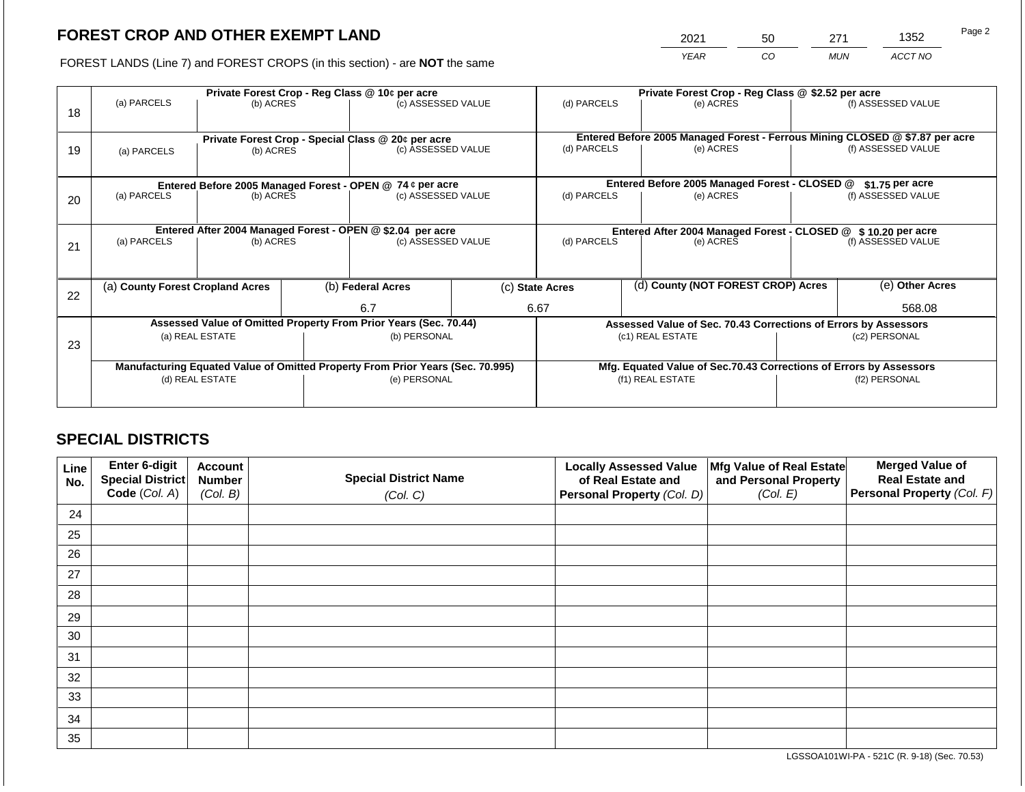2021 50 271 1352

FOREST LANDS (Line 7) and FOREST CROPS (in this section) - are **NOT** the same *YEAR CO MUN ACCT NO*

| 18 | Private Forest Crop - Reg Class @ 10¢ per acre<br>(a) PARCELS<br>(b) ACRES     |           |                                                                    | (c) ASSESSED VALUE                                                       |                  | (d) PARCELS                                                     |               | Private Forest Crop - Reg Class @ \$2.52 per acre<br>(e) ACRES |               | (f) ASSESSED VALUE                                                                                 |
|----|--------------------------------------------------------------------------------|-----------|--------------------------------------------------------------------|--------------------------------------------------------------------------|------------------|-----------------------------------------------------------------|---------------|----------------------------------------------------------------|---------------|----------------------------------------------------------------------------------------------------|
| 19 | (a) PARCELS                                                                    | (b) ACRES |                                                                    | Private Forest Crop - Special Class @ 20¢ per acre<br>(c) ASSESSED VALUE |                  | (d) PARCELS                                                     |               | (e) ACRES                                                      |               | Entered Before 2005 Managed Forest - Ferrous Mining CLOSED @ \$7.87 per acre<br>(f) ASSESSED VALUE |
|    |                                                                                |           |                                                                    | Entered Before 2005 Managed Forest - OPEN @ 74 ¢ per acre                |                  |                                                                 |               | Entered Before 2005 Managed Forest - CLOSED @                  |               | $$1.75$ per acre                                                                                   |
| 20 | (a) PARCELS<br>(b) ACRES                                                       |           |                                                                    | (c) ASSESSED VALUE                                                       |                  | (d) PARCELS                                                     |               | (e) ACRES                                                      |               | (f) ASSESSED VALUE                                                                                 |
|    | Entered After 2004 Managed Forest - OPEN @ \$2.04 per acre                     |           | Entered After 2004 Managed Forest - CLOSED @ \$10.20 per acre      |                                                                          |                  |                                                                 |               |                                                                |               |                                                                                                    |
| 21 | (a) PARCELS                                                                    | (b) ACRES |                                                                    | (c) ASSESSED VALUE                                                       |                  | (d) PARCELS                                                     |               | (e) ACRES                                                      |               | (f) ASSESSED VALUE                                                                                 |
|    |                                                                                |           |                                                                    |                                                                          |                  |                                                                 |               |                                                                |               |                                                                                                    |
| 22 | (a) County Forest Cropland Acres                                               |           |                                                                    | (b) Federal Acres                                                        |                  | (d) County (NOT FOREST CROP) Acres<br>(c) State Acres           |               |                                                                |               | (e) Other Acres                                                                                    |
|    |                                                                                |           |                                                                    | 6.7                                                                      |                  | 6.67                                                            |               |                                                                |               | 568.08                                                                                             |
|    |                                                                                |           |                                                                    | Assessed Value of Omitted Property From Prior Years (Sec. 70.44)         |                  | Assessed Value of Sec. 70.43 Corrections of Errors by Assessors |               |                                                                |               |                                                                                                    |
| 23 | (a) REAL ESTATE                                                                |           |                                                                    | (b) PERSONAL                                                             |                  |                                                                 |               | (c1) REAL ESTATE                                               | (c2) PERSONAL |                                                                                                    |
|    |                                                                                |           |                                                                    |                                                                          |                  |                                                                 |               |                                                                |               |                                                                                                    |
|    | Manufacturing Equated Value of Omitted Property From Prior Years (Sec. 70.995) |           | Mfg. Equated Value of Sec.70.43 Corrections of Errors by Assessors |                                                                          |                  |                                                                 |               |                                                                |               |                                                                                                    |
|    | (d) REAL ESTATE                                                                |           | (e) PERSONAL                                                       |                                                                          | (f1) REAL ESTATE |                                                                 | (f2) PERSONAL |                                                                |               |                                                                                                    |
|    |                                                                                |           |                                                                    |                                                                          |                  |                                                                 |               |                                                                |               |                                                                                                    |

# **SPECIAL DISTRICTS**

| Line<br>No. | <b>Enter 6-digit</b><br>Special District | <b>Account</b><br><b>Number</b> | <b>Special District Name</b> | <b>Locally Assessed Value</b><br>of Real Estate and | Mfg Value of Real Estate<br>and Personal Property | <b>Merged Value of</b><br><b>Real Estate and</b> |
|-------------|------------------------------------------|---------------------------------|------------------------------|-----------------------------------------------------|---------------------------------------------------|--------------------------------------------------|
|             | Code (Col. A)                            | (Col. B)                        | (Col. C)                     | Personal Property (Col. D)                          | (Col. E)                                          | <b>Personal Property (Col. F)</b>                |
| 24          |                                          |                                 |                              |                                                     |                                                   |                                                  |
| 25          |                                          |                                 |                              |                                                     |                                                   |                                                  |
| 26          |                                          |                                 |                              |                                                     |                                                   |                                                  |
| 27          |                                          |                                 |                              |                                                     |                                                   |                                                  |
| 28          |                                          |                                 |                              |                                                     |                                                   |                                                  |
| 29          |                                          |                                 |                              |                                                     |                                                   |                                                  |
| 30          |                                          |                                 |                              |                                                     |                                                   |                                                  |
| 31          |                                          |                                 |                              |                                                     |                                                   |                                                  |
| 32          |                                          |                                 |                              |                                                     |                                                   |                                                  |
| 33          |                                          |                                 |                              |                                                     |                                                   |                                                  |
| 34          |                                          |                                 |                              |                                                     |                                                   |                                                  |
| 35          |                                          |                                 |                              |                                                     |                                                   |                                                  |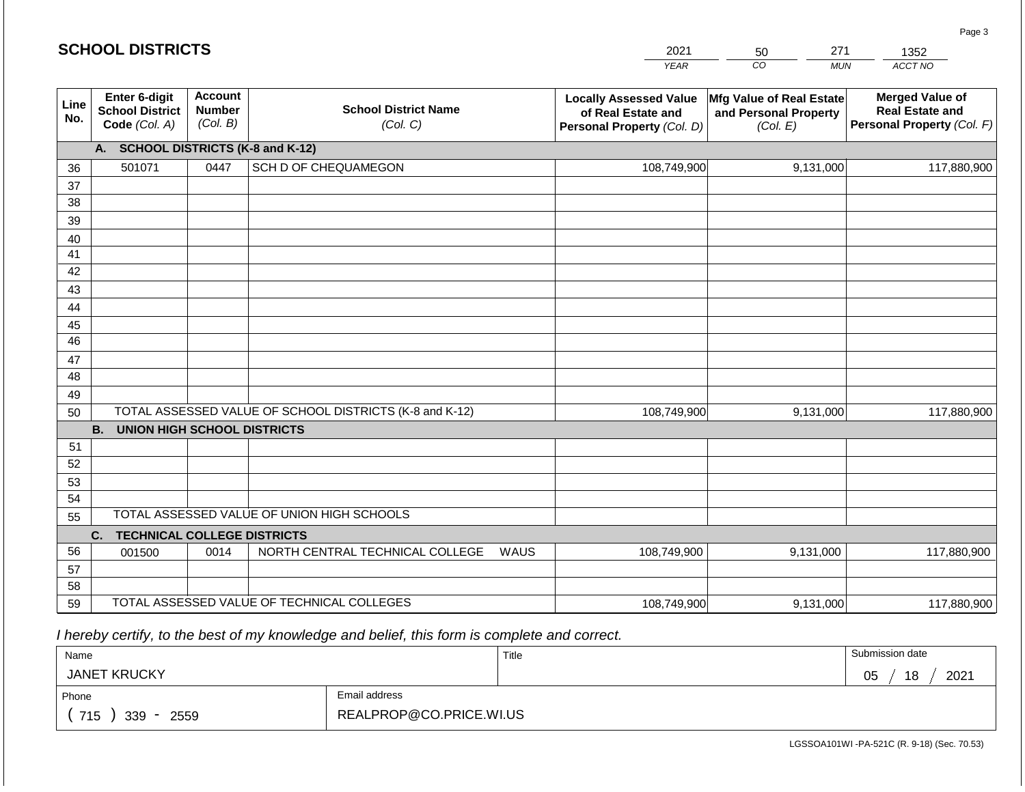#### *YEAR*  2021 *CO*  50 *MUN*  271 *ACCT NO*  1352 **SCHOOL DISTRICTS Line No. Enter 6-digit School District Code** *(Col. A)* **Account Number** *(Col. B)* **School District Name** *(Col. C)* **Locally Assessed Value of Real Estate and Personal Property** *(Col. D)* **Mfg Value of Real Estate and Personal Property** *(Col. E)* **Merged Value of Real Estate and Personal Property** *(Col. F)* **A. SCHOOL DISTRICTS (K-8 and K-12)** 36 37 38 39 40 41 42 43 44 45 46 47 48 49 50 TOTAL ASSESSED VALUE OF SCHOOL DISTRICTS (K-8 and K-12) **B. UNION HIGH SCHOOL DISTRICTS** 51 52 53 54 55 TOTAL ASSESSED VALUE OF UNION HIGH SCHOOLS 501071 0447 SCH D OF CHEQUAMEGON 108,749,900 108,749,900 9,131,000 117,880,900 9,131,000 117,880,900

| 55 |                                |      | TOTAL ASSESSED VALUE OF UNION HIGH SCHOOLS. |             |           |             |  |  |  |  |
|----|--------------------------------|------|---------------------------------------------|-------------|-----------|-------------|--|--|--|--|
|    | C. TECHNICAL COLLEGE DISTRICTS |      |                                             |             |           |             |  |  |  |  |
| 56 | 001500                         | 0014 | NORTH CENTRAL TECHNICAL COLLEGE<br>WAUS     | 108,749,900 | 9.131.000 | 117,880,900 |  |  |  |  |
| 57 |                                |      |                                             |             |           |             |  |  |  |  |
| 58 |                                |      |                                             |             |           |             |  |  |  |  |
| 59 |                                |      | TOTAL ASSESSED VALUE OF TECHNICAL COLLEGES  | 108.749.900 | 9,131,000 | 117.880.900 |  |  |  |  |

 *I hereby certify, to the best of my knowledge and belief, this form is complete and correct.*

| Name                   |                         | Title | Submission date  |  |  |  |
|------------------------|-------------------------|-------|------------------|--|--|--|
| <b>JANET KRUCKY</b>    |                         |       | 2021<br>18<br>05 |  |  |  |
| Phone                  | Email address           |       |                  |  |  |  |
| 715<br>$339 -$<br>2559 | REALPROP@CO.PRICE.WI.US |       |                  |  |  |  |

LGSSOA101WI -PA-521C (R. 9-18) (Sec. 70.53)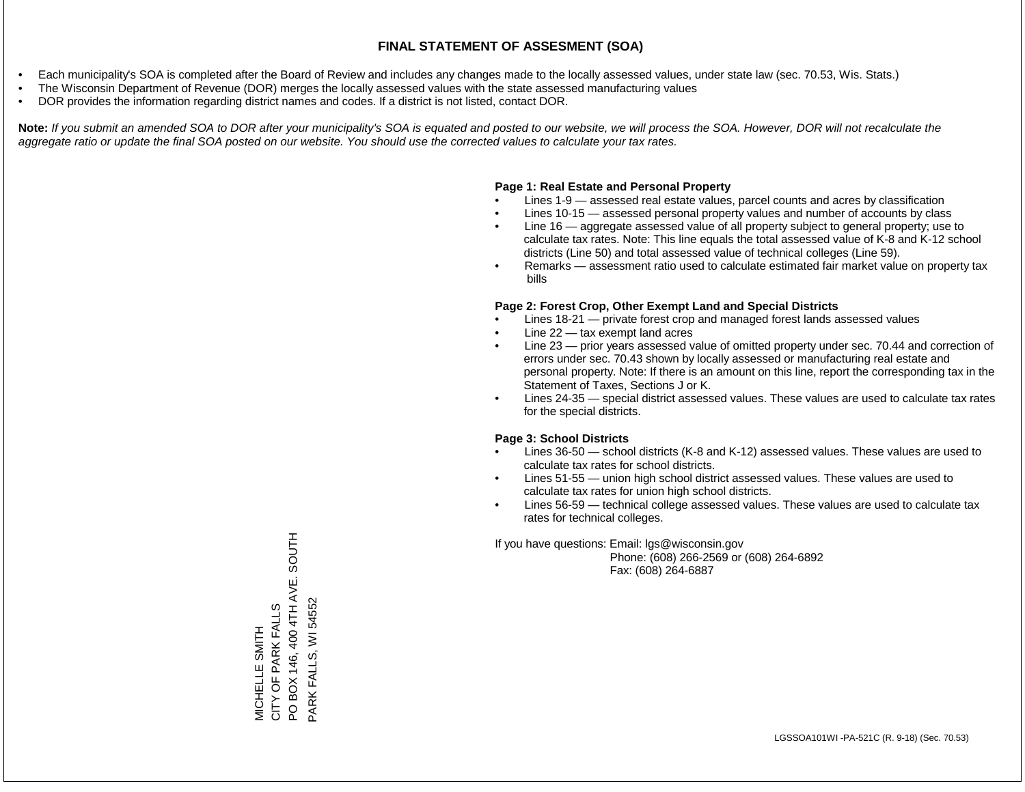- Each municipality's SOA is completed after the Board of Review and includes any changes made to the locally assessed values, under state law (sec. 70.53, Wis. Stats.)
- The Wisconsin Department of Revenue (DOR) merges the locally assessed values with the state assessed manufacturing values
- DOR provides the information regarding district names and codes. If a district is not listed, contact DOR.

Note: If you submit an amended SOA to DOR after your municipality's SOA is equated and posted to our website, we will process the SOA. However, DOR will not recalculate the *aggregate ratio or update the final SOA posted on our website. You should use the corrected values to calculate your tax rates.*

### **Page 1: Real Estate and Personal Property**

- Lines 1-9 assessed real estate values, parcel counts and acres by classification
- Lines 10-15 assessed personal property values and number of accounts by class
- Line 16 aggregate assessed value of all property subject to general property; use to calculate tax rates. Note: This line equals the total assessed value of K-8 and K-12 school districts (Line 50) and total assessed value of technical colleges (Line 59).
- Remarks assessment ratio used to calculate estimated fair market value on property tax bills

### **Page 2: Forest Crop, Other Exempt Land and Special Districts**

- Lines 18-21 private forest crop and managed forest lands assessed values
- Line  $22 -$  tax exempt land acres
- Line 23 prior years assessed value of omitted property under sec. 70.44 and correction of errors under sec. 70.43 shown by locally assessed or manufacturing real estate and personal property. Note: If there is an amount on this line, report the corresponding tax in the Statement of Taxes, Sections J or K.
- Lines 24-35 special district assessed values. These values are used to calculate tax rates for the special districts.

### **Page 3: School Districts**

- Lines 36-50 school districts (K-8 and K-12) assessed values. These values are used to calculate tax rates for school districts.
- Lines 51-55 union high school district assessed values. These values are used to calculate tax rates for union high school districts.
- Lines 56-59 technical college assessed values. These values are used to calculate tax rates for technical colleges.

If you have questions: Email: lgs@wisconsin.gov

 Phone: (608) 266-2569 or (608) 264-6892 Fax: (608) 264-6887

PO BOX 146, 400 4TH AVE. SOUTH PO BOX 146, 400 4TH AVE. SOUTH PARK FALLS, WI 54552 PARK FALLS, WI 54552CITY OF PARK FALLS MICHELLE SMITH<br>CITY OF PARK FALLS MICHELLE SMITH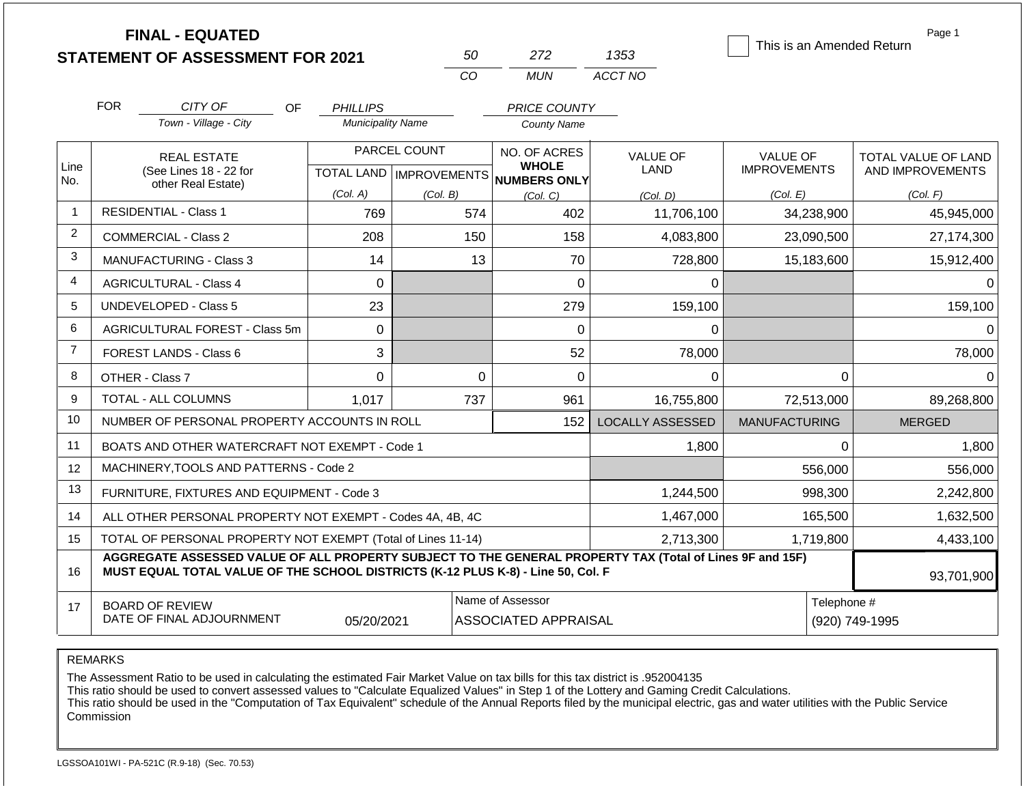|                |                                                              | <b>FINAL - EQUATED</b><br><b>STATEMENT OF ASSESSMENT FOR 2021</b>                                                                                                                            |                          |                                           | 50                                                  | 272                                             | 1353                    | This is an Amended Return              | Page 1                                  |
|----------------|--------------------------------------------------------------|----------------------------------------------------------------------------------------------------------------------------------------------------------------------------------------------|--------------------------|-------------------------------------------|-----------------------------------------------------|-------------------------------------------------|-------------------------|----------------------------------------|-----------------------------------------|
|                |                                                              |                                                                                                                                                                                              |                          |                                           | CO                                                  | <b>MUN</b>                                      | ACCT NO                 |                                        |                                         |
|                | <b>FOR</b>                                                   | CITY OF<br>OF.                                                                                                                                                                               | <b>PHILLIPS</b>          |                                           |                                                     | <b>PRICE COUNTY</b>                             |                         |                                        |                                         |
|                |                                                              | Town - Village - City                                                                                                                                                                        | <b>Municipality Name</b> |                                           |                                                     | <b>County Name</b>                              |                         |                                        |                                         |
| Line<br>No.    |                                                              | <b>REAL ESTATE</b><br>(See Lines 18 - 22 for                                                                                                                                                 |                          | PARCEL COUNT<br>TOTAL LAND   IMPROVEMENTS | NO. OF ACRES<br><b>WHOLE</b><br><b>NUMBERS ONLY</b> |                                                 | <b>VALUE OF</b><br>LAND | <b>VALUE OF</b><br><b>IMPROVEMENTS</b> | TOTAL VALUE OF LAND<br>AND IMPROVEMENTS |
|                |                                                              | other Real Estate)                                                                                                                                                                           | (Col. A)                 | (Col. B)                                  |                                                     | (Col. C)                                        | (Col, D)                | (Col. E)                               | (Col. F)                                |
| $\mathbf{1}$   |                                                              | <b>RESIDENTIAL - Class 1</b>                                                                                                                                                                 | 769                      |                                           | 574                                                 | 402                                             | 11,706,100              | 34,238,900                             | 45,945,000                              |
| 2              |                                                              | COMMERCIAL - Class 2                                                                                                                                                                         | 208                      |                                           | 150                                                 | 158                                             | 4,083,800               | 23,090,500                             | 27,174,300                              |
| 3              |                                                              | MANUFACTURING - Class 3                                                                                                                                                                      | 14                       |                                           | 13                                                  | 70                                              | 728,800                 | 15,183,600                             | 15,912,400                              |
| 4              |                                                              | <b>AGRICULTURAL - Class 4</b>                                                                                                                                                                | $\overline{0}$           |                                           |                                                     | 0                                               | 0                       |                                        | $\Omega$                                |
| 5              |                                                              | <b>UNDEVELOPED - Class 5</b>                                                                                                                                                                 | 23                       |                                           |                                                     | 279                                             | 159,100                 |                                        | 159,100                                 |
| 6              |                                                              | AGRICULTURAL FOREST - Class 5m                                                                                                                                                               | $\Omega$                 |                                           |                                                     | 0                                               | 0                       |                                        | $\Omega$                                |
| $\overline{7}$ |                                                              | <b>FOREST LANDS - Class 6</b>                                                                                                                                                                | 3                        |                                           |                                                     | 52                                              | 78,000                  |                                        | 78,000                                  |
| 8              |                                                              | OTHER - Class 7                                                                                                                                                                              | $\mathbf 0$              |                                           | $\mathbf 0$                                         | $\mathbf 0$                                     | $\Omega$                |                                        | $\Omega$<br>$\Omega$                    |
| 9              |                                                              | TOTAL - ALL COLUMNS                                                                                                                                                                          | 1,017                    |                                           | 737                                                 | 961                                             | 16,755,800              | 72,513,000                             | 89,268,800                              |
| 10             |                                                              | NUMBER OF PERSONAL PROPERTY ACCOUNTS IN ROLL                                                                                                                                                 |                          |                                           |                                                     | 152                                             | <b>LOCALLY ASSESSED</b> | <b>MANUFACTURING</b>                   | <b>MERGED</b>                           |
| 11             |                                                              | BOATS AND OTHER WATERCRAFT NOT EXEMPT - Code 1                                                                                                                                               |                          |                                           |                                                     |                                                 | 1,800                   |                                        | 1,800<br>$\Omega$                       |
| 12             |                                                              | MACHINERY, TOOLS AND PATTERNS - Code 2                                                                                                                                                       |                          |                                           |                                                     |                                                 |                         | 556,000                                | 556,000                                 |
| 13             |                                                              | FURNITURE, FIXTURES AND EQUIPMENT - Code 3                                                                                                                                                   |                          |                                           |                                                     |                                                 | 1,244,500               | 998,300                                | 2,242,800                               |
| 14             | ALL OTHER PERSONAL PROPERTY NOT EXEMPT - Codes 4A, 4B, 4C    |                                                                                                                                                                                              |                          |                                           |                                                     |                                                 | 1,467,000               | 165,500                                | 1,632,500                               |
| 15             | TOTAL OF PERSONAL PROPERTY NOT EXEMPT (Total of Lines 11-14) |                                                                                                                                                                                              |                          |                                           |                                                     |                                                 | 2,713,300               | 1,719,800                              | 4,433,100                               |
| 16             |                                                              | AGGREGATE ASSESSED VALUE OF ALL PROPERTY SUBJECT TO THE GENERAL PROPERTY TAX (Total of Lines 9F and 15F)<br>MUST EQUAL TOTAL VALUE OF THE SCHOOL DISTRICTS (K-12 PLUS K-8) - Line 50, Col. F |                          |                                           |                                                     |                                                 |                         |                                        | 93,701,900                              |
| 17             |                                                              | <b>BOARD OF REVIEW</b><br>DATE OF FINAL ADJOURNMENT                                                                                                                                          | 05/20/2021               |                                           |                                                     | Name of Assessor<br><b>ASSOCIATED APPRAISAL</b> |                         |                                        | Telephone #<br>(920) 749-1995           |

REMARKS

The Assessment Ratio to be used in calculating the estimated Fair Market Value on tax bills for this tax district is .952004135

This ratio should be used to convert assessed values to "Calculate Equalized Values" in Step 1 of the Lottery and Gaming Credit Calculations.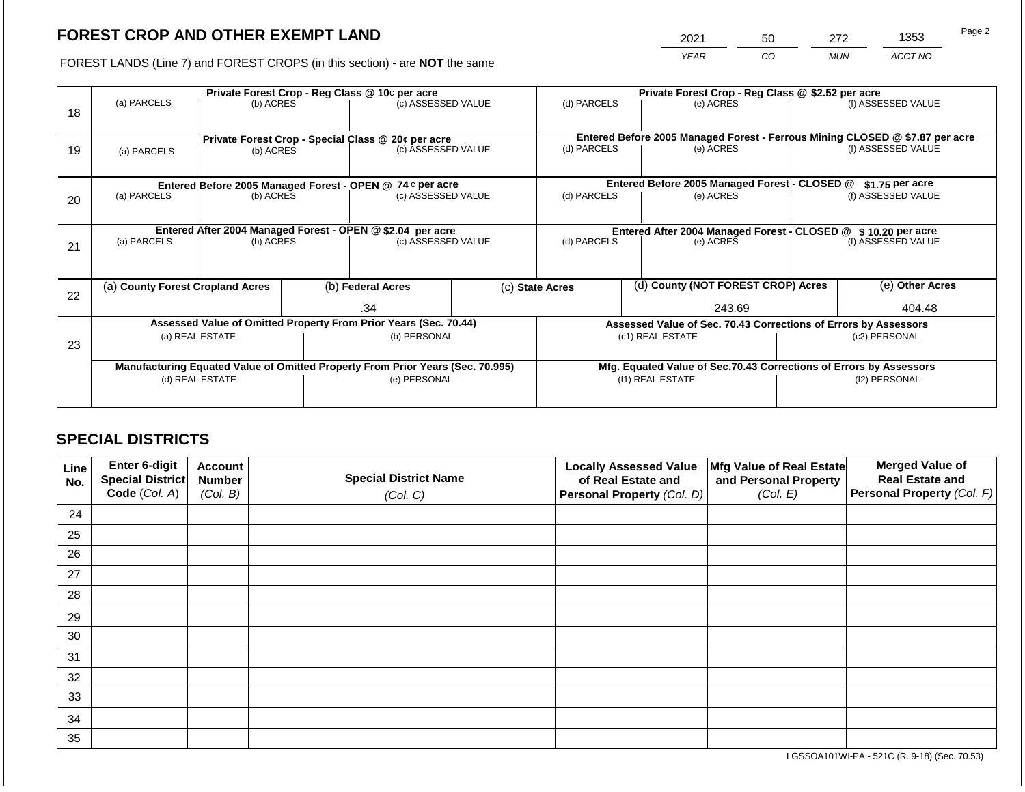2021 50 272 1353

FOREST LANDS (Line 7) and FOREST CROPS (in this section) - are **NOT** the same *YEAR CO MUN ACCT NO*

|    |                                                                                                      | Private Forest Crop - Reg Class @ 10¢ per acre                   |                                                                    |                    |  | Private Forest Crop - Reg Class @ \$2.52 per acre             |  |                                                                 |               |                                                                              |  |
|----|------------------------------------------------------------------------------------------------------|------------------------------------------------------------------|--------------------------------------------------------------------|--------------------|--|---------------------------------------------------------------|--|-----------------------------------------------------------------|---------------|------------------------------------------------------------------------------|--|
| 18 | (a) PARCELS                                                                                          | (b) ACRES                                                        |                                                                    | (c) ASSESSED VALUE |  | (d) PARCELS                                                   |  | (e) ACRES                                                       |               | (f) ASSESSED VALUE                                                           |  |
|    |                                                                                                      |                                                                  |                                                                    |                    |  |                                                               |  |                                                                 |               | Entered Before 2005 Managed Forest - Ferrous Mining CLOSED @ \$7.87 per acre |  |
| 19 | Private Forest Crop - Special Class @ 20¢ per acre<br>(c) ASSESSED VALUE<br>(b) ACRES<br>(a) PARCELS |                                                                  |                                                                    | (d) PARCELS        |  | (e) ACRES                                                     |  | (f) ASSESSED VALUE                                              |               |                                                                              |  |
|    |                                                                                                      |                                                                  |                                                                    |                    |  |                                                               |  |                                                                 |               |                                                                              |  |
|    |                                                                                                      | Entered Before 2005 Managed Forest - OPEN @ 74 ¢ per acre        |                                                                    |                    |  |                                                               |  | Entered Before 2005 Managed Forest - CLOSED @                   |               | $$1.75$ per acre                                                             |  |
| 20 | (a) PARCELS                                                                                          | (b) ACRES                                                        |                                                                    | (c) ASSESSED VALUE |  | (d) PARCELS                                                   |  | (e) ACRES                                                       |               | (f) ASSESSED VALUE                                                           |  |
|    |                                                                                                      |                                                                  |                                                                    |                    |  |                                                               |  |                                                                 |               |                                                                              |  |
|    | Entered After 2004 Managed Forest - OPEN @ \$2.04 per acre                                           |                                                                  |                                                                    |                    |  | Entered After 2004 Managed Forest - CLOSED @ \$10.20 per acre |  |                                                                 |               |                                                                              |  |
| 21 | (a) PARCELS                                                                                          | (b) ACRES                                                        |                                                                    | (c) ASSESSED VALUE |  | (d) PARCELS                                                   |  | (e) ACRES                                                       |               | (f) ASSESSED VALUE                                                           |  |
|    |                                                                                                      |                                                                  |                                                                    |                    |  |                                                               |  |                                                                 |               |                                                                              |  |
|    | (a) County Forest Cropland Acres                                                                     |                                                                  |                                                                    | (b) Federal Acres  |  | (c) State Acres                                               |  | (d) County (NOT FOREST CROP) Acres                              |               | (e) Other Acres                                                              |  |
| 22 |                                                                                                      |                                                                  |                                                                    | .34                |  | 243.69                                                        |  |                                                                 | 404.48        |                                                                              |  |
|    |                                                                                                      | Assessed Value of Omitted Property From Prior Years (Sec. 70.44) |                                                                    |                    |  |                                                               |  | Assessed Value of Sec. 70.43 Corrections of Errors by Assessors |               |                                                                              |  |
|    | (a) REAL ESTATE                                                                                      |                                                                  |                                                                    | (b) PERSONAL       |  | (c1) REAL ESTATE                                              |  |                                                                 | (c2) PERSONAL |                                                                              |  |
| 23 |                                                                                                      |                                                                  |                                                                    |                    |  |                                                               |  |                                                                 |               |                                                                              |  |
|    | Manufacturing Equated Value of Omitted Property From Prior Years (Sec. 70.995)                       |                                                                  | Mfg. Equated Value of Sec.70.43 Corrections of Errors by Assessors |                    |  |                                                               |  |                                                                 |               |                                                                              |  |
|    | (d) REAL ESTATE                                                                                      |                                                                  |                                                                    | (e) PERSONAL       |  | (f1) REAL ESTATE                                              |  | (f2) PERSONAL                                                   |               |                                                                              |  |
|    |                                                                                                      |                                                                  |                                                                    |                    |  |                                                               |  |                                                                 |               |                                                                              |  |
|    |                                                                                                      |                                                                  |                                                                    |                    |  |                                                               |  |                                                                 |               |                                                                              |  |

# **SPECIAL DISTRICTS**

| Line<br>No. | <b>Enter 6-digit</b><br>Special District | <b>Account</b><br><b>Number</b> | <b>Special District Name</b> | <b>Locally Assessed Value</b><br>of Real Estate and | Mfg Value of Real Estate<br>and Personal Property | <b>Merged Value of</b><br><b>Real Estate and</b> |
|-------------|------------------------------------------|---------------------------------|------------------------------|-----------------------------------------------------|---------------------------------------------------|--------------------------------------------------|
|             | Code (Col. A)                            | (Col. B)                        | (Col. C)                     | Personal Property (Col. D)                          | (Col. E)                                          | <b>Personal Property (Col. F)</b>                |
| 24          |                                          |                                 |                              |                                                     |                                                   |                                                  |
| 25          |                                          |                                 |                              |                                                     |                                                   |                                                  |
| 26          |                                          |                                 |                              |                                                     |                                                   |                                                  |
| 27          |                                          |                                 |                              |                                                     |                                                   |                                                  |
| 28          |                                          |                                 |                              |                                                     |                                                   |                                                  |
| 29          |                                          |                                 |                              |                                                     |                                                   |                                                  |
| 30          |                                          |                                 |                              |                                                     |                                                   |                                                  |
| 31          |                                          |                                 |                              |                                                     |                                                   |                                                  |
| 32          |                                          |                                 |                              |                                                     |                                                   |                                                  |
| 33          |                                          |                                 |                              |                                                     |                                                   |                                                  |
| 34          |                                          |                                 |                              |                                                     |                                                   |                                                  |
| 35          |                                          |                                 |                              |                                                     |                                                   |                                                  |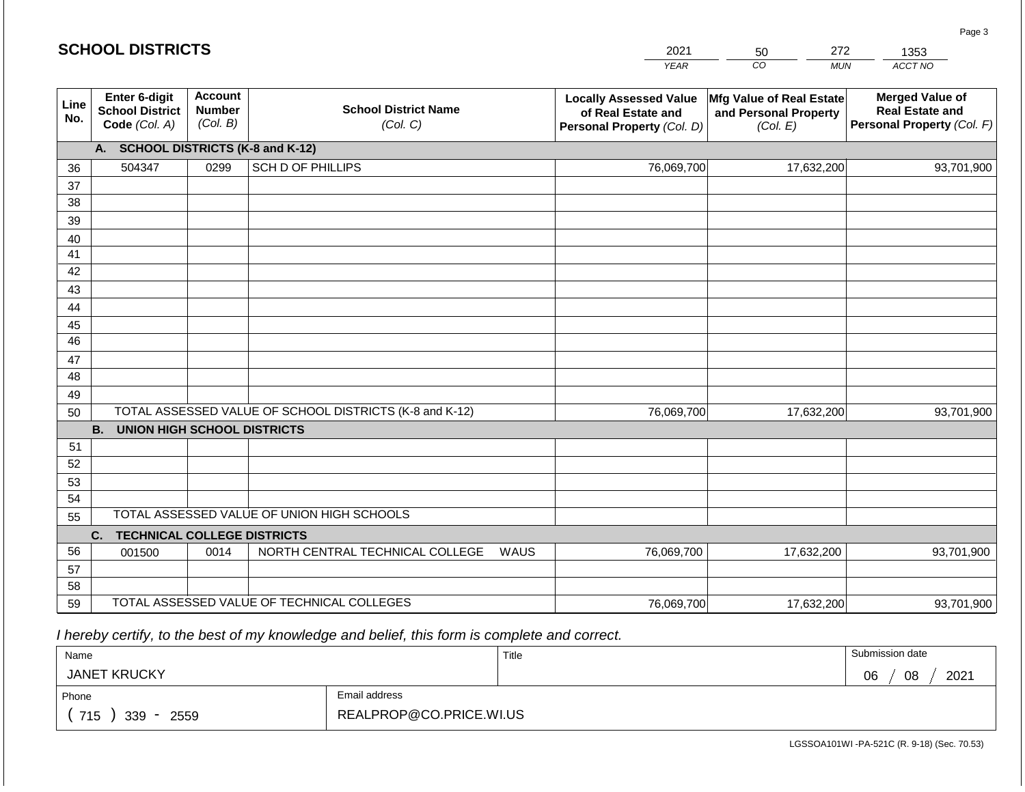|             | <b>SCHOOL DISTRICTS</b>                                  |                                             |                                                         |            | 2021                                                                              | 272<br>50                                                            | 1353                                                                           |
|-------------|----------------------------------------------------------|---------------------------------------------|---------------------------------------------------------|------------|-----------------------------------------------------------------------------------|----------------------------------------------------------------------|--------------------------------------------------------------------------------|
|             |                                                          |                                             |                                                         |            | <b>YEAR</b>                                                                       | CO<br><b>MUN</b>                                                     | ACCT NO                                                                        |
| Line<br>No. | Enter 6-digit<br><b>School District</b><br>Code (Col. A) | <b>Account</b><br><b>Number</b><br>(Col. B) | <b>School District Name</b><br>(Col. C)                 |            | <b>Locally Assessed Value</b><br>of Real Estate and<br>Personal Property (Col. D) | <b>Mfg Value of Real Estate</b><br>and Personal Property<br>(Col. E) | <b>Merged Value of</b><br><b>Real Estate and</b><br>Personal Property (Col. F) |
|             | <b>SCHOOL DISTRICTS (K-8 and K-12)</b><br>A.             |                                             |                                                         |            |                                                                                   |                                                                      |                                                                                |
| 36          | 504347                                                   | 0299                                        | SCH D OF PHILLIPS                                       |            | 76,069,700                                                                        | 17,632,200                                                           | 93,701,900                                                                     |
| 37          |                                                          |                                             |                                                         |            |                                                                                   |                                                                      |                                                                                |
| 38          |                                                          |                                             |                                                         |            |                                                                                   |                                                                      |                                                                                |
| 39          |                                                          |                                             |                                                         |            |                                                                                   |                                                                      |                                                                                |
| 40          |                                                          |                                             |                                                         |            |                                                                                   |                                                                      |                                                                                |
| 41          |                                                          |                                             |                                                         |            |                                                                                   |                                                                      |                                                                                |
| 42<br>43    |                                                          |                                             |                                                         |            |                                                                                   |                                                                      |                                                                                |
| 44          |                                                          |                                             |                                                         |            |                                                                                   |                                                                      |                                                                                |
| 45          |                                                          |                                             |                                                         |            |                                                                                   |                                                                      |                                                                                |
| 46          |                                                          |                                             |                                                         |            |                                                                                   |                                                                      |                                                                                |
| 47          |                                                          |                                             |                                                         |            |                                                                                   |                                                                      |                                                                                |
| 48          |                                                          |                                             |                                                         |            |                                                                                   |                                                                      |                                                                                |
| 49          |                                                          |                                             |                                                         |            |                                                                                   |                                                                      |                                                                                |
| 50          |                                                          |                                             | TOTAL ASSESSED VALUE OF SCHOOL DISTRICTS (K-8 and K-12) | 76,069,700 | 17,632,200                                                                        | 93,701,900                                                           |                                                                                |
|             | <b>B.</b><br><b>UNION HIGH SCHOOL DISTRICTS</b>          |                                             |                                                         |            |                                                                                   |                                                                      |                                                                                |
| 51          |                                                          |                                             |                                                         |            |                                                                                   |                                                                      |                                                                                |
| 52          |                                                          |                                             |                                                         |            |                                                                                   |                                                                      |                                                                                |
| 53          |                                                          |                                             |                                                         |            |                                                                                   |                                                                      |                                                                                |
| 54          |                                                          |                                             |                                                         |            |                                                                                   |                                                                      |                                                                                |
| 55          |                                                          |                                             | TOTAL ASSESSED VALUE OF UNION HIGH SCHOOLS              |            |                                                                                   |                                                                      |                                                                                |
|             | <b>TECHNICAL COLLEGE DISTRICTS</b><br>C.                 |                                             |                                                         |            |                                                                                   |                                                                      |                                                                                |
| 56          | 001500                                                   | 0014                                        | NORTH CENTRAL TECHNICAL COLLEGE                         | WAUS       | 76,069,700                                                                        | 17,632,200                                                           | 93,701,900                                                                     |
| 57<br>58    |                                                          |                                             |                                                         |            |                                                                                   |                                                                      |                                                                                |
| 59          |                                                          |                                             | TOTAL ASSESSED VALUE OF TECHNICAL COLLEGES              |            | 76,069,700                                                                        | 17,632,200                                                           | 93,701,900                                                                     |
|             |                                                          |                                             |                                                         |            |                                                                                   |                                                                      |                                                                                |

 *I hereby certify, to the best of my knowledge and belief, this form is complete and correct.*

| Name                   |                         | Title | Submission date  |  |  |  |
|------------------------|-------------------------|-------|------------------|--|--|--|
| <b>JANET KRUCKY</b>    |                         |       | 2021<br>08<br>06 |  |  |  |
| Phone                  | Email address           |       |                  |  |  |  |
| 715<br>$339 -$<br>2559 | REALPROP@CO.PRICE.WI.US |       |                  |  |  |  |

LGSSOA101WI -PA-521C (R. 9-18) (Sec. 70.53)